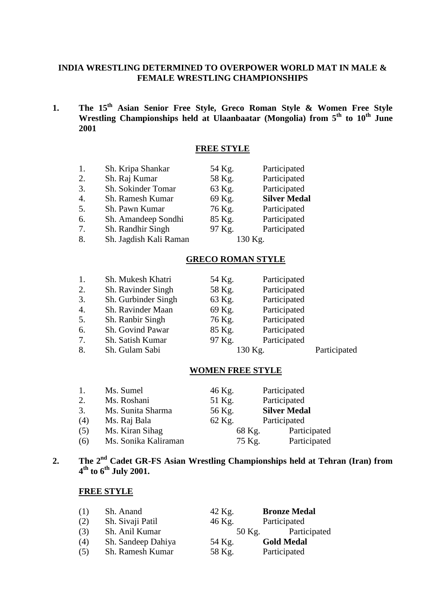### **INDIA WRESTLING DETERMINED TO OVERPOWER WORLD MAT IN MALE & FEMALE WRESTLING CHAMPIONSHIPS**

**1. The 15th Asian Senior Free Style, Greco Roman Style & Women Free Style**  Wrestling Championships held at Ulaanbaatar (Mongolia) from  $5<sup>th</sup>$  to  $10<sup>th</sup>$  June **2001**

# **FREE STYLE**

| 1.                    | Sh. Kripa Shankar      | 54 Kg.  | Participated        |
|-----------------------|------------------------|---------|---------------------|
| 2.                    | Sh. Raj Kumar          | 58 Kg.  | Participated        |
| 3.                    | Sh. Sokinder Tomar     | 63 Kg.  | Participated        |
| $\mathcal{A}_{\cdot}$ | Sh. Ramesh Kumar       | 69 Kg.  | <b>Silver Medal</b> |
| 5.                    | Sh. Pawn Kumar         | 76 Kg.  | Participated        |
| 6.                    | Sh. Amandeep Sondhi    | 85 Kg.  | Participated        |
| $7_{\cdot}$           | Sh. Randhir Singh      | 97 Kg.  | Participated        |
| 8.                    | Sh. Jagdish Kali Raman | 130 Kg. |                     |

#### **GRECO ROMAN STYLE**

| 1. | Sh. Mukesh Khatri   | 54 Kg. | Participated |              |
|----|---------------------|--------|--------------|--------------|
| 2. | Sh. Ravinder Singh  | 58 Kg. | Participated |              |
| 3. | Sh. Gurbinder Singh | 63 Kg. | Participated |              |
| 4. | Sh. Ravinder Maan   | 69 Kg. | Participated |              |
| 5. | Sh. Ranbir Singh    | 76 Kg. | Participated |              |
| 6. | Sh. Govind Pawar    | 85 Kg. | Participated |              |
| 7. | Sh. Satish Kumar    | 97 Kg. | Participated |              |
| 8. | Sh. Gulam Sabi      |        | 130 Kg.      | Participated |

#### **WOMEN FREE STYLE**

| 1.  | Ms. Sumel            | 46 Kg. | Participated        |
|-----|----------------------|--------|---------------------|
| 2.  | Ms. Roshani          | 51 Kg. | Participated        |
| 3.  | Ms. Sunita Sharma    | 56 Kg. | <b>Silver Medal</b> |
| (4) | Ms. Raj Bala         | 62 Kg. | Participated        |
| (5) | Ms. Kiran Sihag      | 68 Kg. | Participated        |
| (6) | Ms. Sonika Kaliraman | 75 Kg. | Participated        |
|     |                      |        |                     |

# **2. The 2nd Cadet GR-FS Asian Wrestling Championships held at Tehran (Iran) from 4th to 6th July 2001.**

| (1) | Sh. Anand          | 42 Kg. | <b>Bronze Medal</b> |
|-----|--------------------|--------|---------------------|
| (2) | Sh. Sivaji Patil   | 46 Kg. | Participated        |
| (3) | Sh. Anil Kumar     | 50 Kg. | Participated        |
| (4) | Sh. Sandeep Dahiya | 54 Kg. | <b>Gold Medal</b>   |
| (5) | Sh. Ramesh Kumar   | 58 Kg. | Participated        |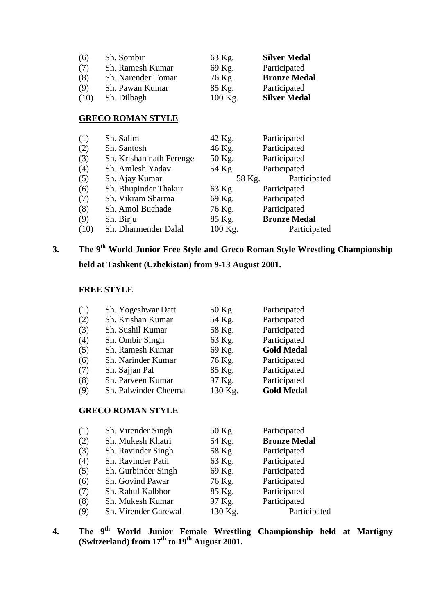| (6)  | Sh. Sombir                | 63 Kg.    | <b>Silver Medal</b> |
|------|---------------------------|-----------|---------------------|
| (7)  | Sh. Ramesh Kumar          | 69 Kg.    | Participated        |
| (8)  | <b>Sh.</b> Narender Tomar | 76 Kg.    | <b>Bronze Medal</b> |
| (9)  | Sh. Pawan Kumar           | 85 Kg.    | Participated        |
| (10) | Sh. Dilbagh               | $100$ Kg. | <b>Silver Medal</b> |

# **GRECO ROMAN STYLE**

| (1)  | Sh. Salim                | 42 Kg.  | Participated        |
|------|--------------------------|---------|---------------------|
| (2)  | Sh. Santosh              | 46 Kg.  | Participated        |
| (3)  | Sh. Krishan nath Ferenge | 50 Kg.  | Participated        |
| (4)  | Sh. Amlesh Yadav         | 54 Kg.  | Participated        |
| (5)  | Sh. Ajay Kumar           | 58 Kg.  | Participated        |
| (6)  | Sh. Bhupinder Thakur     | 63 Kg.  | Participated        |
| (7)  | Sh. Vikram Sharma        | 69 Kg.  | Participated        |
| (8)  | Sh. Amol Buchade         | 76 Kg.  | Participated        |
| (9)  | Sh. Birju                | 85 Kg.  | <b>Bronze Medal</b> |
| (10) | Sh. Dharmender Dalal     | 100 Kg. | Participated        |

# **3. The 9th World Junior Free Style and Greco Roman Style Wrestling Championship held at Tashkent (Uzbekistan) from 9-13 August 2001.**

#### **FREE STYLE**

| (1) | Sh. Yogeshwar Datt   | 50 Kg.  | Participated      |
|-----|----------------------|---------|-------------------|
| (2) | Sh. Krishan Kumar    | 54 Kg.  | Participated      |
| (3) | Sh. Sushil Kumar     | 58 Kg.  | Participated      |
| (4) | Sh. Ombir Singh      | 63 Kg.  | Participated      |
| (5) | Sh. Ramesh Kumar     | 69 Kg.  | <b>Gold Medal</b> |
| (6) | Sh. Narinder Kumar   | 76 Kg.  | Participated      |
| (7) | Sh. Sajjan Pal       | 85 Kg.  | Participated      |
| (8) | Sh. Parveen Kumar    | 97 Kg.  | Participated      |
| (9) | Sh. Palwinder Cheema | 130 Kg. | <b>Gold Medal</b> |

#### **GRECO ROMAN STYLE**

| (1) | Sh. Virender Singh   | 50 Kg.  | Participated        |
|-----|----------------------|---------|---------------------|
| (2) | Sh. Mukesh Khatri    | 54 Kg.  | <b>Bronze Medal</b> |
| (3) | Sh. Ravinder Singh   | 58 Kg.  | Participated        |
| (4) | Sh. Ravinder Patil   | 63 Kg.  | Participated        |
| (5) | Sh. Gurbinder Singh  | 69 Kg.  | Participated        |
| (6) | Sh. Govind Pawar     | 76 Kg.  | Participated        |
| (7) | Sh. Rahul Kalbhor    | 85 Kg.  | Participated        |
| (8) | Sh. Mukesh Kumar     | 97 Kg.  | Participated        |
| (9) | Sh. Virender Garewal | 130 Kg. | Participated        |

**4. The 9th World Junior Female Wrestling Championship held at Martigny (Switzerland) from 17th to 19th August 2001.**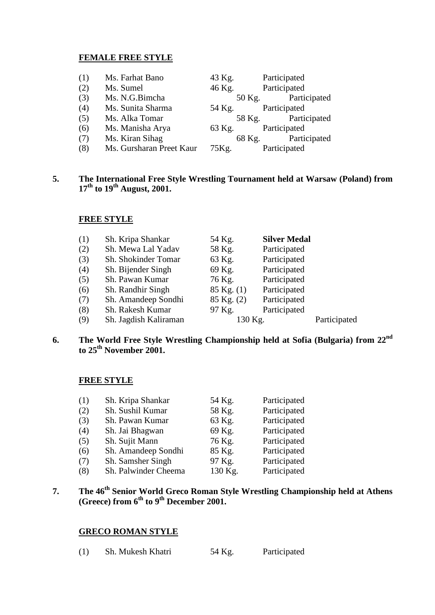#### **FEMALE FREE STYLE**

| (1) | Ms. Farhat Bano          | 43 Kg. | Participated        |
|-----|--------------------------|--------|---------------------|
| (2) | Ms. Sumel                | 46 Kg. | Participated        |
| (3) | Ms. N.G.Bimcha           |        | 50 Kg. Participated |
| (4) | Ms. Sunita Sharma        | 54 Kg. | Participated        |
| (5) | Ms. Alka Tomar           |        | 58 Kg. Participated |
| (6) | Ms. Manisha Arya         | 63 Kg. | Participated        |
| (7) | Ms. Kiran Sihag          |        | 68 Kg. Participated |
| (8) | Ms. Gursharan Preet Kaur | 75Kg.  | Participated        |

#### **5. The International Free Style Wrestling Tournament held at Warsaw (Poland) from 17th to 19th August, 2001.**

#### **FREE STYLE**

| (1) | Sh. Kripa Shankar     | 54 Kg.         | <b>Silver Medal</b> |              |
|-----|-----------------------|----------------|---------------------|--------------|
| (2) | Sh. Mewa Lal Yadav    | 58 Kg.         | Participated        |              |
| (3) | Sh. Shokinder Tomar   | 63 Kg.         | Participated        |              |
| (4) | Sh. Bijender Singh    | 69 Kg.         | Participated        |              |
| (5) | Sh. Pawan Kumar       | 76 Kg.         | Participated        |              |
| (6) | Sh. Randhir Singh     | $85$ Kg. $(1)$ | Participated        |              |
| (7) | Sh. Amandeep Sondhi   | 85 Kg. (2)     | Participated        |              |
| (8) | Sh. Rakesh Kumar      | 97 Kg.         | Participated        |              |
| (9) | Sh. Jagdish Kaliraman | 130 Kg.        |                     | Participated |
|     |                       |                |                     |              |

# **6. The World Free Style Wrestling Championship held at Sofia (Bulgaria) from 22nd to 25th November 2001.**

#### **FREE STYLE**

| (1) | Sh. Kripa Shankar    | 54 Kg.  | Participated |
|-----|----------------------|---------|--------------|
| (2) | Sh. Sushil Kumar     | 58 Kg.  | Participated |
| (3) | Sh. Pawan Kumar      | 63 Kg.  | Participated |
| (4) | Sh. Jai Bhagwan      | 69 Kg.  | Participated |
| (5) | Sh. Sujit Mann       | 76 Kg.  | Participated |
| (6) | Sh. Amandeep Sondhi  | 85 Kg.  | Participated |
| (7) | Sh. Samsher Singh    | 97 Kg.  | Participated |
| (8) | Sh. Palwinder Cheema | 130 Kg. | Participated |
|     |                      |         |              |

# **7. The 46th Senior World Greco Roman Style Wrestling Championship held at Athens (Greece) from 6th to 9th December 2001.**

#### **GRECO ROMAN STYLE**

(1) Sh. Mukesh Khatri 54 Kg. Participated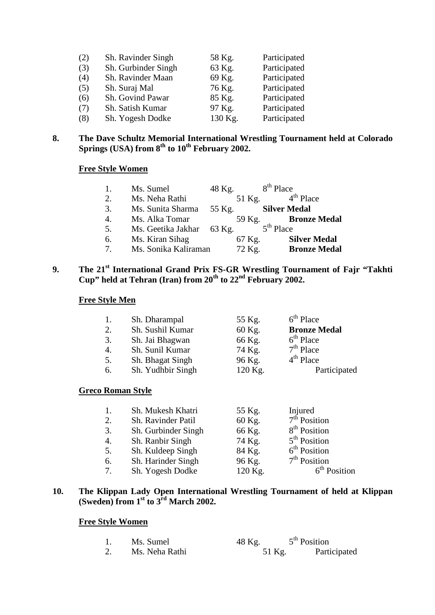| (2) | Sh. Ravinder Singh  | 58 Kg.  | Participated |
|-----|---------------------|---------|--------------|
| (3) | Sh. Gurbinder Singh | 63 Kg.  | Participated |
| (4) | Sh. Ravinder Maan   | 69 Kg.  | Participated |
| (5) | Sh. Suraj Mal       | 76 Kg.  | Participated |
| (6) | Sh. Govind Pawar    | 85 Kg.  | Participated |
| (7) | Sh. Satish Kumar    | 97 Kg.  | Participated |
| (8) | Sh. Yogesh Dodke    | 130 Kg. | Participated |

### **8. The Dave Schultz Memorial International Wrestling Tournament held at Colorado Springs (USA) from 8th to 10th February 2002.**

# **Free Style Women**

|                       | Ms. Sumel            | 48 Kg. |        | $8th$ Place         |                     |
|-----------------------|----------------------|--------|--------|---------------------|---------------------|
| 2.                    | Ms. Neha Rathi       |        | 51 Kg. |                     | $4th$ Place         |
| 3.                    | Ms. Sunita Sharma    | 55 Kg. |        | <b>Silver Medal</b> |                     |
| $\mathcal{A}_{\cdot}$ | Ms. Alka Tomar       |        | 59 Kg. |                     | <b>Bronze Medal</b> |
| 5.                    | Ms. Geetika Jakhar   | 63 Kg. |        | $5th$ Place         |                     |
| 6.                    | Ms. Kiran Sihag      |        | 67 Kg. |                     | <b>Silver Medal</b> |
| 7 <sub>1</sub>        | Ms. Sonika Kaliraman |        | 72 Kg. |                     | <b>Bronze Medal</b> |

# **9. The 21st International Grand Prix FS-GR Wrestling Tournament of Fajr "Takhti Cup" held at Tehran (Iran) from 20th to 22nd February 2002.**

### **Free Style Men**

|    | Sh. Dharampal     | 55 Kg.  | $6th$ Place         |
|----|-------------------|---------|---------------------|
| 2. | Sh. Sushil Kumar  | 60 Kg.  | <b>Bronze Medal</b> |
| 3. | Sh. Jai Bhagwan   | 66 Kg.  | $6th$ Place         |
| 4. | Sh. Sunil Kumar   | 74 Kg.  | $7th$ Place         |
| 5. | Sh. Bhagat Singh  | 96 Kg.  | $4th$ Place         |
| 6. | Sh. Yudhbir Singh | 120 Kg. | Participated        |
|    |                   |         |                     |

#### **Greco Roman Style**

| 1.             | Sh. Mukesh Khatri   | 55 Kg.  | Injured                  |
|----------------|---------------------|---------|--------------------------|
| 2.             | Sh. Ravinder Patil  | 60 Kg.  | $7th$ Position           |
| 3.             | Sh. Gurbinder Singh | 66 Kg.  | 8 <sup>th</sup> Position |
| 4.             | Sh. Ranbir Singh    | 74 Kg.  | $5th$ Position           |
| 5.             | Sh. Kuldeep Singh   | 84 Kg.  | 6 <sup>th</sup> Position |
| 6.             | Sh. Harinder Singh  | 96 Kg.  | $7th$ Position           |
| 7 <sub>1</sub> | Sh. Yogesh Dodke    | 120 Kg. | $6th$ Position           |

#### **10. The Klippan Lady Open International Wrestling Tournament of held at Klippan (Sweden) from 1st to 3rd March 2002.**

# **Free Style Women**

| Ms. Sumel      | 48 Kg. | $5th$ Position |
|----------------|--------|----------------|
| Ms. Neha Rathi | 51 Kg. | Participated   |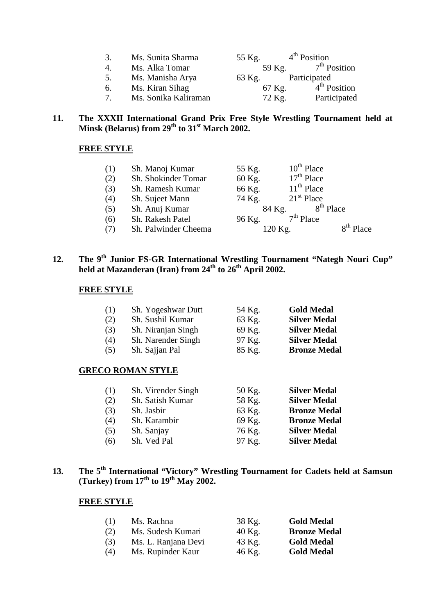| 3.             | Ms. Sunita Sharma    | 55 Kg. | $4th$ Position |
|----------------|----------------------|--------|----------------|
| 4.             | Ms. Alka Tomar       | 59 Kg. | $7th$ Position |
| 5.             | Ms. Manisha Arya     | 63 Kg. | Participated   |
| 6.             | Ms. Kiran Sihag      | 67 Kg. | $4th$ Position |
| $7\phantom{0}$ | Ms. Sonika Kaliraman | 72 Kg. | Participated   |

#### **11. The XXXII International Grand Prix Free Style Wrestling Tournament held at Minsk (Belarus) from 29th to 31st March 2002.**

# **FREE STYLE**

| (1) | Sh. Manoj Kumar      | 55 Kg.  | $10^{th}$ Place       |
|-----|----------------------|---------|-----------------------|
| (2) | Sh. Shokinder Tomar  | 60 Kg.  | $17th$ Place          |
| (3) | Sh. Ramesh Kumar     | 66 Kg.  | $11th$ Place          |
| (4) | Sh. Sujeet Mann      | 74 Kg.  | $21st$ Place          |
| (5) | Sh. Anuj Kumar       | 84 Kg.  | 8 <sup>th</sup> Place |
| (6) | Sh. Rakesh Patel     | 96 Kg.  | $7th$ Place           |
| (7) | Sh. Palwinder Cheema | 120 Kg. | 8 <sup>th</sup> Place |

# 12. The 9<sup>th</sup> Junior FS-GR International Wrestling Tournament "Nategh Nouri Cup" **held at Mazanderan (Iran) from 24th to 26th April 2002.**

#### **FREE STYLE**

| (1) | Sh. Yogeshwar Dutt | 54 Kg. | <b>Gold Medal</b>   |
|-----|--------------------|--------|---------------------|
| (2) | Sh. Sushil Kumar   | 63 Kg. | <b>Silver Medal</b> |
| (3) | Sh. Niranjan Singh | 69 Kg. | <b>Silver Medal</b> |
| (4) | Sh. Narender Singh | 97 Kg. | <b>Silver Medal</b> |
| (5) | Sh. Sajjan Pal     | 85 Kg. | <b>Bronze Medal</b> |

#### **GRECO ROMAN STYLE**

| (1) | Sh. Virender Singh | 50 Kg. | <b>Silver Medal</b> |
|-----|--------------------|--------|---------------------|
| (2) | Sh. Satish Kumar   | 58 Kg. | <b>Silver Medal</b> |
| (3) | Sh. Jasbir         | 63 Kg. | <b>Bronze Medal</b> |
| (4) | Sh. Karambir       | 69 Kg. | <b>Bronze Medal</b> |
| (5) | Sh. Sanjay         | 76 Kg. | <b>Silver Medal</b> |
| (6) | Sh. Ved Pal        | 97 Kg. | <b>Silver Medal</b> |
|     |                    |        |                     |

# **13. The 5th International "Victory" Wrestling Tournament for Cadets held at Samsun (Turkey) from 17th to 19th May 2002.**

| (1) | Ms. Rachna          | 38 Kg.   | <b>Gold Medal</b>   |
|-----|---------------------|----------|---------------------|
| (2) | Ms. Sudesh Kumari   | $40$ Kg. | <b>Bronze Medal</b> |
| (3) | Ms. L. Ranjana Devi | 43 Kg.   | <b>Gold Medal</b>   |
| (4) | Ms. Rupinder Kaur   | 46 Kg.   | <b>Gold Medal</b>   |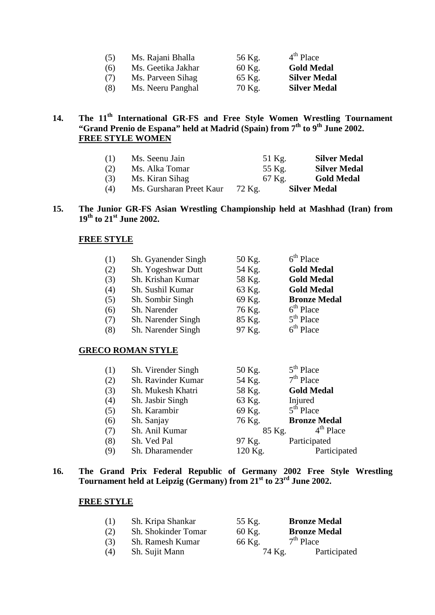| Ms. Rajani Bhalla  | 56 Kg. | $4th$ Place         |
|--------------------|--------|---------------------|
| Ms. Geetika Jakhar | 60 Kg. | <b>Gold Medal</b>   |
| Ms. Parveen Sihag  | 65 Kg. | <b>Silver Medal</b> |
| Ms. Neeru Panghal  | 70 Kg. | <b>Silver Medal</b> |
|                    |        |                     |

# 14. The 11<sup>th</sup> International GR-FS and Free Style Women Wrestling Tournament **"Grand Prenio de Espana" held at Madrid (Spain) from 7th to 9th June 2002. . FREE STYLE WOMEN**

| (1) | Ms. Seenu Jain           | 51 Kg.   | <b>Silver Medal</b> |
|-----|--------------------------|----------|---------------------|
| (2) | Ms. Alka Tomar           | 55 Kg.   | <b>Silver Medal</b> |
| (3) | Ms. Kiran Sihag          | $67$ Kg. | <b>Gold Medal</b>   |
| (4) | Ms. Gursharan Preet Kaur | 72 Kg.   | <b>Silver Medal</b> |

#### **15. The Junior GR-FS Asian Wrestling Championship held at Mashhad (Iran) from 19th to 21st June 2002.**

#### **FREE STYLE**

| (1) | Sh. Gyanender Singh | 50 Kg. | $6th$ Place         |
|-----|---------------------|--------|---------------------|
| (2) | Sh. Yogeshwar Dutt  | 54 Kg. | <b>Gold Medal</b>   |
| (3) | Sh. Krishan Kumar   | 58 Kg. | <b>Gold Medal</b>   |
| (4) | Sh. Sushil Kumar    | 63 Kg. | <b>Gold Medal</b>   |
| (5) | Sh. Sombir Singh    | 69 Kg. | <b>Bronze Medal</b> |
| (6) | Sh. Narender        | 76 Kg. | $6th$ Place         |
| (7) | Sh. Narender Singh  | 85 Kg. | $5th$ Place         |
| (8) | Sh. Narender Singh  | 97 Kg. | $6th$ Place         |

#### **GRECO ROMAN STYLE**

| (1) | Sh. Virender Singh | 50 Kg.  | $5th$ Place         |
|-----|--------------------|---------|---------------------|
| (2) | Sh. Ravinder Kumar | 54 Kg.  | $7th$ Place         |
| (3) | Sh. Mukesh Khatri  | 58 Kg.  | <b>Gold Medal</b>   |
| (4) | Sh. Jasbir Singh   | 63 Kg.  | Injured             |
| (5) | Sh. Karambir       | 69 Kg.  | $5th$ Place         |
| (6) | Sh. Sanjay         | 76 Kg.  | <b>Bronze Medal</b> |
| (7) | Sh. Anil Kumar     | 85 Kg.  | $4th$ Place         |
| (8) | Sh. Ved Pal        | 97 Kg.  | Participated        |
| (9) | Sh. Dharamender    | 120 Kg. | Participated        |

#### **16. The Grand Prix Federal Republic of Germany 2002 Free Style Wrestling Tournament held at Leipzig (Germany) from 21st to 23rd June 2002.**

| (1) | Sh. Kripa Shankar   | 55 Kg. | <b>Bronze Medal</b> |  |
|-----|---------------------|--------|---------------------|--|
| (2) | Sh. Shokinder Tomar | 60 Kg. | <b>Bronze Medal</b> |  |
| (3) | Sh. Ramesh Kumar    | 66 Kg. | $7th$ Place         |  |
| (4) | Sh. Sujit Mann      | 74 Kg. | Participated        |  |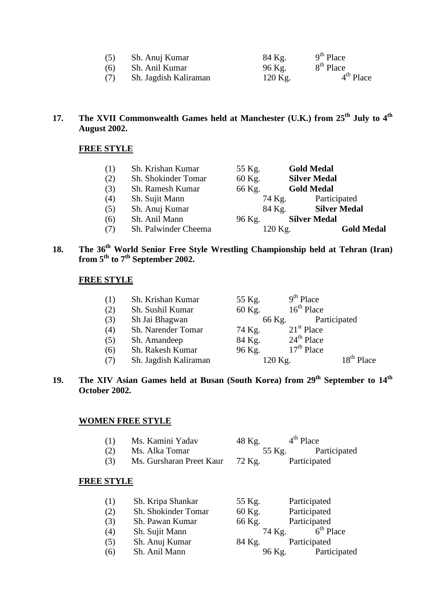| (5) | Sh. Anuj Kumar        | 84 Kg.  | $9th$ Place           |
|-----|-----------------------|---------|-----------------------|
| (6) | Sh. Anil Kumar        | 96 Kg.  | 8 <sup>th</sup> Place |
| (7) | Sh. Jagdish Kaliraman | 120 Kg. | $4th$ Place           |

# **17. The XVII Commonwealth Games held at Manchester (U.K.) from 25th July to 4th August 2002.**

#### **FREE STYLE**

| (1) | Sh. Krishan Kumar    | 55 Kg.  | <b>Gold Medal</b>   |
|-----|----------------------|---------|---------------------|
| (2) | Sh. Shokinder Tomar  | 60 Kg.  | <b>Silver Medal</b> |
| (3) | Sh. Ramesh Kumar     | 66 Kg.  | <b>Gold Medal</b>   |
| (4) | Sh. Sujit Mann       | 74 Kg.  | Participated        |
| (5) | Sh. Anuj Kumar       | 84 Kg.  | <b>Silver Medal</b> |
| (6) | Sh. Anil Mann        | 96 Kg.  | <b>Silver Medal</b> |
| (7) | Sh. Palwinder Cheema | 120 Kg. | <b>Gold Medal</b>   |
|     |                      |         |                     |

# **18. The 36th World Senior Free Style Wrestling Championship held at Tehran (Iran) from 5th to 7th September 2002.**

#### **FREE STYLE**

| (1) | Sh. Krishan Kumar     | 55 Kg.  | $9th$ Place  |                        |
|-----|-----------------------|---------|--------------|------------------------|
| (2) | Sh. Sushil Kumar      | 60 Kg.  | $16th$ Place |                        |
| (3) | Sh Jai Bhagwan        | 66 Kg.  |              | Participated           |
| (4) | Sh. Narender Tomar    | 74 Kg.  | $21st$ Place |                        |
| (5) | Sh. Amandeep          | 84 Kg.  | $24th$ Place |                        |
| (6) | Sh. Rakesh Kumar      | 96 Kg.  | $17th$ Place |                        |
| (7) | Sh. Jagdish Kaliraman | 120 Kg. |              | 18 <sup>th</sup> Place |

# **19. The XIV Asian Games held at Busan (South Korea) from 29th September to 14th October 2002.**

#### **WOMEN FREE STYLE**

| Ms. Kamini Yadav | 48 Kg. | $4th$ Place  |
|------------------|--------|--------------|
| Ms. Alka Tomar   | 55 Kg. | Participated |

 $(3)$  Ms. Gursharan Preet Kaur 72 Kg. Participated

| Participated<br>Sh. Shokinder Tomar<br>60 Kg.<br>(2)<br>Participated<br>(3)<br>Sh. Pawan Kumar<br>66 Kg.<br>$6th$ Place<br>(4)<br>74 Kg.<br>Sh. Sujit Mann<br>Sh. Anuj Kumar<br>Participated<br>(5)<br>84 Kg.<br>Sh. Anil Mann<br>(6)<br>96 Kg. | (1) | Sh. Kripa Shankar | 55 Kg. | Participated |
|-------------------------------------------------------------------------------------------------------------------------------------------------------------------------------------------------------------------------------------------------|-----|-------------------|--------|--------------|
|                                                                                                                                                                                                                                                 |     |                   |        |              |
|                                                                                                                                                                                                                                                 |     |                   |        |              |
|                                                                                                                                                                                                                                                 |     |                   |        |              |
|                                                                                                                                                                                                                                                 |     |                   |        |              |
|                                                                                                                                                                                                                                                 |     |                   |        | Participated |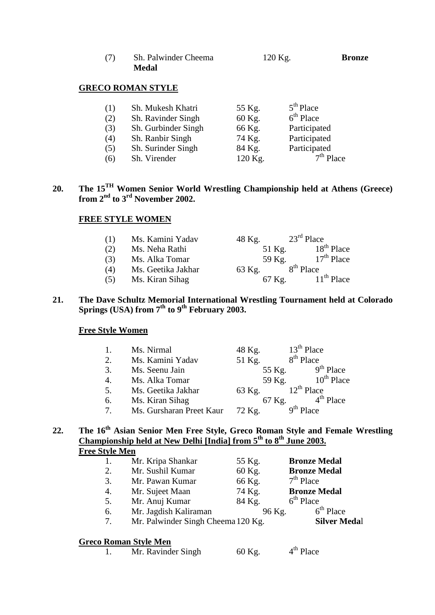| (7) | Sh. Palwinder Cheema | $120$ Kg. | <b>Bronze</b> |
|-----|----------------------|-----------|---------------|
|     | Medal                |           |               |

# **GRECO ROMAN STYLE**

| (1) | Sh. Mukesh Khatri   | 55 Kg.  | $5th$ Place  |
|-----|---------------------|---------|--------------|
| (2) | Sh. Ravinder Singh  | 60 Kg.  | $6th$ Place  |
| (3) | Sh. Gurbinder Singh | 66 Kg.  | Participated |
| (4) | Sh. Ranbir Singh    | 74 Kg.  | Participated |
| (5) | Sh. Surinder Singh  | 84 Kg.  | Participated |
| (6) | Sh. Virender        | 120 Kg. | $7th$ Place  |

# **20. The 15TH Women Senior World Wrestling Championship held at Athens (Greece) from 2nd to 3rd November 2002.**

#### **FREE STYLE WOMEN**

| (1) | Ms. Kamini Yadav   | 48 Kg. | $23rd$ Place           |
|-----|--------------------|--------|------------------------|
| (2) | Ms. Neha Rathi     | 51 Kg. | 18 <sup>th</sup> Place |
| (3) | Ms. Alka Tomar     | 59 Kg. | $17th$ Place           |
| (4) | Ms. Geetika Jakhar | 63 Kg. | 8 <sup>th</sup> Place  |
| (5) | Ms. Kiran Sihag    | 67 Kg. | $11th$ Place           |

#### **21. The Dave Schultz Memorial International Wrestling Tournament held at Colorado Springs (USA) from 7th to 9th February 2003.**

#### **Free Style Women**

|        | Ms. Nirmal               | 48 Kg. | $13th$ Place          |
|--------|--------------------------|--------|-----------------------|
| 2.     | Ms. Kamini Yadav         | 51 Kg. | 8 <sup>th</sup> Place |
| 3.     | Ms. Seenu Jain           | 55 Kg. | $9th$ Place           |
| 4.     | Ms. Alka Tomar           | 59 Kg. | $10^{th}$ Place       |
| 5.     | Ms. Geetika Jakhar       | 63 Kg. | $12^{th}$ Place       |
| 6.     | Ms. Kiran Sihag          | 67 Kg. | $4th$ Place           |
| $\tau$ | Ms. Gursharan Preet Kaur | 72 Kg. | $9th$ Place           |

### **22. The 16th Asian Senior Men Free Style, Greco Roman Style and Female Wrestling Championship held at New Delhi [India] from 5th to 8th June 2003. Free Style Men**

|    | Mr. Kripa Shankar                  | 55 Kg. | <b>Bronze Medal</b> |
|----|------------------------------------|--------|---------------------|
| 2. | Mr. Sushil Kumar                   | 60 Kg. | <b>Bronze Medal</b> |
| 3. | Mr. Pawan Kumar                    | 66 Kg. | $7th$ Place         |
| 4. | Mr. Sujeet Maan                    | 74 Kg. | <b>Bronze Medal</b> |
| 5. | Mr. Anuj Kumar                     | 84 Kg. | $6th$ Place         |
| 6. | Mr. Jagdish Kaliraman              | 96 Kg. | $6th$ Place         |
| 7. | Mr. Palwinder Singh Cheema 120 Kg. |        | <b>Silver Medal</b> |

### **Greco Roman Style Men**

|  | Mr. Ravinder Singh | 60 Kg. | $4th$ Place |
|--|--------------------|--------|-------------|
|--|--------------------|--------|-------------|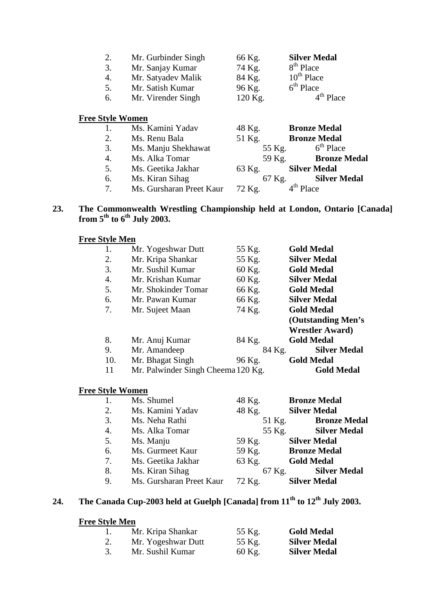| 2.<br>3.<br>4.<br>5.<br>6. | Mr. Gurbinder Singh<br>Mr. Sanjay Kumar<br>Mr. Satyadev Malik<br>Mr. Satish Kumar<br>Mr. Virender Singh | 66 Kg.<br>74 Kg.<br>84 Kg.<br>96 Kg.<br>120 Kg. | <b>Silver Medal</b><br>8 <sup>th</sup> Place<br>$10^{th}$ Place<br>$6th$ Place<br>$4th$ Place |
|----------------------------|---------------------------------------------------------------------------------------------------------|-------------------------------------------------|-----------------------------------------------------------------------------------------------|
| <b>Free Style Women</b>    |                                                                                                         |                                                 |                                                                                               |
|                            | Ms. Kamini Yadav                                                                                        | 48 Kg.                                          | <b>Bronze Medal</b>                                                                           |
| 2.                         | Ms. Renu Bala                                                                                           | 51 Kg.                                          | <b>Bronze Medal</b>                                                                           |
| 3.                         | Ms. Manju Shekhawat                                                                                     | 55 Kg.                                          | $6th$ Place                                                                                   |

- 4. Ms. Alka Tomar 59 Kg. **Bronze Medal**<br>5. Ms. Geetika Jakhar 63 Kg. **Silver Medal**
- Ms. Geetika Jakhar 63 Kg. **Silver Medal**<br>Ms. Kiran Sihag 67 Kg. **Silver Medal**
- 
- 6. Ms. Kiran Sihag 67 Kg. S.<br>7. Ms. Gursharan Preet Kaur 72 Kg. 4<sup>th</sup> Place 7. Ms. Gursharan Preet Kaur 72 Kg.

### **23. The Commonwealth Wrestling Championship held at London, Ontario [Canada] from 5th to 6th July 2003.**

# **Free Style Men**

|     | Mr. Yogeshwar Dutt                 | 55 Kg. | <b>Gold Medal</b>       |
|-----|------------------------------------|--------|-------------------------|
| 2.  | Mr. Kripa Shankar                  | 55 Kg. | <b>Silver Medal</b>     |
| 3.  | Mr. Sushil Kumar                   | 60 Kg. | <b>Gold Medal</b>       |
| 4.  | Mr. Krishan Kumar                  | 60 Kg. | <b>Silver Medal</b>     |
| 5.  | Mr. Shokinder Tomar                | 66 Kg. | <b>Gold Medal</b>       |
| 6.  | Mr. Pawan Kumar                    | 66 Kg. | <b>Silver Medal</b>     |
| 7.  | Mr. Sujeet Maan                    | 74 Kg. | <b>Gold Medal</b>       |
|     |                                    |        | (Outstanding Men's      |
|     |                                    |        | <b>Wrestler Award</b> ) |
| 8.  | Mr. Anuj Kumar                     | 84 Kg. | <b>Gold Medal</b>       |
| 9.  | Mr. Amandeep                       | 84 Kg. | <b>Silver Medal</b>     |
| 10. | Mr. Bhagat Singh                   | 96 Kg. | <b>Gold Medal</b>       |
| 11  | Mr. Palwinder Singh Cheema 120 Kg. |        | <b>Gold Medal</b>       |
|     |                                    |        |                         |

### **Free Style Women**

|    | Ms. Shumel               | 48 Kg. | <b>Bronze Medal</b> |
|----|--------------------------|--------|---------------------|
| 2. | Ms. Kamini Yadav         | 48 Kg. | <b>Silver Medal</b> |
| 3. | Ms. Neha Rathi           | 51 Kg. | <b>Bronze Medal</b> |
| 4. | Ms. Alka Tomar           | 55 Kg. | <b>Silver Medal</b> |
| 5. | Ms. Manju                | 59 Kg. | <b>Silver Medal</b> |
| 6. | Ms. Gurmeet Kaur         | 59 Kg. | <b>Bronze Medal</b> |
| 7. | Ms. Geetika Jakhar       | 63 Kg. | <b>Gold Medal</b>   |
| 8. | Ms. Kiran Sihag          | 67 Kg. | <b>Silver Medal</b> |
| 9. | Ms. Gursharan Preet Kaur | 72 Kg. | <b>Silver Medal</b> |

# **24. The Canada Cup-2003 held at Guelph [Canada] from 11th to 12th July 2003.**

#### **Free Style Men**

|    | Mr. Kripa Shankar  | 55 Kg. | <b>Gold Medal</b>   |
|----|--------------------|--------|---------------------|
| 2. | Mr. Yogeshwar Dutt | 55 Kg. | <b>Silver Medal</b> |
| 3. | Mr. Sushil Kumar   | 60 Kg. | <b>Silver Medal</b> |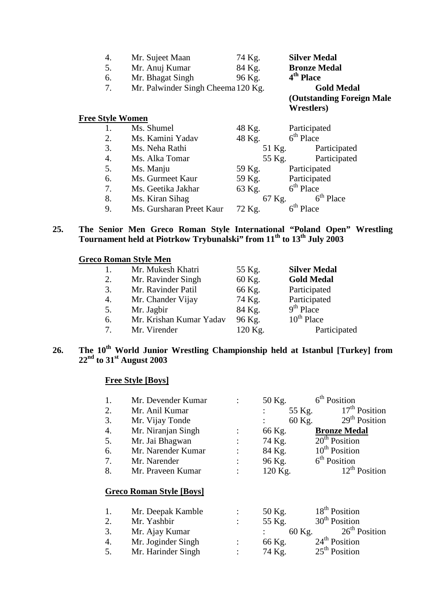| 4.                      | Mr. Sujeet Maan                    | 74 Kg. | <b>Silver Medal</b>       |
|-------------------------|------------------------------------|--------|---------------------------|
| 5.                      | Mr. Anuj Kumar                     | 84 Kg. | <b>Bronze Medal</b>       |
| 6.                      | Mr. Bhagat Singh                   | 96 Kg. | 4 <sup>th</sup> Place     |
| 7.                      | Mr. Palwinder Singh Cheema 120 Kg. |        | <b>Gold Medal</b>         |
|                         |                                    |        | (Outstanding Foreign Male |
|                         |                                    |        | <b>Wrestlers</b> )        |
| <b>Free Style Women</b> |                                    |        |                           |
| 1.                      | Ms. Shumel                         | 48 Kg. | Participated              |
| 2.                      | Ms. Kamini Yadav                   | 48 Kg. | $6th$ Place               |
| 3.                      | Ms. Neha Rathi                     | 51 Kg. | Participated              |
| 4.                      | Ms. Alka Tomar                     | 55 Kg. | Participated              |
| 5.                      | Ms. Manju                          | 59 Kg. | Participated              |
| 6.                      | Ms. Gurmeet Kaur                   | 59 Kg. | Participated              |
| 7.                      | Ms. Geetika Jakhar                 | 63 Kg. | $6th$ Place               |

**25. The Senior Men Greco Roman Style International "Poland Open" Wrestling Tournament held at Piotrkow Trybunalski" from 11th to 13th July 2003** 

8. Ms. Kiran Sihag 67 Kg.  $6^{\text{th}}$  Place

9. Ms. Gursharan Preet Kaur  $72$  Kg.  $6^{th}$  Place

#### **Greco Roman Style Men**

| 1. | Mr. Mukesh Khatri       | 55 Kg.  | <b>Silver Medal</b> |
|----|-------------------------|---------|---------------------|
| 2. | Mr. Ravinder Singh      | 60 Kg.  | <b>Gold Medal</b>   |
| 3. | Mr. Ravinder Patil      | 66 Kg.  | Participated        |
| 4. | Mr. Chander Vijay       | 74 Kg.  | Participated        |
| 5. | Mr. Jagbir              | 84 Kg.  | $9th$ Place         |
| 6. | Mr. Krishan Kumar Yadav | 96 Kg.  | $10^{th}$ Place     |
| 7. | Mr. Virender            | 120 Kg. | Participated        |
|    |                         |         |                     |

# **26. The 10th World Junior Wrestling Championship held at Istanbul [Turkey] from 22nd to 31st August 2003**

#### **Free Style [Boys]**

| 1. | Mr. Devender Kumar              |                | 50 Kg.  | 6 <sup>th</sup> Position  |
|----|---------------------------------|----------------|---------|---------------------------|
| 2. | Mr. Anil Kumar                  |                | 55 Kg.  | $17th$ Position           |
| 3. | Mr. Vijay Tonde                 |                | 60 Kg.  | 29 <sup>th</sup> Position |
| 4. | Mr. Niranjan Singh              |                | 66 Kg.  | <b>Bronze Medal</b>       |
| 5. | Mr. Jai Bhagwan                 |                | 74 Kg.  | $20th$ Position           |
| 6. | Mr. Narender Kumar              |                | 84 Kg.  | $10th$ Position           |
| 7. | Mr. Narender                    | $\ddot{\cdot}$ | 96 Kg.  | $6th$ Position            |
| 8. | Mr. Praveen Kumar               |                | 120 Kg. | $12^{th}$ Position        |
|    | <b>Greco Roman Style [Boys]</b> |                |         |                           |
| 1. | Mr. Deepak Kamble               |                | 50 Kg.  | 18 <sup>th</sup> Position |
| 2. | Mr. Yashbir                     | $\ddot{\cdot}$ | 55 Kg.  | 30 <sup>th</sup> Position |
| 3. | Mr. Ajay Kumar                  |                | 60 Kg.  | $26th$ Position           |
| 4. | Mr. Joginder Singh              |                | 66 Kg.  | 24 <sup>th</sup> Position |
| 5. | Mr. Harinder Singh              |                | 74 Kg.  | 25 <sup>th</sup> Position |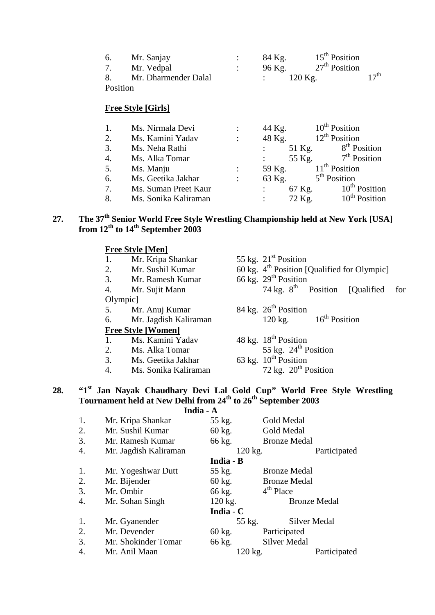| 6.       | Mr. Sanjay           | 84 Kg. | $15th$ Position           |                  |
|----------|----------------------|--------|---------------------------|------------------|
| 7.       | Mr. Vedpal           | 96 Kg. | 27 <sup>th</sup> Position |                  |
| 8.       | Mr. Dharmender Dalal |        | $120$ Kg.                 | $17^{\text{th}}$ |
| Position |                      |        |                           |                  |

# **Free Style [Girls]**

|    | Ms. Nirmala Devi     |                           | 44 Kg.                   | $10^{\text{th}}$ Position |
|----|----------------------|---------------------------|--------------------------|---------------------------|
| 2. | Ms. Kamini Yadav     | $\ddot{\phantom{0}}$      | 48 Kg.                   | $12th$ Position           |
| 3. | Ms. Neha Rathi       |                           | 51 Kg.                   | 8 <sup>th</sup> Position  |
| 4. | Ms. Alka Tomar       |                           | 55 Kg.                   | $7th$ Position            |
| 5. | Ms. Manju            | $\ddot{\phantom{a}}$      | 59 Kg.                   | $11th$ Position           |
| 6. | Ms. Geetika Jakhar   | $\mathbb{R}^{\mathbb{Z}}$ | 63 Kg.                   | $5th$ Position            |
| 7. | Ms. Suman Preet Kaur |                           | 67 Kg.<br>$\mathbb{R}^n$ | $10^{th}$ Position        |
| 8. | Ms. Sonika Kaliraman |                           | 72 Kg.                   | $10^{th}$ Position        |

# **27. The 37th Senior World Free Style Wrestling Championship held at New York [USA] from 12th to 14th September 2003**

|     |                  |           | <b>Free Style [Men]</b>                                                                                                                                                      |           |         |                                  |                     |                                                         |     |
|-----|------------------|-----------|------------------------------------------------------------------------------------------------------------------------------------------------------------------------------|-----------|---------|----------------------------------|---------------------|---------------------------------------------------------|-----|
|     |                  | 1.        | Mr. Kripa Shankar                                                                                                                                                            |           |         | 55 kg. $21st$ Position           |                     |                                                         |     |
|     |                  | 2.        | Mr. Sushil Kumar                                                                                                                                                             |           |         |                                  |                     | 60 kg. 4 <sup>th</sup> Position [Qualified for Olympic] |     |
|     |                  | 3.        | Mr. Ramesh Kumar                                                                                                                                                             |           |         | 66 kg. $29th$ Position           |                     |                                                         |     |
|     |                  | 4.        | Mr. Sujit Mann                                                                                                                                                               |           |         | 74 kg. $8^{th}$ Position         |                     | [Qualified]                                             | for |
|     |                  | Olympic]  |                                                                                                                                                                              |           |         |                                  |                     |                                                         |     |
|     |                  | 5.        | Mr. Anuj Kumar                                                                                                                                                               |           |         | 84 kg. $26^{th}$ Position        |                     |                                                         |     |
|     |                  | 6.        | Mr. Jagdish Kaliraman                                                                                                                                                        |           |         | $120 \text{ kg}$ .               | $16th$ Position     |                                                         |     |
|     |                  |           | <b>Free Style [Women]</b>                                                                                                                                                    |           |         |                                  |                     |                                                         |     |
|     |                  | 1.        | Ms. Kamini Yadav                                                                                                                                                             |           |         | 48 kg. 18 <sup>th</sup> Position |                     |                                                         |     |
|     |                  | 2.        | Ms. Alka Tomar                                                                                                                                                               |           |         | 55 kg. $24th$ Position           |                     |                                                         |     |
|     |                  | 3.        | Ms. Geetika Jakhar                                                                                                                                                           |           |         | 63 kg. $10^{th}$ Position        |                     |                                                         |     |
|     |                  | 4.        | Ms. Sonika Kaliraman                                                                                                                                                         |           |         | 72 kg. $20^{th}$ Position        |                     |                                                         |     |
| 28. |                  |           | "1st Jan Nayak Chaudhary Devi Lal Gold Cup" World Free Style Wrestling<br>Tournament held at New Delhi from 24 <sup>th</sup> to 26 <sup>th</sup> September 2003<br>India - A |           |         |                                  |                     |                                                         |     |
|     | 1.               |           | Mr. Kripa Shankar                                                                                                                                                            | 55 kg.    |         | Gold Medal                       |                     |                                                         |     |
|     | 2.               |           | Mr. Sushil Kumar                                                                                                                                                             | 60 kg.    |         | Gold Medal                       |                     |                                                         |     |
|     | 3.               |           | Mr. Ramesh Kumar                                                                                                                                                             | 66 kg.    |         | <b>Bronze Medal</b>              |                     |                                                         |     |
|     | 4.               |           | Mr. Jagdish Kaliraman                                                                                                                                                        |           | 120 kg. |                                  | Participated        |                                                         |     |
|     |                  |           |                                                                                                                                                                              | India - B |         |                                  |                     |                                                         |     |
|     | 1.               |           | Mr. Yogeshwar Dutt                                                                                                                                                           | 55 kg.    |         | <b>Bronze Medal</b>              |                     |                                                         |     |
|     | 2.               |           | Mr. Bijender                                                                                                                                                                 | 60 kg.    |         | <b>Bronze Medal</b>              |                     |                                                         |     |
|     | 3.               | Mr. Ombir |                                                                                                                                                                              | 66 kg.    |         | $4th$ Place                      |                     |                                                         |     |
|     | 4.               |           | Mr. Sohan Singh                                                                                                                                                              | $120$ kg. |         |                                  | <b>Bronze Medal</b> |                                                         |     |
|     |                  |           |                                                                                                                                                                              | India - C |         |                                  |                     |                                                         |     |
|     | 1.               |           | Mr. Gyanender                                                                                                                                                                |           | 55 kg.  |                                  | <b>Silver Medal</b> |                                                         |     |
|     | 2.               |           | Mr. Devender                                                                                                                                                                 | 60 kg.    |         | Participated                     |                     |                                                         |     |
|     | $\overline{3}$ . |           | Mr. Shokinder Tomar                                                                                                                                                          | 66 kg.    |         | <b>Silver Medal</b>              |                     |                                                         |     |

Mr. Shokinder Tomar 66 kg. Silver Medal

4. Mr. Anil Maan 120 kg. Participated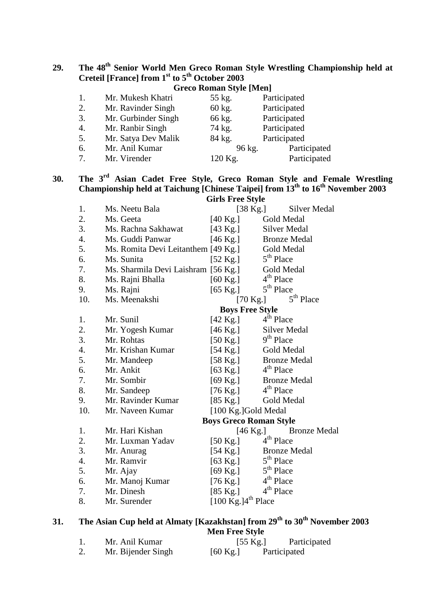**29. The 48th Senior World Men Greco Roman Style Wrestling Championship held at Creteil [France] from 1st to 5th October 2003**

| <b>Greco Roman Style [Men]</b> |                     |         |              |  |  |
|--------------------------------|---------------------|---------|--------------|--|--|
| 1.                             | Mr. Mukesh Khatri   | 55 kg.  | Participated |  |  |
| 2.                             | Mr. Ravinder Singh  | 60 kg.  | Participated |  |  |
| 3.                             | Mr. Gurbinder Singh | 66 kg.  | Participated |  |  |
| 4.                             | Mr. Ranbir Singh    | 74 kg.  | Participated |  |  |
| 5.                             | Mr. Satya Dev Malik | 84 kg.  | Participated |  |  |
| 6.                             | Mr. Anil Kumar      | 96 kg.  | Participated |  |  |
| 7.                             | Mr. Virender        | 120 Kg. | Participated |  |  |

**30. The 3rd Asian Cadet Free Style, Greco Roman Style and Female Wrestling Championship held at Taichung [Chinese Taipei] from 13th to 16th November 2003 Girls Free Style**

| 1.               | Ms. Neetu Bala                      | on is the bijie                        | $[38 \text{ Kg.}]$<br>Silver Medal          |  |
|------------------|-------------------------------------|----------------------------------------|---------------------------------------------|--|
| 2.               | Ms. Geeta                           |                                        | Gold Medal                                  |  |
| 3.               |                                     | $[40 \text{ Kg.}]$                     |                                             |  |
|                  | Ms. Rachna Sakhawat                 | $[43 \text{ Kg.}]$                     | Silver Medal                                |  |
| 4.               | Ms. Guddi Panwar                    | $[46 \text{ Kg.}]$                     | <b>Bronze Medal</b>                         |  |
| 5.               | Ms. Romita Devi Leitanthem [49 Kg.] |                                        | Gold Medal                                  |  |
| 6.               | Ms. Sunita                          | $[52 \text{ Kg.}]$                     | $5th$ Place                                 |  |
| 7.               | Ms. Sharmila Devi Laishram [56 Kg.] |                                        | Gold Medal                                  |  |
| 8.               | Ms. Rajni Bhalla                    | $[60 \text{ Kg.}]$                     | $4th$ Place                                 |  |
| 9.               | Ms. Rajni                           | $[65 \text{ Kg.}]$                     | 5 <sup>th</sup> Place                       |  |
| 10.              | Ms. Meenakshi                       |                                        | 5 <sup>th</sup> Place<br>$[70 \text{ Kg.}]$ |  |
|                  |                                     |                                        | <b>Boys Free Style</b>                      |  |
| 1.               | Mr. Sunil                           | $[42 \text{ Kg.}]$                     | 4 <sup>th</sup> Place                       |  |
| 2.               | Mr. Yogesh Kumar                    | $[46 \text{ Kg.}]$                     | <b>Silver Medal</b>                         |  |
| 3.               | Mr. Rohtas                          | $[50 \text{ Kg.}]$                     | 9 <sup>th</sup> Place                       |  |
| $\overline{4}$ . | Mr. Krishan Kumar                   | $[54 \text{ Kg.}]$                     | Gold Medal                                  |  |
| 5.               | Mr. Mandeep                         |                                        | [58 Kg.] Bronze Medal                       |  |
| 6.               | Mr. Ankit                           | $[63 \text{ Kg.}]$                     | $4th$ Place                                 |  |
| 7.               | Mr. Sombir                          | $[69 \text{ Kg.}]$                     | <b>Bronze Medal</b>                         |  |
| 8.               | Mr. Sandeep                         | $[76 \text{ Kg.}]$                     | 4 <sup>th</sup> Place                       |  |
| 9.               | Mr. Ravinder Kumar                  | $[85 \text{ Kg.}]$                     | Gold Medal                                  |  |
| 10.              | Mr. Naveen Kumar                    |                                        | [100 Kg.]Gold Medal                         |  |
|                  |                                     |                                        | <b>Boys Greco Roman Style</b>               |  |
| 1.               | Mr. Hari Kishan                     |                                        | $[46 \text{ Kg.}]$<br><b>Bronze Medal</b>   |  |
| 2.               | Mr. Luxman Yadav                    | $[50 \text{ Kg.}]$                     | 4 <sup>th</sup> Place                       |  |
| 3.               | Mr. Anurag                          | $[54 \text{ Kg.}]$                     | <b>Bronze Medal</b>                         |  |
| $\overline{4}$ . | Mr. Ramvir                          | $[63 \text{ Kg.}]$                     | $5th$ Place                                 |  |
| 5.               | Mr. Ajay                            | $[69 \text{ Kg.}]$                     | $5th$ Place                                 |  |
| 6.               | Mr. Manoj Kumar                     |                                        | [76 Kg.] $4^{\text{th}}$ Place              |  |
| 7.               | Mr. Dinesh                          |                                        | [85 Kg.] $4^{th}$ Place                     |  |
| 8.               | Mr. Surender                        | $[100 \text{ Kg.}]4^{\text{th}}$ Place |                                             |  |
|                  |                                     |                                        |                                             |  |

# **31. The Asian Cup held at Almaty [Kazakhstan] from 29th to 30th November 2003 Men Free Style**

|    | Mr. Anil Kumar     | $[55 \text{ Kg.}]$ | Participated |
|----|--------------------|--------------------|--------------|
| ۷. | Mr. Bijender Singh | $[60 \text{ Kg.}]$ | Participated |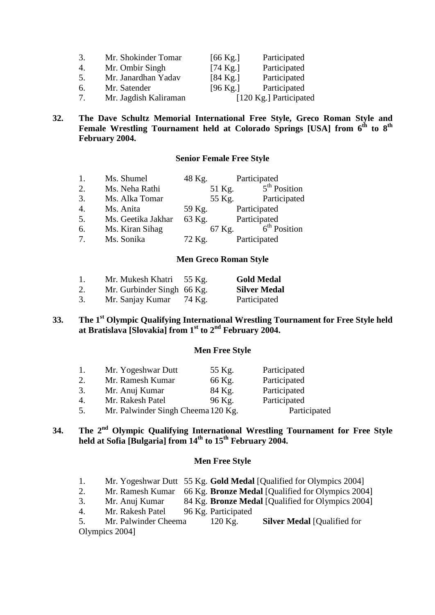| 3.             | Mr. Shokinder Tomar   | $[66 \text{ Kg.}]$ | Participated           |
|----------------|-----------------------|--------------------|------------------------|
| 4.             | Mr. Ombir Singh       | $[74 \text{ Kg.}]$ | Participated           |
| .5.            | Mr. Janardhan Yadav   | $[84 \text{ Kg.}]$ | Participated           |
| 6.             | Mr. Satender          | $[96 \text{ Kg.}]$ | Participated           |
| 7 <sub>1</sub> | Mr. Jagdish Kaliraman |                    | [120 Kg.] Participated |

### **32. The Dave Schultz Memorial International Free Style, Greco Roman Style and Female Wrestling Tournament held at Colorado Springs [USA] from 6th to 8th February 2004.**

#### **Senior Female Free Style**

| 1.               | Ms. Shumel         | 48 Kg. | Participated   |
|------------------|--------------------|--------|----------------|
| 2.               | Ms. Neha Rathi     | 51 Kg. | $5th$ Position |
| 3.               | Ms. Alka Tomar     | 55 Kg. | Participated   |
| $\overline{4}$ . | Ms. Anita          | 59 Kg. | Participated   |
| 5.               | Ms. Geetika Jakhar | 63 Kg. | Participated   |
| 6.               | Ms. Kiran Sihag    | 67 Kg. | $6th$ Position |
| 7.               | Ms. Sonika         | 72 Kg. | Participated   |

#### **Men Greco Roman Style**

| 1. | Mr. Mukesh Khatri          | 55 Kg. | <b>Gold Medal</b>   |
|----|----------------------------|--------|---------------------|
| 2. | Mr. Gurbinder Singh 66 Kg. |        | <b>Silver Medal</b> |
| 3. | Mr. Sanjay Kumar           | 74 Kg. | Participated        |

# **33. The 1st Olympic Qualifying International Wrestling Tournament for Free Style held at Bratislava [Slovakia] from 1st to 2nd February 2004.**

#### **Men Free Style**

| 1. | Mr. Yogeshwar Dutt                 | 55 Kg. | Participated |
|----|------------------------------------|--------|--------------|
| 2. | Mr. Ramesh Kumar                   | 66 Kg. | Participated |
| 3. | Mr. Anuj Kumar                     | 84 Kg. | Participated |
| 4. | Mr. Rakesh Patel                   | 96 Kg. | Participated |
| 5. | Mr. Palwinder Singh Cheema 120 Kg. |        | Participated |

# **34. The 2nd Olympic Qualifying International Wrestling Tournament for Free Style held at Sofia [Bulgaria] from 14th to 15th February 2004.**

#### **Men Free Style**

| Mr. Yogeshwar Dutt 55 Kg. Gold Medal [Qualified for Olympics 2004] |  |  |
|--------------------------------------------------------------------|--|--|
|                                                                    |  |  |

- 2. Mr. Ramesh Kumar 66 Kg. **Bronze Medal** [Qualified for Olympics 2004]
- 3. Mr. Anuj Kumar 84 Kg. **Bronze Medal** [Qualified for Olympics 2004]
- 4. Mr. Rakesh Patel 96 Kg. Participated

5. Mr. Palwinder Cheema 120 Kg. **Silver Medal** [Qualified for Olympics 2004]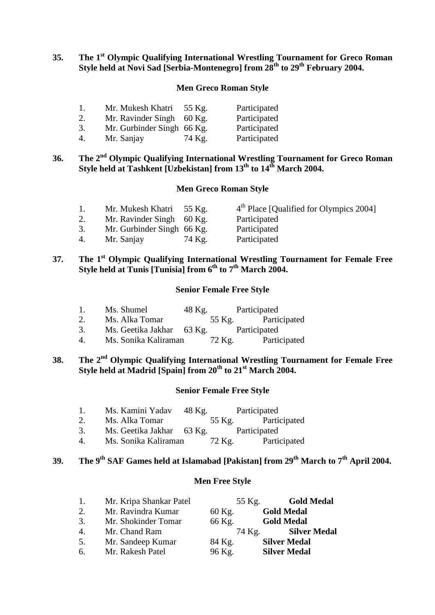# **35. The 1st Olympic Qualifying International Wrestling Tournament for Greco Roman Style held at Novi Sad [Serbia-Montenegro] from 28th to 29th February 2004.**

#### **Men Greco Roman Style**

| 1. | Mr. Mukesh Khatri          | 55 Kg.  | Participated |
|----|----------------------------|---------|--------------|
| 2. | Mr. Ravinder Singh         | -60 Kg. | Participated |
| 3. | Mr. Gurbinder Singh 66 Kg. |         | Participated |
| 4. | Mr. Sanjay                 | 74 Kg.  | Participated |

# **36. The 2nd Olympic Qualifying International Wrestling Tournament for Greco Roman Style held at Tashkent [Uzbekistan] from 13th to 14th March 2004.**

#### **Men Greco Roman Style**

| 1. | Mr. Mukesh Khatri 55 Kg.   |        | 4 <sup>th</sup> Place [Qualified for Olympics 2004] |
|----|----------------------------|--------|-----------------------------------------------------|
| 2. | Mr. Ravinder Singh 60 Kg.  |        | Participated                                        |
| 3. | Mr. Gurbinder Singh 66 Kg. |        | Participated                                        |
| 4. | Mr. Sanjay                 | 74 Kg. | Participated                                        |

# **37. The 1st Olympic Qualifying International Wrestling Tournament for Female Free Style held at Tunis [Tunisia] from 6th to 7th March 2004.**

#### **Senior Female Free Style**

- 1. Ms. Shumel 48 Kg. Participated<br>2. Ms. Alka Tomar 55 Kg. Participated
- 2. Ms. Alka Tomar
- 3. Ms. Geetika Jakhar 63 Kg. Participated<br>4. Ms. Sonika Kaliraman 72 Kg. Participated
- 4. Ms. Sonika Kaliraman

# **38. The 2nd Olympic Qualifying International Wrestling Tournament for Female Free Style held at Madrid [Spain] from 20th to 21st March 2004.**

#### **Senior Female Free Style**

- 1. Ms. Kamini Yadav 48 Kg. Participated<br>2. Ms. Alka Tomar 55 Kg. Participated
- 2. Ms. Alka Tomar
- 3. Ms. Geetika Jakhar 63 Kg. Participated<br>4. Ms. Sonika Kaliraman 72 Kg. Partic
- 4. Ms. Sonika Kaliraman 72 Kg. Participated

# **39. The 9th SAF Games held at Islamabad [Pakistan] from 29th March to 7th April 2004.**

#### **Men Free Style**

| 1. | Mr. Kripa Shankar Patel | 55 Kg. | <b>Gold Medal</b>   |
|----|-------------------------|--------|---------------------|
| 2. | Mr. Ravindra Kumar      | 60 Kg. | <b>Gold Medal</b>   |
| 3. | Mr. Shokinder Tomar     | 66 Kg. | <b>Gold Medal</b>   |
| 4. | Mr. Chand Ram           | 74 Kg. | <b>Silver Medal</b> |
| 5. | Mr. Sandeep Kumar       | 84 Kg. | <b>Silver Medal</b> |
| 6. | Mr. Rakesh Patel        | 96 Kg. | <b>Silver Medal</b> |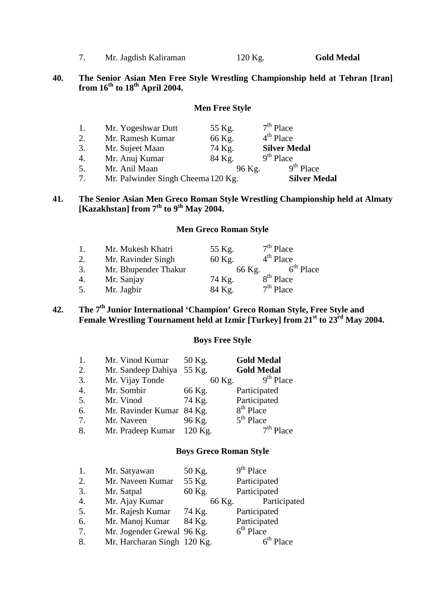|  | Mr. Jagdish Kaliraman | 120 Kg. | <b>Gold Medal</b> |
|--|-----------------------|---------|-------------------|
|--|-----------------------|---------|-------------------|

#### **40. The Senior Asian Men Free Style Wrestling Championship held at Tehran [Iran] from 16th to 18th April 2004.**

### **Men Free Style**

| 7. | Mr. Palwinder Singh Cheema 120 Kg. |        | <b>Silver Medal</b> |
|----|------------------------------------|--------|---------------------|
| 5. | Mr. Anil Maan                      | 96 Kg. | $9th$ Place         |
| 4. | Mr. Anuj Kumar                     | 84 Kg. | $9th$ Place         |
| 3. | Mr. Sujeet Maan                    | 74 Kg. | <b>Silver Medal</b> |
| 2. | Mr. Ramesh Kumar                   | 66 Kg. | $4th$ Place         |
| 1. | Mr. Yogeshwar Dutt                 | 55 Kg. | $7th$ Place         |

#### **41. The Senior Asian Men Greco Roman Style Wrestling Championship held at Almaty [Kazakhstan] from 7th to 9th May 2004.**

# **Men Greco Roman Style**

| 1. | Mr. Mukesh Khatri    | 55 Kg. | $7th$ Place           |
|----|----------------------|--------|-----------------------|
| 2. | Mr. Ravinder Singh   | 60 Kg. | $4th$ Place           |
| 3. | Mr. Bhupender Thakur |        | $6th$ Place<br>66 Kg. |
| 4. | Mr. Sanjay           | 74 Kg. | 8 <sup>th</sup> Place |
| 5. | Mr. Jagbir           | 84 Kg. | $7th$ Place           |

# **42. The 7th Junior International 'Champion' Greco Roman Style, Free Style and Female Wrestling Tournament held at Izmir [Turkey] from 21st to 23rd May 2004.**

#### **Boys Free Style**

| 1.               | Mr. Vinod Kumar           | 50 Kg.    | <b>Gold Medal</b>     |
|------------------|---------------------------|-----------|-----------------------|
| 2.               | Mr. Sandeep Dahiya        | 55 Kg.    | <b>Gold Medal</b>     |
| 3.               | Mr. Vijay Tonde           | 60 Kg.    | $9th$ Place           |
| $\overline{4}$ . | Mr. Sombir                | 66 Kg.    | Participated          |
| 5.               | Mr. Vinod                 | 74 Kg.    | Participated          |
| 6.               | Mr. Ravinder Kumar 84 Kg. |           | 8 <sup>th</sup> Place |
| 7.               | Mr. Naveen                | 96 Kg.    | $5th$ Place           |
| 8.               | Mr. Pradeep Kumar         | $120$ Kg. | lace                  |

#### **Boys Greco Roman Style**

| 1.               | Mr. Satyawan                | 50 Kg. |        | $9th$ Place    |
|------------------|-----------------------------|--------|--------|----------------|
| 2.               | Mr. Naveen Kumar            | 55 Kg. |        | Participated   |
| 3.               | Mr. Satpal                  | 60 Kg. |        | Participated   |
| $\overline{4}$ . | Mr. Ajay Kumar              |        | 66 Kg. | Participated   |
| 5.               | Mr. Rajesh Kumar            | 74 Kg. |        | Participated   |
| 6.               | Mr. Manoj Kumar             | 84 Kg. |        | Participated   |
| 7.               | Mr. Jogender Grewal 96 Kg.  |        |        | $6th$ Place    |
| 8.               | Mr. Harcharan Singh 120 Kg. |        |        | $6^{th}$ Place |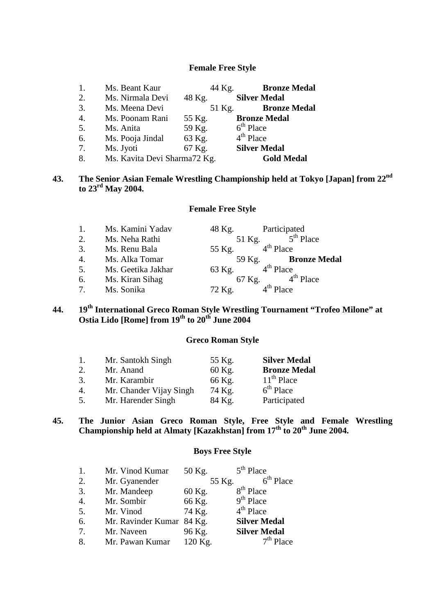#### **Female Free Style**

| 1. | Ms. Beant Kaur               | 44 Kg. | <b>Bronze Medal</b> |
|----|------------------------------|--------|---------------------|
| 2. | Ms. Nirmala Devi             | 48 Kg. | <b>Silver Medal</b> |
| 3. | Ms. Meena Devi               | 51 Kg. | <b>Bronze Medal</b> |
| 4. | Ms. Poonam Rani              | 55 Kg. | <b>Bronze Medal</b> |
| 5. | Ms. Anita                    | 59 Kg. | $6th$ Place         |
| 6. | Ms. Pooja Jindal             | 63 Kg. | $4th$ Place         |
| 7. | Ms. Jyoti                    | 67 Kg. | <b>Silver Medal</b> |
| 8. | Ms. Kavita Devi Sharma72 Kg. |        | <b>Gold Medal</b>   |

# **43. The Senior Asian Female Wrestling Championship held at Tokyo [Japan] from 22nd to 23rd May 2004.**

#### **Female Free Style**

| $\mathbf{1}$ . | Ms. Kamini Yadav   | 48 Kg. | Participated        |
|----------------|--------------------|--------|---------------------|
| 2.             | Ms. Neha Rathi     | 51 Kg. | $5th$ Place         |
| 3.             | Ms. Renu Bala      | 55 Kg. | $4th$ Place         |
| 4.             | Ms. Alka Tomar     | 59 Kg. | <b>Bronze Medal</b> |
| 5.             | Ms. Geetika Jakhar | 63 Kg. | $4th$ Place         |
| 6.             | Ms. Kiran Sihag    | 67 Kg. | $4th$ Place         |
| 7 <sub>1</sub> | Ms. Sonika         | 72 Kg. | $4th$ Place         |

# **44. 19th International Greco Roman Style Wrestling Tournament "Trofeo Milone" at Ostia Lido [Rome] from 19th to 20th June 2004**

#### **Greco Roman Style**

| -1. | Mr. Santokh Singh       | 55 Kg. | <b>Silver Medal</b> |
|-----|-------------------------|--------|---------------------|
| 2.  | Mr. Anand               | 60 Kg. | <b>Bronze Medal</b> |
| 3.  | Mr. Karambir            | 66 Kg. | $11th$ Place        |
| 4.  | Mr. Chander Vijay Singh | 74 Kg. | $6th$ Place         |
| 5.  | Mr. Harender Singh      | 84 Kg. | Participated        |

#### **45. The Junior Asian Greco Roman Style, Free Style and Female Wrestling Championship held at Almaty [Kazakhstan] from 17th to 20th June 2004.**

#### **Boys Free Style**

| 1. | Mr. Vinod Kumar           | 50 Kg.  | $5th$ Place           |
|----|---------------------------|---------|-----------------------|
| 2. | Mr. Gyanender             | 55 Kg.  | $6th$ Place           |
| 3. | Mr. Mandeep               | 60 Kg.  | 8 <sup>th</sup> Place |
| 4. | Mr. Sombir                | 66 Kg.  | $9th$ Place           |
| 5. | Mr. Vinod                 | 74 Kg.  | $4th$ Place           |
| 6. | Mr. Ravinder Kumar 84 Kg. |         | <b>Silver Medal</b>   |
| 7. | Mr. Naveen                | 96 Kg.  | <b>Silver Medal</b>   |
| 8. | Mr. Pawan Kumar           | 120 Kg. | $7th$ Place           |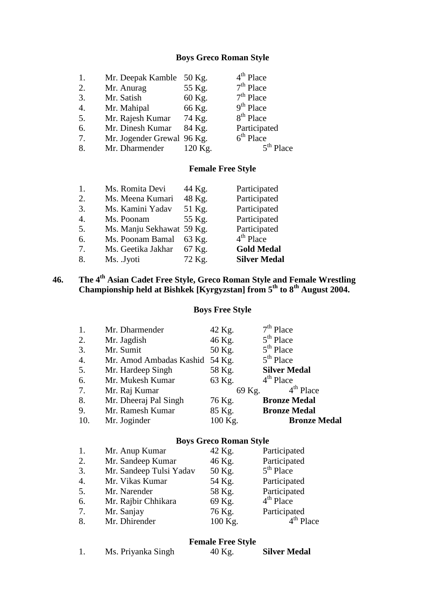# **Boys Greco Roman Style**

| 1. | Mr. Deepak Kamble          | 50 Kg.  | $4th$ Place           |
|----|----------------------------|---------|-----------------------|
| 2. | Mr. Anurag                 | 55 Kg.  | $7th$ Place           |
| 3. | Mr. Satish                 | 60 Kg.  | $7th$ Place           |
| 4. | Mr. Mahipal                | 66 Kg.  | $9th$ Place           |
| 5. | Mr. Rajesh Kumar           | 74 Kg.  | 8 <sup>th</sup> Place |
| 6. | Mr. Dinesh Kumar           | 84 Kg.  | Participated          |
| 7. | Mr. Jogender Grewal 96 Kg. |         | $6th$ Place           |
| 8. | Mr. Dharmender             | 120 Kg. | lace                  |

# **Female Free Style**

| 2.<br>48 Kg.<br>Ms. Meena Kumari<br>3.<br>51 Kg.<br>Ms. Kamini Yadav<br>4.<br>55 Kg.<br>Ms. Poonam<br>5.<br>Ms. Manju Sekhawat 59 Kg.<br>$4th$ Place<br>Ms. Poonam Bamal<br>6.<br>63 Kg.<br>Ms. Geetika Jakhar<br>7.<br>67 Kg.<br>8.<br>72 Kg. | 1. | Ms. Romita Devi | 44 Kg. | Participated        |
|------------------------------------------------------------------------------------------------------------------------------------------------------------------------------------------------------------------------------------------------|----|-----------------|--------|---------------------|
|                                                                                                                                                                                                                                                |    |                 |        | Participated        |
|                                                                                                                                                                                                                                                |    |                 |        | Participated        |
|                                                                                                                                                                                                                                                |    |                 |        | Participated        |
|                                                                                                                                                                                                                                                |    |                 |        | Participated        |
|                                                                                                                                                                                                                                                |    |                 |        |                     |
|                                                                                                                                                                                                                                                |    |                 |        | <b>Gold Medal</b>   |
|                                                                                                                                                                                                                                                |    | Ms. Jyoti       |        | <b>Silver Medal</b> |

# **46. The 4th Asian Cadet Free Style, Greco Roman Style and Female Wrestling Championship held at Bishkek [Kyrgyzstan] from 5th to 8th August 2004.**

# **Boys Free Style**

| 1.               | Mr. Dharmender          | 42 Kg.  | $7th$ Place           |
|------------------|-------------------------|---------|-----------------------|
| 2.               | Mr. Jagdish             | 46 Kg.  | 5 <sup>th</sup> Place |
| 3.               | Mr. Sumit               | 50 Kg.  | $5th$ Place           |
| $\overline{4}$ . | Mr. Amod Ambadas Kashid | 54 Kg.  | $5th$ Place           |
| 5.               | Mr. Hardeep Singh       | 58 Kg.  | <b>Silver Medal</b>   |
| 6.               | Mr. Mukesh Kumar        | 63 Kg.  | $4th$ Place           |
| 7.               | Mr. Raj Kumar           | 69 Kg.  | $4th$ Place           |
| 8.               | Mr. Dheeraj Pal Singh   | 76 Kg.  | <b>Bronze Medal</b>   |
| 9.               | Mr. Ramesh Kumar        | 85 Kg.  | <b>Bronze Medal</b>   |
| 10.              | Mr. Joginder            | 100 Kg. | <b>Bronze Medal</b>   |

# **Boys Greco Roman Style**

| 1.               | Mr. Anup Kumar          | 42 Kg.  | Participated |
|------------------|-------------------------|---------|--------------|
| 2.               | Mr. Sandeep Kumar       | 46 Kg.  | Participated |
| 3.               | Mr. Sandeep Tulsi Yadav | 50 Kg.  | $5th$ Place  |
| $\overline{4}$ . | Mr. Vikas Kumar         | 54 Kg.  | Participated |
| 5.               | Mr. Narender            | 58 Kg.  | Participated |
| 6.               | Mr. Rajbir Chhikara     | 69 Kg.  | $4th$ Place  |
| 7.               | Mr. Sanjay              | 76 Kg.  | Participated |
| 8.               | Mr. Dhirender           | 100 Kg. | $4th$ Place  |

#### **Female Free Style**

|  | Ms. Priyanka Singh | 40 Kg. | <b>Silver Medal</b> |
|--|--------------------|--------|---------------------|
|--|--------------------|--------|---------------------|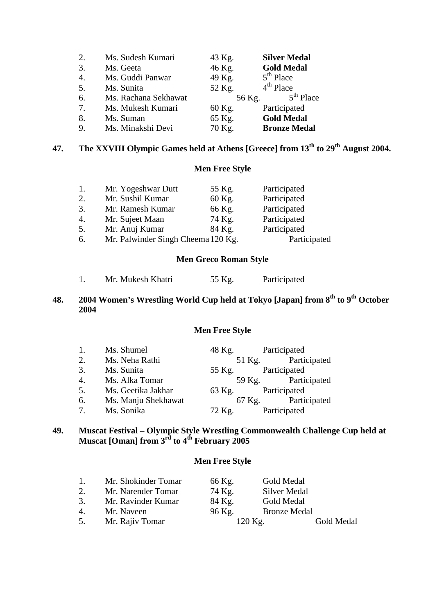| 2. | Ms. Sudesh Kumari    | 43 Kg. | <b>Silver Medal</b> |
|----|----------------------|--------|---------------------|
| 3. | Ms. Geeta            | 46 Kg. | <b>Gold Medal</b>   |
| 4. | Ms. Guddi Panwar     | 49 Kg. | $5th$ Place         |
| 5. | Ms. Sunita           | 52 Kg. | $4th$ Place         |
| 6. | Ms. Rachana Sekhawat | 56 Kg. | $5th$ Place         |
|    |                      |        |                     |
| 7. | Ms. Mukesh Kumari    | 60 Kg. | Participated        |
| 8. | Ms. Suman            | 65 Kg. | <b>Gold Medal</b>   |

# **47. The XXVIII Olympic Games held at Athens [Greece] from 13th to 29th August 2004.**

# **Men Free Style**

| 1.               | Mr. Yogeshwar Dutt                 | 55 Kg. | Participated |
|------------------|------------------------------------|--------|--------------|
| 2.               | Mr. Sushil Kumar                   | 60 Kg. | Participated |
| 3.               | Mr. Ramesh Kumar                   | 66 Kg. | Participated |
| $\overline{4}$ . | Mr. Sujeet Maan                    | 74 Kg. | Participated |
| 5.               | Mr. Anuj Kumar                     | 84 Kg. | Participated |
| 6.               | Mr. Palwinder Singh Cheema 120 Kg. |        | Participated |
|                  |                                    |        |              |

#### **Men Greco Roman Style**

| 55 Kg.<br>Mr. Mukesh Khatri | Participated |
|-----------------------------|--------------|
|-----------------------------|--------------|

# **48. 2004 Women's Wrestling World Cup held at Tokyo [Japan] from 8th to 9th October 2004**

#### **Men Free Style**

| 1. | Ms. Shumel          | 48 Kg. | Participated        |
|----|---------------------|--------|---------------------|
| 2. | Ms. Neha Rathi      |        | 51 Kg. Participated |
| 3. | Ms. Sunita          | 55 Kg. | Participated        |
| 4. | Ms. Alka Tomar      |        | 59 Kg. Participated |
| 5. | Ms. Geetika Jakhar  | 63 Kg. | Participated        |
| 6. | Ms. Manju Shekhawat |        | 67 Kg. Participated |
| 7. | Ms. Sonika          | 72 Kg. | Participated        |

#### **49. Muscat Festival – Olympic Style Wrestling Commonwealth Challenge Cup held at Muscat [Oman] from 3rd to 4th February 2005**

### **Men Free Style**

| 1. | Mr. Shokinder Tomar | 66 Kg. | Gold Medal          |            |
|----|---------------------|--------|---------------------|------------|
| 2. | Mr. Narender Tomar  | 74 Kg. | Silver Medal        |            |
| 3. | Mr. Ravinder Kumar  | 84 Kg. | Gold Medal          |            |
| 4. | Mr. Naveen          | 96 Kg. | <b>Bronze Medal</b> |            |
| 5. | Mr. Rajiv Tomar     |        | $120$ Kg.           | Gold Medal |
|    |                     |        |                     |            |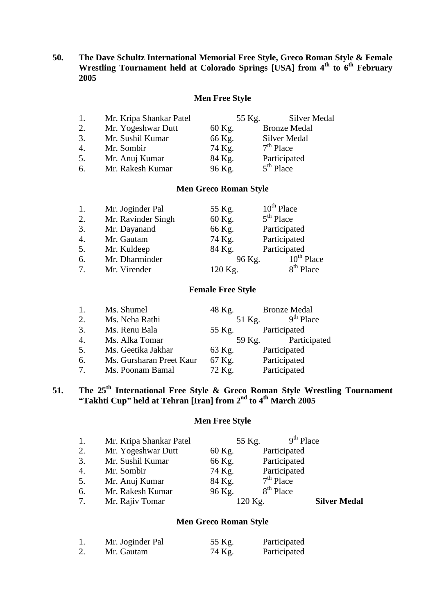#### **50. The Dave Schultz International Memorial Free Style, Greco Roman Style & Female Wrestling Tournament held at Colorado Springs [USA] from 4th to 6th February 2005**

#### **Men Free Style**

| 1. | Mr. Kripa Shankar Patel | 55 Kg. | <b>Silver Medal</b> |
|----|-------------------------|--------|---------------------|
| 2. | Mr. Yogeshwar Dutt      | 60 Kg. | <b>Bronze Medal</b> |
| 3. | Mr. Sushil Kumar        | 66 Kg. | <b>Silver Medal</b> |
| 4. | Mr. Sombir              | 74 Kg. | $7th$ Place         |
| 5. | Mr. Anuj Kumar          | 84 Kg. | Participated        |
| 6. | Mr. Rakesh Kumar        | 96 Kg. | $5th$ Place         |

# **Men Greco Roman Style**

| 1.               | Mr. Joginder Pal   | 55 Kg.  | $10^{th}$ Place |
|------------------|--------------------|---------|-----------------|
| 2.               | Mr. Ravinder Singh | 60 Kg.  | $5th$ Place     |
| 3.               | Mr. Dayanand       | 66 Kg.  | Participated    |
| $\overline{4}$ . | Mr. Gautam         | 74 Kg.  | Participated    |
| 5.               | Mr. Kuldeep        | 84 Kg.  | Participated    |
| 6.               | Mr. Dharminder     | 96 Kg.  | $10^{th}$ Place |
| $\tau$           | Mr. Virender       | 120 Kg. | $8th$ Place     |

#### **Female Free Style**

| 1.               | Ms. Shumel               | 48 Kg. | <b>Bronze Medal</b> |
|------------------|--------------------------|--------|---------------------|
| 2.               | Ms. Neha Rathi           | 51 Kg. | $9th$ Place         |
| 3.               | Ms. Renu Bala            | 55 Kg. | Participated        |
| $\overline{4}$ . | Ms. Alka Tomar           |        | 59 Kg. Participated |
| 5.               | Ms. Geetika Jakhar       | 63 Kg. | Participated        |
| 6.               | Ms. Gursharan Preet Kaur | 67 Kg. | Participated        |
| 7.               | Ms. Poonam Bamal         | 72 Kg. | Participated        |

# **51. The 25th International Free Style & Greco Roman Style Wrestling Tournament "Takhti Cup" held at Tehran [Iran] from 2nd to 4th March 2005**

# **Men Free Style**

| 1.               | Mr. Kripa Shankar Patel | 55 Kg.  | $9th$ Place  |                     |
|------------------|-------------------------|---------|--------------|---------------------|
| 2.               | Mr. Yogeshwar Dutt      | 60 Kg.  | Participated |                     |
| 3.               | Mr. Sushil Kumar        | 66 Kg.  | Participated |                     |
| $\overline{4}$ . | Mr. Sombir              | 74 Kg.  | Participated |                     |
| 5.               | Mr. Anuj Kumar          | 84 Kg.  | $7th$ Place  |                     |
| 6.               | Mr. Rakesh Kumar        | 96 Kg.  | $8th$ Place  |                     |
| 7.               | Mr. Rajiv Tomar         | 120 Kg. |              | <b>Silver Medal</b> |
|                  |                         |         |              |                     |

#### **Men Greco Roman Style**

| Mr. Joginder Pal | 55 Kg. | Participated |
|------------------|--------|--------------|
| Mr. Gautam       | 74 Kg. | Participated |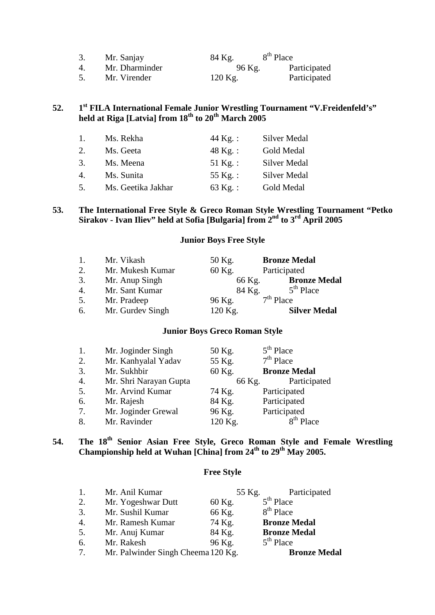| 3.            | Mr. Sanjay     | 84 Kg.    | 8 <sup>th</sup> Place |              |
|---------------|----------------|-----------|-----------------------|--------------|
| $\mathcal{A}$ | Mr. Dharminder | 96 Kg.    |                       | Participated |
| 5.            | Mr. Virender   | $120$ Kg. |                       | Participated |

# **52. 1st FILA International Female Junior Wrestling Tournament "V.Freidenfeld's" held at Riga [Latvia] from 18th to 20th March 2005**

| $\mathbf{1}$ .        | Ms. Rekha          | 44 Kg.:           | Silver Medal        |
|-----------------------|--------------------|-------------------|---------------------|
| 2.                    | Ms. Geeta          | $48 \text{ kg}$ : | Gold Medal          |
| 3.                    | Ms. Meena          | 51 Kg. :          | <b>Silver Medal</b> |
| $\mathcal{A}_{\cdot}$ | Ms. Sunita         | 55 Kg.:           | <b>Silver Medal</b> |
| 5.                    | Ms. Geetika Jakhar | 63 Kg. :          | Gold Medal          |

#### **53. The International Free Style & Greco Roman Style Wrestling Tournament "Petko Sirakov - Ivan Iliev" held at Sofia [Bulgaria] from 2nd to 3rd April 2005**

#### **Junior Boys Free Style**

| $\mathbf{1}$ .   | Mr. Vikash       | 50 Kg.  | <b>Bronze Medal</b> |
|------------------|------------------|---------|---------------------|
| 2.               | Mr. Mukesh Kumar | 60 Kg.  | Participated        |
| 3.               | Mr. Anup Singh   | 66 Kg.  | <b>Bronze Medal</b> |
| $\overline{4}$ . | Mr. Sant Kumar   | 84 Kg.  | $5th$ Place         |
| 5.               | Mr. Pradeep      | 96 Kg.  | $7th$ Place         |
| 6.               | Mr. Gurdev Singh | 120 Kg. | <b>Silver Medal</b> |

#### **Junior Boys Greco Roman Style**

| 1.               | Mr. Joginder Singh     | 50 Kg.  | $5th$ Place         |
|------------------|------------------------|---------|---------------------|
| 2.               | Mr. Kanhyalal Yadav    | 55 Kg.  | $7th$ Place         |
| 3.               | Mr. Sukhbir            | 60 Kg.  | <b>Bronze Medal</b> |
| $\overline{4}$ . | Mr. Shri Narayan Gupta | 66 Kg.  | Participated        |
| 5.               | Mr. Arvind Kumar       | 74 Kg.  | Participated        |
| 6.               | Mr. Rajesh             | 84 Kg.  | Participated        |
| 7.               | Mr. Joginder Grewal    | 96 Kg.  | Participated        |
| 8.               | Mr. Ravinder           | 120 Kg. | $8th$ Place         |

# **54. The 18th Senior Asian Free Style, Greco Roman Style and Female Wrestling Championship held at Wuhan [China] from 24th to 29th May 2005.**

# **Free Style**

| 1. | Mr. Anil Kumar                     | 55 Kg. | Participated          |
|----|------------------------------------|--------|-----------------------|
| 2. | Mr. Yogeshwar Dutt                 | 60 Kg. | $5th$ Place           |
| 3. | Mr. Sushil Kumar                   | 66 Kg. | 8 <sup>th</sup> Place |
| 4. | Mr. Ramesh Kumar                   | 74 Kg. | <b>Bronze Medal</b>   |
| 5. | Mr. Anuj Kumar                     | 84 Kg. | <b>Bronze Medal</b>   |
| 6. | Mr. Rakesh                         | 96 Kg. | $5th$ Place           |
| 7. | Mr. Palwinder Singh Cheema 120 Kg. |        | <b>Bronze Medal</b>   |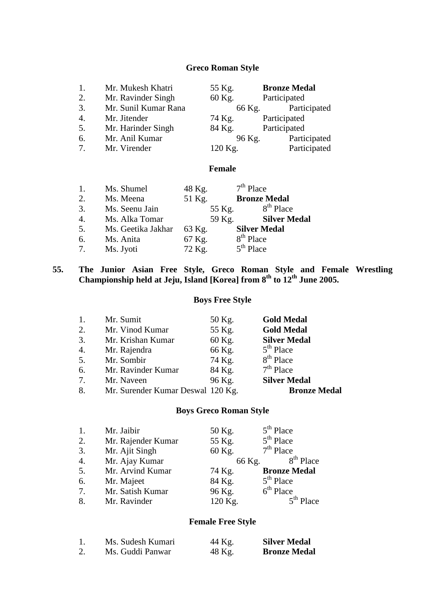### **Greco Roman Style**

| 1.               | Mr. Mukesh Khatri    | 55 Kg.  | <b>Bronze Medal</b> |
|------------------|----------------------|---------|---------------------|
| 2.               | Mr. Ravinder Singh   | 60 Kg.  | Participated        |
| 3.               | Mr. Sunil Kumar Rana | 66 Kg.  | Participated        |
| $\overline{4}$ . | Mr. Jitender         | 74 Kg.  | Participated        |
| 5.               | Mr. Harinder Singh   | 84 Kg.  | Participated        |
| 6.               | Mr. Anil Kumar       | 96 Kg.  | Participated        |
| 7.               | Mr. Virender         | 120 Kg. | Participated        |

# **Female**

| 1.               | Ms. Shumel         | 48 Kg. | $7th$ Place           |
|------------------|--------------------|--------|-----------------------|
| 2.               | Ms. Meena          | 51 Kg. | <b>Bronze Medal</b>   |
| 3.               | Ms. Seenu Jain     | 55 Kg. | $8th$ Place           |
| $\overline{4}$ . | Ms. Alka Tomar     | 59 Kg. | <b>Silver Medal</b>   |
| 5.               | Ms. Geetika Jakhar | 63 Kg. | <b>Silver Medal</b>   |
| 6.               | Ms. Anita          | 67 Kg. | 8 <sup>th</sup> Place |
| 7.               | Ms. Jyoti          | 72 Kg. | $5th$ Place           |

**55. The Junior Asian Free Style, Greco Roman Style and Female Wrestling Championship held at Jeju, Island [Korea] from 8th to 12th June 2005.**

#### **Boys Free Style**

| 1.               | Mr. Sumit                         | 50 Kg. | <b>Gold Medal</b>     |
|------------------|-----------------------------------|--------|-----------------------|
| 2.               | Mr. Vinod Kumar                   | 55 Kg. | <b>Gold Medal</b>     |
| 3.               | Mr. Krishan Kumar                 | 60 Kg. | <b>Silver Medal</b>   |
| $\overline{4}$ . | Mr. Rajendra                      | 66 Kg. | $5th$ Place           |
| 5.               | Mr. Sombir                        | 74 Kg. | 8 <sup>th</sup> Place |
| 6.               | Mr. Ravinder Kumar                | 84 Kg. | $7th$ Place           |
| 7.               | Mr. Naveen                        | 96 Kg. | <b>Silver Medal</b>   |
| 8.               | Mr. Surender Kumar Deswal 120 Kg. |        | <b>Bronze Medal</b>   |

#### **Boys Greco Roman Style**

| 1.               | Mr. Jaibir         | 50 Kg.  | $5th$ Place           |
|------------------|--------------------|---------|-----------------------|
| 2.               | Mr. Rajender Kumar | 55 Kg.  | $5th$ Place           |
| 3.               | Mr. Ajit Singh     | 60 Kg.  | $7th$ Place           |
| $\overline{4}$ . | Mr. Ajay Kumar     | 66 Kg.  | 8 <sup>th</sup> Place |
| 5.               | Mr. Arvind Kumar   | 74 Kg.  | <b>Bronze Medal</b>   |
| 6.               | Mr. Majeet         | 84 Kg.  | $5th$ Place           |
| 7.               | Mr. Satish Kumar   | 96 Kg.  | $6th$ Place           |
| 8.               | Mr. Ravinder       | 120 Kg. | $5th$ Place           |

# **Female Free Style**

|    | Ms. Sudesh Kumari | 44 Kg. | <b>Silver Medal</b> |
|----|-------------------|--------|---------------------|
| 2. | Ms. Guddi Panwar  | 48 Kg. | <b>Bronze Medal</b> |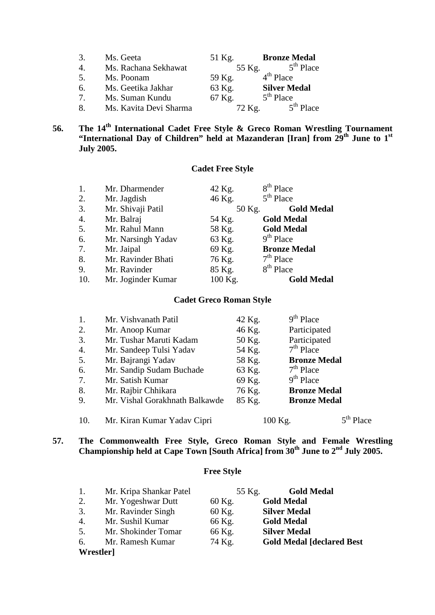| 3.                              | Ms. Geeta              | 51 Kg. | <b>Bronze Medal</b> |
|---------------------------------|------------------------|--------|---------------------|
| $\mathcal{A}_{\cdot}$           | Ms. Rachana Sekhawat   | 55 Kg. | $5th$ Place         |
| 5.                              | Ms. Poonam             | 59 Kg. | $4th$ Place         |
| 6.                              | Ms. Geetika Jakhar     | 63 Kg. | <b>Silver Medal</b> |
| $7_{\scriptscriptstyle{\circ}}$ | Ms. Suman Kundu        | 67 Kg. | $5th$ Place         |
| 8.                              | Ms. Kavita Devi Sharma | 72 Kg. | $5th$ Place         |

### **56. The 14th International Cadet Free Style & Greco Roman Wrestling Tournament "International Day of Children" held at Mazanderan [Iran] from 29th June to 1st July 2005.**

# **Cadet Free Style**

| 1.               | Mr. Dharmender     | 42 Kg.  | 8 <sup>th</sup> Place |
|------------------|--------------------|---------|-----------------------|
| 2.               | Mr. Jagdish        | 46 Kg.  | $5th$ Place           |
| 3.               | Mr. Shivaji Patil  | 50 Kg.  | <b>Gold Medal</b>     |
| $\overline{4}$ . | Mr. Balraj         | 54 Kg.  | <b>Gold Medal</b>     |
| 5.               | Mr. Rahul Mann     | 58 Kg.  | <b>Gold Medal</b>     |
| 6.               | Mr. Narsingh Yadav | 63 Kg.  | $9th$ Place           |
| 7.               | Mr. Jaipal         | 69 Kg.  | <b>Bronze Medal</b>   |
| 8.               | Mr. Ravinder Bhati | 76 Kg.  | $7th$ Place           |
| 9.               | Mr. Ravinder       | 85 Kg.  | 8 <sup>th</sup> Place |
| 10.              | Mr. Joginder Kumar | 100 Kg. | <b>Gold Medal</b>     |

# **Cadet Greco Roman Style**

| 1.  | Mr. Vishvanath Patil           | 42 Kg. | $9th$ Place         |     |
|-----|--------------------------------|--------|---------------------|-----|
| 2.  | Mr. Anoop Kumar                | 46 Kg. | Participated        |     |
| 3.  | Mr. Tushar Maruti Kadam        | 50 Kg. | Participated        |     |
| 4.  | Mr. Sandeep Tulsi Yadav        | 54 Kg. | $7th$ Place         |     |
| 5.  | Mr. Bajrangi Yadav             | 58 Kg. | <b>Bronze Medal</b> |     |
| 6.  | Mr. Sandip Sudam Buchade       | 63 Kg. | $7th$ Place         |     |
| 7.  | Mr. Satish Kumar               | 69 Kg. | $9th$ Place         |     |
| 8.  | Mr. Rajbir Chhikara            | 76 Kg. | <b>Bronze Medal</b> |     |
| 9.  | Mr. Vishal Gorakhnath Balkawde | 85 Kg. | <b>Bronze Medal</b> |     |
| 10. | Mr. Kiran Kumar Yadav Cipri    |        | 100 Kg.             | ace |

**57. The Commonwealth Free Style, Greco Roman Style and Female Wrestling Championship held at Cape Town [South Africa] from 30th June to 2nd July 2005.**

# **Free Style**

| 1.        | Mr. Kripa Shankar Patel | 55 Kg. | <b>Gold Medal</b>                  |
|-----------|-------------------------|--------|------------------------------------|
| 2.        | Mr. Yogeshwar Dutt      | 60 Kg. | <b>Gold Medal</b>                  |
| 3.        | Mr. Ravinder Singh      | 60 Kg. | <b>Silver Medal</b>                |
| 4.        | Mr. Sushil Kumar        | 66 Kg. | <b>Gold Medal</b>                  |
| 5.        | Mr. Shokinder Tomar     | 66 Kg. | <b>Silver Medal</b>                |
| 6.        | Mr. Ramesh Kumar        | 74 Kg. | <b>Gold Medal [declared Best</b> ] |
| Wrestler] |                         |        |                                    |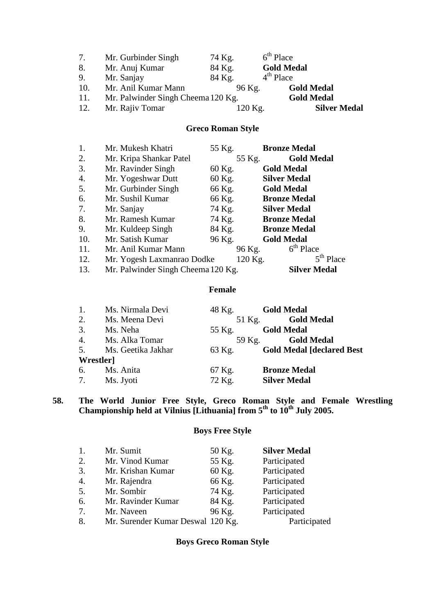| 7.  | Mr. Gurbinder Singh                | 74 Kg. | $6th$ Place       |                     |
|-----|------------------------------------|--------|-------------------|---------------------|
| 8.  | Mr. Anuj Kumar                     | 84 Kg. | <b>Gold Medal</b> |                     |
| 9.  | Mr. Sanjay                         | 84 Kg. | $4th$ Place       |                     |
| 10. | Mr. Anil Kumar Mann                |        | 96 Kg.            | <b>Gold Medal</b>   |
| 11. | Mr. Palwinder Singh Cheema 120 Kg. |        |                   | <b>Gold Medal</b>   |
| 12. | Mr. Rajiv Tomar                    |        | 120 Kg.           | <b>Silver Medal</b> |

# **Greco Roman Style**

| 1.  | Mr. Mukesh Khatri                  | 55 Kg.  | <b>Bronze Medal</b> |
|-----|------------------------------------|---------|---------------------|
| 2.  | Mr. Kripa Shankar Patel            | 55 Kg.  | <b>Gold Medal</b>   |
| 3.  | Mr. Ravinder Singh                 | 60 Kg.  | <b>Gold Medal</b>   |
| 4.  | Mr. Yogeshwar Dutt                 | 60 Kg.  | <b>Silver Medal</b> |
| 5.  | Mr. Gurbinder Singh                | 66 Kg.  | <b>Gold Medal</b>   |
| 6.  | Mr. Sushil Kumar                   | 66 Kg.  | <b>Bronze Medal</b> |
| 7.  | Mr. Sanjay                         | 74 Kg.  | <b>Silver Medal</b> |
| 8.  | Mr. Ramesh Kumar                   | 74 Kg.  | <b>Bronze Medal</b> |
| 9.  | Mr. Kuldeep Singh                  | 84 Kg.  | <b>Bronze Medal</b> |
| 10. | Mr. Satish Kumar                   | 96 Kg.  | <b>Gold Medal</b>   |
| 11. | Mr. Anil Kumar Mann                | 96 Kg.  | $6th$ Place         |
| 12. | Mr. Yogesh Laxmanrao Dodke         | 120 Kg. | $5th$ Place         |
| 13. | Mr. Palwinder Singh Cheema 120 Kg. |         | <b>Silver Medal</b> |

#### **Female**

| 1.        | Ms. Nirmala Devi   | 48 Kg. | <b>Gold Medal</b>                  |
|-----------|--------------------|--------|------------------------------------|
| 2.        | Ms. Meena Devi     |        | 51 Kg. <b>Gold Medal</b>           |
| 3.        | Ms. Neha           | 55 Kg. | <b>Gold Medal</b>                  |
| 4.        | Ms. Alka Tomar     |        | 59 Kg. Gold Medal                  |
| 5.        | Ms. Geetika Jakhar | 63 Kg. | <b>Gold Medal [declared Best</b> ] |
| Wrestler] |                    |        |                                    |
|           | 6. Ms. Anita       | 67 Kg. | <b>Bronze Medal</b>                |
|           | 7. Ms. Jyoti       | 72 Kg. | <b>Silver Medal</b>                |

**58. The World Junior Free Style, Greco Roman Style and Female Wrestling Championship held at Vilnius [Lithuania] from 5th to 10th July 2005.**

# **Boys Free Style**

| 1.               | Mr. Sumit                         | 50 Kg. | <b>Silver Medal</b> |
|------------------|-----------------------------------|--------|---------------------|
| 2.               | Mr. Vinod Kumar                   | 55 Kg. | Participated        |
| 3.               | Mr. Krishan Kumar                 | 60 Kg. | Participated        |
| $\overline{4}$ . | Mr. Rajendra                      | 66 Kg. | Participated        |
| 5.               | Mr. Sombir                        | 74 Kg. | Participated        |
| 6.               | Mr. Ravinder Kumar                | 84 Kg. | Participated        |
| 7.               | Mr. Naveen                        | 96 Kg. | Participated        |
| 8.               | Mr. Surender Kumar Deswal 120 Kg. |        | Participated        |

# **Boys Greco Roman Style**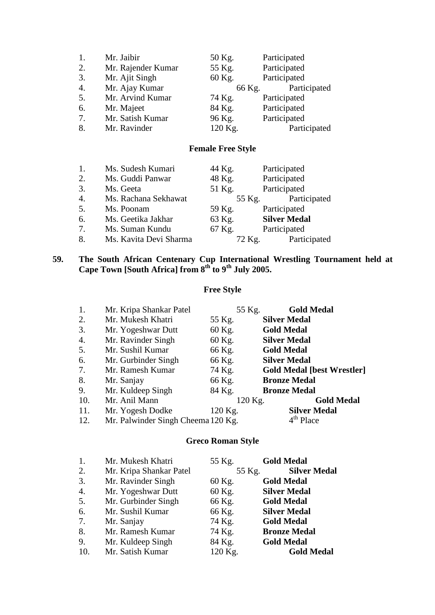| 1.               | Mr. Jaibir         | 50 Kg.  | Participated |
|------------------|--------------------|---------|--------------|
| 2.               | Mr. Rajender Kumar | 55 Kg.  | Participated |
| 3.               | Mr. Ajit Singh     | 60 Kg.  | Participated |
| $\overline{4}$ . | Mr. Ajay Kumar     | 66 Kg.  | Participated |
| 5.               | Mr. Arvind Kumar   | 74 Kg.  | Participated |
| 6.               | Mr. Majeet         | 84 Kg.  | Participated |
| 7.               | Mr. Satish Kumar   | 96 Kg.  | Participated |
| 8.               | Mr. Ravinder       | 120 Kg. | Participated |

# **Female Free Style**

| 1.               | Ms. Sudesh Kumari      | 44 Kg. | Participated        |
|------------------|------------------------|--------|---------------------|
| 2.               | Ms. Guddi Panwar       | 48 Kg. | Participated        |
| 3.               | Ms. Geeta              | 51 Kg. | Participated        |
| $\overline{4}$ . | Ms. Rachana Sekhawat   | 55 Kg. | Participated        |
| 5.               | Ms. Poonam             | 59 Kg. | Participated        |
| 6.               | Ms. Geetika Jakhar     | 63 Kg. | <b>Silver Medal</b> |
| 7.               | Ms. Suman Kundu        | 67 Kg. | Participated        |
| 8.               | Ms. Kavita Devi Sharma | 72 Kg. | Participated        |

#### **59. The South African Centenary Cup International Wrestling Tournament held at Cape Town [South Africa] from 8th to 9th July 2005.**

# **Free Style**

| 1.  | Mr. Kripa Shankar Patel            |         | 55 Kg.  | <b>Gold Medal</b>                 |
|-----|------------------------------------|---------|---------|-----------------------------------|
| 2.  | Mr. Mukesh Khatri                  | 55 Kg.  |         | <b>Silver Medal</b>               |
| 3.  | Mr. Yogeshwar Dutt                 | 60 Kg.  |         | <b>Gold Medal</b>                 |
| 4.  | Mr. Ravinder Singh                 | 60 Kg.  |         | <b>Silver Medal</b>               |
| 5.  | Mr. Sushil Kumar                   | 66 Kg.  |         | <b>Gold Medal</b>                 |
| 6.  | Mr. Gurbinder Singh                | 66 Kg.  |         | <b>Silver Medal</b>               |
| 7.  | Mr. Ramesh Kumar                   | 74 Kg.  |         | <b>Gold Medal [best Wrestler]</b> |
| 8.  | Mr. Sanjay                         | 66 Kg.  |         | <b>Bronze Medal</b>               |
| 9.  | Mr. Kuldeep Singh                  | 84 Kg.  |         | <b>Bronze Medal</b>               |
| 10. | Mr. Anil Mann                      |         | 120 Kg. | <b>Gold Medal</b>                 |
| 11. | Mr. Yogesh Dodke                   | 120 Kg. |         | <b>Silver Medal</b>               |
| 12. | Mr. Palwinder Singh Cheema 120 Kg. |         |         | 4 <sup>th</sup> Place             |

# **Greco Roman Style**

| 1.  | Mr. Mukesh Khatri       | 55 Kg.  | <b>Gold Medal</b>   |
|-----|-------------------------|---------|---------------------|
| 2.  | Mr. Kripa Shankar Patel | 55 Kg.  | <b>Silver Medal</b> |
| 3.  | Mr. Ravinder Singh      | 60 Kg.  | <b>Gold Medal</b>   |
| 4.  | Mr. Yogeshwar Dutt      | 60 Kg.  | <b>Silver Medal</b> |
| 5.  | Mr. Gurbinder Singh     | 66 Kg.  | <b>Gold Medal</b>   |
| 6.  | Mr. Sushil Kumar        | 66 Kg.  | <b>Silver Medal</b> |
| 7.  | Mr. Sanjay              | 74 Kg.  | <b>Gold Medal</b>   |
| 8.  | Mr. Ramesh Kumar        | 74 Kg.  | <b>Bronze Medal</b> |
| 9.  | Mr. Kuldeep Singh       | 84 Kg.  | <b>Gold Medal</b>   |
| 10. | Mr. Satish Kumar        | 120 Kg. | <b>Gold Medal</b>   |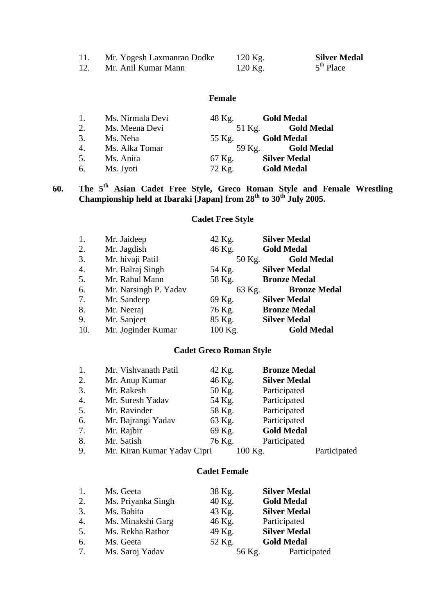| Mr. Yogesh Laxmanrao Dodke | $120$ Kg. | <b>Silver Medal</b> |
|----------------------------|-----------|---------------------|
| Mr. Anil Kumar Mann        | $120$ Kg. | $5th$ Place         |

# **Female**

| $\overline{1}$ . | Ms. Nirmala Devi | 48 Kg. | <b>Gold Medal</b>   |
|------------------|------------------|--------|---------------------|
| 2.               | Ms. Meena Devi   | 51 Kg. | <b>Gold Medal</b>   |
| 3.               | Ms. Neha         | 55 Kg. | <b>Gold Medal</b>   |
| 4.               | Ms. Alka Tomar   | 59 Kg. | <b>Gold Medal</b>   |
| 5.               | Ms. Anita        | 67 Kg. | <b>Silver Medal</b> |
| 6.               | Ms. Jyoti        | 72 Kg. | <b>Gold Medal</b>   |

# **60. The 5th Asian Cadet Free Style, Greco Roman Style and Female Wrestling Championship held at Ibaraki [Japan] from 28th to 30th July 2005.**

# **Cadet Free Style**

| 1.  | Mr. Jaideep           | 42 Kg.  | <b>Silver Medal</b> |
|-----|-----------------------|---------|---------------------|
| 2.  | Mr. Jagdish           | 46 Kg.  | <b>Gold Medal</b>   |
| 3.  | Mr. hivaji Patil      | 50 Kg.  | <b>Gold Medal</b>   |
| 4.  | Mr. Balraj Singh      | 54 Kg.  | <b>Silver Medal</b> |
| 5.  | Mr. Rahul Mann        | 58 Kg.  | <b>Bronze Medal</b> |
| 6.  | Mr. Narsingh P. Yadav | 63 Kg.  | <b>Bronze Medal</b> |
| 7.  | Mr. Sandeep           | 69 Kg.  | <b>Silver Medal</b> |
| 8.  | Mr. Neeraj            | 76 Kg.  | <b>Bronze Medal</b> |
| 9.  | Mr. Sanjeet           | 85 Kg.  | <b>Silver Medal</b> |
| 10. | Mr. Joginder Kumar    | 100 Kg. | <b>Gold Medal</b>   |

# **Cadet Greco Roman Style**

| 1. | Mr. Vishvanath Patil        | 42 Kg.  | <b>Bronze Medal</b> |              |
|----|-----------------------------|---------|---------------------|--------------|
| 2. | Mr. Anup Kumar              | 46 Kg.  | <b>Silver Medal</b> |              |
| 3. | Mr. Rakesh                  | 50 Kg.  | Participated        |              |
| 4. | Mr. Suresh Yadav            | 54 Kg.  | Participated        |              |
| 5. | Mr. Ravinder                | 58 Kg.  | Participated        |              |
| 6. | Mr. Bajrangi Yadav          | 63 Kg.  | Participated        |              |
| 7. | Mr. Rajbir                  | 69 Kg.  | <b>Gold Medal</b>   |              |
| 8. | Mr. Satish                  | 76 Kg.  | Participated        |              |
| 9. | Mr. Kiran Kumar Yadav Cipri | 100 Kg. |                     | Participated |

# **Cadet Female**

| 1.               | Ms. Geeta          | 38 Kg. | <b>Silver Medal</b> |
|------------------|--------------------|--------|---------------------|
| 2.               | Ms. Priyanka Singh | 40 Kg. | <b>Gold Medal</b>   |
| 3.               | Ms. Babita         | 43 Kg. | <b>Silver Medal</b> |
| $\overline{4}$ . | Ms. Minakshi Garg  | 46 Kg. | Participated        |
| 5.               | Ms. Rekha Rathor   | 49 Kg. | <b>Silver Medal</b> |
| 6.               | Ms. Geeta          | 52 Kg. | <b>Gold Medal</b>   |
| 7.               | Ms. Saroj Yadav    | 56 Kg. | Participated        |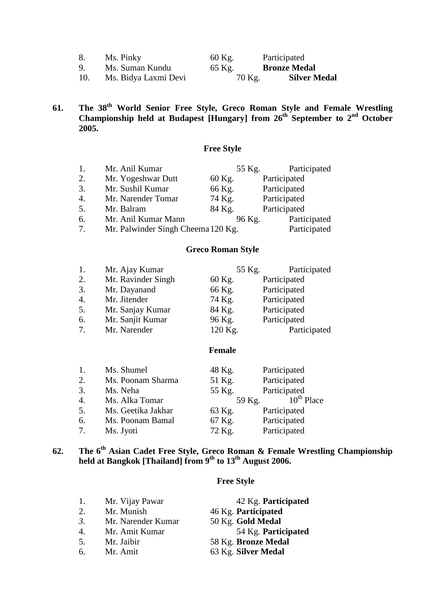|     | Ms. Pinky            | 60 Kg. | Participated        |
|-----|----------------------|--------|---------------------|
| 9.  | Ms. Suman Kundu      | 65 Kg. | <b>Bronze Medal</b> |
| 10. | Ms. Bidya Laxmi Devi | 70 Kg. | <b>Silver Medal</b> |

**61. The 38th World Senior Free Style, Greco Roman Style and Female Wrestling**  Championship held at Budapest [Hungary] from 26<sup>th</sup> September to 2<sup>nd</sup> October **2005.**

# **Free Style**

| 1. | Mr. Anil Kumar                     | 55 Kg. | Participated |
|----|------------------------------------|--------|--------------|
| 2. | Mr. Yogeshwar Dutt                 | 60 Kg. | Participated |
| 3. | Mr. Sushil Kumar                   | 66 Kg. | Participated |
| 4. | Mr. Narender Tomar                 | 74 Kg. | Participated |
| 5. | Mr. Balram                         | 84 Kg. | Participated |
| 6. | Mr. Anil Kumar Mann                | 96 Kg. | Participated |
| 7. | Mr. Palwinder Singh Cheema 120 Kg. |        | Participated |

#### **Greco Roman Style**

| 1. | Mr. Ajay Kumar     | 55 Kg.  | Participated |
|----|--------------------|---------|--------------|
| 2. | Mr. Ravinder Singh | 60 Kg.  | Participated |
| 3. | Mr. Dayanand       | 66 Kg.  | Participated |
| 4. | Mr. Jitender       | 74 Kg.  | Participated |
| 5. | Mr. Sanjay Kumar   | 84 Kg.  | Participated |
| 6. | Mr. Sanjit Kumar   | 96 Kg.  | Participated |
| 7. | Mr. Narender       | 120 Kg. | Participated |

#### **Female**

| 1.               | Ms. Shumel         | 48 Kg. | Participated    |
|------------------|--------------------|--------|-----------------|
| 2.               | Ms. Poonam Sharma  | 51 Kg. | Participated    |
| 3.               | Ms. Neha           | 55 Kg. | Participated    |
| $\overline{4}$ . | Ms. Alka Tomar     | 59 Kg. | $10^{th}$ Place |
| 5.               | Ms. Geetika Jakhar | 63 Kg. | Participated    |
| 6.               | Ms. Poonam Bamal   | 67 Kg. | Participated    |
| 7 <sub>1</sub>   | Ms. Jyoti          | 72 Kg. | Participated    |

# **62. The 6th Asian Cadet Free Style, Greco Roman & Female Wrestling Championship held at Bangkok [Thailand] from 9th to 13th August 2006.**

# **Free Style**

| 1. | Mr. Vijay Pawar    | 42 Kg. Participated |
|----|--------------------|---------------------|
| 2. | Mr. Munish         | 46 Kg. Participated |
| 3. | Mr. Narender Kumar | 50 Kg. Gold Medal   |
| 4. | Mr. Amit Kumar     | 54 Kg. Participated |
| 5. | Mr. Jaibir         | 58 Kg. Bronze Medal |
| б. | Mr. Amit           | 63 Kg. Silver Medal |
|    |                    |                     |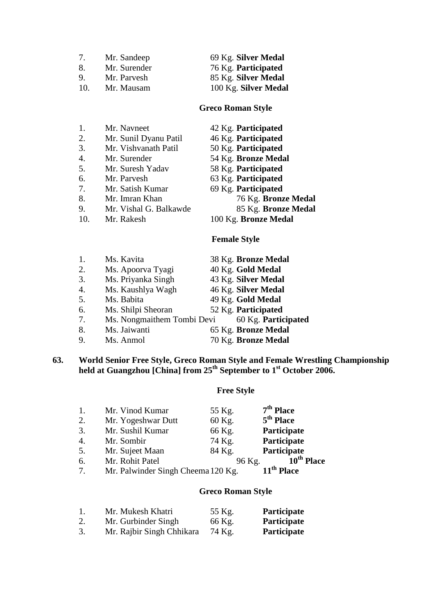| 7. | Mr. Sandeep |  |
|----|-------------|--|
|    |             |  |

- 
- 

7. Mr. Sandeep 69 Kg. **Silver Medal** 8. Mr. Surender 76 Kg. **Participated**<br>
9. Mr. Parvesh 85 Kg. Silver Medal 9. Mr. Parvesh 85 Kg. **Silver Medal**<br>10. Mr. Mausam 100 Kg. **Silver Meda** Mr. Mausam 100 Kg. **Silver Medal** 

### **Greco Roman Style**

| 1.  | Mr. Navneet            | 42 Kg. Participated  |
|-----|------------------------|----------------------|
| 2.  | Mr. Sunil Dyanu Patil  | 46 Kg. Participated  |
| 3.  | Mr. Vishvanath Patil   | 50 Kg. Participated  |
| 4.  | Mr. Surender           | 54 Kg. Bronze Medal  |
| 5.  | Mr. Suresh Yadav       | 58 Kg. Participated  |
| 6.  | Mr. Parvesh            | 63 Kg. Participated  |
| 7.  | Mr. Satish Kumar       | 69 Kg. Participated  |
| 8.  | Mr. Imran Khan         | 76 Kg. Bronze Medal  |
| 9.  | Mr. Vishal G. Balkawde | 85 Kg. Bronze Medal  |
| 10. | Mr. Rakesh             | 100 Kg. Bronze Medal |
|     |                        | <b>Female Style</b>  |

| 1. | Ms. Kavita                 | 38 Kg. Bronze Medal |
|----|----------------------------|---------------------|
| 2. | Ms. Apoorva Tyagi          | 40 Kg. Gold Medal   |
| 3. | Ms. Priyanka Singh         | 43 Kg. Silver Medal |
| 4. | Ms. Kaushlya Wagh          | 46 Kg. Silver Medal |
| 5. | Ms. Babita                 | 49 Kg. Gold Medal   |
| 6. | Ms. Shilpi Sheoran         | 52 Kg. Participated |
| 7. | Ms. Nongmaithem Tombi Devi | 60 Kg. Participated |
| 8. | Ms. Jaiwanti               | 65 Kg. Bronze Medal |
| 9. | Ms. Anmol                  | 70 Kg. Bronze Medal |

#### **63. World Senior Free Style, Greco Roman Style and Female Wrestling Championship held at Guangzhou [China] from 25th September to 1st October 2006.**

# **Free Style**

| $\mathbf{1}$ .   | Mr. Vinod Kumar                    | 55 Kg. | $7th$ Place            |
|------------------|------------------------------------|--------|------------------------|
| 2.               | Mr. Yogeshwar Dutt                 | 60 Kg. | $5th$ Place            |
| 3.               | Mr. Sushil Kumar                   | 66 Kg. | Participate            |
| $\overline{4}$ . | Mr. Sombir                         | 74 Kg. | Participate            |
| 5.               | Mr. Sujeet Maan                    | 84 Kg. | Participate            |
| 6.               | Mr. Rohit Patel                    | 96 Kg. | 10 <sup>th</sup> Place |
| 7.               | Mr. Palwinder Singh Cheema 120 Kg. |        | 11 <sup>th</sup> Place |

# **Greco Roman Style**

| 1. | Mr. Mukesh Khatri         | 55 Kg. | Participate        |
|----|---------------------------|--------|--------------------|
| 2. | Mr. Gurbinder Singh       | 66 Kg. | <b>Participate</b> |
| 3. | Mr. Rajbir Singh Chhikara | 74 Kg. | <b>Participate</b> |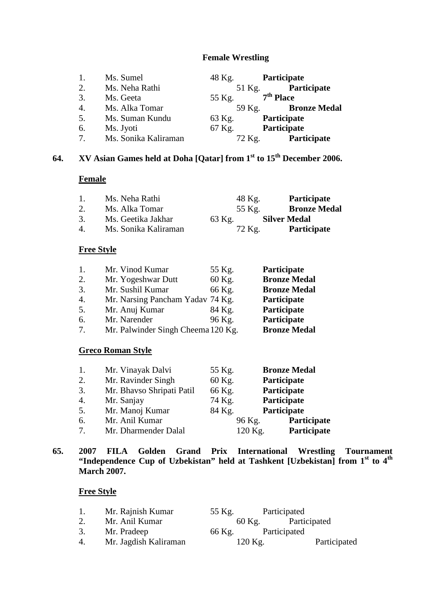#### **Female Wrestling**

|                | Ms. Sumel            | 48 Kg. | Participate         |
|----------------|----------------------|--------|---------------------|
| 2.             | Ms. Neha Rathi       | 51 Kg. | <b>Participate</b>  |
| 3.             | Ms. Geeta            | 55 Kg. | $7th$ Place         |
| 4.             | Ms. Alka Tomar       | 59 Kg. | <b>Bronze Medal</b> |
| 5.             | Ms. Suman Kundu      | 63 Kg. | Participate         |
| 6.             | Ms. Jyoti            | 67 Kg. | Participate         |
| 7 <sub>1</sub> | Ms. Sonika Kaliraman | 72 Kg. | Participate         |

# **64. XV Asian Games held at Doha [Qatar] from 1st to 15th December 2006.**

### **Female**

| $\mathbf{1}$ . | Ms. Neha Rathi       | 48 Kg. | <b>Participate</b>  |
|----------------|----------------------|--------|---------------------|
| 2.             | Ms. Alka Tomar       | 55 Kg. | <b>Bronze Medal</b> |
| 3.             | Ms. Geetika Jakhar   | 63 Kg. | <b>Silver Medal</b> |
| $\overline{4}$ | Ms. Sonika Kaliraman | 72 Kg. | <b>Participate</b>  |

# **Free Style**

| 1. | Mr. Vinod Kumar                    | 55 Kg. | Participate         |
|----|------------------------------------|--------|---------------------|
| 2. | Mr. Yogeshwar Dutt                 | 60 Kg. | <b>Bronze Medal</b> |
| 3. | Mr. Sushil Kumar                   | 66 Kg. | <b>Bronze Medal</b> |
| 4. | Mr. Narsing Pancham Yadav 74 Kg.   |        | Participate         |
| 5. | Mr. Anuj Kumar                     | 84 Kg. | Participate         |
| 6. | Mr. Narender                       | 96 Kg. | Participate         |
| 7. | Mr. Palwinder Singh Cheema 120 Kg. |        | <b>Bronze Medal</b> |

# **Greco Roman Style**

| 1.             | Mr. Vinayak Dalvi         | 55 Kg. | <b>Bronze Medal</b>    |  |
|----------------|---------------------------|--------|------------------------|--|
| 2.             | Mr. Ravinder Singh        | 60 Kg. | Participate            |  |
| 3.             | Mr. Bhavso Shripati Patil | 66 Kg. | Participate            |  |
| 4.             | Mr. Sanjay                | 74 Kg. | Participate            |  |
| 5.             | Mr. Manoj Kumar           | 84 Kg. | Participate            |  |
| 6.             | Mr. Anil Kumar            | 96 Kg. | Participate            |  |
| 7 <sub>1</sub> | Mr. Dharmender Dalal      |        | Participate<br>120 Kg. |  |

# **65. 2007 FILA Golden Grand Prix International Wrestling Tournament "Independence Cup of Uzbekistan" held at Tashkent [Uzbekistan] from 1st to 4th March 2007.**

### **Free Style**

| 1. | Mr. Rajnish Kumar     | 55 Kg. | Participated           |              |
|----|-----------------------|--------|------------------------|--------------|
|    | Mr. Anil Kumar        |        | Participated<br>60 Kg. |              |
| 3. | Mr. Pradeep           | 66 Kg. | Participated           |              |
| 4. | Mr. Jagdish Kaliraman |        | $120$ Kg.              | Participated |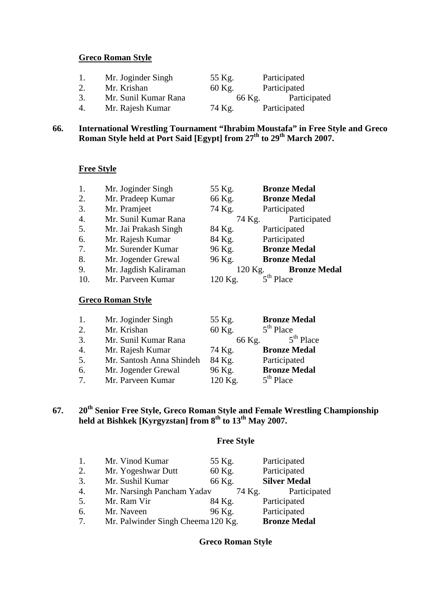#### **Greco Roman Style**

| 1. | Mr. Joginder Singh   | 55 Kg. | Participated |
|----|----------------------|--------|--------------|
|    | Mr. Krishan          | 60 Kg. | Participated |
| 3. | Mr. Sunil Kumar Rana | 66 Kg. | Participated |
| 4. | Mr. Rajesh Kumar     | 74 Kg. | Participated |

#### **66. International Wrestling Tournament "Ihrabim Moustafa" in Free Style and Greco Roman Style held at Port Said [Egypt] from 27th to 29th March 2007.**

#### **Free Style**

| 1.               | Mr. Joginder Singh    | 55 Kg.  | <b>Bronze Medal</b> |
|------------------|-----------------------|---------|---------------------|
| 2.               | Mr. Pradeep Kumar     | 66 Kg.  | <b>Bronze Medal</b> |
| 3.               | Mr. Pramjeet          | 74 Kg.  | Participated        |
| $\overline{4}$ . | Mr. Sunil Kumar Rana  | 74 Kg.  | Participated        |
| 5.               | Mr. Jai Prakash Singh | 84 Kg.  | Participated        |
| 6.               | Mr. Rajesh Kumar      | 84 Kg.  | Participated        |
| 7.               | Mr. Surender Kumar    | 96 Kg.  | <b>Bronze Medal</b> |
| 8.               | Mr. Jogender Grewal   | 96 Kg.  | <b>Bronze Medal</b> |
| 9.               | Mr. Jagdish Kaliraman | 120 Kg. | <b>Bronze Medal</b> |
| 10.              | Mr. Parveen Kumar     | 120 Kg. | $5th$ Place         |

#### **Greco Roman Style**

| 1.             | Mr. Joginder Singh       | 55 Kg.  | <b>Bronze Medal</b> |
|----------------|--------------------------|---------|---------------------|
| 2.             | Mr. Krishan              | 60 Kg.  | $5th$ Place         |
| 3.             | Mr. Sunil Kumar Rana     | 66 Kg.  | $5th$ Place         |
| 4.             | Mr. Rajesh Kumar         | 74 Kg.  | <b>Bronze Medal</b> |
| 5.             | Mr. Santosh Anna Shindeh | 84 Kg.  | Participated        |
| 6.             | Mr. Jogender Grewal      | 96 Kg.  | <b>Bronze Medal</b> |
| 7 <sup>1</sup> | Mr. Parveen Kumar        | 120 Kg. | $5th$ Place         |

# **67. 20th Senior Free Style, Greco Roman Style and Female Wrestling Championship held at Bishkek [Kyrgyzstan] from 8th to 13th May 2007.**

# **Free Style**

| 1. | Mr. Vinod Kumar                    | 55 Kg. | Participated        |
|----|------------------------------------|--------|---------------------|
| 2. | Mr. Yogeshwar Dutt                 | 60 Kg. | Participated        |
| 3. | Mr. Sushil Kumar                   | 66 Kg. | <b>Silver Medal</b> |
| 4. | Mr. Narsingh Pancham Yadav         | 74 Kg. | Participated        |
| 5. | Mr. Ram Vir                        | 84 Kg. | Participated        |
| 6. | Mr. Naveen                         | 96 Kg. | Participated        |
| 7. | Mr. Palwinder Singh Cheema 120 Kg. |        | <b>Bronze Medal</b> |

# **Greco Roman Style**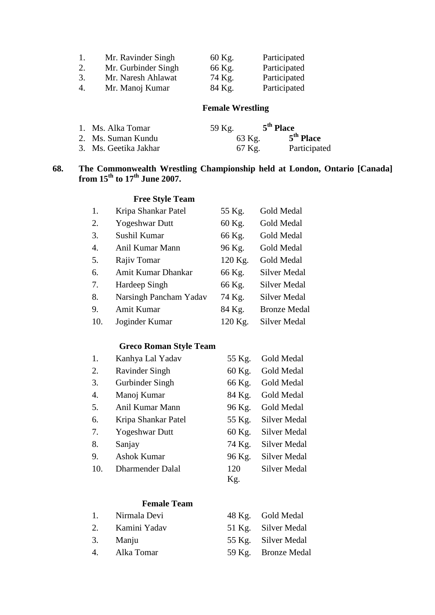| -1. | Mr. Ravinder Singh  | 60 Kg. | Participated |
|-----|---------------------|--------|--------------|
| 2.  | Mr. Gurbinder Singh | 66 Kg. | Participated |
| 3.  | Mr. Naresh Ahlawat  | 74 Kg. | Participated |
| 4.  | Mr. Manoj Kumar     | 84 Kg. | Participated |

# **Female Wrestling**

| 1. Ms. Alka Tomar     | 59 Kg. | 5 <sup>th</sup> Place |
|-----------------------|--------|-----------------------|
| 2. Ms. Suman Kundu    | 63 Kg. | 5 <sup>th</sup> Place |
| 3. Ms. Geetika Jakhar | 67 Kg. | Participated          |

### **68. The Commonwealth Wrestling Championship held at London, Ontario [Canada] from 15th to 17th June 2007.**

# **Free Style Team**

| 1.  | Kripa Shankar Patel    | 55 Kg.  | Gold Medal          |
|-----|------------------------|---------|---------------------|
| 2.  | <b>Yogeshwar Dutt</b>  | 60 Kg.  | Gold Medal          |
| 3.  | Sushil Kumar           | 66 Kg.  | Gold Medal          |
| 4.  | Anil Kumar Mann        | 96 Kg.  | Gold Medal          |
| 5.  | Rajiv Tomar            | 120 Kg. | Gold Medal          |
| 6.  | Amit Kumar Dhankar     | 66 Kg.  | Silver Medal        |
| 7.  | Hardeep Singh          | 66 Kg.  | Silver Medal        |
| 8.  | Narsingh Pancham Yadav | 74 Kg.  | Silver Medal        |
| 9.  | Amit Kumar             | 84 Kg.  | <b>Bronze Medal</b> |
| 10. | Joginder Kumar         | 120 Kg. | Silver Medal        |

# **Greco Roman Style Team**

| 1.  | Kanhya Lal Yadav        | 55 Kg. | Gold Medal          |
|-----|-------------------------|--------|---------------------|
| 2.  | <b>Ravinder Singh</b>   | 60 Kg. | Gold Medal          |
| 3.  | Gurbinder Singh         | 66 Kg. | Gold Medal          |
| 4.  | Manoj Kumar             | 84 Kg. | Gold Medal          |
| 5.  | Anil Kumar Mann         | 96 Kg. | Gold Medal          |
| 6.  | Kripa Shankar Patel     | 55 Kg. | <b>Silver Medal</b> |
| 7.  | <b>Yogeshwar Dutt</b>   | 60 Kg. | <b>Silver Medal</b> |
| 8.  | Sanjay                  | 74 Kg. | <b>Silver Medal</b> |
| 9.  | <b>Ashok Kumar</b>      | 96 Kg. | <b>Silver Medal</b> |
| 10. | <b>Dharmender Dalal</b> | 120    | Silver Medal        |
|     |                         | Kg.    |                     |

# **Female Team**

| 1. Nirmala Devi | 48 Kg. Gold Medal   |
|-----------------|---------------------|
| 2. Kamini Yadav | 51 Kg. Silver Medal |
| 3. Manju        | 55 Kg. Silver Medal |
| 4. Alka Tomar   | 59 Kg. Bronze Medal |
|                 |                     |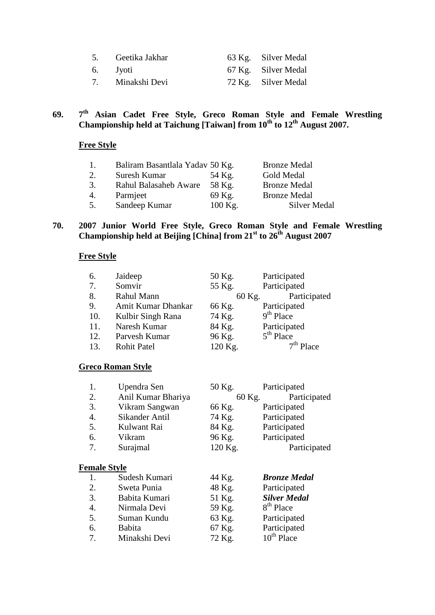| 5. Geetika Jakhar | 63 Kg. Silver Medal |
|-------------------|---------------------|
| 6. Jyoti          | 67 Kg. Silver Medal |
| 7. Minakshi Devi  | 72 Kg. Silver Medal |

# **69. 7th Asian Cadet Free Style, Greco Roman Style and Female Wrestling Championship held at Taichung [Taiwan] from 10th to 12th August 2007.**

# **Free Style**

| 1. | Baliram Basantlala Yadav 50 Kg. |           | <b>Bronze Medal</b> |
|----|---------------------------------|-----------|---------------------|
| 2. | Suresh Kumar                    | 54 Kg.    | Gold Medal          |
| 3. | Rahul Balasaheb Aware           | 58 Kg.    | <b>Bronze Medal</b> |
| 4. | Parmjeet                        | 69 Kg.    | <b>Bronze Medal</b> |
| 5. | Sandeep Kumar                   | $100$ Kg. | Silver Medal        |

#### **70. 2007 Junior World Free Style, Greco Roman Style and Female Wrestling Championship held at Beijing [China] from 21st to 26th August 2007**

#### **Free Style**

| 6.  | Jaideep            | 50 Kg.  | Participated |
|-----|--------------------|---------|--------------|
| 7.  | Somvir             | 55 Kg.  | Participated |
| 8.  | Rahul Mann         | 60 Kg.  | Participated |
| 9.  | Amit Kumar Dhankar | 66 Kg.  | Participated |
| 10. | Kulbir Singh Rana  | 74 Kg.  | $9th$ Place  |
| 11. | Naresh Kumar       | 84 Kg.  | Participated |
| 12. | Parvesh Kumar      | 96 Kg.  | $5th$ Place  |
| 13. | <b>Rohit Patel</b> | 120 Kg. | $7th$ Place  |

# **Greco Roman Style**

| 1.                  | Upendra Sen                  | 50 Kg.                                 | Participated |
|---------------------|------------------------------|----------------------------------------|--------------|
| 2.                  | Anil Kumar Bhariya           | 60 Kg.                                 | Participated |
| 3.                  | Vikram Sangwan               | 66 Kg.                                 | Participated |
| 4.                  | Sikander Antil               | 74 Kg.                                 | Participated |
| 5.                  | Kulwant Rai                  | 84 Kg.                                 | Participated |
| 6.                  | Vikram                       | 96 Kg.                                 | Participated |
| 7.                  | Surajmal                     | 120 Kg.                                | Participated |
| <b>Female Style</b> |                              |                                        |              |
|                     | $\mathcal{L}_{\text{under}}$ | $\Lambda\Lambda$ $\mathbf{V}_{\alpha}$ | Rronze Medal |

| $\overline{1}$ . | Sudesh Kumari | 44 Kg. | <b>Bronze Medal</b>   |
|------------------|---------------|--------|-----------------------|
| 2.               | Sweta Punia   | 48 Kg. | Participated          |
| 3.               | Babita Kumari | 51 Kg. | <b>Silver Medal</b>   |
| 4.               | Nirmala Devi  | 59 Kg. | 8 <sup>th</sup> Place |
| 5.               | Suman Kundu   | 63 Kg. | Participated          |
| 6.               | <b>Babita</b> | 67 Kg. | Participated          |
| 7 <sub>1</sub>   | Minakshi Devi | 72 Kg. | $10^{th}$ Place       |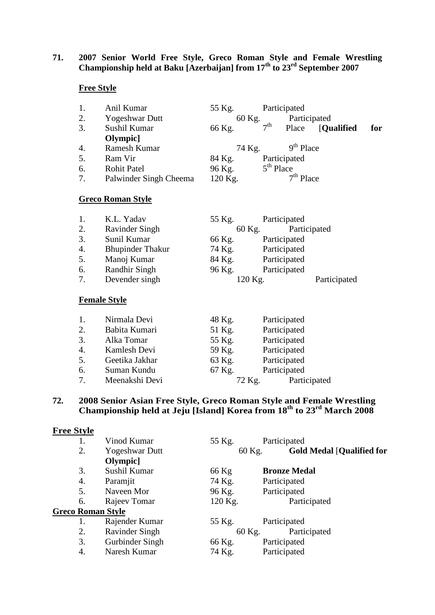### **71. 2007 Senior World Free Style, Greco Roman Style and Female Wrestling Championship held at Baku [Azerbaijan] from 17th to 23rd September 2007**

# **Free Style**

|    | Anil Kumar               | 55 Kg.  |                 | Participated |                   |     |
|----|--------------------------|---------|-----------------|--------------|-------------------|-----|
| 2. | <b>Yogeshwar Dutt</b>    | 60 Kg.  |                 | Participated |                   |     |
| 3. | Sushil Kumar             | 66 Kg.  | 7 <sup>th</sup> | Place        | <b>[Qualified</b> | for |
|    | Olympic]                 |         |                 |              |                   |     |
| 4. | Ramesh Kumar             | 74 Kg.  |                 | $9th$ Place  |                   |     |
| 5. | Ram Vir                  | 84 Kg.  |                 | Participated |                   |     |
| 6. | <b>Rohit Patel</b>       | 96 Kg.  |                 | $5th$ Place  |                   |     |
| 7. | Palwinder Singh Cheema   | 120 Kg. |                 | $7th$ Place  |                   |     |
|    |                          |         |                 |              |                   |     |
|    | <b>Greco Roman Style</b> |         |                 |              |                   |     |

| 1. | K.L. Yadav              | 55 Kg. | Participated |              |
|----|-------------------------|--------|--------------|--------------|
| 2. | <b>Ravinder Singh</b>   | 60 Kg. |              | Participated |
| 3. | Sunil Kumar             | 66 Kg. | Participated |              |
| 4. | <b>Bhupinder Thakur</b> | 74 Kg. | Participated |              |
| 5. | Manoj Kumar             | 84 Kg. | Participated |              |
| 6. | Randhir Singh           | 96 Kg. | Participated |              |
| 7. | Devender singh          |        | 120 Kg.      | Participated |
|    |                         |        |              |              |

#### **Female Style**

|                | Nirmala Devi   | 48 Kg. | Participated |
|----------------|----------------|--------|--------------|
| 2.             | Babita Kumari  | 51 Kg. | Participated |
| 3.             | Alka Tomar     | 55 Kg. | Participated |
| 4.             | Kamlesh Devi   | 59 Kg. | Participated |
| 5.             | Geetika Jakhar | 63 Kg. | Participated |
| 6.             | Suman Kundu    | 67 Kg. | Participated |
| 7 <sub>1</sub> | Meenakshi Devi | 72 Kg. | Participated |

#### **72. 2008 Senior Asian Free Style, Greco Roman Style and Female Wrestling Championship held at Jeju [Island] Korea from 18th to 23rd March 2008**

#### **Free Style**

|                          | Vinod Kumar           | 55 Kg.  | Participated                     |
|--------------------------|-----------------------|---------|----------------------------------|
| 2.                       | <b>Yogeshwar Dutt</b> | 60 Kg.  | <b>Gold Medal [Qualified for</b> |
|                          | Olympic]              |         |                                  |
| 3.                       | Sushil Kumar          | 66 Kg   | <b>Bronze Medal</b>              |
| 4.                       | Paramjit              | 74 Kg.  | Participated                     |
| 5.                       | Naveen Mor            | 96 Kg.  | Participated                     |
| 6.                       | Rajeev Tomar          | 120 Kg. | Participated                     |
| <b>Greco Roman Style</b> |                       |         |                                  |
| 1.                       | Rajender Kumar        | 55 Kg.  | Participated                     |
| 2.                       | <b>Ravinder Singh</b> | 60 Kg.  | Participated                     |
| 3.                       | Gurbinder Singh       | 66 Kg.  | Participated                     |
| 4.                       | Naresh Kumar          | 74 Kg.  | Participated                     |
|                          |                       |         |                                  |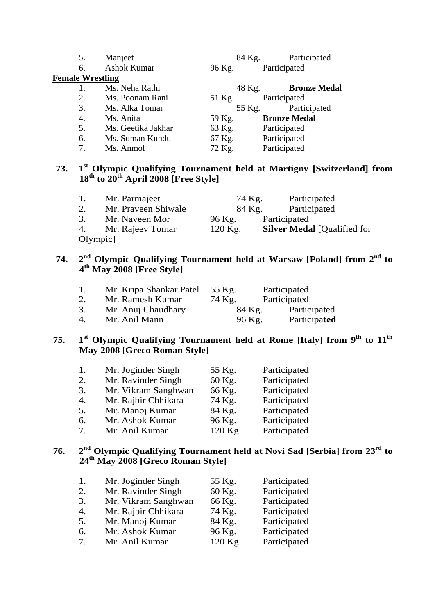| 5.                      | Manjeet            | 84 Kg. | Participated        |
|-------------------------|--------------------|--------|---------------------|
| 6.                      | Ashok Kumar        | 96 Kg. | Participated        |
| <b>Female Wrestling</b> |                    |        |                     |
| 1.                      | Ms. Neha Rathi     | 48 Kg. | <b>Bronze Medal</b> |
| 2.                      | Ms. Poonam Rani    | 51 Kg. | Participated        |
| 3.                      | Ms. Alka Tomar     | 55 Kg. | Participated        |
| 4.                      | Ms. Anita          | 59 Kg. | <b>Bronze Medal</b> |
| 5.                      | Ms. Geetika Jakhar | 63 Kg. | Participated        |
| 6.                      | Ms. Suman Kundu    | 67 Kg. | Participated        |
| 7.                      | Ms. Anmol          | 72 Kg. | Participated        |

# **73. 1st Olympic Qualifying Tournament held at Martigny [Switzerland] from 18th to 20th April 2008 [Free Style]**

| 1.       | Mr. Parmajeet       | 74 Kg.    | Participated                       |
|----------|---------------------|-----------|------------------------------------|
| 2.       | Mr. Praveen Shiwale | 84 Kg.    | Participated                       |
| 3.       | Mr. Naveen Mor      | 96 Kg.    | Participated                       |
|          | 4. Mr. Rajeev Tomar | $120$ Kg. | <b>Silver Medal [Qualified for</b> |
| Olympic] |                     |           |                                    |

# **74. 2nd Olympic Qualifying Tournament held at Warsaw [Poland] from 2nd to 4th May 2008 [Free Style]**

| 1. | Mr. Kripa Shankar Patel | 55 Kg. | Participated |
|----|-------------------------|--------|--------------|
|    | Mr. Ramesh Kumar        | 74 Kg. | Participated |
| 3. | Mr. Anuj Chaudhary      | 84 Kg. | Participated |
| 4. | Mr. Anil Mann           | 96 Kg. | Participated |

# **75. 1st Olympic Qualifying Tournament held at Rome [Italy] from 9th to 11th May 2008 [Greco Roman Style]**

| 1. | Mr. Joginder Singh  | 55 Kg.  | Participated |
|----|---------------------|---------|--------------|
| 2. | Mr. Ravinder Singh  | 60 Kg.  | Participated |
| 3. | Mr. Vikram Sanghwan | 66 Kg.  | Participated |
| 4. | Mr. Rajbir Chhikara | 74 Kg.  | Participated |
| 5. | Mr. Manoj Kumar     | 84 Kg.  | Participated |
| 6. | Mr. Ashok Kumar     | 96 Kg.  | Participated |
| 7. | Mr. Anil Kumar      | 120 Kg. | Participated |
|    |                     |         |              |

# **76. 2nd Olympic Qualifying Tournament held at Novi Sad [Serbia] from 23rd to 24th May 2008 [Greco Roman Style]**

| 1.                    | Mr. Joginder Singh  | 55 Kg.  | Participated |
|-----------------------|---------------------|---------|--------------|
| 2.                    | Mr. Ravinder Singh  | 60 Kg.  | Participated |
| 3.                    | Mr. Vikram Sanghwan | 66 Kg.  | Participated |
| $\mathcal{A}_{\cdot}$ | Mr. Rajbir Chhikara | 74 Kg.  | Participated |
| 5.                    | Mr. Manoj Kumar     | 84 Kg.  | Participated |
| 6.                    | Mr. Ashok Kumar     | 96 Kg.  | Participated |
| 7 <sub>1</sub>        | Mr. Anil Kumar      | 120 Kg. | Participated |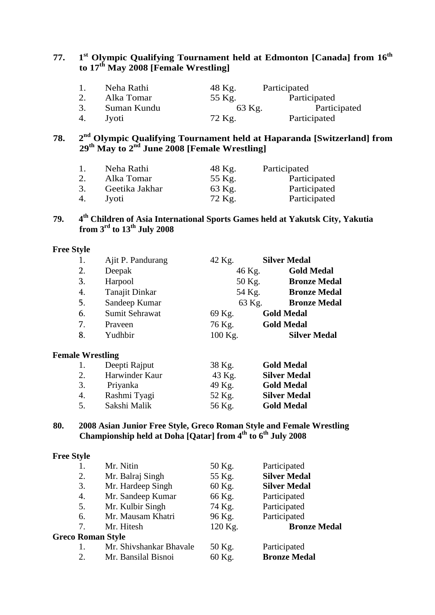# **77. 1st Olympic Qualifying Tournament held at Edmonton [Canada] from 16th to 17th May 2008 [Female Wrestling]**

|    | Neha Rathi  | 48 Kg. | Participated |
|----|-------------|--------|--------------|
| 2. | Alka Tomar  | 55 Kg. | Participated |
| 3. | Suman Kundu | 63 Kg. | Participated |
| 4. | Jvoti       | 72 Kg. | Participated |

# **78. 2nd Olympic Qualifying Tournament held at Haparanda [Switzerland] from 29th May to 2nd June 2008 [Female Wrestling]**

| $\overline{1}$ . | Neha Rathi     | 48 Kg. | Participated |
|------------------|----------------|--------|--------------|
| 2.               | Alka Tomar     | 55 Kg. | Participated |
| 3.               | Geetika Jakhar | 63 Kg. | Participated |
| 4.               | Jvoti          | 72 Kg. | Participated |

# **79. 4th Children of Asia International Sports Games held at Yakutsk City, Yakutia from 3rd to 13th July 2008**

#### **Free Style**

| 1. | Ajit P. Pandurang | 42 Kg.  | <b>Silver Medal</b> |
|----|-------------------|---------|---------------------|
| 2. | Deepak            | 46 Kg.  | <b>Gold Medal</b>   |
| 3. | Harpool           | 50 Kg.  | <b>Bronze Medal</b> |
| 4. | Tanajit Dinkar    | 54 Kg.  | <b>Bronze Medal</b> |
| 5. | Sandeep Kumar     | 63 Kg.  | <b>Bronze Medal</b> |
| 6. | Sumit Sehrawat    | 69 Kg.  | <b>Gold Medal</b>   |
| 7. | Praveen           | 76 Kg.  | <b>Gold Medal</b>   |
| 8. | Yudhbir           | 100 Kg. | <b>Silver Medal</b> |
|    |                   |         |                     |
|    |                   |         |                     |

# **Female Wrestling**

| 1. | Deepti Rajput  | 38 Kg. | <b>Gold Medal</b>   |
|----|----------------|--------|---------------------|
| 2. | Harwinder Kaur | 43 Kg. | <b>Silver Medal</b> |
| 3. | Priyanka       | 49 Kg. | <b>Gold Medal</b>   |
| 4. | Rashmi Tyagi   | 52 Kg. | <b>Silver Medal</b> |
| 5. | Sakshi Malik   | 56 Kg. | <b>Gold Medal</b>   |

#### **80. 2008 Asian Junior Free Style, Greco Roman Style and Female Wrestling Championship held at Doha [Qatar] from 4th to 6th July 2008**

#### **Free Style**

|                          | Mr. Nitin               | 50 Kg.  | Participated        |
|--------------------------|-------------------------|---------|---------------------|
| 2.                       | Mr. Balraj Singh        | 55 Kg.  | <b>Silver Medal</b> |
| 3.                       | Mr. Hardeep Singh       | 60 Kg.  | <b>Silver Medal</b> |
| 4.                       | Mr. Sandeep Kumar       | 66 Kg.  | Participated        |
| 5.                       | Mr. Kulbir Singh        | 74 Kg.  | Participated        |
| 6.                       | Mr. Mausam Khatri       | 96 Kg.  | Participated        |
| 7.                       | Mr. Hitesh              | 120 Kg. | <b>Bronze Medal</b> |
| <b>Greco Roman Style</b> |                         |         |                     |
| 1.                       | Mr. Shivshankar Bhavale | 50 Kg.  | Participated        |
| 2.                       | Mr. Bansilal Bisnoi     | 60 Kg.  | <b>Bronze Medal</b> |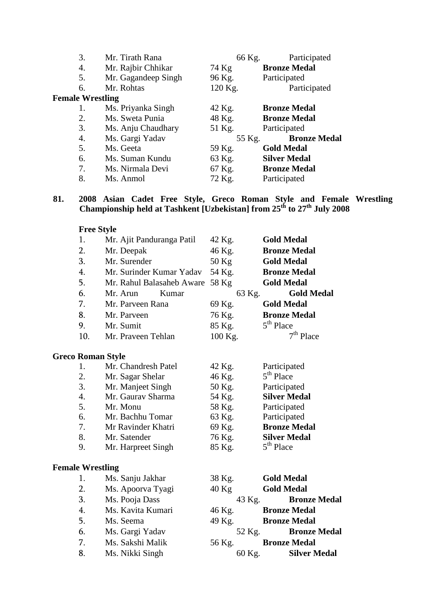| 3.                      | Mr. Tirath Rana     | 66 Kg.  | Participated        |
|-------------------------|---------------------|---------|---------------------|
| 4.                      | Mr. Rajbir Chhikar  | 74 Kg   | <b>Bronze Medal</b> |
| 5.                      | Mr. Gagandeep Singh | 96 Kg.  | Participated        |
| 6.                      | Mr. Rohtas          | 120 Kg. | Participated        |
| <b>Female Wrestling</b> |                     |         |                     |
| 1.                      | Ms. Priyanka Singh  | 42 Kg.  | <b>Bronze Medal</b> |
| 2.                      | Ms. Sweta Punia     | 48 Kg.  | <b>Bronze Medal</b> |
| 3.                      | Ms. Anju Chaudhary  | 51 Kg.  | Participated        |
| 4.                      | Ms. Gargi Yadav     | 55 Kg.  | <b>Bronze Medal</b> |
| 5.                      | Ms. Geeta           | 59 Kg.  | <b>Gold Medal</b>   |
| 6.                      | Ms. Suman Kundu     | 63 Kg.  | <b>Silver Medal</b> |
| 7.                      | Ms. Nirmala Devi    | 67 Kg.  | <b>Bronze Medal</b> |
| 8.                      | Ms. Anmol           | 72 Kg.  | Participated        |

#### **81. 2008 Asian Cadet Free Style, Greco Roman Style and Female Wrestling Championship held at Tashkent [Uzbekistan] from 25th to 27th July 2008**

| <b>Free Style</b>        |                           |         |                       |
|--------------------------|---------------------------|---------|-----------------------|
| 1.                       | Mr. Ajit Panduranga Patil | 42 Kg.  | <b>Gold Medal</b>     |
| 2.                       | Mr. Deepak                | 46 Kg.  | <b>Bronze Medal</b>   |
| 3.                       | Mr. Surender              | $50$ Kg | <b>Gold Medal</b>     |
| 4.                       | Mr. Surinder Kumar Yadav  | 54 Kg.  | <b>Bronze Medal</b>   |
| 5.                       | Mr. Rahul Balasaheb Aware | 58 Kg   | <b>Gold Medal</b>     |
| 6.                       | Mr. Arun<br>Kumar         | 63 Kg.  | <b>Gold Medal</b>     |
| 7.                       | Mr. Parveen Rana          | 69 Kg.  | <b>Gold Medal</b>     |
| 8.                       | Mr. Parveen               | 76 Kg.  | <b>Bronze Medal</b>   |
| 9.                       | Mr. Sumit                 | 85 Kg.  | 5 <sup>th</sup> Place |
| 10.                      | Mr. Praveen Tehlan        | 100 Kg. | $7th$ Place           |
| <b>Greco Roman Style</b> |                           |         |                       |
| 1.                       | Mr. Chandresh Patel       | 42 Kg.  | Participated          |
| 2.                       | Mr. Sagar Shelar          | 46 Kg.  | $5th$ Place           |
| 3.                       | Mr. Manjeet Singh         | 50 Kg.  | Participated          |
| 4.                       | Mr. Gaurav Sharma         | 54 Kg.  | <b>Silver Medal</b>   |
| 5.                       | Mr. Monu                  | 58 Kg.  | Participated          |
| 6.                       | Mr. Bachhu Tomar          | 63 Kg.  | Participated          |
| 7.                       | Mr Ravinder Khatri        | 69 Kg.  | <b>Bronze Medal</b>   |
| 8.                       | Mr. Satender              | 76 Kg.  | <b>Silver Medal</b>   |
| 9.                       | Mr. Harpreet Singh        | 85 Kg.  | 5 <sup>th</sup> Place |
| <b>Female Wrestling</b>  |                           |         |                       |
| 1.                       | Ms. Sanju Jakhar          | 38 Kg.  | <b>Gold Medal</b>     |
| 2.                       | Ms. Apoorva Tyagi         | $40$ Kg | <b>Gold Medal</b>     |
| 3.                       | Ms. Pooja Dass            | 43 Kg.  | <b>Bronze Medal</b>   |
| 4.                       | Ms. Kavita Kumari         | 46 Kg.  | <b>Bronze Medal</b>   |
| 5.                       | Ms. Seema                 | 49 Kg.  | <b>Bronze Medal</b>   |
| 6.                       | Ms. Gargi Yadav           | 52 Kg.  | <b>Bronze Medal</b>   |
| 7.                       | Ms. Sakshi Malik          | 56 Kg.  | <b>Bronze Medal</b>   |
| 8.                       | Ms. Nikki Singh           | 60 Kg.  | <b>Silver Medal</b>   |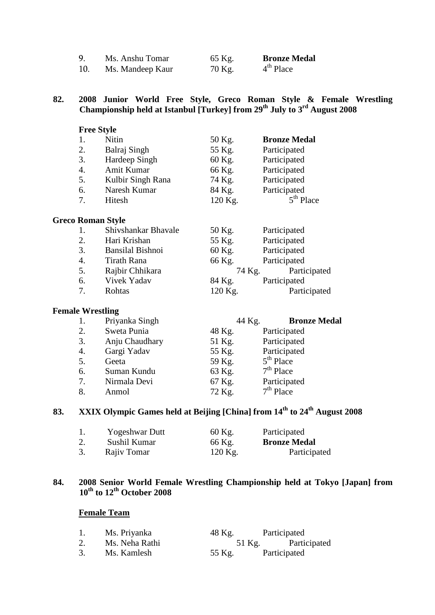|     | Ms. Anshu Tomar  | 65 Kg. | <b>Bronze Medal</b> |
|-----|------------------|--------|---------------------|
| 10. | Ms. Mandeep Kaur | 70 Kg. | $4th$ Place         |

#### **82. 2008 Junior World Free Style, Greco Roman Style & Female Wrestling Championship held at Istanbul [Turkey] from 29th July to 3rd August 2008**

| <b>Free Style</b>        |                         |         |                     |
|--------------------------|-------------------------|---------|---------------------|
| 1.                       | <b>Nitin</b>            | 50 Kg.  | <b>Bronze Medal</b> |
| 2.                       | Balraj Singh            | 55 Kg.  | Participated        |
| 3.                       | Hardeep Singh           | 60 Kg.  | Participated        |
| 4.                       | Amit Kumar              | 66 Kg.  | Participated        |
| 5.                       | Kulbir Singh Rana       | 74 Kg.  | Participated        |
| 6.                       | Naresh Kumar            | 84 Kg.  | Participated        |
| 7.                       | Hitesh                  | 120 Kg. | $5th$ Place         |
| <b>Greco Roman Style</b> |                         |         |                     |
| 1.                       | Shivshankar Bhavale     | 50 Kg.  | Participated        |
| 2.                       | Hari Krishan            | 55 Kg.  | Participated        |
| 3.                       | <b>Bansilal Bishnoi</b> | 60 Kg.  | Participated        |
| 4.                       | Tirath Rana             | 66 Kg.  | Participated        |
| 5.                       | Rajbir Chhikara         | 74 Kg.  | Participated        |
| 6.                       | Vivek Yadav             | 84 Kg.  | Participated        |
| 7.                       | Rohtas                  | 120 Kg. | Participated        |

# **Female Wrestling**

|    | Priyanka Singh | 44 Kg. | <b>Bronze Medal</b> |
|----|----------------|--------|---------------------|
| 2. | Sweta Punia    | 48 Kg. | Participated        |
| 3. | Anju Chaudhary | 51 Kg. | Participated        |
| 4. | Gargi Yadav    | 55 Kg. | Participated        |
| 5. | Geeta          | 59 Kg. | $5th$ Place         |
| 6. | Suman Kundu    | 63 Kg. | $7th$ Place         |
| 7. | Nirmala Devi   | 67 Kg. | Participated        |
| 8. | Anmol          | 72 Kg. | $7th$ Place         |

# **83. XXIX Olympic Games held at Beijing [China] from 14th to 24th August 2008**

|    | <b>Yogeshwar Dutt</b> | 60 Kg.    | Participated        |
|----|-----------------------|-----------|---------------------|
| 2. | Sushil Kumar          | 66 Kg.    | <b>Bronze Medal</b> |
|    | Rajiv Tomar           | $120$ Kg. | Participated        |

#### **84. 2008 Senior World Female Wrestling Championship held at Tokyo [Japan] from 10th to 12th October 2008**

#### **Female Team**

|    | Ms. Priyanka   | 48 Kg. | Participated |
|----|----------------|--------|--------------|
| 2. | Ms. Neha Rathi | 51 Kg. | Participated |
|    | Ms. Kamlesh    | 55 Kg. | Participated |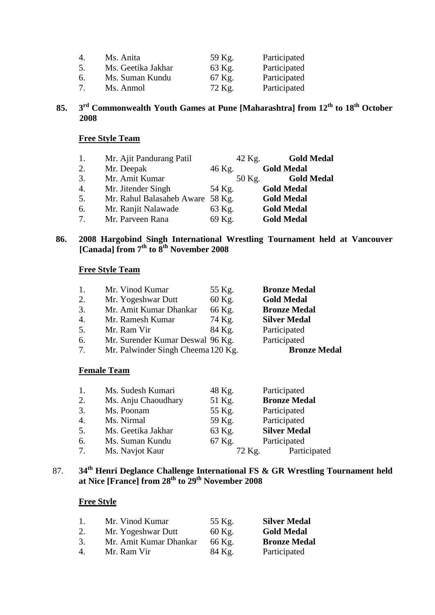| $\overline{4}$ . | Ms. Anita          | 59 Kg. | Participated |
|------------------|--------------------|--------|--------------|
| 5.               | Ms. Geetika Jakhar | 63 Kg. | Participated |
| 6.               | Ms. Suman Kundu    | 67 Kg. | Participated |
| 7 <sub>1</sub>   | Ms. Anmol          | 72 Kg. | Participated |

# **85. 3rd Commonwealth Youth Games at Pune [Maharashtra] from 12th to 18th October 2008**

#### **Free Style Team**

| 1.               | Mr. Ajit Pandurang Patil         | 42 Kg. | <b>Gold Medal</b> |
|------------------|----------------------------------|--------|-------------------|
| 2.               | Mr. Deepak                       | 46 Kg. | <b>Gold Medal</b> |
| 3.               | Mr. Amit Kumar                   | 50 Kg. | <b>Gold Medal</b> |
| $\overline{4}$ . | Mr. Jitender Singh               | 54 Kg. | <b>Gold Medal</b> |
| 5.               | Mr. Rahul Balasaheb Aware 58 Kg. |        | <b>Gold Medal</b> |
| 6.               | Mr. Ranjit Nalawade              | 63 Kg. | <b>Gold Medal</b> |
| 7.               | Mr. Parveen Rana                 | 69 Kg. | <b>Gold Medal</b> |

### **86. 2008 Hargobind Singh International Wrestling Tournament held at Vancouver [Canada] from 7th to 8th November 2008**

### **Free Style Team**

| 1. | Mr. Vinod Kumar                    | 55 Kg. | <b>Bronze Medal</b> |
|----|------------------------------------|--------|---------------------|
| 2. | Mr. Yogeshwar Dutt                 | 60 Kg. | <b>Gold Medal</b>   |
| 3. | Mr. Amit Kumar Dhankar             | 66 Kg. | <b>Bronze Medal</b> |
| 4. | Mr. Ramesh Kumar                   | 74 Kg. | <b>Silver Medal</b> |
| 5. | Mr. Ram Vir                        | 84 Kg. | Participated        |
| 6. | Mr. Surender Kumar Deswal 96 Kg.   |        | Participated        |
| 7. | Mr. Palwinder Singh Cheema 120 Kg. |        | <b>Bronze Medal</b> |

#### **Female Team**

| 1.               | Ms. Sudesh Kumari   | 48 Kg. | Participated        |
|------------------|---------------------|--------|---------------------|
| 2.               | Ms. Anju Chaoudhary | 51 Kg. | <b>Bronze Medal</b> |
| 3.               | Ms. Poonam          | 55 Kg. | Participated        |
| $\overline{4}$ . | Ms. Nirmal          | 59 Kg. | Participated        |
| 5.               | Ms. Geetika Jakhar  | 63 Kg. | <b>Silver Medal</b> |
| 6.               | Ms. Suman Kundu     | 67 Kg. | Participated        |
| 7.               | Ms. Navjot Kaur     | 72 Kg. | Participated        |

## 87. **34th Henri Deglance Challenge International FS & GR Wrestling Tournament held at Nice [France] from 28th to 29th November 2008**

| $\mathbf{1}$ . | Mr. Vinod Kumar        | 55 Kg. | <b>Silver Medal</b> |
|----------------|------------------------|--------|---------------------|
| 2.             | Mr. Yogeshwar Dutt     | 60 Kg. | <b>Gold Medal</b>   |
| 3.             | Mr. Amit Kumar Dhankar | 66 Kg. | <b>Bronze Medal</b> |
| 4.             | Mr. Ram Vir            | 84 Kg. | Participated        |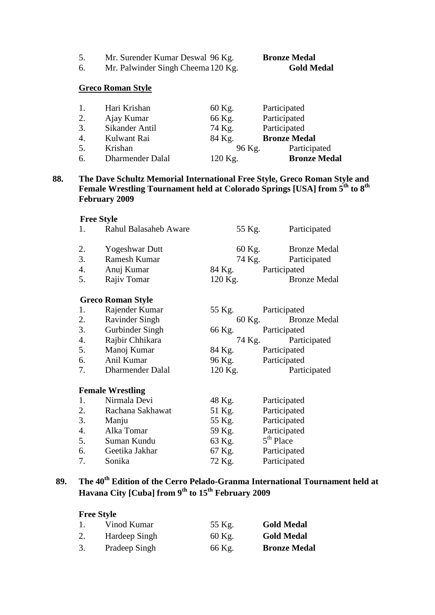5. Mr. Surender Kumar Deswal 96 Kg. **Bronze Medal**

6. Mr. Palwinder Singh Cheema120 Kg. **Gold Medal**

#### **Greco Roman Style**

| 1. | Hari Krishan     | 60 Kg.  | Participated        |
|----|------------------|---------|---------------------|
| 2. | Ajay Kumar       | 66 Kg.  | Participated        |
| 3. | Sikander Antil   | 74 Kg.  | Participated        |
| 4. | Kulwant Rai      | 84 Kg.  | <b>Bronze Medal</b> |
| 5. | Krishan          | 96 Kg.  | Participated        |
| 6. | Dharmender Dalal | 120 Kg. | <b>Bronze Medal</b> |

#### **88. The Dave Schultz Memorial International Free Style, Greco Roman Style and Female Wrestling Tournament held at Colorado Springs [USA] from 5th to 8th February 2009**

#### **Free Style**

| 1. | Rahul Balasaheb Aware    |         | 55 Kg. | Participated        |
|----|--------------------------|---------|--------|---------------------|
| 2. | Yogeshwar Dutt           |         | 60 Kg. | <b>Bronze Medal</b> |
| 3. | Ramesh Kumar             |         | 74 Kg. | Participated        |
| 4. | Anuj Kumar               |         |        | 84 Kg. Participated |
| 5. | Rajiv Tomar              | 120 Kg. |        | <b>Bronze Medal</b> |
|    | <b>Greco Roman Style</b> |         |        |                     |
| 1. | Rajender Kumar           |         |        | 55 Kg. Participated |
| 2. | <b>Ravinder Singh</b>    |         | 60 Kg. | <b>Bronze Medal</b> |
| 3. | Gurbinder Singh          | 66 Kg.  |        | Participated        |
| 4. | Rajbir Chhikara          |         |        | 74 Kg. Participated |
| 5. | Manoj Kumar              |         |        | 84 Kg. Participated |
| 6. | Anil Kumar               |         |        | 96 Kg. Participated |
| 7. | Dharmender Dalal         | 120 Kg. |        | Participated        |
|    | <b>Female Wrestling</b>  |         |        |                     |
| 1. | Nirmala Devi             | 48 Kg.  |        | Participated        |
| 2. | Rachana Sakhawat         | 51 Kg.  |        | Participated        |
| 3. | Manju                    | 55 Kg.  |        | Participated        |
| 4. | Alka Tomar               | 59 Kg.  |        | Participated        |
| 5. | Suman Kundu              | 63 Kg.  |        | $5th$ Place         |
| 6. | Geetika Jakhar           | 67 Kg.  |        | Participated        |
| 7. | Sonika                   | 72 Kg.  |        | Participated        |

# **89. The 40th Edition of the Cerro Pelado-Granma International Tournament held at Havana City [Cuba] from 9th to 15th February 2009**

|    | Vinod Kumar   | 55 Kg. | <b>Gold Medal</b>   |
|----|---------------|--------|---------------------|
| 2. | Hardeep Singh | 60 Kg. | <b>Gold Medal</b>   |
| 3. | Pradeep Singh | 66 Kg. | <b>Bronze Medal</b> |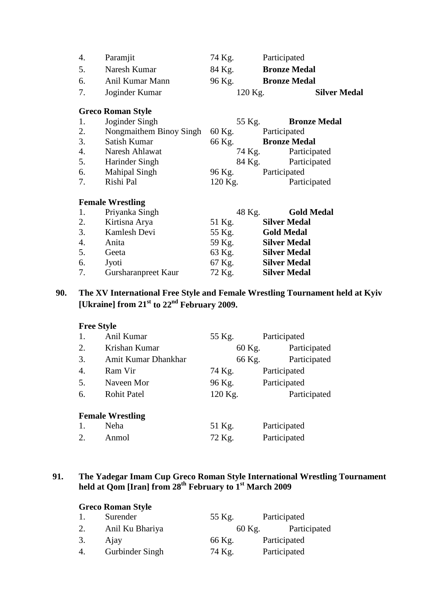|    | <b>Greco Roman Style</b> |        |                     |                     |
|----|--------------------------|--------|---------------------|---------------------|
| 7. | Joginder Kumar           |        | $120$ Kg.           | <b>Silver Medal</b> |
| 6. | Anil Kumar Mann          | 96 Kg. | <b>Bronze Medal</b> |                     |
| 5. | Naresh Kumar             | 84 Kg. | <b>Bronze Medal</b> |                     |
| 4. | Paramjit                 | 74 Kg. | Participated        |                     |

| 1.               | Joginder Singh          | 55 Kg.  | <b>Bronze Medal</b> |
|------------------|-------------------------|---------|---------------------|
| 2.               | Nongmaithem Binoy Singh | 60 Kg.  | Participated        |
| 3.               | Satish Kumar            | 66 Kg.  | <b>Bronze Medal</b> |
| $\overline{4}$ . | Naresh Ahlawat          | 74 Kg.  | Participated        |
| 5.               | Harinder Singh          | 84 Kg.  | Participated        |
| 6.               | <b>Mahipal Singh</b>    | 96 Kg.  | Participated        |
| 7.               | Rishi Pal               | 120 Kg. | Participated        |

#### **Female Wrestling**

| 1. | Priyanka Singh      |        | <b>Gold Medal</b><br>48 Kg. |
|----|---------------------|--------|-----------------------------|
| 2. | Kirtisna Arya       | 51 Kg. | <b>Silver Medal</b>         |
| 3. | Kamlesh Devi        | 55 Kg. | <b>Gold Medal</b>           |
| 4. | Anita               | 59 Kg. | <b>Silver Medal</b>         |
| 5. | Geeta               | 63 Kg. | <b>Silver Medal</b>         |
| 6. | Jyoti               | 67 Kg. | <b>Silver Medal</b>         |
| 7. | Gursharanpreet Kaur | 72 Kg. | <b>Silver Medal</b>         |

# **90. The XV International Free Style and Female Wrestling Tournament held at Kyiv [Ukraine] from 21st to 22nd February 2009.**

# **Free Style**

| 1.               | Anil Kumar              | 55 Kg.  | Participated           |  |
|------------------|-------------------------|---------|------------------------|--|
| 2.               | Krishan Kumar           | 60 Kg.  | Participated           |  |
| 3.               | Amit Kumar Dhankhar     |         | Participated<br>66 Kg. |  |
| $\overline{4}$ . | Ram Vir                 | 74 Kg.  | Participated           |  |
| 5.               | Naveen Mor              | 96 Kg.  | Participated           |  |
| 6.               | <b>Rohit Patel</b>      | 120 Kg. | Participated           |  |
|                  | <b>Female Wrestling</b> |         |                        |  |
| 1.               | Neha                    | 51 Kg.  | Participated           |  |

2. Anmol 72 Kg. Participated

### **91. The Yadegar Imam Cup Greco Roman Style International Wrestling Tournament held at Qom [Iran] from 28th February to 1st March 2009**

| <b>Greco Roman Style</b> |                 |        |              |  |  |  |
|--------------------------|-----------------|--------|--------------|--|--|--|
|                          | Surender        | 55 Kg. | Participated |  |  |  |
| 2.                       | Anil Ku Bhariya | 60 Kg. | Participated |  |  |  |
| 3.                       | Ajay            | 66 Kg. | Participated |  |  |  |
|                          | Gurbinder Singh | 74 Kg. | Participated |  |  |  |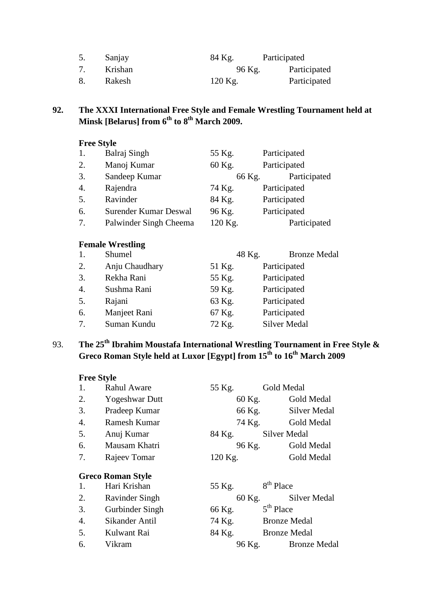| Sanjay  | 84 Kg.  | Participated |
|---------|---------|--------------|
| Krishan | 96 Kg.  | Participated |
| Rakesh  | 120 Kg. | Participated |

# **92. The XXXI International Free Style and Female Wrestling Tournament held at Minsk [Belarus] from 6th to 8th March 2009.**

# **Free Style**

| 1. | Balraj Singh           | 55 Kg.  | Participated |
|----|------------------------|---------|--------------|
| 2. | Manoj Kumar            | 60 Kg.  | Participated |
| 3. | Sandeep Kumar          | 66 Kg.  | Participated |
| 4. | Rajendra               | 74 Kg.  | Participated |
| 5. | Ravinder               | 84 Kg.  | Participated |
| 6. | Surender Kumar Deswal  | 96 Kg.  | Participated |
| 7. | Palwinder Singh Cheema | 120 Kg. | Participated |

|    | <b>Female Wrestling</b> |        |                     |  |  |  |  |
|----|-------------------------|--------|---------------------|--|--|--|--|
|    | Shumel                  | 48 Kg. | <b>Bronze Medal</b> |  |  |  |  |
| 2. | Anju Chaudhary          | 51 Kg. | Participated        |  |  |  |  |
| 3. | Rekha Rani              | 55 Kg. | Participated        |  |  |  |  |
| 4. | Sushma Rani             | 59 Kg. | Participated        |  |  |  |  |
| 5. | Rajani                  | 63 Kg. | Participated        |  |  |  |  |
| 6. | Manjeet Rani            | 67 Kg. | Participated        |  |  |  |  |
| 7. | Suman Kundu             | 72 Kg. | <b>Silver Medal</b> |  |  |  |  |

# 93. **The 25th Ibrahim Moustafa International Wrestling Tournament in Free Style & Greco Roman Style held at Luxor [Egypt] from 15th to 16th March 2009**

| 1. | <b>Rahul Aware</b>       | 55 Kg.  | Gold Medal            |
|----|--------------------------|---------|-----------------------|
| 2. | <b>Yogeshwar Dutt</b>    | 60 Kg.  | Gold Medal            |
| 3. | Pradeep Kumar            | 66 Kg.  | <b>Silver Medal</b>   |
| 4. | Ramesh Kumar             | 74 Kg.  | Gold Medal            |
| 5. | Anuj Kumar               | 84 Kg.  | Silver Medal          |
| 6. | Mausam Khatri            | 96 Kg.  | Gold Medal            |
| 7. | Rajeev Tomar             | 120 Kg. | Gold Medal            |
|    | <b>Greco Roman Style</b> |         |                       |
| 1. | Hari Krishan             | 55 Kg.  | 8 <sup>th</sup> Place |
| 2. | Ravinder Singh           | 60 Kg.  | Silver Medal          |
| 3. | Gurbinder Singh          | 66 Kg.  | 5 <sup>th</sup> Place |
| 4. | Sikander Antil           | 74 Kg.  | <b>Bronze Medal</b>   |
| 5. | Kulwant Rai              | 84 Kg.  | <b>Bronze Medal</b>   |
| 6. | Vikram                   | 96 Kg.  | <b>Bronze Medal</b>   |
|    |                          |         |                       |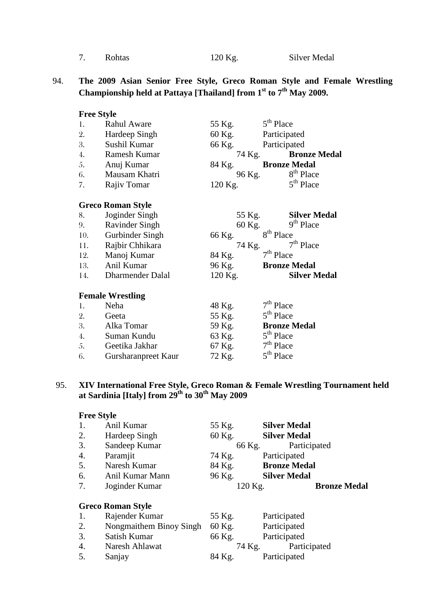| Rohtas |
|--------|
|        |

120 Kg. Silver Medal

## 94. **The 2009 Asian Senior Free Style, Greco Roman Style and Female Wrestling Championship held at Pattaya [Thailand] from 1st to 7th May 2009.**

| <b>Free Style</b> |                          |         |        |                       |                       |
|-------------------|--------------------------|---------|--------|-----------------------|-----------------------|
| 1.                | <b>Rahul Aware</b>       | 55 Kg.  |        | $5th$ Place           |                       |
| 2.                | Hardeep Singh            | 60 Kg.  |        | Participated          |                       |
| 3.                | Sushil Kumar             | 66 Kg.  |        | Participated          |                       |
| 4.                | Ramesh Kumar             |         |        | 74 Kg.                | <b>Bronze Medal</b>   |
| 5.                | Anuj Kumar               | 84 Kg.  |        | <b>Bronze Medal</b>   |                       |
| 6.                | Mausam Khatri            |         |        | 96 Kg.                | 8 <sup>th</sup> Place |
| 7.                | Rajiv Tomar              | 120 Kg. |        |                       | $5th$ Place           |
|                   | <b>Greco Roman Style</b> |         |        |                       |                       |
| 8.                | Joginder Singh           |         | 55 Kg. |                       | <b>Silver Medal</b>   |
| 9.                | Ravinder Singh           |         | 60 Kg. |                       | 9 <sup>th</sup> Place |
| 10.               | Gurbinder Singh          | 66 Kg.  |        | 8 <sup>th</sup> Place |                       |
| 11.               | Rajbir Chhikara          |         |        | 74 Kg.                | $7th$ Place           |
| 12.               | Manoj Kumar              | 84 Kg.  |        | $7th$ Place           |                       |
|                   | 13. Anil Kumar           | 96 Kg.  |        | <b>Bronze Medal</b>   |                       |
| 14.               | Dharmender Dalal         | 120 Kg. |        |                       | <b>Silver Medal</b>   |
|                   | <b>Female Wrestling</b>  |         |        |                       |                       |
| 1.                | Neha                     | 48 Kg.  |        | $7th$ Place           |                       |
| 2.                | <b>Geeta</b>             | 55 Kg.  |        | $5th$ Place           |                       |
| 3.                | Alka Tomar               | 59 Kg.  |        | <b>Bronze Medal</b>   |                       |
| 4.                | Suman Kundu              | 63 Kg.  |        | $5th$ Place           |                       |
| 5.                | Geetika Jakhar           | 67 Kg.  |        | $7th$ Place           |                       |
| 6.                | Gursharanpreet Kaur      | 72 Kg.  |        | 5 <sup>th</sup> Place |                       |

### 95. **XIV International Free Style, Greco Roman & Female Wrestling Tournament held at Sardinia [Italy] from 29th to 30th May 2009**

| <b>Free Style</b> |                          |        |                                |
|-------------------|--------------------------|--------|--------------------------------|
| 1.                | Anil Kumar               | 55 Kg. | <b>Silver Medal</b>            |
| 2.                | Hardeep Singh            | 60 Kg. | <b>Silver Medal</b>            |
| 3.                | Sandeep Kumar            |        | 66 Kg.<br>Participated         |
| 4.                | Paramjit                 | 74 Kg. | Participated                   |
| 5.                | Naresh Kumar             | 84 Kg. | <b>Bronze Medal</b>            |
| 6.                | Anil Kumar Mann          | 96 Kg. | <b>Silver Medal</b>            |
| 7.                | Joginder Kumar           |        | <b>Bronze Medal</b><br>120 Kg. |
|                   | <b>Greco Roman Style</b> |        |                                |
| 1.                | Rajender Kumar           | 55 Kg. | Participated                   |
| 2.                | Nongmaithem Binoy Singh  | 60 Kg. | Participated                   |
| $\mathcal{R}$     | Satish Kumar             | 66 K o | Particinated                   |

|    | Satish Kumar   |  | 66 Kg. | Participated |              |
|----|----------------|--|--------|--------------|--------------|
| 4. | Naresh Ahlawat |  |        | 74 Kg.       | Participated |
| 5. | Sanjay         |  | 84 Kg. | Participated |              |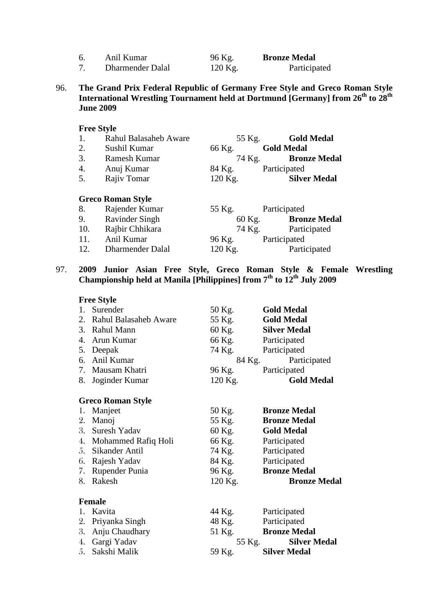| Anil Kumar       | 96 Kg.  | <b>Bronze Medal</b> |
|------------------|---------|---------------------|
| Dharmender Dalal | 120 Kg. | Participated        |

96. **The Grand Prix Federal Republic of Germany Free Style and Greco Roman Style International Wrestling Tournament held at Dortmund [Germany] from 26th to 28th June 2009**

#### **Free Style**

| 1. | <b>Rahul Balasaheb Aware</b> | 55 Kg.    | <b>Gold Medal</b>             |
|----|------------------------------|-----------|-------------------------------|
| 2. | Sushil Kumar                 | 66 Kg.    | <b>Gold Medal</b>             |
| 3. | Ramesh Kumar                 |           | <b>Bronze Medal</b><br>74 Kg. |
| 4. | Anuj Kumar                   | 84 Kg.    | Participated                  |
| 5. | Rajiv Tomar                  | $120$ Kg. | <b>Silver Medal</b>           |
|    |                              |           |                               |

#### **Greco Roman Style** 8. Rajender Kumar 55 Kg. Participated 9. Ravinder Singh 60 Kg. **Bronze Medal** 10. Rajbir Chhikara<br>10. Anil Kumar 196 Kg. 11. Anil Kumar 96 Kg. Participated 12. Dharmender Dalal 120 Kg. Participated

#### 97. **2009 Junior Asian Free Style, Greco Roman Style & Female Wrestling Championship held at Manila [Philippines] from 7th to 12th July 2009**

|    | <b>Free Style</b>        |         |                               |
|----|--------------------------|---------|-------------------------------|
|    | 1. Surender              | 50 Kg.  | <b>Gold Medal</b>             |
|    | 2. Rahul Balasaheb Aware | 55 Kg.  | <b>Gold Medal</b>             |
|    | 3. Rahul Mann            | 60 Kg.  | <b>Silver Medal</b>           |
|    | 4. Arun Kumar            | 66 Kg.  | Participated                  |
|    | 5. Deepak                | 74 Kg.  | Participated                  |
|    | 6. Anil Kumar            |         | 84 Kg.<br>Participated        |
|    | 7. Mausam Khatri         | 96 Kg.  | Participated                  |
| 8. | Joginder Kumar           | 120 Kg. | <b>Gold Medal</b>             |
|    | <b>Greco Roman Style</b> |         |                               |
| 1. | Manjeet                  | 50 Kg.  | <b>Bronze Medal</b>           |
| 2. | Manoj                    | 55 Kg.  | <b>Bronze Medal</b>           |
|    | 3. Suresh Yadav          | 60 Kg.  | <b>Gold Medal</b>             |
|    | 4. Mohammed Rafiq Holi   | 66 Kg.  | Participated                  |
|    | 5. Sikander Antil        | 74 Kg.  | Participated                  |
|    | 6. Rajesh Yadav          | 84 Kg.  | Participated                  |
|    | 7. Rupender Punia        | 96 Kg.  | <b>Bronze Medal</b>           |
| 8. | Rakesh                   | 120 Kg. | <b>Bronze Medal</b>           |
|    | <b>Female</b>            |         |                               |
| 1. | Kavita                   | 44 Kg.  | Participated                  |
|    | 2. Priyanka Singh        | 48 Kg.  | Participated                  |
| 3. | Anju Chaudhary           |         | 51 Kg. Bronze Medal           |
|    | 4. Gargi Yadav           |         | <b>Silver Medal</b><br>55 Kg. |
|    | 5. Sakshi Malik          | 59 Kg.  | <b>Silver Medal</b>           |
|    |                          |         |                               |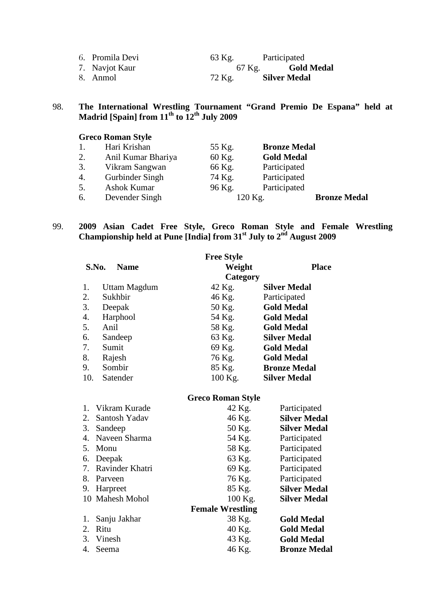| 6. Promila Devi | 63 Kg. | Participated             |
|-----------------|--------|--------------------------|
| 7. Navjot Kaur  |        | 67 Kg. <b>Gold Medal</b> |
| 8. Anmol        | 72 Kg. | <b>Silver Medal</b>      |

#### 98. **The International Wrestling Tournament "Grand Premio De Espana" held at Madrid [Spain] from 11th to 12th July 2009**

# **Greco Roman Style**

| 1. | Hari Krishan       | 55 Kg. | <b>Bronze Medal</b> |                     |
|----|--------------------|--------|---------------------|---------------------|
| 2. | Anil Kumar Bhariya | 60 Kg. | <b>Gold Medal</b>   |                     |
| 3. | Vikram Sangwan     | 66 Kg. | Participated        |                     |
| 4. | Gurbinder Singh    | 74 Kg. | Participated        |                     |
| 5. | Ashok Kumar        | 96 Kg. | Participated        |                     |
| 6. | Devender Singh     |        | 120 Kg.             | <b>Bronze Medal</b> |

### 99. **2009 Asian Cadet Free Style, Greco Roman Style and Female Wrestling Championship held at Pune [India] from 31st July to 2nd August 2009**

|       |              | <b>Free Style</b> |                     |
|-------|--------------|-------------------|---------------------|
| S.No. | <b>Name</b>  | Weight            | <b>Place</b>        |
|       |              | Category          |                     |
| 1.    | Uttam Magdum | 42 Kg.            | <b>Silver Medal</b> |
| 2.    | Sukhbir      | 46 Kg.            | Participated        |
| 3.    | Deepak       | 50 Kg.            | <b>Gold Medal</b>   |
| 4.    | Harphool     | 54 Kg.            | <b>Gold Medal</b>   |
| 5.    | Anil         | 58 Kg.            | <b>Gold Medal</b>   |
| 6.    | Sandeep      | 63 Kg.            | <b>Silver Medal</b> |
| 7.    | Sumit        | 69 Kg.            | <b>Gold Medal</b>   |
| 8.    | Rajesh       | 76 Kg.            | <b>Gold Medal</b>   |
| 9.    | Sombir       | 85 Kg.            | <b>Bronze Medal</b> |
| 10.   | Satender     | 100 Kg.           | <b>Silver Medal</b> |

# **Greco Roman Style**

| 1. Vikram Kurade   | 42 Kg.                  | Participated        |
|--------------------|-------------------------|---------------------|
| 2. Santosh Yadav   | 46 Kg.                  | <b>Silver Medal</b> |
| 3. Sandeep         | 50 Kg.                  | <b>Silver Medal</b> |
| 4. Naveen Sharma   | 54 Kg.                  | Participated        |
| 5. Monu            | 58 Kg.                  | Participated        |
| 6. Deepak          | 63 Kg.                  | Participated        |
| 7. Ravinder Khatri | 69 Kg.                  | Participated        |
| 8. Parveen         | 76 Kg.                  | Participated        |
| 9. Harpreet        | 85 Kg.                  | <b>Silver Medal</b> |
| 10 Mahesh Mohol    | $100$ Kg.               | <b>Silver Medal</b> |
|                    | <b>Female Wrestling</b> |                     |
| 1. Sanju Jakhar    | 38 Kg.                  | <b>Gold Medal</b>   |
| 2. Ritu            | 40 Kg.                  | <b>Gold Medal</b>   |
| 3. Vinesh          | 43 Kg.                  | <b>Gold Medal</b>   |
| 4. Seema           | 46 Kg.                  | <b>Bronze Medal</b> |
|                    |                         |                     |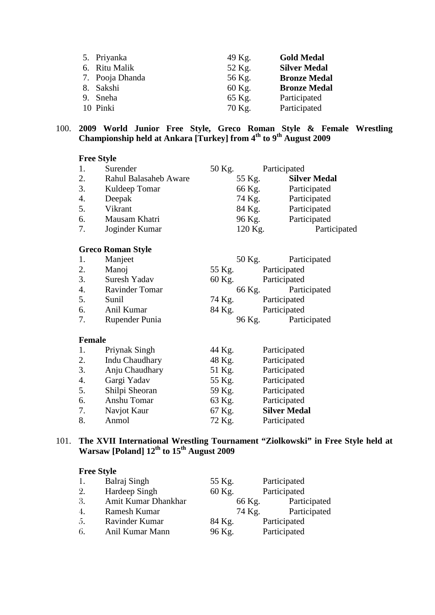| 5. Priyanka     | 49 Kg. | <b>Gold Medal</b>   |
|-----------------|--------|---------------------|
| 6. Ritu Malik   | 52 Kg. | <b>Silver Medal</b> |
| 7. Pooja Dhanda | 56 Kg. | <b>Bronze Medal</b> |
| 8. Sakshi       | 60 Kg. | <b>Bronze Medal</b> |
| 9. Sneha        | 65 Kg. | Participated        |
| 10 Pinki        | 70 Kg. | Participated        |

#### 100. **2009 World Junior Free Style, Greco Roman Style & Female Wrestling Championship held at Ankara [Turkey] from 4th to 9th August 2009**

#### **Free Style**

| 1. | Surender              | 50 Kg.  | Participated        |
|----|-----------------------|---------|---------------------|
| 2. | Rahul Balasaheb Aware | 55 Kg.  | <b>Silver Medal</b> |
| 3. | Kuldeep Tomar         | 66 Kg.  | Participated        |
| 4. | Deepak                | 74 Kg.  | Participated        |
| 5. | Vikrant               | 84 Kg.  | Participated        |
| 6. | Mausam Khatri         | 96 Kg.  | Participated        |
| 7. | Joginder Kumar        | 120 Kg. | Participated        |

## **Greco Roman Style**

| 1. | Manjeet        | 50 Kg. | Participated |
|----|----------------|--------|--------------|
| 2. | Manoj          | 55 Kg. | Participated |
| 3. | Suresh Yadav   | 60 Kg. | Participated |
| 4. | Ravinder Tomar | 66 Kg. | Participated |
| 5. | Sunil          | 74 Kg. | Participated |
| 6. | Anil Kumar     | 84 Kg. | Participated |
| 7. | Rupender Punia | 96 Kg. | Participated |
|    |                |        |              |

#### **Female**

| 1.               | Priynak Singh         | 44 Kg. | Participated        |
|------------------|-----------------------|--------|---------------------|
| 2.               | <b>Indu Chaudhary</b> | 48 Kg. | Participated        |
| 3.               | Anju Chaudhary        | 51 Kg. | Participated        |
| $\overline{4}$ . | Gargi Yadav           | 55 Kg. | Participated        |
| 5.               | Shilpi Sheoran        | 59 Kg. | Participated        |
| 6.               | Anshu Tomar           | 63 Kg. | Participated        |
| 7.               | Navjot Kaur           | 67 Kg. | <b>Silver Medal</b> |
| 8.               | Anmol                 | 72 Kg. | Participated        |

### 101. **The XVII International Wrestling Tournament "Ziolkowski" in Free Style held at Warsaw [Poland] 12th to 15th August 2009**

| 1. | Balraj Singh        | 55 Kg. | Participated |
|----|---------------------|--------|--------------|
| 2. | Hardeep Singh       | 60 Kg. | Participated |
| 3. | Amit Kumar Dhankhar | 66 Kg. | Participated |
| 4. | Ramesh Kumar        | 74 Kg. | Participated |
| 5. | Ravinder Kumar      | 84 Kg. | Participated |
| 6. | Anil Kumar Mann     | 96 Kg. | Participated |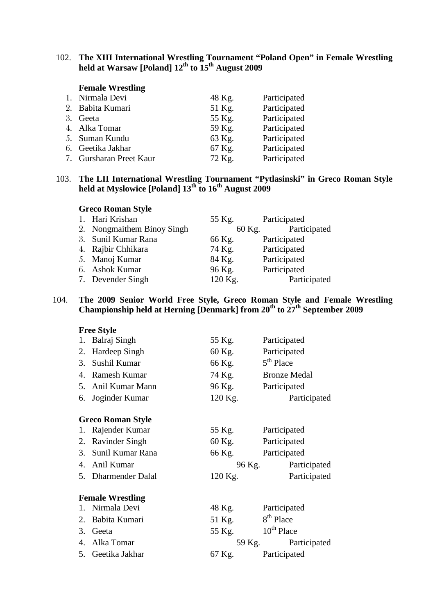#### 102. **The XIII International Wrestling Tournament "Poland Open" in Female Wrestling held at Warsaw [Poland] 12th to 15th August 2009**

## **Female Wrestling**

| 1. Nirmala Devi         | 48 Kg. | Participated |
|-------------------------|--------|--------------|
| 2. Babita Kumari        | 51 Kg. | Participated |
| 3. Geeta                | 55 Kg. | Participated |
| 4. Alka Tomar           | 59 Kg. | Participated |
| 5. Suman Kundu          | 63 Kg. | Participated |
| 6. Geetika Jakhar       | 67 Kg. | Participated |
| 7. Gursharan Preet Kaur | 72 Kg. | Participated |
|                         |        |              |

#### 103. **The LII International Wrestling Tournament "Pytlasinski" in Greco Roman Style held at Myslowice [Poland] 13th to 16th August 2009**

#### **Greco Roman Style**

| 1. Hari Krishan            | 55 Kg.  | Participated |
|----------------------------|---------|--------------|
| 2. Nongmaithem Binoy Singh | 60 Kg.  | Participated |
| 3. Sunil Kumar Rana        | 66 Kg.  | Participated |
| 4. Rajbir Chhikara         | 74 Kg.  | Participated |
| 5. Manoj Kumar             | 84 Kg.  | Participated |
| 6. Ashok Kumar             | 96 Kg.  | Participated |
| 7. Devender Singh          | 120 Kg. | Participated |

#### 104. **The 2009 Senior World Free Style, Greco Roman Style and Female Wrestling Championship held at Herning [Denmark] from 20th to 27th September 2009**

|                      | <b>Free Style</b>        |                        |                       |  |  |
|----------------------|--------------------------|------------------------|-----------------------|--|--|
|                      | 1. Balraj Singh          | 55 Kg.                 | Participated          |  |  |
| 2.                   | Hardeep Singh            | 60 Kg.                 | Participated          |  |  |
| 3.                   | Sushil Kumar             | 66 Kg.                 | $5th$ Place           |  |  |
| 4.                   | <b>Ramesh Kumar</b>      | 74 Kg.                 | <b>Bronze Medal</b>   |  |  |
|                      | 5. Anil Kumar Mann       | 96 Kg.                 | Participated          |  |  |
| 6.                   | Joginder Kumar           | 120 Kg.                | Participated          |  |  |
|                      | <b>Greco Roman Style</b> |                        |                       |  |  |
|                      | 1. Rajender Kumar        |                        |                       |  |  |
|                      |                          | 55 Kg.                 | Participated          |  |  |
| 2.                   | <b>Ravinder Singh</b>    | 60 Kg.                 | Participated          |  |  |
| 3.                   | Sunil Kumar Rana         | 66 Kg. Participated    |                       |  |  |
| $\mathbf{4}_{\cdot}$ | Anil Kumar               |                        | 96 Kg. Participated   |  |  |
|                      | 5. Dharmender Dalal      | 120 Kg.                | Participated          |  |  |
|                      | <b>Female Wrestling</b>  |                        |                       |  |  |
|                      | 1. Nirmala Devi          | 48 Kg.                 | Participated          |  |  |
| 2.                   | Babita Kumari            | 51 Kg.                 | 8 <sup>th</sup> Place |  |  |
| 3.                   | Geeta                    | 55 Kg. $10^{th}$ Place |                       |  |  |
|                      | 4. Alka Tomar            |                        | 59 Kg. Participated   |  |  |
| 5.                   | Geetika Jakhar           | 67 Kg.                 | Participated          |  |  |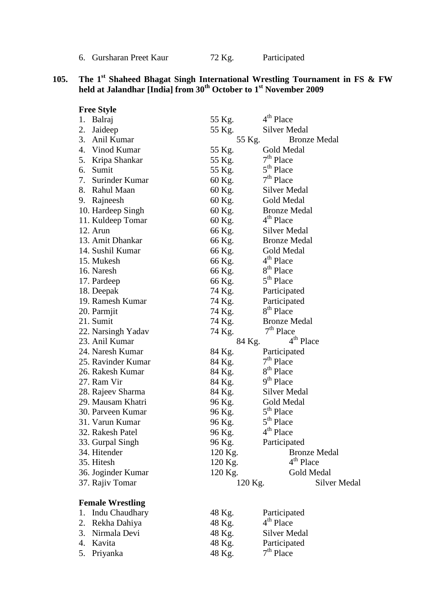6. Gursharan Preet Kaur 72 Kg. Participated

### **105. The 1st Shaheed Bhagat Singh International Wrestling Tournament in FS & FW held at Jalandhar [India] from 30th October to 1st November 2009**

|    | <b>Free Style</b>       |         |                                       |
|----|-------------------------|---------|---------------------------------------|
|    | 1. Balraj               | 55 Kg.  | 4 <sup>th</sup> Place                 |
| 2. | Jaideep                 | 55 Kg.  | Silver Medal                          |
| 3. | Anil Kumar              | 55 Kg.  | <b>Bronze Medal</b>                   |
|    | 4. Vinod Kumar          | 55 Kg.  | Gold Medal                            |
| 5. | Kripa Shankar           | 55 Kg.  | $7th$ Place                           |
| 6. | Sumit                   | 55 Kg.  | 5 <sup>th</sup> Place                 |
|    | 7. Surinder Kumar       | 60 Kg.  | $7th$ Place                           |
|    | 8. Rahul Maan           | 60 Kg.  | Silver Medal                          |
|    | 9. Rajneesh             | 60 Kg.  | Gold Medal                            |
|    | 10. Hardeep Singh       | 60 Kg.  | <b>Bronze Medal</b>                   |
|    | 11. Kuldeep Tomar       | 60 Kg.  | 4 <sup>th</sup> Place                 |
|    | 12. Arun                | 66 Kg.  | Silver Medal                          |
|    | 13. Amit Dhankar        | 66 Kg.  | <b>Bronze Medal</b>                   |
|    | 14. Sushil Kumar        | 66 Kg.  | Gold Medal                            |
|    | 15. Mukesh              | 66 Kg.  | 4 <sup>th</sup> Place                 |
|    | 16. Naresh              | 66 Kg.  | 8 <sup>th</sup> Place                 |
|    | 17. Pardeep             | 66 Kg.  | 5 <sup>th</sup> Place                 |
|    | 18. Deepak              | 74 Kg.  | Participated                          |
|    | 19. Ramesh Kumar        | 74 Kg.  | Participated                          |
|    | 20. Parmjit             | 74 Kg.  | 8 <sup>th</sup> Place                 |
|    | 21. Sumit               | 74 Kg.  | <b>Bronze Medal</b>                   |
|    | 22. Narsingh Yadav      | 74 Kg.  | $7th$ Place                           |
|    | 23. Anil Kumar          | 84 Kg.  | 4 <sup>th</sup> Place                 |
|    | 24. Naresh Kumar        | 84 Kg.  | Participated                          |
|    | 25. Ravinder Kumar      | 84 Kg.  | $7th$ Place                           |
|    | 26. Rakesh Kumar        | 84 Kg.  | 8 <sup>th</sup> Place                 |
|    | 27. Ram Vir             | 84 Kg.  | 9 <sup>th</sup> Place                 |
|    | 28. Rajeev Sharma       | 84 Kg.  | Silver Medal                          |
|    | 29. Mausam Khatri       | 96 Kg.  | Gold Medal                            |
|    | 30. Parveen Kumar       | 96 Kg.  | 5 <sup>th</sup> Place                 |
|    | 31. Varun Kumar         | 96 Kg.  | 5 <sup>th</sup> Place                 |
|    | 32. Rakesh Patel        | 96 Kg.  | 4 <sup>th</sup> Place                 |
|    | 33. Gurpal Singh        | 96 Kg.  | Participated                          |
|    | 34. Hitender            | 120 Kg. | <b>Bronze Medal</b>                   |
|    | 35. Hitesh              | 120 Kg. | 4 <sup>th</sup> Place                 |
|    | 36. Joginder Kumar      | 120 Kg. | Gold Medal                            |
|    | 37. Rajiv Tomar         | 120 Kg. | <b>Silver Medal</b>                   |
|    |                         |         |                                       |
|    | <b>Female Wrestling</b> |         |                                       |
| 1. | Indu Chaudhary          | 48 Kg.  | Participated<br>4 <sup>th</sup> Place |
| 2. | Rekha Dahiya            | 48 Kg.  |                                       |
| 3. | Nirmala Devi            | 48 Kg.  | <b>Silver Medal</b>                   |
| 4. | Kavita                  | 48 Kg.  | Participated                          |
| 5. | Priyanka                | 48 Kg.  | $7th$ Place                           |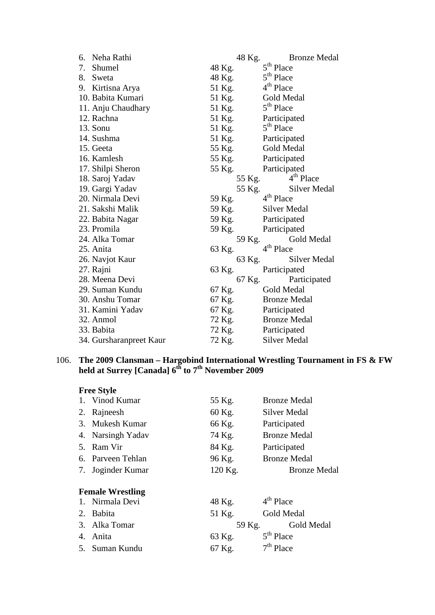| 6. | Neha Rathi              |        | 48 Kg. | <b>Bronze Medal</b>   |
|----|-------------------------|--------|--------|-----------------------|
| 7. | Shumel                  | 48 Kg. |        | 5 <sup>th</sup> Place |
| 8. | Sweta                   | 48 Kg. |        | 5 <sup>th</sup> Place |
|    | 9. Kirtisna Arya        | 51 Kg. |        | 4 <sup>th</sup> Place |
|    | 10. Babita Kumari       | 51 Kg. |        | Gold Medal            |
|    | 11. Anju Chaudhary      | 51 Kg. |        | 5 <sup>th</sup> Place |
|    | 12. Rachna              | 51 Kg. |        | Participated          |
|    | 13. Sonu                | 51 Kg. |        | 5 <sup>th</sup> Place |
|    | 14. Sushma              | 51 Kg. |        | Participated          |
|    | 15. Geeta               | 55 Kg. |        | Gold Medal            |
|    | 16. Kamlesh             | 55 Kg. |        | Participated          |
|    | 17. Shilpi Sheron       | 55 Kg. |        | Participated          |
|    | 18. Saroj Yadav         |        | 55 Kg. | $4th$ Place           |
|    | 19. Gargi Yadav         |        | 55 Kg. | <b>Silver Medal</b>   |
|    | 20. Nirmala Devi        | 59 Kg. |        | 4 <sup>th</sup> Place |
|    | 21. Sakshi Malik        | 59 Kg. |        | <b>Silver Medal</b>   |
|    | 22. Babita Nagar        | 59 Kg. |        | Participated          |
|    | 23. Promila             | 59 Kg. |        | Participated          |
|    | 24. Alka Tomar          |        | 59 Kg. | Gold Medal            |
|    | 25. Anita               | 63 Kg. |        | $4^{\text{th}}$ Place |
|    | 26. Navjot Kaur         |        | 63 Kg. | Silver Medal          |
|    | 27. Rajni               | 63 Kg. |        | Participated          |
|    | 28. Meena Devi          |        | 67 Kg. | Participated          |
|    | 29. Suman Kundu         | 67 Kg. |        | Gold Medal            |
|    | 30. Anshu Tomar         | 67 Kg. |        | <b>Bronze Medal</b>   |
|    | 31. Kamini Yadav        | 67 Kg. |        | Participated          |
|    | 32. Anmol               | 72 Kg. |        | <b>Bronze Medal</b>   |
|    | 33. Babita              | 72 Kg. |        | Participated          |
|    | 34. Gursharanpreet Kaur | 72 Kg. |        | <b>Silver Medal</b>   |

#### 106. **The 2009 Clansman – Hargobind International Wrestling Tournament in FS & FW held at Surrey [Canada] 6th to 7th November 2009**

|    | 1. Vinod Kumar          | 55 Kg.  | <b>Bronze Medal</b> |
|----|-------------------------|---------|---------------------|
| 2. | Rajneesh                | 60 Kg.  | Silver Medal        |
|    | 3. Mukesh Kumar         | 66 Kg.  | Participated        |
|    | 4. Narsingh Yadav       | 74 Kg.  | <b>Bronze Medal</b> |
|    | 5. Ram Vir              | 84 Kg.  | Participated        |
|    | 6. Parveen Tehlan       | 96 Kg.  | <b>Bronze Medal</b> |
|    | 7. Joginder Kumar       | 120 Kg. | <b>Bronze Medal</b> |
|    | <b>Female Wrestling</b> |         |                     |
|    | 1. Nirmala Devi         | 48 Kg.  | $4th$ Place         |
| 2. | <b>Babita</b>           | 51 Kg.  | Gold Medal          |
|    | 3. Alka Tomar           | 59 Kg.  | Gold Medal          |
| 4. | Anita                   | 63 Kg.  | $5th$ Place         |
|    | 5. Suman Kundu          | 67 Kg.  | $7th$ Place         |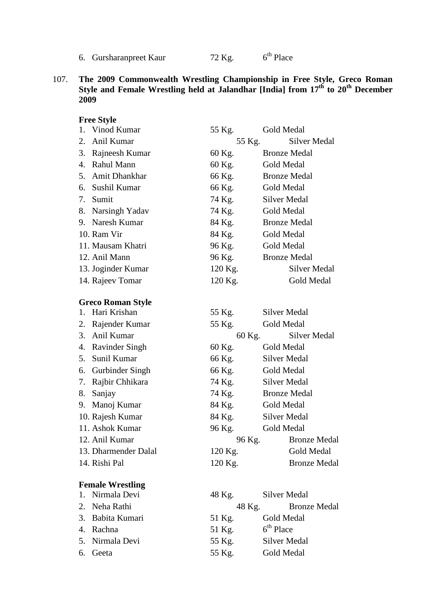107. **The 2009 Commonwealth Wrestling Championship in Free Style, Greco Roman Style and Female Wrestling held at Jalandhar [India] from 17th to 20th December 2009**

| <b>Free Style</b>        |         |                        |
|--------------------------|---------|------------------------|
| 1. Vinod Kumar           | 55 Kg.  | Gold Medal             |
| 2.<br>Anil Kumar         |         | Silver Medal<br>55 Kg. |
| 3. Rajneesh Kumar        | 60 Kg.  | <b>Bronze Medal</b>    |
| 4. Rahul Mann            | 60 Kg.  | Gold Medal             |
| 5. Amit Dhankhar         | 66 Kg.  | <b>Bronze Medal</b>    |
| 6. Sushil Kumar          | 66 Kg.  | Gold Medal             |
| 7. Sumit                 | 74 Kg.  | <b>Silver Medal</b>    |
| 8. Narsingh Yadav        | 74 Kg.  | Gold Medal             |
| 9. Naresh Kumar          | 84 Kg.  | <b>Bronze Medal</b>    |
| 10. Ram Vir              | 84 Kg.  | Gold Medal             |
| 11. Mausam Khatri        | 96 Kg.  | Gold Medal             |
| 12. Anil Mann            | 96 Kg.  | <b>Bronze Medal</b>    |
| 13. Joginder Kumar       | 120 Kg. | Silver Medal           |
| 14. Rajeev Tomar         | 120 Kg. | Gold Medal             |
| <b>Greco Roman Style</b> |         |                        |
| 1. Hari Krishan          | 55 Kg.  | <b>Silver Medal</b>    |
| 2. Rajender Kumar        | 55 Kg.  | Gold Medal             |
| 3. Anil Kumar            |         | Silver Medal<br>60 Kg. |
| 4. Ravinder Singh        | 60 Kg.  | Gold Medal             |
| 5.<br>Sunil Kumar        | 66 Kg.  | Silver Medal           |
| 6. Gurbinder Singh       | 66 Kg.  | Gold Medal             |
| Rajbir Chhikara<br>7.    | 74 Kg.  | <b>Silver Medal</b>    |
| 8.<br>Sanjay             | 74 Kg.  | <b>Bronze Medal</b>    |
| Manoj Kumar<br>9.        | 84 Kg.  | Gold Medal             |
| 10. Rajesh Kumar         | 84 Kg.  | <b>Silver Medal</b>    |
| 11. Ashok Kumar          | 96 Kg.  | Gold Medal             |
| 12. Anil Kumar           | 96 Kg.  | <b>Bronze Medal</b>    |
| 13. Dharmender Dalal     | 120 Kg. | Gold Medal             |
| 14. Rishi Pal            | 120 Kg. | <b>Bronze Medal</b>    |
| <b>Female Wrestling</b>  |         |                        |
| 1. Nirmala Devi          | 48 Kg.  | Silver Medal           |
| 2. Neha Rathi            |         | 48 Kg. Bronze Medal    |
| 3. Babita Kumari         | 51 Kg.  | Gold Medal             |
| 4. Rachna                | 51 Kg.  | $6th$ Place            |
| 5. Nirmala Devi          | 55 Kg.  | Silver Medal           |
| Geeta<br>6.              | 55 Kg.  | Gold Medal             |

<sup>6.</sup> Gursharanpreet Kaur  $72$  Kg. 6<sup>th</sup> Place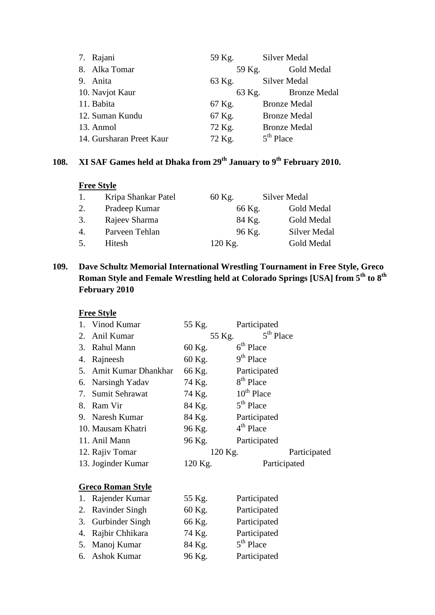| 7. Rajani                | 59 Kg. | Silver Medal                  |
|--------------------------|--------|-------------------------------|
| 8. Alka Tomar            | 59 Kg. | Gold Medal                    |
| 9. Anita                 | 63 Kg. | <b>Silver Medal</b>           |
| 10. Navjot Kaur          |        | <b>Bronze Medal</b><br>63 Kg. |
| 11. Babita               | 67 Kg. | <b>Bronze Medal</b>           |
| 12. Suman Kundu          | 67 Kg. | <b>Bronze Medal</b>           |
| 13. Anmol                | 72 Kg. | <b>Bronze Medal</b>           |
| 14. Gursharan Preet Kaur | 72 Kg. | $5th$ Place                   |

# **108. XI SAF Games held at Dhaka from 29th January to 9th February 2010.**

#### **Free Style**

| 1.             | Kripa Shankar Patel | 60 Kg.  | Silver Medal        |
|----------------|---------------------|---------|---------------------|
| 2.             | Pradeep Kumar       | 66 Kg.  | Gold Medal          |
| 3.             | Rajeev Sharma       | 84 Kg.  | Gold Medal          |
| $\mathbf{4}$ . | Parveen Tehlan      | 96 Kg.  | <b>Silver Medal</b> |
| 5.             | Hitesh              | 120 Kg. | Gold Medal          |

# **109. Dave Schultz Memorial International Wrestling Tournament in Free Style, Greco Roman Style and Female Wrestling held at Colorado Springs [USA] from 5th to 8th February 2010**

## **Free Style**

|    | 1. Vinod Kumar           | 55 Kg.  | Participated          |
|----|--------------------------|---------|-----------------------|
| 2. | Anil Kumar               | 55 Kg.  | 5 <sup>th</sup> Place |
| 3. | Rahul Mann               | 60 Kg.  | $6th$ Place           |
| 4. | Rajneesh                 | 60 Kg.  | 9 <sup>th</sup> Place |
| 5. | Amit Kumar Dhankhar      | 66 Kg.  | Participated          |
| 6. | Narsingh Yadav           | 74 Kg.  | 8 <sup>th</sup> Place |
| 7. | Sumit Sehrawat           | 74 Kg.  | $10^{th}$ Place       |
| 8. | Ram Vir                  | 84 Kg.  | $5th$ Place           |
|    | 9. Naresh Kumar          | 84 Kg.  | Participated          |
|    | 10. Mausam Khatri        | 96 Kg.  | $4th$ Place           |
|    | 11. Anil Mann            | 96 Kg.  | Participated          |
|    | 12. Rajiv Tomar          | 120 Kg. | Participated          |
|    | 13. Joginder Kumar       | 120 Kg. | Participated          |
|    |                          |         |                       |
|    | <b>Greco Roman Style</b> |         |                       |
| 1. | Rajender Kumar           | 55 Kg.  | Participated          |
| 2. | Ravinder Singh           | 60 Kg.  | Participated          |
| 3. | Gurbinder Singh          | 66 Kg.  | Participated          |
| 4. | Rajbir Chhikara          | 74 Kg.  | Participated          |
|    | 5. Manoj Kumar           | 84 Kg.  | 5 <sup>th</sup> Place |

6. Ashok Kumar 96 Kg. Participated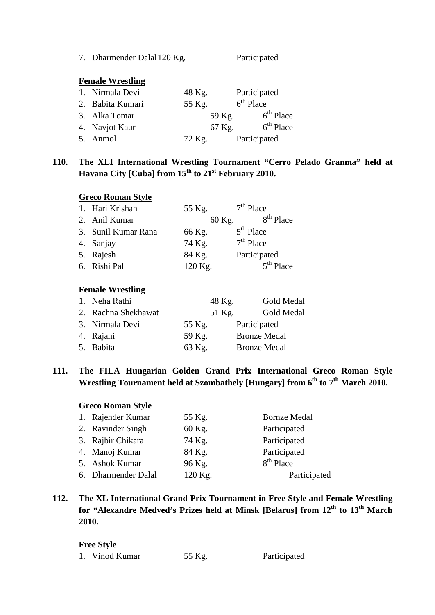7. Dharmender Dalal 120 Kg. Participated

#### **Female Wrestling**

| 1. Nirmala Devi  | 48 Kg. | Participated |
|------------------|--------|--------------|
| 2. Babita Kumari | 55 Kg. | $6th$ Place  |
| 3. Alka Tomar    | 59 Kg. | $6th$ Place  |
| 4. Navjot Kaur   | 67 Kg. | $6th$ Place  |
| 5. Anmol         | 72 Kg. | Participated |

# **110. The XLI International Wrestling Tournament "Cerro Pelado Granma" held at Havana City [Cuba] from 15th to 21st February 2010.**

### **Greco Roman Style**

| 1. Hari Krishan     | 55 Kg.  | $7th$ Place  |
|---------------------|---------|--------------|
| 2. Anil Kumar       | 60 Kg.  | $8th$ Place  |
| 3. Sunil Kumar Rana | 66 Kg.  | $5th$ Place  |
| 4. Sanjay           | 74 Kg.  | $7th$ Place  |
| 5. Rajesh           | 84 Kg.  | Participated |
| 6. Rishi Pal        | 120 Kg. | $5th$ Place  |

#### **Female Wrestling**

| 1. Neha Rathi       | 48 Kg. | Gold Medal          |
|---------------------|--------|---------------------|
| 2. Rachna Shekhawat | 51 Kg. | Gold Medal          |
| 3. Nirmala Devi     | 55 Kg. | Participated        |
| 4. Rajani           | 59 Kg. | <b>Bronze Medal</b> |
| 5. Babita           | 63 Kg. | <b>Bronze Medal</b> |
|                     |        |                     |

# **111. The FILA Hungarian Golden Grand Prix International Greco Roman Style**  Wrestling Tournament held at Szombathely [Hungary] from 6<sup>th</sup> to 7<sup>th</sup> March 2010.

#### **Greco Roman Style**

| 1. Rajender Kumar   | 55 Kg.  | <b>Bornze Medal</b>   |
|---------------------|---------|-----------------------|
| 2. Ravinder Singh   | 60 Kg.  | Participated          |
| 3. Rajbir Chikara   | 74 Kg.  | Participated          |
| 4. Manoj Kumar      | 84 Kg.  | Participated          |
| 5. Ashok Kumar      | 96 Kg.  | 8 <sup>th</sup> Place |
| 6. Dharmender Dalal | 120 Kg. | Participated          |

# **112. The XL International Grand Prix Tournament in Free Style and Female Wrestling for "Alexandre Medved's Prizes held at Minsk [Belarus] from 12th to 13th March 2010.**

| 55 Kg.<br>Participated<br>Vinod Kumar |
|---------------------------------------|
|---------------------------------------|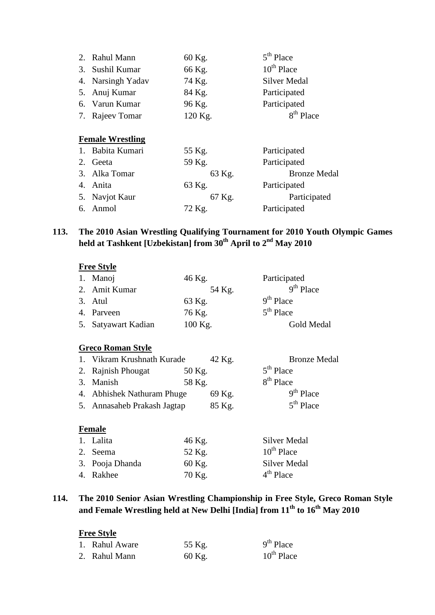| 2. Rahul Mann           | 60 Kg.  | 5 <sup>th</sup> Place |
|-------------------------|---------|-----------------------|
| 3. Sushil Kumar         | 66 Kg.  | $10^{th}$ Place       |
| 4. Narsingh Yadav       | 74 Kg.  | Silver Medal          |
| 5. Anuj Kumar           | 84 Kg.  | Participated          |
| 6. Varun Kumar          | 96 Kg.  | Participated          |
| 7. Rajeev Tomar         | 120 Kg. | 8 <sup>th</sup> Place |
| <b>Female Wrestling</b> |         |                       |
| 1. Babita Kumari        | 55 Kg.  | Participated          |
| 2. Geeta                | 59 Kg.  | Participated          |
| 3. Alka Tomar           | 63 Kg.  | <b>Bronze Medal</b>   |
| 4. Anita                | 63 Kg.  | Participated          |
| 5. Navjot Kaur          | 67 Kg.  | Participated          |
| 6. Anmol                | 72 Kg.  | Participated          |
|                         |         |                       |

### **113. The 2010 Asian Wrestling Qualifying Tournament for 2010 Youth Olympic Games held at Tashkent [Uzbekistan] from 30th April to 2nd May 2010**

#### **Free Style**

| 1. Manoj            | 46 Kg.  | Participated |
|---------------------|---------|--------------|
| 2. Amit Kumar       | 54 Kg.  | $9th$ Place  |
| 3. Atul             | 63 Kg.  | $9th$ Place  |
| 4. Parveen          | 76 Kg.  | $5th$ Place  |
| 5. Satyawart Kadian | 100 Kg. | Gold Medal   |

# **Greco Roman Style**

| 1. Vikram Krushnath Kurade  |        | $42$ Kg. | <b>Bronze Medal</b>   |
|-----------------------------|--------|----------|-----------------------|
| 2. Rajnish Phougat          | 50 Kg. |          | $5th$ Place           |
| 3. Manish                   | 58 Kg. |          | 8 <sup>th</sup> Place |
| 4. Abhishek Nathuram Phuge  |        | 69 Kg.   | $9th$ Place           |
| 5. Annasaheb Prakash Jagtap |        | 85 Kg.   | $5th$ Place           |

# **Female**

| 1. Lalita       | 46 Kg.   | Silver Medal        |
|-----------------|----------|---------------------|
| 2. Seema        | 52 Kg.   | $10^{th}$ Place     |
| 3. Pooja Dhanda | $60$ Kg. | <b>Silver Medal</b> |
| 4. Rakhee       | 70 Kg.   | $4th$ Place         |

# **114. The 2010 Senior Asian Wrestling Championship in Free Style, Greco Roman Style and Female Wrestling held at New Delhi [India] from 11th to 16th May 2010**

| 1. Rahul Aware | 55 Kg. | $9th$ Place     |
|----------------|--------|-----------------|
| 2. Rahul Mann  | 60 Kg. | $10^{th}$ Place |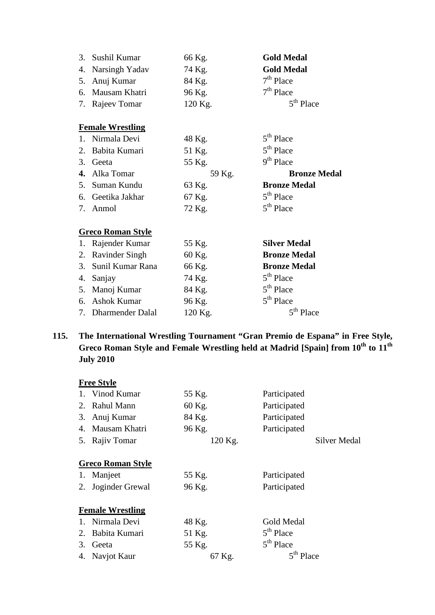| 3. | Sushil Kumar             | 66 Kg.  | <b>Gold Medal</b>     |
|----|--------------------------|---------|-----------------------|
| 4. | Narsingh Yadav           | 74 Kg.  | <b>Gold Medal</b>     |
| 5. | Anuj Kumar               | 84 Kg.  | $7th$ Place           |
| 6. | Mausam Khatri            | 96 Kg.  | $7th$ Place           |
| 7. | Rajeev Tomar             | 120 Kg. | 5 <sup>th</sup> Place |
|    | <b>Female Wrestling</b>  |         |                       |
| 1. | Nirmala Devi             | 48 Kg.  | 5 <sup>th</sup> Place |
| 2. | Babita Kumari            | 51 Kg.  | $5th$ Place           |
| 3. | Geeta                    | 55 Kg.  | $9th$ Place           |
| 4. | Alka Tomar               | 59 Kg.  | <b>Bronze Medal</b>   |
| 5. | Suman Kundu              | 63 Kg.  | <b>Bronze Medal</b>   |
| 6. | Geetika Jakhar           | 67 Kg.  | $5th$ Place           |
| 7. | Anmol                    | 72 Kg.  | $5th$ Place           |
|    | <b>Greco Roman Style</b> |         |                       |
| 1. | Rajender Kumar           | 55 Kg.  | <b>Silver Medal</b>   |
| 2. | <b>Ravinder Singh</b>    | 60 Kg.  | <b>Bronze Medal</b>   |
| 3. | Sunil Kumar Rana         | 66 Kg.  | <b>Bronze Medal</b>   |
| 4. | Sanjay                   | 74 Kg.  | 5 <sup>th</sup> Place |
|    | 5. Manoj Kumar           | 84 Kg.  | $5th$ Place           |
| 6. | <b>Ashok Kumar</b>       | 96 Kg.  | $5th$ Place           |
|    | 7. Dharmender Dalal      | 120 Kg. | 5 <sup>th</sup> Place |

# **115. The International Wrestling Tournament "Gran Premio de Espana" in Free Style, Greco Roman Style and Female Wrestling held at Madrid [Spain] from 10<sup>th</sup> to 11<sup>th</sup> July 2010**

|    | <b>Free Style</b>        |         |                       |  |  |  |
|----|--------------------------|---------|-----------------------|--|--|--|
|    | 1. Vinod Kumar           | 55 Kg.  | Participated          |  |  |  |
| 2. | Rahul Mann               | 60 Kg.  | Participated          |  |  |  |
|    | 3. Anuj Kumar            | 84 Kg.  | Participated          |  |  |  |
|    | 4. Mausam Khatri         | 96 Kg.  | Participated          |  |  |  |
|    | 5. Rajiv Tomar           | 120 Kg. | Silver Medal          |  |  |  |
|    |                          |         |                       |  |  |  |
|    | <b>Greco Roman Style</b> |         |                       |  |  |  |
| 1. | Manjeet                  | 55 Kg.  | Participated          |  |  |  |
| 2. | Joginder Grewal          | 96 Kg.  | Participated          |  |  |  |
|    |                          |         |                       |  |  |  |
|    | <b>Female Wrestling</b>  |         |                       |  |  |  |
|    | 1. Nirmala Devi          | 48 Kg.  | Gold Medal            |  |  |  |
|    | 2. Babita Kumari         | 51 Kg.  | $5th$ Place           |  |  |  |
| 3. | Geeta                    | 55 Kg.  | $5th$ Place           |  |  |  |
|    | 4. Navjot Kaur           | 67 Kg.  | 5 <sup>th</sup> Place |  |  |  |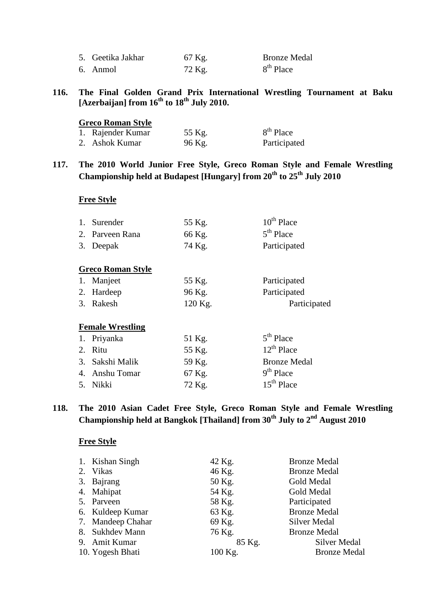| 5. Geetika Jakhar | 67 Kg. | <b>Bronze Medal</b>   |
|-------------------|--------|-----------------------|
| 6. Anmol          | 72 Kg. | 8 <sup>th</sup> Place |

## **116. The Final Golden Grand Prix International Wrestling Tournament at Baku [Azerbaijan] from 16th to 18th July 2010.**

#### **Greco Roman Style**

| 1. Rajender Kumar | 55 Kg. | 8 <sup>th</sup> Place |
|-------------------|--------|-----------------------|
| 2. Ashok Kumar    | 96 Kg. | Participated          |

# **117. The 2010 World Junior Free Style, Greco Roman Style and Female Wrestling Championship held at Budapest [Hungary] from 20th to 25th July 2010**

#### **Free Style**

|                         | Surender<br>2. Parveen Rana<br>3. Deepak | 55 Kg.<br>66 Kg.<br>74 Kg. | $10^{th}$ Place<br>$5th$ Place<br>Participated |  |  |  |
|-------------------------|------------------------------------------|----------------------------|------------------------------------------------|--|--|--|
| 1.                      | <b>Greco Roman Style</b>                 |                            |                                                |  |  |  |
|                         | Manjeet                                  | 55 Kg.                     | Participated                                   |  |  |  |
| 2.                      | Hardeep                                  | 96 Kg.                     | Participated                                   |  |  |  |
| 3.                      | Rakesh                                   | 120 Kg.                    | Participated                                   |  |  |  |
| <b>Female Wrestling</b> |                                          |                            |                                                |  |  |  |

| 1. Priyanka     | 51 Kg. | $5th$ Place         |
|-----------------|--------|---------------------|
| 2. Ritu         | 55 Kg. | $12^{th}$ Place     |
| 3. Sakshi Malik | 59 Kg. | <b>Bronze Medal</b> |
| 4. Anshu Tomar  | 67 Kg. | $9th$ Place         |
| 5. Nikki        | 72 Kg. | $15th$ Place        |

# **118. The 2010 Asian Cadet Free Style, Greco Roman Style and Female Wrestling Championship held at Bangkok [Thailand] from 30th July to 2nd August 2010**

| 1. Kishan Singh   | 42 Kg.  | <b>Bronze Medal</b> |
|-------------------|---------|---------------------|
| 2. Vikas          | 46 Kg.  | <b>Bronze Medal</b> |
| 3. Bajrang        | 50 Kg.  | Gold Medal          |
| 4. Mahipat        | 54 Kg.  | Gold Medal          |
| 5. Parveen        | 58 Kg.  | Participated        |
| 6. Kuldeep Kumar  | 63 Kg.  | <b>Bronze Medal</b> |
| 7. Mandeep Chahar | 69 Kg.  | Silver Medal        |
| 8. Sukhdev Mann   | 76 Kg.  | <b>Bronze Medal</b> |
| 9. Amit Kumar     | 85 Kg.  | Silver Medal        |
| 10. Yogesh Bhati  | 100 Kg. | <b>Bronze Medal</b> |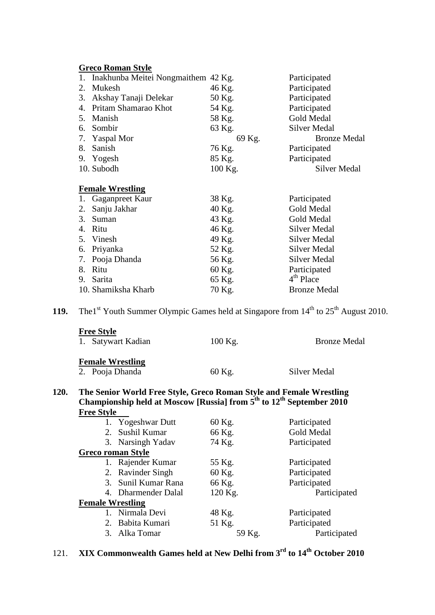|    | <b>Greco Roman Style</b>               |         |                       |  |  |
|----|----------------------------------------|---------|-----------------------|--|--|
|    | 1. Inakhunba Meitei Nongmaithem 42 Kg. |         | Participated          |  |  |
| 2. | Mukesh                                 | 46 Kg.  | Participated          |  |  |
| 3. | Akshay Tanaji Delekar                  | 50 Kg.  | Participated          |  |  |
| 4. | Pritam Shamarao Khot                   | 54 Kg.  | Participated          |  |  |
| 5. | Manish                                 | 58 Kg.  | Gold Medal            |  |  |
| 6. | Sombir                                 | 63 Kg.  | <b>Silver Medal</b>   |  |  |
| 7. | <b>Yaspal Mor</b>                      | 69 Kg.  | <b>Bronze Medal</b>   |  |  |
| 8. | Sanish                                 | 76 Kg.  | Participated          |  |  |
| 9. | Yogesh                                 | 85 Kg.  | Participated          |  |  |
|    | 10. Subodh                             | 100 Kg. | Silver Medal          |  |  |
|    |                                        |         |                       |  |  |
|    | <b>Female Wrestling</b>                |         |                       |  |  |
| 1. | Gaganpreet Kaur                        | 38 Kg.  | Participated          |  |  |
| 2. | Sanju Jakhar                           | 40 Kg.  | Gold Medal            |  |  |
| 3. | Suman                                  | 43 Kg.  | Gold Medal            |  |  |
| 4. | Ritu                                   | 46 Kg.  | Silver Medal          |  |  |
| 5. | Vinesh                                 | 49 Kg.  | <b>Silver Medal</b>   |  |  |
| 6. | Priyanka                               | 52 Kg.  | Silver Medal          |  |  |
| 7. | Pooja Dhanda                           | 56 Kg.  | <b>Silver Medal</b>   |  |  |
| 8. | Ritu                                   | 60 Kg.  | Participated          |  |  |
| 9. | Sarita                                 | 65 Kg.  | 4 <sup>th</sup> Place |  |  |
|    | 10. Shamiksha Kharb                    | 70 Kg.  | <b>Bronze Medal</b>   |  |  |

**119.** The<sup>1st</sup> Youth Summer Olympic Games held at Singapore from  $14<sup>th</sup>$  to  $25<sup>th</sup>$  August 2010.

| <b>Free Style</b><br>1. Satywart Kadian                             | $100$ Kg. | <b>Bronze Medal</b> |
|---------------------------------------------------------------------|-----------|---------------------|
| <b>Female Wrestling</b><br>2. Pooja Dhanda                          | 60 Kg.    | Silver Medal        |
| The Senior World Free Style, Greco Roman Style and Female Wrestling |           |                     |

#### **120. The Senior World Free Style, Greco Roman Style and Female Wrestling Championship held at Moscow [Russia] from 5th to 12th September 2010 Free Style**

|                         | 1. Yogeshwar Dutt        | 60 Kg.  | Participated |
|-------------------------|--------------------------|---------|--------------|
|                         | 2. Sushil Kumar          | 66 Kg.  | Gold Medal   |
|                         | 3. Narsingh Yadav        | 74 Kg.  | Participated |
|                         | <b>Greco roman Style</b> |         |              |
|                         | 1. Rajender Kumar        | 55 Kg.  | Participated |
|                         | 2. Ravinder Singh        | 60 Kg.  | Participated |
|                         | 3. Sunil Kumar Rana      | 66 Kg.  | Participated |
|                         | 4. Dharmender Dalal      | 120 Kg. | Participated |
| <b>Female Wrestling</b> |                          |         |              |
|                         | 1. Nirmala Devi          | 48 Kg.  | Participated |
|                         | 2. Babita Kumari         | 51 Kg.  | Participated |
|                         | 3. Alka Tomar            | 59 Kg.  | Participated |
|                         |                          |         |              |

# 121. **XIX Commonwealth Games held at New Delhi from 3rd to 14th October 2010**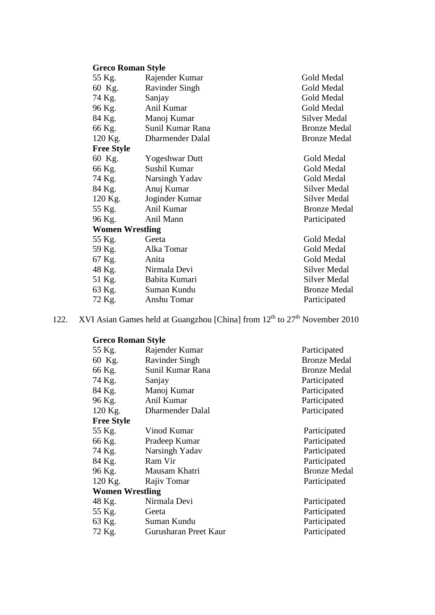# **Greco Roman Style**

| 55 Kg.                 | Rajender Kumar         | Gold Medal          |
|------------------------|------------------------|---------------------|
| 60 Kg.                 | Ravinder Singh         | Gold Medal          |
| 74 Kg.                 | Sanjay                 | Gold Medal          |
| 96 Kg.                 | Anil Kumar             | Gold Medal          |
| 84 Kg.                 | Manoj Kumar            | Silver Medal        |
| 66 Kg.                 | Sunil Kumar Rana       | <b>Bronze Medal</b> |
| 120 Kg.                | Dharmender Dalal       | <b>Bronze Medal</b> |
| <b>Free Style</b>      |                        |                     |
| 60 Kg.                 | <b>Yogeshwar Dutt</b>  | Gold Medal          |
| 66 Kg.                 | Sushil Kumar           | Gold Medal          |
| 74 Kg.                 | Narsingh Yadav         | Gold Medal          |
| 84 Kg.                 | Anuj Kumar             | Silver Medal        |
|                        | 120 Kg. Joginder Kumar | Silver Medal        |
| 55 Kg.                 | Anil Kumar             | <b>Bronze Medal</b> |
| 96 Kg.                 | Anil Mann              | Participated        |
| <b>Women Wrestling</b> |                        |                     |
| 55 Kg.                 | Geeta                  | Gold Medal          |
| 59 Kg.                 | Alka Tomar             | Gold Medal          |
| 67 Kg.                 | Anita                  | Gold Medal          |
| 48 Kg.                 | Nirmala Devi           | Silver Medal        |
| 51 Kg.                 | Babita Kumari          | <b>Silver Medal</b> |
| 63 Kg.                 | Suman Kundu            | <b>Bronze Medal</b> |
| 72 Kg.                 | Anshu Tomar            | Participated        |
|                        |                        |                     |

122. XVI Asian Games held at Guangzhou [China] from  $12<sup>th</sup>$  to  $27<sup>th</sup>$  November 2010

**Greco Roman Style**

| 55 Kg.                 | Rajender Kumar        | Participated        |
|------------------------|-----------------------|---------------------|
| 60 Kg.                 | <b>Ravinder Singh</b> | <b>Bronze Medal</b> |
| 66 Kg.                 | Sunil Kumar Rana      | <b>Bronze Medal</b> |
| 74 Kg.                 | Sanjay                | Participated        |
| 84 Kg.                 | Manoj Kumar           | Participated        |
| 96 Kg.                 | Anil Kumar            | Participated        |
| 120 Kg.                | Dharmender Dalal      | Participated        |
| <b>Free Style</b>      |                       |                     |
| 55 Kg.                 | Vinod Kumar           | Participated        |
| 66 Kg.                 | Pradeep Kumar         | Participated        |
| 74 Kg.                 | Narsingh Yadav        | Participated        |
| 84 Kg.                 | Ram Vir               | Participated        |
| 96 Kg.                 | Mausam Khatri         | <b>Bronze Medal</b> |
| $120$ Kg.              | Rajiv Tomar           | Participated        |
| <b>Women Wrestling</b> |                       |                     |
| 48 Kg.                 | Nirmala Devi          | Participated        |
| 55 Kg.                 | Geeta                 | Participated        |
| 63 Kg.                 | Suman Kundu           | Participated        |
| 72 Kg.                 | Gurusharan Preet Kaur | Participated        |
|                        |                       |                     |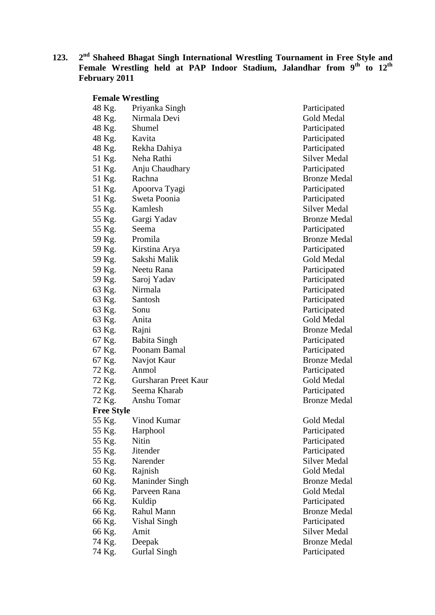**123. 2nd Shaheed Bhagat Singh International Wrestling Tournament in Free Style and Female Wrestling held at PAP Indoor Stadium, Jalandhar from 9th to 12th February 2011**

| <b>Female Wrestling</b> |                       |
|-------------------------|-----------------------|
| 48 Kg.                  | Priyanka Singh        |
| 48 Kg.                  | Nirmala Devi          |
| 48 Kg.                  | Shumel                |
| 48 Kg.                  | Kavita                |
| 48 Kg.                  | Rekha Dahiya          |
| 51 Kg.                  | Neha Rathi            |
| 51 Kg.                  | Anju Chaudhary        |
| 51 Kg.                  | Rachna                |
| 51 Kg.                  | Apoorva Tyagi         |
| 51 Kg.                  | Sweta Poonia          |
| 55 Kg.                  | Kamlesh               |
| 55 Kg.                  | Gargi Yadav           |
| 55 Kg.                  | Seema                 |
| 59 Kg.                  | Promila               |
| 59 Kg.                  | Kirstina Arya         |
| 59 Kg.                  | Sakshi Malik          |
| 59 Kg.                  | Neetu Rana            |
| 59 Kg.                  | - Saroj Yadav         |
| 63 Kg.                  | Nirmala               |
| 63 Kg.                  | Santosh               |
| 63 Kg.                  | Sonu                  |
| 63 Kg.                  | Anita                 |
| 63 Kg.                  | Rajni                 |
| 67 Kg.                  | <b>Babita Singh</b>   |
| 67 Kg.                  | Poonam Bamal          |
| 67 Kg.                  | Navjot Kaur           |
| 72 Kg.                  | Anmol                 |
| 72 Kg.                  | Gursharan Preet Kau   |
| 72 Kg.                  | Seema Kharab          |
| 72 Kg.                  | Anshu Tomar           |
| <b>Free Style</b>       |                       |
| 55 Kg.                  | Vinod Kumar           |
| 55 Kg.                  | Harphool              |
| 55 Kg.                  | Nitin                 |
| 55 Kg.                  | <b>Jitender</b>       |
| 55 Kg.                  | Narender              |
| 60 Kg.                  | Rajnish               |
| 60 Kg.                  | <b>Maninder Singh</b> |
| 66 Kg.                  | Parveen Rana          |
| 66 Kg.                  | Kuldip                |
| 66 Kg.                  | Rahul Mann            |
| 66 Kg.                  | <b>Vishal Singh</b>   |
| 66 Kg.                  | Amit                  |
| 74 Kg.                  | Deepak                |

Participated Gold Medal Participated Participated Participated Silver Medal Participated Bronze Medal Participated Participated Silver Medal Bronze Medal Participated Bronze Medal Participated Gold Medal Participated Participated Participated Participated Participated Gold Medal Bronze Medal Participated Participated Bronze Medal Participated and Texas Cold Medal Participated Bronze Medal

Gold Medal Participated Participated Participated Silver Medal Gold Medal Bronze Medal Gold Medal Participated Bronze Medal Participated Silver Medal 74 Kg. Deepak Bronze Medal<br>74 Kg. Gurlal Singh Bronze Medal Participated **74 Gurlal Singh Participated**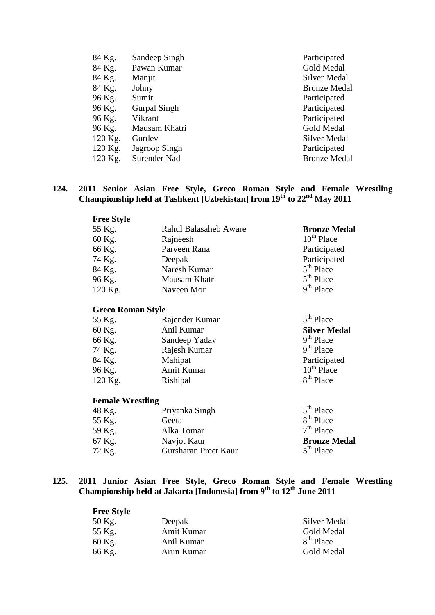| 84 Kg.  | Sandeep Singh       | Participated        |
|---------|---------------------|---------------------|
| 84 Kg.  | Pawan Kumar         | Gold Medal          |
| 84 Kg.  | Manjit              | Silver Medal        |
| 84 Kg.  | Johny               | <b>Bronze Medal</b> |
| 96 Kg.  | Sumit               | Participated        |
| 96 Kg.  | <b>Gurpal Singh</b> | Participated        |
| 96 Kg.  | Vikrant             | Participated        |
| 96 Kg.  | Mausam Khatri       | Gold Medal          |
| 120 Kg. | Gurdev              | Silver Medal        |
| 120 Kg. | Jagroop Singh       | Participated        |
| 120 Kg. | Surender Nad        | <b>Bronze Medal</b> |
|         |                     |                     |

#### **124. 2011 Senior Asian Free Style, Greco Roman Style and Female Wrestling Championship held at Tashkent [Uzbekistan] from 19th to 22nd May 2011**

| <b>Free Style</b>        |                              |                       |
|--------------------------|------------------------------|-----------------------|
| 55 Kg.                   | <b>Rahul Balasaheb Aware</b> | <b>Bronze Medal</b>   |
| 60 Kg.                   | Rajneesh                     | $10^{th}$ Place       |
| 66 Kg.                   | Parveen Rana                 | Participated          |
| 74 Kg.                   | Deepak                       | Participated          |
| 84 Kg.                   | Naresh Kumar                 | $5th$ Place           |
| 96 Kg.                   | Mausam Khatri                | $5th$ Place           |
| 120 Kg.                  | Naveen Mor                   | 9 <sup>th</sup> Place |
|                          |                              |                       |
| <b>Greco Roman Style</b> |                              |                       |
| 55 Kg.                   | Rajender Kumar               | 5 <sup>th</sup> Place |
| 60 Kg.                   | Anil Kumar                   | <b>Silver Medal</b>   |
| 66 Kg.                   | Sandeep Yadav                | 9 <sup>th</sup> Place |
| 74 Kg.                   | Rajesh Kumar                 | $9th$ Place           |
| 84 Kg.                   | Mahipat                      | Participated          |
| 96 Kg.                   | Amit Kumar                   | $10^{th}$ Place       |
| 120 Kg.                  | Rishipal                     | 8 <sup>th</sup> Place |
| <b>Female Wrestling</b>  |                              |                       |
| 48 Kg.                   | Priyanka Singh               | 5 <sup>th</sup> Place |
| 55 Kg.                   | Geeta                        | 8 <sup>th</sup> Place |
| 59 Kg.                   | Alka Tomar                   | $7th$ Place           |
| 67 Kg.                   | Navjot Kaur                  | <b>Bronze Medal</b>   |
| 72 Kg.                   | Gursharan Preet Kaur         | 5 <sup>th</sup> Place |
|                          |                              |                       |

#### **125. 2011 Junior Asian Free Style, Greco Roman Style and Female Wrestling Championship held at Jakarta [Indonesia] from 9th to 12th June 2011**

| <b>Free Style</b> |            |                       |
|-------------------|------------|-----------------------|
| 50 Kg.            | Deepak     | Silver Medal          |
| 55 Kg.            | Amit Kumar | Gold Medal            |
| 60 Kg.            | Anil Kumar | 8 <sup>th</sup> Place |
| 66 Kg.            | Arun Kumar | Gold Medal            |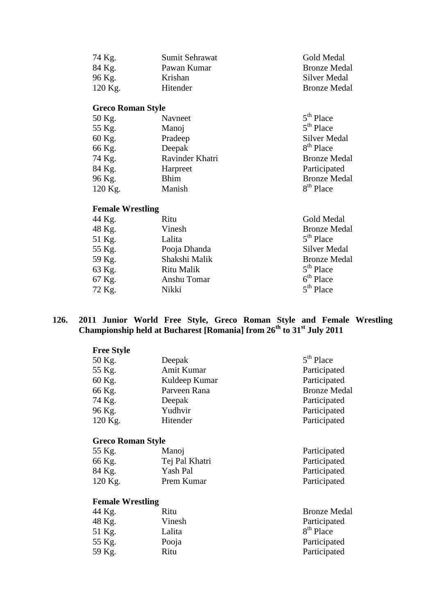| 74 Kg.                   | Sumit Sehrawat | Gold Medal          |
|--------------------------|----------------|---------------------|
| 84 Kg.                   | Pawan Kumar    | <b>Bronze Medal</b> |
| 96 Kg.                   | Krishan        | Silver Medal        |
| $120$ Kg.                | Hitender       | <b>Bronze Medal</b> |
| <b>Greco Roman Style</b> |                |                     |
| 50 Kg.                   | Navneet        | $5th$ Place         |
| 55 Kg.                   | Manoj          | $5th$ Place         |

| JJ Ng.  | <b>IVIAIIU</b>  | $J$ $\Gamma$ lact     |
|---------|-----------------|-----------------------|
| 60 Kg.  | Pradeep         | <b>Silver Medal</b>   |
| 66 Kg.  | Deepak          | $8th$ Place           |
| 74 Kg.  | Ravinder Khatri | <b>Bronze Medal</b>   |
| 84 Kg.  | Harpreet        | Participated          |
| 96 Kg.  | <b>Bhim</b>     | <b>Bronze Medal</b>   |
| 120 Kg. | Manish          | 8 <sup>th</sup> Place |
|         |                 |                       |

# **Female Wrestling**

| 44 Kg. | Ritu          | Gold Medal          |
|--------|---------------|---------------------|
| 48 Kg. | Vinesh        | <b>Bronze Medal</b> |
| 51 Kg. | Lalita        | $5th$ Place         |
| 55 Kg. | Pooja Dhanda  | <b>Silver Medal</b> |
| 59 Kg. | Shakshi Malik | <b>Bronze Medal</b> |
| 63 Kg. | Ritu Malik    | $5th$ Place         |
| 67 Kg. | Anshu Tomar   | $6th$ Place         |
| 72 Kg. | Nikki         | $5th$ Place         |
|        |               |                     |

#### **126. 2011 Junior World Free Style, Greco Roman Style and Female Wrestling Championship held at Bucharest [Romania] from 26th to 31st July 2011**

| Deepak                   | 5 <sup>th</sup> Place |
|--------------------------|-----------------------|
| Amit Kumar               | Participated          |
| Kuldeep Kumar            | Participated          |
| Parveen Rana             | <b>Bronze Medal</b>   |
| Deepak                   | Participated          |
| Yudhvir                  | Participated          |
| Hitender                 | Participated          |
| <b>Greco Roman Style</b> |                       |
| Manoj                    | Participated          |
| Tej Pal Khatri           | Participated          |
| Yash Pal                 | Participated          |
| Prem Kumar               | Participated          |
| <b>Female Wrestling</b>  |                       |
| Ritu                     | <b>Bronze Medal</b>   |
| Vinesh                   | Participated          |
| Lalita                   | 8 <sup>th</sup> Place |
| Pooja                    | Participated          |
| Ritu                     | Participated          |
|                          |                       |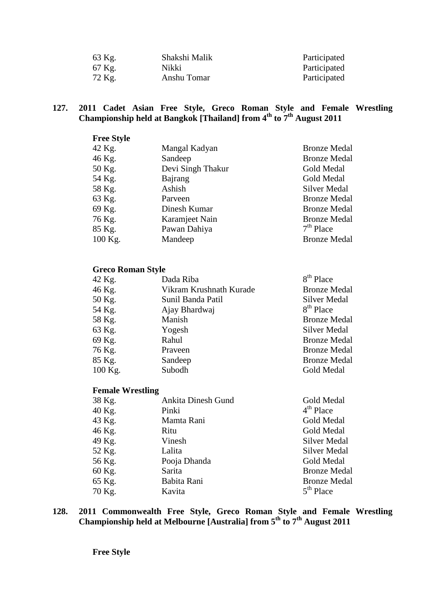| 63 Kg. | Shakshi Malik | Participated |
|--------|---------------|--------------|
| 67 Kg. | Nikki         | Participated |
| 72 Kg. | Anshu Tomar   | Participated |

#### **127. 2011 Cadet Asian Free Style, Greco Roman Style and Female Wrestling Championship held at Bangkok [Thailand] from 4th to 7th August 2011**

| <b>Free Style</b> |                   |                     |
|-------------------|-------------------|---------------------|
| 42 Kg.            | Mangal Kadyan     | <b>Bronze Medal</b> |
| 46 Kg.            | Sandeep           | <b>Bronze Medal</b> |
| 50 Kg.            | Devi Singh Thakur | Gold Medal          |
| 54 Kg.            | Bajrang           | Gold Medal          |
| 58 Kg.            | Ashish            | Silver Medal        |
| 63 Kg.            | Parveen           | <b>Bronze Medal</b> |
| 69 Kg.            | Dinesh Kumar      | <b>Bronze Medal</b> |
| 76 Kg.            | Karamjeet Nain    | <b>Bronze Medal</b> |
| 85 Kg.            | Pawan Dahiya      | $7th$ Place         |
| 100 Kg.           | Mandeep           | <b>Bronze Medal</b> |

## **Greco Roman Style**

| 42 Kg.    | Dada Riba               | 8 <sup>th</sup> Place |
|-----------|-------------------------|-----------------------|
| 46 Kg.    | Vikram Krushnath Kurade | <b>Bronze Medal</b>   |
| 50 Kg.    | Sunil Banda Patil       | <b>Silver Medal</b>   |
| 54 Kg.    | Ajay Bhardwaj           | 8 <sup>th</sup> Place |
| 58 Kg.    | Manish                  | <b>Bronze Medal</b>   |
| 63 Kg.    | Yogesh                  | Silver Medal          |
| 69 Kg.    | Rahul                   | <b>Bronze Medal</b>   |
| 76 Kg.    | Praveen                 | <b>Bronze Medal</b>   |
| 85 Kg.    | Sandeep                 | <b>Bronze Medal</b>   |
| $100$ Kg. | Subodh                  | Gold Medal            |

# **Female Wrestling**

| 38 Kg. | <b>Ankita Dinesh Gund</b> | Gold Medal          |
|--------|---------------------------|---------------------|
| 40 Kg. | Pinki                     | $4th$ Place         |
| 43 Kg. | Mamta Rani                | Gold Medal          |
| 46 Kg. | Ritu                      | Gold Medal          |
| 49 Kg. | Vinesh                    | <b>Silver Medal</b> |
| 52 Kg. | Lalita                    | Silver Medal        |
| 56 Kg. | Pooja Dhanda              | Gold Medal          |
| 60 Kg. | Sarita                    | <b>Bronze Medal</b> |
| 65 Kg. | Babita Rani               | <b>Bronze Medal</b> |
| 70 Kg. | Kavita                    | $5th$ Place         |

#### **128. 2011 Commonwealth Free Style, Greco Roman Style and Female Wrestling Championship held at Melbourne [Australia] from 5th to 7th August 2011**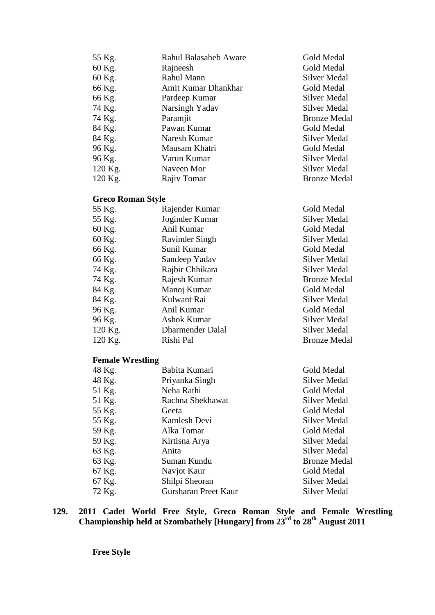| 55 Kg.  | <b>Rahul Balasaheb Aware</b> | Gold Medal          |
|---------|------------------------------|---------------------|
| 60 Kg.  | Rajneesh                     | <b>Gold Medal</b>   |
| 60 Kg.  | Rahul Mann                   | Silver Medal        |
| 66 Kg.  | Amit Kumar Dhankhar          | Gold Medal          |
| 66 Kg.  | Pardeep Kumar                | Silver Medal        |
| 74 Kg.  | Narsingh Yadav               | <b>Silver Medal</b> |
| 74 Kg.  | Paramjit                     | <b>Bronze Medal</b> |
| 84 Kg.  | Pawan Kumar                  | <b>Gold Medal</b>   |
| 84 Kg.  | Naresh Kumar                 | Silver Medal        |
| 96 Kg.  | Mausam Khatri                | Gold Medal          |
| 96 Kg.  | Varun Kumar                  | <b>Silver Medal</b> |
| 120 Kg. | Naveen Mor                   | <b>Silver Medal</b> |
| 120 Kg. | Rajiv Tomar                  | <b>Bronze Medal</b> |
|         |                              |                     |

# **Greco Roman Style**

| 55 Kg.    | Rajender Kumar          | Gold Medal          |
|-----------|-------------------------|---------------------|
| 55 Kg.    | Joginder Kumar          | Silver Medal        |
| 60 Kg.    | Anil Kumar              | Gold Medal          |
| 60 Kg.    | <b>Ravinder Singh</b>   | Silver Medal        |
| 66 Kg.    | Sunil Kumar             | Gold Medal          |
| 66 Kg.    | Sandeep Yadav           | Silver Medal        |
| 74 Kg.    | Rajbir Chhikara         | Silver Medal        |
| 74 Kg.    | Rajesh Kumar            | <b>Bronze Medal</b> |
| 84 Kg.    | Manoj Kumar             | Gold Medal          |
| 84 Kg.    | Kulwant Rai             | Silver Medal        |
| 96 Kg.    | Anil Kumar              | Gold Medal          |
| 96 Kg.    | Ashok Kumar             | Silver Medal        |
| $120$ Kg. | <b>Dharmender Dalal</b> | Silver Medal        |
| $120$ Kg. | Rishi Pal               | <b>Bronze Medal</b> |
|           |                         |                     |

# **Female Wrestling**

| 48 Kg.<br>Priyanka Singh       | Silver Medal        |
|--------------------------------|---------------------|
| 51 Kg.<br>Neha Rathi           | Gold Medal          |
| 51 Kg.<br>Rachna Shekhawat     | Silver Medal        |
| 55 Kg.<br>Geeta                | Gold Medal          |
| 55 Kg.<br>Kamlesh Devi         | Silver Medal        |
| 59 Kg.<br>Alka Tomar           | Gold Medal          |
| 59 Kg.<br>Kirtisna Arya        | Silver Medal        |
| 63 Kg.<br>Anita                | Silver Medal        |
| 63 Kg.<br>Suman Kundu          | <b>Bronze Medal</b> |
| 67 Kg.<br>Navjot Kaur          | Gold Medal          |
| Shilpi Sheoran<br>67 Kg.       | Silver Medal        |
| 72 Kg.<br>Gursharan Preet Kaur | Silver Medal        |

**129. 2011 Cadet World Free Style, Greco Roman Style and Female Wrestling Championship held at Szombathely [Hungary] from 23rd to 28th August 2011**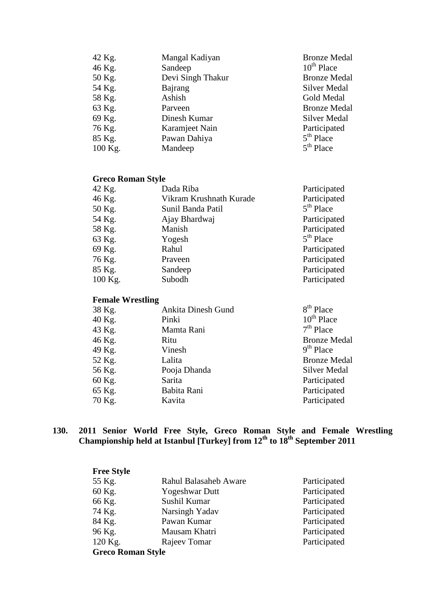| 42 Kg.  | Mangal Kadiyan    | <b>Bronze Medal</b> |
|---------|-------------------|---------------------|
| 46 Kg.  | Sandeep           | $10^{th}$ Place     |
| 50 Kg.  | Devi Singh Thakur | <b>Bronze Medal</b> |
| 54 Kg.  | Bajrang           | Silver Medal        |
| 58 Kg.  | Ashish            | Gold Medal          |
| 63 Kg.  | Parveen           | <b>Bronze Medal</b> |
| 69 Kg.  | Dinesh Kumar      | <b>Silver Medal</b> |
| 76 Kg.  | Karamjeet Nain    | Participated        |
| 85 Kg.  | Pawan Dahiya      | $5th$ Place         |
| 100 Kg. | Mandeep           | $5th$ Place         |

### **Greco Roman Style**

| 42 Kg.  | Dada Riba               | Participated |
|---------|-------------------------|--------------|
| 46 Kg.  | Vikram Krushnath Kurade | Participated |
| 50 Kg.  | Sunil Banda Patil       | $5th$ Place  |
| 54 Kg.  | Ajay Bhardwaj           | Participated |
| 58 Kg.  | Manish                  | Participated |
| 63 Kg.  | Yogesh                  | $5th$ Place  |
| 69 Kg.  | Rahul                   | Participated |
| 76 Kg.  | Praveen                 | Participated |
| 85 Kg.  | Sandeep                 | Participated |
| 100 Kg. | Subodh                  | Participated |
|         |                         |              |

# **Female Wrestling**

| 38 Kg. | <b>Ankita Dinesh Gund</b> | $8th$ Place         |
|--------|---------------------------|---------------------|
| 40 Kg. | Pinki                     | $10^{th}$ Place     |
| 43 Kg. | Mamta Rani                | $7th$ Place         |
| 46 Kg. | Ritu                      | <b>Bronze Medal</b> |
| 49 Kg. | Vinesh                    | $9th$ Place         |
| 52 Kg. | Lalita                    | <b>Bronze Medal</b> |
| 56 Kg. | Pooja Dhanda              | Silver Medal        |
| 60 Kg. | Sarita                    | Participated        |
| 65 Kg. | Babita Rani               | Participated        |
| 70 Kg. | Kavita                    | Participated        |
|        |                           |                     |

#### **130. 2011 Senior World Free Style, Greco Roman Style and Female Wrestling Championship held at Istanbul [Turkey] from 12th to 18th September 2011**

| <b>Free Style</b>        |                       |              |
|--------------------------|-----------------------|--------------|
| 55 Kg.                   | Rahul Balasaheb Aware | Participated |
| 60 Kg.                   | <b>Yogeshwar Dutt</b> | Participated |
| 66 Kg.                   | Sushil Kumar          | Participated |
| 74 Kg.                   | Narsingh Yadav        | Participated |
| 84 Kg.                   | Pawan Kumar           | Participated |
| 96 Kg.                   | Mausam Khatri         | Participated |
| 120 Kg.                  | Rajeev Tomar          | Participated |
| <b>Greco Roman Style</b> |                       |              |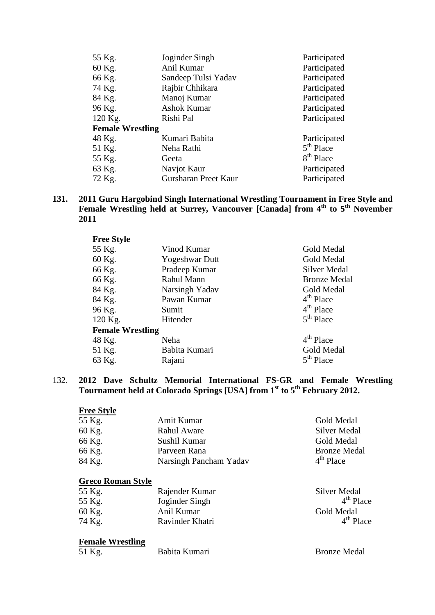| 55 Kg.                  | Joginder Singh              | Participated          |
|-------------------------|-----------------------------|-----------------------|
| 60 Kg.                  | Anil Kumar                  | Participated          |
| 66 Kg.                  | Sandeep Tulsi Yadav         | Participated          |
| 74 Kg.                  | Rajbir Chhikara             | Participated          |
| 84 Kg.                  | Manoj Kumar                 | Participated          |
| 96 Kg.                  | Ashok Kumar                 | Participated          |
| 120 Kg.                 | Rishi Pal                   | Participated          |
| <b>Female Wrestling</b> |                             |                       |
| 48 Kg.                  | Kumari Babita               | Participated          |
| 51 Kg.                  | Neha Rathi                  | $5th$ Place           |
| 55 Kg.                  | Geeta                       | 8 <sup>th</sup> Place |
| 63 Kg.                  | Navjot Kaur                 | Participated          |
| 72 Kg.                  | <b>Gursharan Preet Kaur</b> | Participated          |

#### **131. 2011 Guru Hargobind Singh International Wrestling Tournament in Free Style and**  Female Wrestling held at Surrey, Vancouver [Canada] from 4<sup>th</sup> to 5<sup>th</sup> November **2011**

| <b>Free Style</b>       |                       |                       |
|-------------------------|-----------------------|-----------------------|
| 55 Kg.                  | Vinod Kumar           | Gold Medal            |
| 60 Kg.                  | <b>Yogeshwar Dutt</b> | Gold Medal            |
| 66 Kg.                  | Pradeep Kumar         | <b>Silver Medal</b>   |
| 66 Kg.                  | Rahul Mann            | <b>Bronze Medal</b>   |
| 84 Kg.                  | Narsingh Yadav        | Gold Medal            |
| 84 Kg.                  | Pawan Kumar           | 4 <sup>th</sup> Place |
| 96 Kg.                  | Sumit                 | $4th$ Place           |
| 120 Kg.                 | Hitender              | $5th$ Place           |
| <b>Female Wrestling</b> |                       |                       |
| 48 Kg.                  | Neha                  | $4th$ Place           |
| 51 Kg.                  | Babita Kumari         | Gold Medal            |
| 63 Kg.                  | Rajani                | $5th$ Place           |

#### 132. **2012 Dave Schultz Memorial International FS-GR and Female Wrestling Tournament held at Colorado Springs [USA] from 1st to 5th February 2012.**

| <b>Free Style</b>        |                        |                     |
|--------------------------|------------------------|---------------------|
| 55 Kg.                   | Amit Kumar             | Gold Medal          |
| 60 Kg.                   | <b>Rahul Aware</b>     | <b>Silver Medal</b> |
| 66 Kg.                   | Sushil Kumar           | <b>Gold Medal</b>   |
| 66 Kg.                   | Parveen Rana           | <b>Bronze Medal</b> |
| 84 Kg.                   | Narsingh Pancham Yadav | $4th$ Place         |
|                          |                        |                     |
| <b>Greco Roman Style</b> |                        |                     |
| 55 Kg.                   | Rajender Kumar         | Silver Medal        |
| 55 Kg.                   | Joginder Singh         | $4th$ Place         |
| 60 Kg.                   | Anil Kumar             | <b>Gold Medal</b>   |
| 74 Kg.                   | Ravinder Khatri        | $4th$ Place         |
|                          |                        |                     |
| <b>Female Wrestling</b>  |                        |                     |
| 51 Kg.                   | Babita Kumari          | <b>Bronze Medal</b> |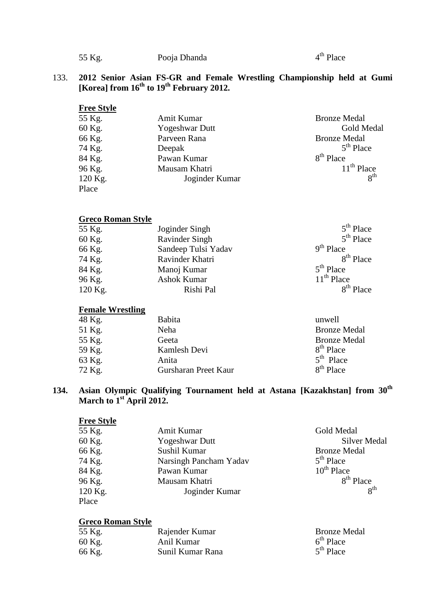| 55 Kg. | Pooja Dhanda | $4th$ Place |
|--------|--------------|-------------|
|        |              |             |

### 133. **2012 Senior Asian FS-GR and Female Wrestling Championship held at Gumi [Korea] from 16th to 19th February 2012.**

| <b>Free Style</b> |                       |                     |
|-------------------|-----------------------|---------------------|
| 55 Kg.            | Amit Kumar            | <b>Bronze Medal</b> |
| 60 Kg.            | <b>Yogeshwar Dutt</b> | Gold Medal          |
| 66 Kg.            | Parveen Rana          | <b>Bronze Medal</b> |
| 74 Kg.            | Deepak                | $5th$ Place         |
| 84 Kg.            | Pawan Kumar           | $8th$ Place         |
| 96 Kg.            | Mausam Khatri         | $11th$ Place        |
| 120 Kg.           | Joginder Kumar        | 8 <sup>th</sup>     |
| Place             |                       |                     |

#### **Greco Roman Style**

| 55 Kg.  | Joginder Singh        | $5th$ Place           |
|---------|-----------------------|-----------------------|
| 60 Kg.  | <b>Ravinder Singh</b> | $5th$ Place           |
| 66 Kg.  | Sandeep Tulsi Yadav   | $9th$ Place           |
| 74 Kg.  | Ravinder Khatri       | 8 <sup>th</sup> Place |
| 84 Kg.  | Manoj Kumar           | $5th$ Place           |
| 96 Kg.  | Ashok Kumar           | $11th$ Place          |
| 120 Kg. | Rishi Pal             | $8th$ Place           |

#### **Female Wrestling**

| 48 Kg. | <b>Babita</b>        | unwell                |
|--------|----------------------|-----------------------|
| 51 Kg. | Neha                 | <b>Bronze Medal</b>   |
| 55 Kg. | Geeta                | <b>Bronze Medal</b>   |
| 59 Kg. | Kamlesh Devi         | 8 <sup>th</sup> Place |
| 63 Kg. | Anita                | $5th$ Place           |
| 72 Kg. | Gursharan Preet Kaur | $8th$ Place           |
|        |                      |                       |

### **134. Asian Olympic Qualifying Tournament held at Astana [Kazakhstan] from 30th March to 1st April 2012.**

| <b>Free Style</b> |                        |                       |
|-------------------|------------------------|-----------------------|
| 55 Kg.            | Amit Kumar             | Gold Medal            |
| 60 Kg.            | <b>Yogeshwar Dutt</b>  | <b>Silver Medal</b>   |
| 66 Kg.            | Sushil Kumar           | <b>Bronze Medal</b>   |
| 74 Kg.            | Narsingh Pancham Yadav | $5th$ Place           |
| 84 Kg.            | Pawan Kumar            | $10^{th}$ Place       |
| 96 Kg.            | Mausam Khatri          | 8 <sup>th</sup> Place |
| 120 Kg.           | Joginder Kumar         | 8 <sup>th</sup>       |
| Place             |                        |                       |

#### **Greco Roman Style**

| 55 Kg. | Rajender Kumar   | <b>Bronze Medal</b> |
|--------|------------------|---------------------|
| 60 Kg. | Anil Kumar       | $6th$ Place         |
| 66 Kg. | Sunil Kumar Rana | $5th$ Place         |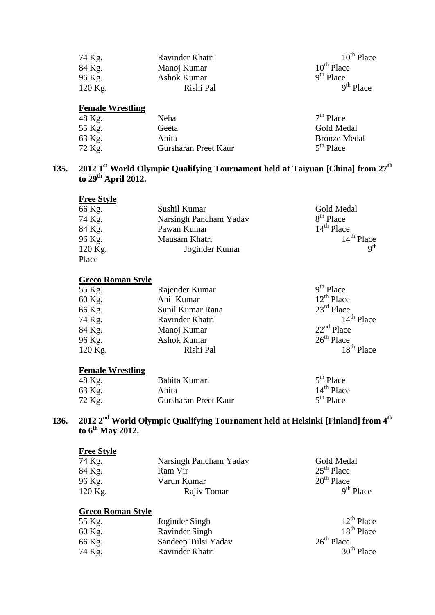| 74 Kg.                  | Ravinder Khatri | $10^{th}$ Place |
|-------------------------|-----------------|-----------------|
| 84 Kg.                  | Manoj Kumar     | $10^{th}$ Place |
| 96 Kg.                  | Ashok Kumar     | $9th$ Place     |
| $120$ Kg.               | Rishi Pal       | $9th$ Place     |
|                         |                 |                 |
| <b>Female Wrestling</b> |                 |                 |

| 48 Kg. | <b>Neha</b>          | $7th$ Place         |
|--------|----------------------|---------------------|
| 55 Kg. | Geeta                | Gold Medal          |
| 63 Kg. | Anita                | <b>Bronze Medal</b> |
| 72 Kg. | Gursharan Preet Kaur | $5th$ Place         |

### **135. 2012 1st World Olympic Qualifying Tournament held at Taiyuan [China] from 27th to 29th April 2012.**

| <b>Free Style</b> |                        |                        |
|-------------------|------------------------|------------------------|
| 66 Kg.            | Sushil Kumar           | Gold Medal             |
| 74 Kg.            | Narsingh Pancham Yadav | 8 <sup>th</sup> Place  |
| 84 Kg.            | Pawan Kumar            | $14th$ Place           |
| 96 Kg.            | Mausam Khatri          | $14th$ Place           |
| 120 Kg.           | Joginder Kumar         | $\alpha$ <sup>th</sup> |
| Place             |                        |                        |

## **Greco Roman Style**

| 55 Kg.  | Rajender Kumar   | $9th$ Place            |
|---------|------------------|------------------------|
| 60 Kg.  | Anil Kumar       | $12^{th}$ Place        |
| 66 Kg.  | Sunil Kumar Rana | $23^{\text{rd}}$ Place |
| 74 Kg.  | Ravinder Khatri  | $14th$ Place           |
| 84 Kg.  | Manoj Kumar      | $22nd$ Place           |
| 96 Kg.  | Ashok Kumar      | $26th$ Place           |
| 120 Kg. | Rishi Pal        | $18th$ Place           |

### **Female Wrestling**

| 48 Kg. | Babita Kumari        | $5th$ Place  |
|--------|----------------------|--------------|
| 63 Kg. | Anita                | $14th$ Place |
| 72 Kg. | Gursharan Preet Kaur | $5th$ Place  |

### **136. 2012 2nd World Olympic Qualifying Tournament held at Helsinki [Finland] from 4th to 6th May 2012.**

### **Free Style**

| Narsingh Pancham Yadav | Gold Medal   |
|------------------------|--------------|
| Ram Vir                | $25th$ Place |
| Varun Kumar            | $20th$ Place |
| Rajiv Tomar            | $9th$ Place  |
|                        |              |

# **Greco Roman Style**

| 55 Kg. | Joginder Singh      | $12^{th}$ Place        |
|--------|---------------------|------------------------|
| 60 Kg. | Ravinder Singh      | 18 <sup>th</sup> Place |
| 66 Kg. | Sandeep Tulsi Yadav | $26th$ Place           |
| 74 Kg. | Ravinder Khatri     | $30th$ Place           |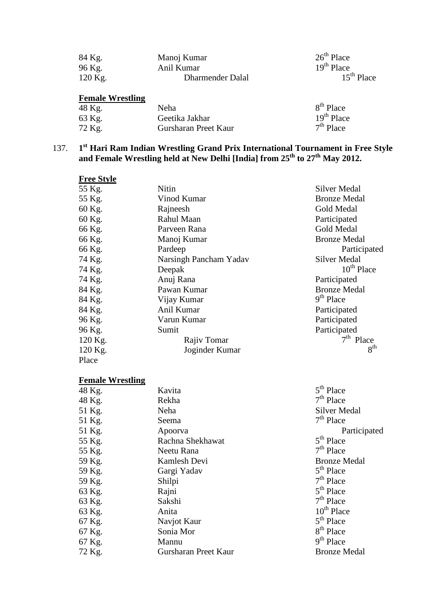| 84 Kg.    | Manoj Kumar      | $26th$ Place |
|-----------|------------------|--------------|
| 96 Kg.    | Anil Kumar       | $19th$ Place |
| $120$ Kg. | Dharmender Dalal | $15th$ Place |

# **Female Wrestling**

| 48 Kg. | Neha                 | 8 <sup>th</sup> Place |
|--------|----------------------|-----------------------|
| 63 Kg. | Geetika Jakhar       | $19th$ Place          |
| 72 Kg. | Gursharan Preet Kaur | $7th$ Place           |

## 137. **1st Hari Ram Indian Wrestling Grand Prix International Tournament in Free Style and Female Wrestling held at New Delhi [India] from 25th to 27th May 2012.**

| <b>Free Style</b> |                        |                     |
|-------------------|------------------------|---------------------|
| 55 Kg.            | Nitin                  | Silver Medal        |
| 55 Kg.            | Vinod Kumar            | <b>Bronze Medal</b> |
| 60 Kg.            | Rajneesh               | Gold Medal          |
| 60 Kg.            | Rahul Maan             | Participated        |
| 66 Kg.            | Parveen Rana           | Gold Medal          |
| 66 Kg.            | Manoj Kumar            | <b>Bronze Medal</b> |
| 66 Kg.            | Pardeep                | Participated        |
| 74 Kg.            | Narsingh Pancham Yadav | <b>Silver Medal</b> |
| 74 Kg.            | Deepak                 | $10^{th}$ Place     |
| 74 Kg.            | Anuj Rana              | Participated        |
| 84 Kg.            | Pawan Kumar            | <b>Bronze Medal</b> |
| 84 Kg.            | Vijay Kumar            | $9th$ Place         |
| 84 Kg.            | Anil Kumar             | Participated        |
| 96 Kg.            | Varun Kumar            | Participated        |
| 96 Kg.            | Sumit                  | Participated        |
| 120 Kg.           | Rajiv Tomar            | $7th$ Place         |
| 120 Kg.           | Joginder Kumar         | 8 <sup>th</sup>     |
| Place             |                        |                     |

# **Female Wrestling**

| 48 Kg. | Kavita               | $5th$ Place           |
|--------|----------------------|-----------------------|
| 48 Kg. | Rekha                | $7th$ Place           |
| 51 Kg. | Neha                 | <b>Silver Medal</b>   |
| 51 Kg. | Seema                | $7th$ Place           |
| 51 Kg. | Apoorva              | Participated          |
| 55 Kg. | Rachna Shekhawat     | $5th$ Place           |
| 55 Kg. | Neetu Rana           | $7th$ Place           |
| 59 Kg. | Kamlesh Devi         | <b>Bronze Medal</b>   |
| 59 Kg. | Gargi Yadav          | $5th$ Place           |
| 59 Kg. | Shilpi               | $7th$ Place           |
| 63 Kg. | Rajni                | $5th$ Place           |
| 63 Kg. | Sakshi               | $7th$ Place           |
| 63 Kg. | Anita                | $10th$ Place          |
| 67 Kg. | Navjot Kaur          | $5th$ Place           |
| 67 Kg. | Sonia Mor            | 8 <sup>th</sup> Place |
| 67 Kg. | Mannu                | $9th$ Place           |
| 72 Kg. | Gursharan Preet Kaur | <b>Bronze Medal</b>   |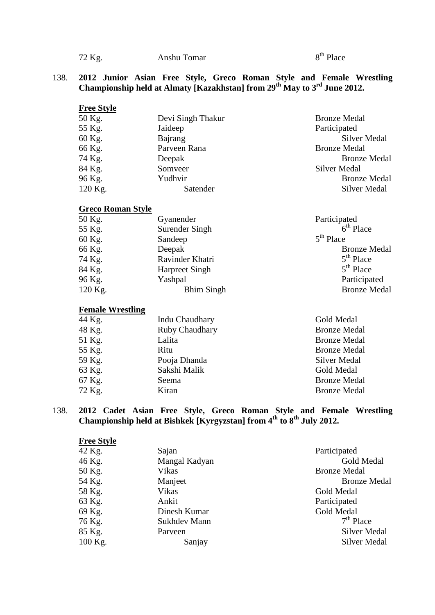$72$  Kg. Anshu Tomar 8<sup>th</sup> Place

#### 138. **2012 Junior Asian Free Style, Greco Roman Style and Female Wrestling Championship held at Almaty [Kazakhstan] from 29th May to 3rd June 2012.**

| <b>Free Style</b> |                   |                     |
|-------------------|-------------------|---------------------|
| 50 Kg.            | Devi Singh Thakur | <b>Bronze Medal</b> |
| 55 Kg.            | Jaideep           | Participated        |
| 60 Kg.            | Bajrang           | <b>Silver Medal</b> |
| 66 Kg.            | Parveen Rana      | <b>Bronze Medal</b> |
| 74 Kg.            | Deepak            | <b>Bronze Medal</b> |
| 84 Kg.            | Somveer           | <b>Silver Medal</b> |
| 96 Kg.            | Yudhvir           | <b>Bronze Medal</b> |
| 120 Kg.           | Satender          | <b>Silver Medal</b> |

### **Greco Roman Style**

| Gyanender             | Participated        |
|-----------------------|---------------------|
| Surender Singh        | $6th$ Place         |
| Sandeep               | $5th$ Place         |
| Deepak                | <b>Bronze Medal</b> |
| Ravinder Khatri       | $5th$ Place         |
| <b>Harpreet Singh</b> | $5th$ Place         |
| Yashpal               | Participated        |
| <b>Bhim Singh</b>     | <b>Bronze Medal</b> |
|                       |                     |

# **Female Wrestling**

| 44 Kg.<br>Indu Chaudhary | Gold Medal          |
|--------------------------|---------------------|
| 48 Kg.<br>Ruby Chaudhary | <b>Bronze Medal</b> |
| 51 Kg.<br>Lalita         | <b>Bronze Medal</b> |
| 55 Kg.<br>Ritu           | <b>Bronze Medal</b> |
| 59 Kg.<br>Pooja Dhanda   | Silver Medal        |
| 63 Kg.<br>Sakshi Malik   | Gold Medal          |
| 67 Kg.<br>Seema          | <b>Bronze Medal</b> |
| 72 Kg.<br>Kiran          | <b>Bronze Medal</b> |

#### 138. **2012 Cadet Asian Free Style, Greco Roman Style and Female Wrestling Championship held at Bishkek [Kyrgyzstan] from 4th to 8th July 2012.**

| <b>Free Style</b> |               |                     |
|-------------------|---------------|---------------------|
| 42 Kg.            | Sajan         | Participated        |
| 46 Kg.            | Mangal Kadyan | Gold Medal          |
| 50 Kg.            | Vikas         | <b>Bronze Medal</b> |
| 54 Kg.            | Manjeet       | <b>Bronze Medal</b> |
| 58 Kg.            | Vikas         | Gold Medal          |
| 63 Kg.            | Ankit         | Participated        |
| 69 Kg.            | Dinesh Kumar  | Gold Medal          |
| 76 Kg.            | Sukhdev Mann  | $7th$ Place         |
| 85 Kg.            | Parveen       | <b>Silver Medal</b> |
| 100 Kg.           | Sanjay        | Silver Medal        |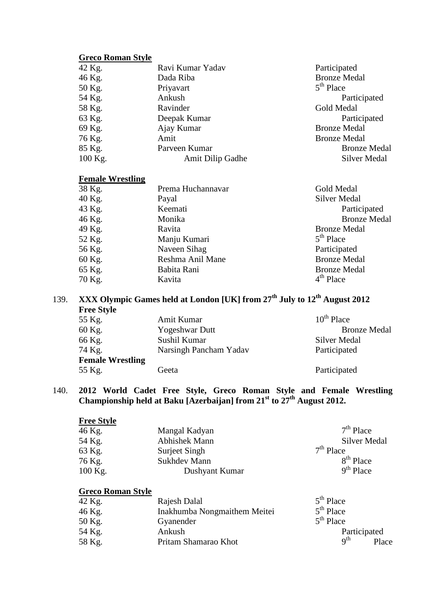## **Greco Roman Style**

| 42 Kg.    | Ravi Kumar Yadav | Participated        |
|-----------|------------------|---------------------|
| 46 Kg.    | Dada Riba        | <b>Bronze Medal</b> |
| 50 Kg.    | Priyavart        | $5th$ Place         |
| 54 Kg.    | Ankush           | Participated        |
| 58 Kg.    | Ravinder         | Gold Medal          |
| 63 Kg.    | Deepak Kumar     | Participated        |
| 69 Kg.    | Ajay Kumar       | <b>Bronze Medal</b> |
| 76 Kg.    | Amit             | <b>Bronze Medal</b> |
| 85 Kg.    | Parveen Kumar    | <b>Bronze Medal</b> |
| $100$ Kg. | Amit Dilip Gadhe | Silver Medal        |
|           |                  |                     |

#### **Female Wrestling**

| Prema Huchannavar | Gold Medal          |
|-------------------|---------------------|
| Payal             | Silver Medal        |
| Keemati           | Participated        |
| Monika            | <b>Bronze Medal</b> |
| Ravita            | <b>Bronze Medal</b> |
| Manju Kumari      | $5th$ Place         |
| Naveen Sihag      | Participated        |
| Reshma Anil Mane  | <b>Bronze Medal</b> |
| Babita Rani       | <b>Bronze Medal</b> |
| Kavita            | $4th$ Place         |
|                   |                     |

# 139. **XXX Olympic Games held at London [UK] from 27th July to 12th August 2012 Free Style**

| Amit Kumar              | $10^{th}$ Place     |
|-------------------------|---------------------|
| <b>Yogeshwar Dutt</b>   | <b>Bronze Medal</b> |
| Sushil Kumar            | <b>Silver Medal</b> |
| Narsingh Pancham Yadav  | Participated        |
| <b>Female Wrestling</b> |                     |
| Geeta                   | Participated        |
|                         |                     |

#### 140. **2012 World Cadet Free Style, Greco Roman Style and Female Wrestling Championship held at Baku [Azerbaijan] from 21st to 27th August 2012.**

| <b>Free Style</b> |                |                       |
|-------------------|----------------|-----------------------|
| 46 Kg.            | Mangal Kadyan  | $7th$ Place           |
| 54 Kg.            | Abhishek Mann  | <b>Silver Medal</b>   |
| 63 Kg.            | Surject Singh  | $7th$ Place           |
| 76 Kg.            | Sukhdev Mann   | 8 <sup>th</sup> Place |
| 100 Kg.           | Dushyant Kumar | $9th$ Place           |

## **Greco Roman Style**

| 42 Kg. | Rajesh Dalal                 | $5th$ Place                     |
|--------|------------------------------|---------------------------------|
| 46 Kg. | Inakhumba Nongmaithem Meitei | $5th$ Place                     |
| 50 Kg. | Gyanender                    | $5th$ Place                     |
| 54 Kg. | Ankush                       | Participated                    |
| 58 Kg. | Pritam Shamarao Khot         | $\alpha$ <sup>th</sup><br>Place |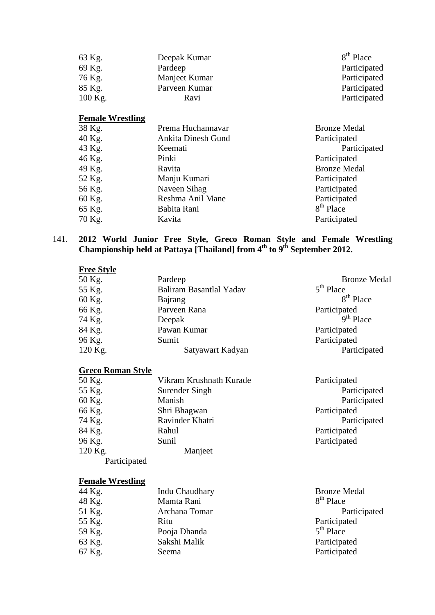| 63 Kg.    | Deepak Kumar  | 8 <sup>th</sup> Place |
|-----------|---------------|-----------------------|
| 69 Kg.    | Pardeep       | Participated          |
| 76 Kg.    | Manjeet Kumar | Participated          |
| 85 Kg.    | Parveen Kumar | Participated          |
| $100$ Kg. | Ravi          | Participated          |

# **Female Wrestling**

| 38 Kg. | Prema Huchannavar  | <b>Bronze Medal</b>   |
|--------|--------------------|-----------------------|
| 40 Kg. | Ankita Dinesh Gund | Participated          |
| 43 Kg. | Keemati            | Participated          |
| 46 Kg. | Pinki              | Participated          |
| 49 Kg. | Ravita             | <b>Bronze Medal</b>   |
| 52 Kg. | Manju Kumari       | Participated          |
| 56 Kg. | Naveen Sihag       | Participated          |
| 60 Kg. | Reshma Anil Mane   | Participated          |
| 65 Kg. | Babita Rani        | 8 <sup>th</sup> Place |
| 70 Kg. | Kavita             | Participated          |
|        |                    |                       |

#### 141. **2012 World Junior Free Style, Greco Roman Style and Female Wrestling Championship held at Pattaya [Thailand] from 4th to 9th September 2012.**

| <b>Free Style</b> |                         |                       |
|-------------------|-------------------------|-----------------------|
| 50 Kg.            | Pardeep                 | <b>Bronze Medal</b>   |
| 55 Kg.            | Baliram Basantlal Yadav | $5th$ Place           |
| 60 Kg.            | Bajrang                 | 8 <sup>th</sup> Place |
| 66 Kg.            | Parveen Rana            | Participated          |
| 74 Kg.            | Deepak                  | $9th$ Place           |
| 84 Kg.            | Pawan Kumar             | Participated          |
| 96 Kg.            | Sumit                   | Participated          |
| 120 Kg.           | Satyawart Kadyan        | Participated          |

### **Greco Roman Style**

| 50 Kg.       | Vikram Krushnath Kurade | Participated |
|--------------|-------------------------|--------------|
| 55 Kg.       | Surender Singh          | Participated |
| 60 Kg.       | Manish                  | Participated |
| 66 Kg.       | Shri Bhagwan            | Participated |
| 74 Kg.       | Ravinder Khatri         | Participated |
| 84 Kg.       | Rahul                   | Participated |
| 96 Kg.       | Sunil                   | Participated |
| 120 Kg.      | Manjeet                 |              |
| Participated |                         |              |

## **Female Wrestling**

| 44 Kg. | Indu Chaudhary | <b>Bronze Medal</b>   |
|--------|----------------|-----------------------|
| 48 Kg. | Mamta Rani     | 8 <sup>th</sup> Place |
| 51 Kg. | Archana Tomar  | Participated          |
| 55 Kg. | Ritu           | Participated          |
| 59 Kg. | Pooja Dhanda   | $5th$ Place           |
| 63 Kg. | Sakshi Malik   | Participated          |
| 67 Kg. | Seema          | Participated          |
|        |                |                       |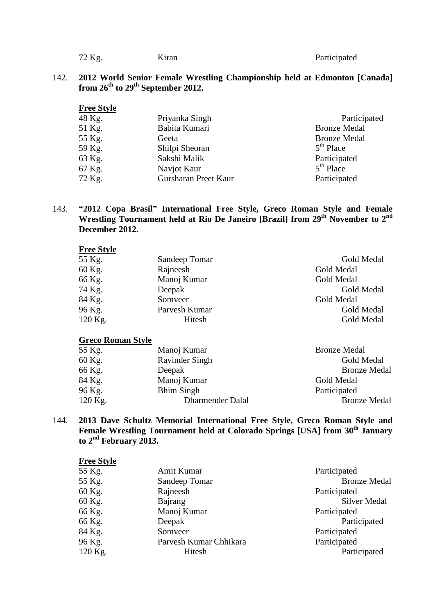| 72 Kg. | Kıran | Participated |
|--------|-------|--------------|
|        |       |              |

#### 142. **2012 World Senior Female Wrestling Championship held at Edmonton [Canada] from 26th to 29th September 2012.**

| <b>Free Style</b> |                      |                     |
|-------------------|----------------------|---------------------|
| 48 Kg.            | Priyanka Singh       | Participated        |
| 51 Kg.            | Babita Kumari        | <b>Bronze Medal</b> |
| 55 Kg.            | Geeta                | <b>Bronze Medal</b> |
| 59 Kg.            | Shilpi Sheoran       | $5th$ Place         |
| 63 Kg.            | Sakshi Malik         | Participated        |
| 67 Kg.            | Navjot Kaur          | $5th$ Place         |
| 72 Kg.            | Gursharan Preet Kaur | Participated        |

#### 143. **"2012 Copa Brasil" International Free Style, Greco Roman Style and Female Wrestling Tournament held at Rio De Janeiro [Brazil] from 29th November to 2nd December 2012.**

| Sandeep Tomar | Gold Medal |
|---------------|------------|
| Rajneesh      | Gold Medal |
| Manoj Kumar   | Gold Medal |
| Deepak        | Gold Medal |
| Somveer       | Gold Medal |
| Parvesh Kumar | Gold Medal |
| Hitesh        | Gold Medal |
|               |            |

#### **Greco Roman Style**

| 55 Kg.  | Manoj Kumar       | <b>Bronze Medal</b> |
|---------|-------------------|---------------------|
| 60 Kg.  | Ravinder Singh    | Gold Medal          |
| 66 Kg.  | Deepak            | <b>Bronze Medal</b> |
| 84 Kg.  | Manoj Kumar       | Gold Medal          |
| 96 Kg.  | <b>Bhim Singh</b> | Participated        |
| 120 Kg. | Dharmender Dalal  | <b>Bronze Medal</b> |
|         |                   |                     |

144. **2013 Dave Schultz Memorial International Free Style, Greco Roman Style and**  Female Wrestling Tournament held at Colorado Springs [USA] from 30<sup>th</sup> January **to 2nd February 2013.**

| <b>Free Style</b> |                        |                     |
|-------------------|------------------------|---------------------|
| 55 Kg.            | Amit Kumar             | Participated        |
| 55 Kg.            | Sandeep Tomar          | <b>Bronze Medal</b> |
| 60 Kg.            | Rajneesh               | Participated        |
| 60 Kg.            | Bajrang                | Silver Medal        |
| 66 Kg.            | Manoj Kumar            | Participated        |
| 66 Kg.            | Deepak                 | Participated        |
| 84 Kg.            | Somveer                | Participated        |
| 96 Kg.            | Parvesh Kumar Chhikara | Participated        |
| 120 Kg.           | Hitesh                 | Participated        |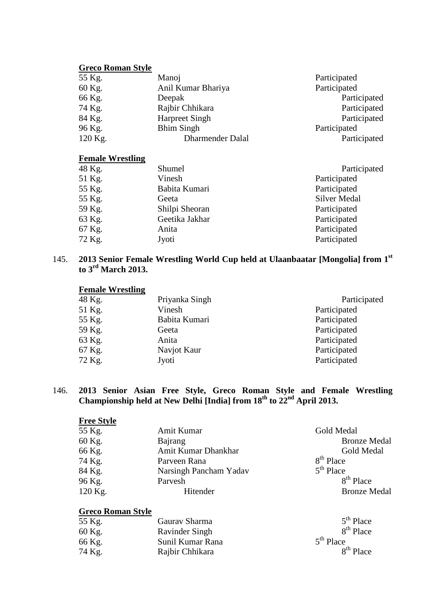## **Greco Roman Style**

| 55 Kg.  | Manoj                   | Participated |
|---------|-------------------------|--------------|
| 60 Kg.  | Anil Kumar Bhariya      | Participated |
| 66 Kg.  | Deepak                  | Participated |
| 74 Kg.  | Rajbir Chhikara         | Participated |
| 84 Kg.  | <b>Harpreet Singh</b>   | Participated |
| 96 Kg.  | <b>Bhim Singh</b>       | Participated |
| 120 Kg. | <b>Dharmender Dalal</b> | Participated |

### **Female Wrestling**

| 48 Kg. | Shumel         | Participated |
|--------|----------------|--------------|
| 51 Kg. | Vinesh         | Participated |
| 55 Kg. | Babita Kumari  | Participated |
| 55 Kg. | Geeta          | Silver Medal |
| 59 Kg. | Shilpi Sheoran | Participated |
| 63 Kg. | Geetika Jakhar | Participated |
| 67 Kg. | Anita          | Participated |
| 72 Kg. | Jyoti          | Participated |

145. **2013 Senior Female Wrestling World Cup held at Ulaanbaatar [Mongolia] from 1st to 3rd March 2013.**

#### **Female Wrestling**

| 48 Kg. | Priyanka Singh | Participated |
|--------|----------------|--------------|
| 51 Kg. | Vinesh         | Participated |
| 55 Kg. | Babita Kumari  | Participated |
| 59 Kg. | Geeta          | Participated |
| 63 Kg. | Anita          | Participated |
| 67 Kg. | Navjot Kaur    | Participated |
| 72 Kg. | Jyoti          | Participated |

#### 146. **2013 Senior Asian Free Style, Greco Roman Style and Female Wrestling Championship held at New Delhi [India] from 18th to 22nd April 2013.**

| <b>Free Style</b> |                        |                       |
|-------------------|------------------------|-----------------------|
| 55 Kg.            | Amit Kumar             | Gold Medal            |
| 60 Kg.            | Bajrang                | <b>Bronze Medal</b>   |
| 66 Kg.            | Amit Kumar Dhankhar    | Gold Medal            |
| 74 Kg.            | Parveen Rana           | 8 <sup>th</sup> Place |
| 84 Kg.            | Narsingh Pancham Yadav | $5th$ Place           |
| 96 Kg.            | Parvesh                | $8th$ Place           |
| 120 Kg.           | Hitender               | <b>Bronze Medal</b>   |

#### **Greco Roman Style**

| 55 Kg. | Gauray Sharma         | $5th$ Place           |
|--------|-----------------------|-----------------------|
| 60 Kg. | <b>Ravinder Singh</b> | 8 <sup>th</sup> Place |
| 66 Kg. | Sunil Kumar Rana      | $5th$ Place           |
| 74 Kg. | Rajbir Chhikara       | 8 <sup>th</sup> Place |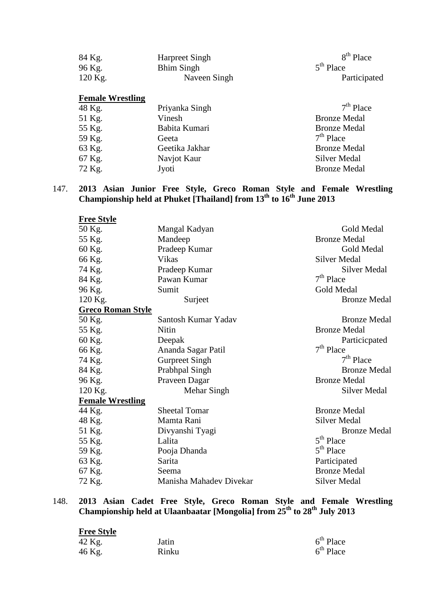| 84 Kg.  | Harpreet Singh | 8 <sup>th</sup> Place |
|---------|----------------|-----------------------|
| 96 Kg.  | Bhim Singh     | $5th$ Place           |
| 120 Kg. | Naveen Singh   | Participated          |

#### **Female Wrestling**

| Priyanka Singh | $7th$ Place         |
|----------------|---------------------|
| Vinesh         | <b>Bronze Medal</b> |
| Babita Kumari  | <b>Bronze Medal</b> |
| Geeta          | $7th$ Place         |
| Geetika Jakhar | <b>Bronze Medal</b> |
| Navjot Kaur    | Silver Medal        |
| Jyoti          | <b>Bronze Medal</b> |
|                |                     |

#### 147. **2013 Asian Junior Free Style, Greco Roman Style and Female Wrestling Championship held at Phuket [Thailand] from 13th to 16th June 2013**

| <b>Free Style</b>        |                         |                     |
|--------------------------|-------------------------|---------------------|
| 50 Kg.                   | Mangal Kadyan           | <b>Gold Medal</b>   |
| 55 Kg.                   | Mandeep                 | <b>Bronze Medal</b> |
| 60 Kg.                   | Pradeep Kumar           | Gold Medal          |
| 66 Kg.                   | <b>Vikas</b>            | <b>Silver Medal</b> |
| 74 Kg.                   | Pradeep Kumar           | Silver Medal        |
| 84 Kg.                   | Pawan Kumar             | $7th$ Place         |
| 96 Kg.                   | Sumit                   | Gold Medal          |
| 120 Kg.                  | Surjeet                 | <b>Bronze Medal</b> |
| <b>Greco Roman Style</b> |                         |                     |
| 50 Kg.                   | Santosh Kumar Yadav     | <b>Bronze Medal</b> |
| 55 Kg.                   | Nitin                   | <b>Bronze Medal</b> |
| 60 Kg.                   | Deepak                  | Particicpated       |
| 66 Kg.                   | Ananda Sagar Patil      | $7th$ Place         |
| 74 Kg.                   | <b>Gurpreet Singh</b>   | $7th$ Place         |
| 84 Kg.                   | Prabhpal Singh          | <b>Bronze Medal</b> |
| 96 Kg.                   | Praveen Dagar           | <b>Bronze Medal</b> |
| 120 Kg.                  | Mehar Singh             | Silver Medal        |
| <b>Female Wrestling</b>  |                         |                     |
| 44 Kg.                   | <b>Sheetal Tomar</b>    | <b>Bronze Medal</b> |
| 48 Kg.                   | Mamta Rani              | <b>Silver Medal</b> |
| 51 Kg.                   | Divyanshi Tyagi         | <b>Bronze Medal</b> |
| 55 Kg.                   | Lalita                  | $5th$ Place         |
| 59 Kg.                   | Pooja Dhanda            | $5th$ Place         |
| 63 Kg.                   | Sarita                  | Participated        |
| 67 Kg.                   | Seema                   | <b>Bronze Medal</b> |
| 72 Kg.                   | Manisha Mahadev Divekar | <b>Silver Medal</b> |

#### 148. **2013 Asian Cadet Free Style, Greco Roman Style and Female Wrestling Championship held at Ulaanbaatar [Mongolia] from 25th to 28th July 2013**

| <b>Free Style</b> |       |             |
|-------------------|-------|-------------|
| 42 Kg.            | Jatin | $6th$ Place |
| 46 Kg.            | Rinku | $6th$ Place |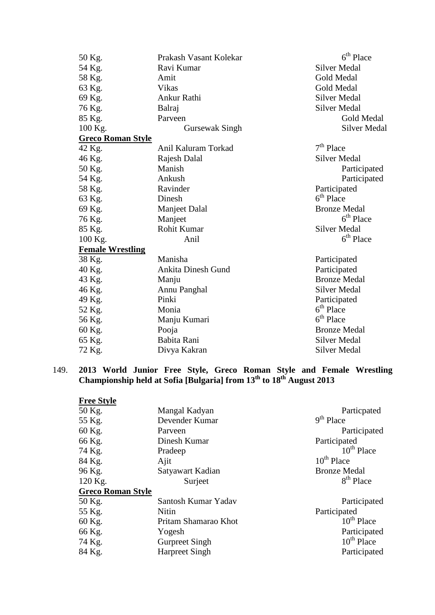| 50 Kg.                   | Prakash Vasant Kolekar    | $6th$ Place           |
|--------------------------|---------------------------|-----------------------|
| 54 Kg.                   | Ravi Kumar                | <b>Silver Medal</b>   |
| 58 Kg.                   | Amit                      | Gold Medal            |
| 63 Kg.                   | <b>Vikas</b>              | Gold Medal            |
| 69 Kg.                   | Ankur Rathi               | <b>Silver Medal</b>   |
| 76 Kg.                   | Balraj                    | <b>Silver Medal</b>   |
| 85 Kg.                   | Parveen                   | Gold Medal            |
| 100 Kg.                  | Gursewak Singh            | <b>Silver Medal</b>   |
| <b>Greco Roman Style</b> |                           |                       |
| 42 Kg.                   | Anil Kaluram Torkad       | $7th$ Place           |
| 46 Kg.                   | Rajesh Dalal              | <b>Silver Medal</b>   |
| 50 Kg.                   | Manish                    | Participated          |
| 54 Kg.                   | Ankush                    | Participated          |
| 58 Kg.                   | Ravinder                  | Participated          |
| 63 Kg.                   | Dinesh                    | $6th$ Place           |
| 69 Kg.                   | <b>Manjeet Dalal</b>      | <b>Bronze Medal</b>   |
| 76 Kg.                   | Manjeet                   | $6th$ Place           |
| 85 Kg.                   | Rohit Kumar               | <b>Silver Medal</b>   |
| 100 Kg.                  | Anil                      | $6th$ Place           |
| <b>Female Wrestling</b>  |                           |                       |
| 38 Kg.                   | Manisha                   | Participated          |
| 40 Kg.                   | <b>Ankita Dinesh Gund</b> | Participated          |
| 43 Kg.                   | Manju                     | <b>Bronze Medal</b>   |
| 46 Kg.                   | Annu Panghal              | Silver Medal          |
| 49 Kg.                   | Pinki                     | Participated          |
| 52 Kg.                   | Monia                     | 6 <sup>th</sup> Place |
| 56 Kg.                   | Manju Kumari              | $6th$ Place           |
| 60 Kg.                   | Pooja                     | <b>Bronze Medal</b>   |
| 65 Kg.                   | Babita Rani               | <b>Silver Medal</b>   |
| 72 Kg.                   | Divya Kakran              | <b>Silver Medal</b>   |

### 149. **2013 World Junior Free Style, Greco Roman Style and Female Wrestling Championship held at Sofia [Bulgaria] from 13th to 18th August 2013**

| <b>Free Style</b>        |                       |                       |
|--------------------------|-----------------------|-----------------------|
| 50 Kg.                   | Mangal Kadyan         | Particpated           |
| 55 Kg.                   | Devender Kumar        | $9th$ Place           |
| 60 Kg.                   | Parveen               | Participated          |
| 66 Kg.                   | Dinesh Kumar          | Participated          |
| 74 Kg.                   | Pradeep               | $10^{th}$ Place       |
| 84 Kg.                   | Ajit                  | $10^{th}$ Place       |
| 96 Kg.                   | Satyawart Kadian      | <b>Bronze Medal</b>   |
| 120 Kg.                  | Surject               | 8 <sup>th</sup> Place |
| <b>Greco Roman Style</b> |                       |                       |
| 50 Kg.                   | Santosh Kumar Yadav   | Participated          |
| 55 Kg.                   | <b>Nitin</b>          | Participated          |
| 60 Kg.                   | Pritam Shamarao Khot  | $10^{th}$ Place       |
| 66 Kg.                   | Yogesh                | Participated          |
| 74 Kg.                   | <b>Gurpreet Singh</b> | $10^{th}$ Place       |
| 84 Kg.                   | <b>Harpreet Singh</b> | Participated          |
|                          |                       |                       |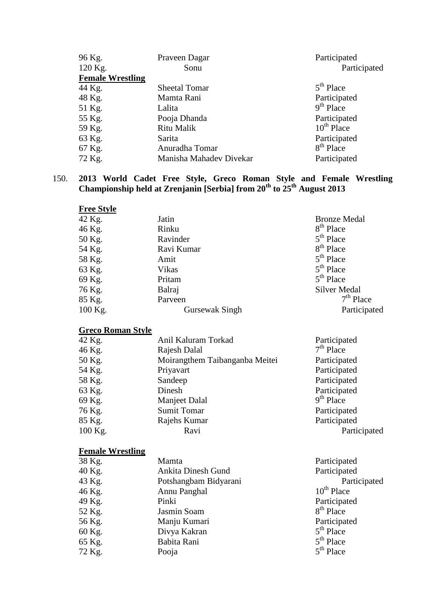| 96 Kg.                  | Praveen Dagar           | Participated    |
|-------------------------|-------------------------|-----------------|
| 120 Kg.                 | Sonu                    | Participated    |
| <b>Female Wrestling</b> |                         |                 |
| 44 Kg.                  | <b>Sheetal Tomar</b>    | $5th$ Place     |
| 48 Kg.                  | Mamta Rani              | Participated    |
| 51 Kg.                  | Lalita                  | $9th$ Place     |
| 55 Kg.                  | Pooja Dhanda            | Participated    |
| 59 Kg.                  | Ritu Malik              | $10^{th}$ Place |
| 63 Kg.                  | Sarita                  | Participated    |
| 67 Kg.                  | Anuradha Tomar          | $8th$ Place     |
| 72 Kg.                  | Manisha Mahadev Divekar | Participated    |

150. **2013 World Cadet Free Style, Greco Roman Style and Female Wrestling Championship held at Zrenjanin [Serbia] from 20th to 25th August 2013**

| <b>Free Style</b> |                |                     |
|-------------------|----------------|---------------------|
| 42 Kg.            | Jatin          | <b>Bronze Medal</b> |
| 46 Kg.            | Rinku          | $8th$ Place         |
| 50 Kg.            | Ravinder       | $5th$ Place         |
| 54 Kg.            | Ravi Kumar     | $8th$ Place         |
| 58 Kg.            | Amit           | $5th$ Place         |
| 63 Kg.            | Vikas          | $5th$ Place         |
| 69 Kg.            | Pritam         | $5th$ Place         |
| 76 Kg.            | Balraj         | <b>Silver Medal</b> |
| 85 Kg.            | Parveen        | $7th$ Place         |
| $100$ Kg.         | Gursewak Singh | Participated        |

# **Greco Roman Style**

| 42 Kg.  | Anil Kaluram Torkad            | Participated |
|---------|--------------------------------|--------------|
| 46 Kg.  | Rajesh Dalal                   | $7th$ Place  |
| 50 Kg.  | Moirangthem Taibanganba Meitei | Participated |
| 54 Kg.  | Priyavart                      | Participated |
| 58 Kg.  | Sandeep                        | Participated |
| 63 Kg.  | Dinesh                         | Participated |
| 69 Kg.  | Manjeet Dalal                  | $9th$ Place  |
| 76 Kg.  | <b>Sumit Tomar</b>             | Participated |
| 85 Kg.  | Rajehs Kumar                   | Participated |
| 100 Kg. | Ravi                           | Participated |

### **Female Wrestling**

| 38 Kg. | Mamta                     | Participated          |
|--------|---------------------------|-----------------------|
| 40 Kg. | <b>Ankita Dinesh Gund</b> | Participated          |
| 43 Kg. | Potshangbam Bidyarani     | Participated          |
| 46 Kg. | Annu Panghal              | $10^{th}$ Place       |
| 49 Kg. | Pinki                     | Participated          |
| 52 Kg. | Jasmin Soam               | 8 <sup>th</sup> Place |
| 56 Kg. | Manju Kumari              | Participated          |
| 60 Kg. | Divya Kakran              | $5th$ Place           |
| 65 Kg. | Babita Rani               | $5th$ Place           |
| 72 Kg. | Pooja                     | $5th$ Place           |
|        |                           |                       |

| Participated           |
|------------------------|
| Participated           |
| Participated           |
| 10 <sup>th</sup> Place |
| Participated           |
| 8 <sup>th</sup> Place  |
| Participated           |
| $5^{\text{th}}$ Place  |
| 5 <sup>th</sup> Place  |
| 5 <sup>th</sup> Place  |
|                        |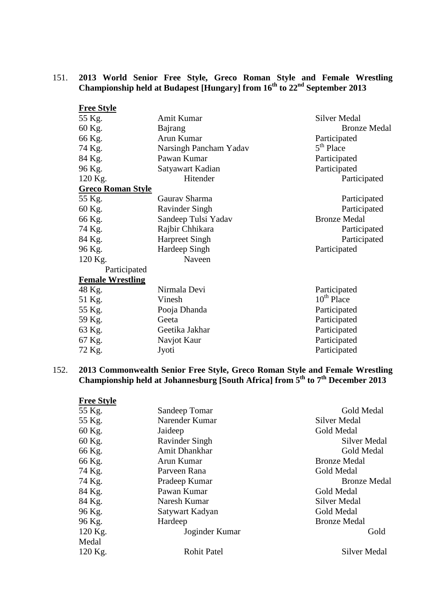## 151. **2013 World Senior Free Style, Greco Roman Style and Female Wrestling Championship held at Budapest [Hungary] from 16th to 22nd September 2013**

| <b>Free Style</b>        |                        |                        |
|--------------------------|------------------------|------------------------|
| 55 Kg.                   | Amit Kumar             | <b>Silver Medal</b>    |
| 60 Kg.                   | Bajrang                | <b>Bronze Medal</b>    |
| 66 Kg.                   | Arun Kumar             | Participated           |
| 74 Kg.                   | Narsingh Pancham Yadav | $5th$ Place            |
| 84 Kg.                   | Pawan Kumar            | Participated           |
| 96 Kg.                   | Satyawart Kadian       | Participated           |
| 120 Kg.                  | Hitender               | Participated           |
| <b>Greco Roman Style</b> |                        |                        |
| 55 Kg.                   | Gaurav Sharma          | Participated           |
| 60 Kg.                   | <b>Ravinder Singh</b>  | Participated           |
| 66 Kg.                   | Sandeep Tulsi Yadav    | <b>Bronze Medal</b>    |
| 74 Kg.                   | Rajbir Chhikara        | Participated           |
| 84 Kg.                   | <b>Harpreet Singh</b>  | Participated           |
| 96 Kg.                   | Hardeep Singh          | Participated           |
| 120 Kg.                  | Naveen                 |                        |
| Participated             |                        |                        |
| <b>Female Wrestling</b>  |                        |                        |
| 48 Kg.                   | Nirmala Devi           | Participated           |
| 51 Kg.                   | Vinesh                 | 10 <sup>th</sup> Place |
| 55 Kg.                   | Pooja Dhanda           | Participated           |
| 59 Kg.                   | Geeta                  | Participated           |
| 63 Kg.                   | Geetika Jakhar         | Participated           |
| 67 Kg.                   | Navjot Kaur            | Participated           |
| 72 Kg.                   | Jyoti                  | Participated           |

### 152. **2013 Commonwealth Senior Free Style, Greco Roman Style and Female Wrestling Championship held at Johannesburg [South Africa] from 5th to 7th December 2013**

| <b>Free Style</b> |                      |                     |
|-------------------|----------------------|---------------------|
| 55 Kg.            | Sandeep Tomar        | Gold Medal          |
| 55 Kg.            | Narender Kumar       | <b>Silver Medal</b> |
| 60 Kg.            | Jaideep              | <b>Gold Medal</b>   |
| 60 Kg.            | Ravinder Singh       | Silver Medal        |
| 66 Kg.            | <b>Amit Dhankhar</b> | Gold Medal          |
| 66 Kg.            | Arun Kumar           | <b>Bronze Medal</b> |
| 74 Kg.            | Parveen Rana         | Gold Medal          |
| 74 Kg.            | Pradeep Kumar        | <b>Bronze Medal</b> |
| 84 Kg.            | Pawan Kumar          | Gold Medal          |
| 84 Kg.            | Naresh Kumar         | Silver Medal        |
| 96 Kg.            | Satywart Kadyan      | Gold Medal          |
| 96 Kg.            | Hardeep              | <b>Bronze Medal</b> |
| 120 Kg.           | Joginder Kumar       | Gold                |
| Medal             |                      |                     |
| 120 Kg.           | <b>Rohit Patel</b>   | Silver Medal        |
|                   |                      |                     |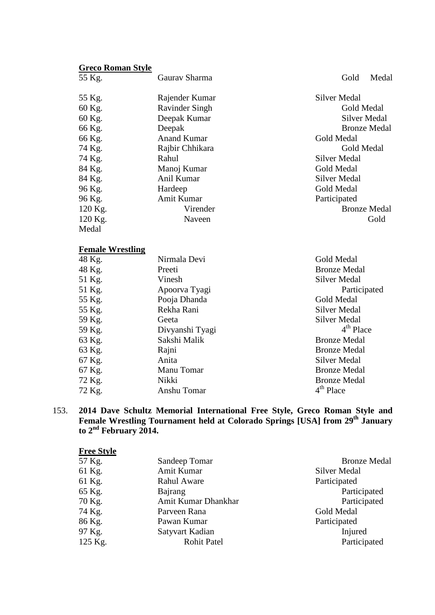# **Greco Roman Style**

| 55 Kg.  | Gaurav Sharma         | Medal<br>Gold       |
|---------|-----------------------|---------------------|
| 55 Kg.  | Rajender Kumar        | <b>Silver Medal</b> |
| 60 Kg.  | <b>Ravinder Singh</b> | Gold Medal          |
| 60 Kg.  | Deepak Kumar          | <b>Silver Medal</b> |
| 66 Kg.  | Deepak                | <b>Bronze Medal</b> |
| 66 Kg.  | <b>Anand Kumar</b>    | Gold Medal          |
| 74 Kg.  | Rajbir Chhikara       | Gold Medal          |
| 74 Kg.  | Rahul                 | <b>Silver Medal</b> |
| 84 Kg.  | Manoj Kumar           | Gold Medal          |
| 84 Kg.  | Anil Kumar            | Silver Medal        |
| 96 Kg.  | Hardeep               | Gold Medal          |
| 96 Kg.  | Amit Kumar            | Participated        |
| 120 Kg. | Virender              | <b>Bronze Medal</b> |
| 120 Kg. | Naveen                | Gold                |
| Medal   |                       |                     |

## **Female Wrestling**

| 48 Kg. | Nirmala Devi    | Gold Medal          |
|--------|-----------------|---------------------|
| 48 Kg. | Preeti          | <b>Bronze Medal</b> |
| 51 Kg. | Vinesh          | Silver Medal        |
| 51 Kg. | Apoorva Tyagi   | Participa           |
| 55 Kg. | Pooja Dhanda    | Gold Medal          |
| 55 Kg. | Rekha Rani      | Silver Medal        |
| 59 Kg. | Geeta           | Silver Medal        |
| 59 Kg. | Divyanshi Tyagi | $4th$ Place         |
| 63 Kg. | Sakshi Malik    | <b>Bronze Medal</b> |
| 63 Kg. | Rajni           | <b>Bronze Medal</b> |
| 67 Kg. | Anita           | Silver Medal        |
| 67 Kg. | Manu Tomar      | <b>Bronze Medal</b> |
| 72 Kg. | Nikki           | <b>Bronze Medal</b> |
| 72 Kg. | Anshu Tomar     | $4th$ Place         |

Gold Medal Bronze Medal Silver Medal Participated Gold Medal Silver Medal Silver Medal<br> $4<sup>th</sup>$  Place Bronze Medal Bronze Medal Silver Medal Bronze Medal Bronze Medal<br>4<sup>th</sup> Place

153. **2014 Dave Schultz Memorial International Free Style, Greco Roman Style and**  Female Wrestling Tournament held at Colorado Springs [USA] from 29<sup>th</sup> January **to 2nd February 2014.**

| <b>Free Style</b> |                     |                     |
|-------------------|---------------------|---------------------|
| 57 Kg.            | Sandeep Tomar       | <b>Bronze Medal</b> |
| 61 Kg.            | Amit Kumar          | <b>Silver Medal</b> |
| 61 Kg.            | <b>Rahul Aware</b>  | Participated        |
| 65 Kg.            | <b>Bajrang</b>      | Participated        |
| 70 Kg.            | Amit Kumar Dhankhar | Participated        |
| 74 Kg.            | Parveen Rana        | Gold Medal          |
| 86 Kg.            | Pawan Kumar         | Participated        |
| 97 Kg.            | Satyvart Kadian     | Injured             |
| 125 Kg.           | <b>Rohit Patel</b>  | Participated        |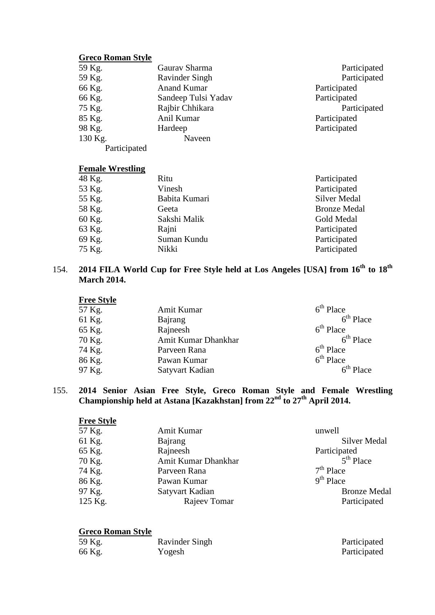### **Greco Roman Style**

| 59 Kg.       | Gaurav Sharma       | Participated |
|--------------|---------------------|--------------|
| 59 Kg.       | Ravinder Singh      | Participated |
| 66 Kg.       | <b>Anand Kumar</b>  | Participated |
| 66 Kg.       | Sandeep Tulsi Yadav | Participated |
| 75 Kg.       | Rajbir Chhikara     | Participated |
| 85 Kg.       | Anil Kumar          | Participated |
| 98 Kg.       | Hardeep             | Participated |
| 130 Kg.      | Naveen              |              |
| Participated |                     |              |

## **Female Wrestling**

| 48 Kg. | Ritu          | Participated        |
|--------|---------------|---------------------|
| 53 Kg. | Vinesh        | Participated        |
| 55 Kg. | Babita Kumari | Silver Medal        |
| 58 Kg. | Geeta         | <b>Bronze Medal</b> |
| 60 Kg. | Sakshi Malik  | Gold Medal          |
| 63 Kg. | Rajni         | Participated        |
| 69 Kg. | Suman Kundu   | Participated        |
| 75 Kg. | Nikki         | Participated        |

# 154. **2014 FILA World Cup for Free Style held at Los Angeles [USA] from 16th to 18th March 2014.**

| <b>Free Style</b> |                     |             |
|-------------------|---------------------|-------------|
| 57 Kg.            | Amit Kumar          | $6th$ Place |
| 61 Kg.            | Bajrang             | $6th$ Place |
| 65 Kg.            | Rajneesh            | $6th$ Place |
| 70 Kg.            | Amit Kumar Dhankhar | $6th$ Place |
| 74 Kg.            | Parveen Rana        | $6th$ Place |
| 86 Kg.            | Pawan Kumar         | $6th$ Place |
| 97 Kg.            | Satyvart Kadian     | $6th$ Place |

### 155. **2014 Senior Asian Free Style, Greco Roman Style and Female Wrestling Championship held at Astana [Kazakhstan] from 22nd to 27th April 2014.**

| <b>Free Style</b> |                     |                     |
|-------------------|---------------------|---------------------|
| 57 Kg.            | Amit Kumar          | unwell              |
| 61 Kg.            | Bajrang             | <b>Silver Medal</b> |
| 65 Kg.            | Rajneesh            | Participated        |
| 70 Kg.            | Amit Kumar Dhankhar | $5th$ Place         |
| 74 Kg.            | Parveen Rana        | $7th$ Place         |
| 86 Kg.            | Pawan Kumar         | $9th$ Place         |
| 97 Kg.            | Satyvart Kadian     | <b>Bronze Medal</b> |
| 125 Kg.           | Rajeev Tomar        | Participated        |

| 59 Kg. | Ravinder Singh | Participated |
|--------|----------------|--------------|
| 66 Kg. | Yogesh         | Participated |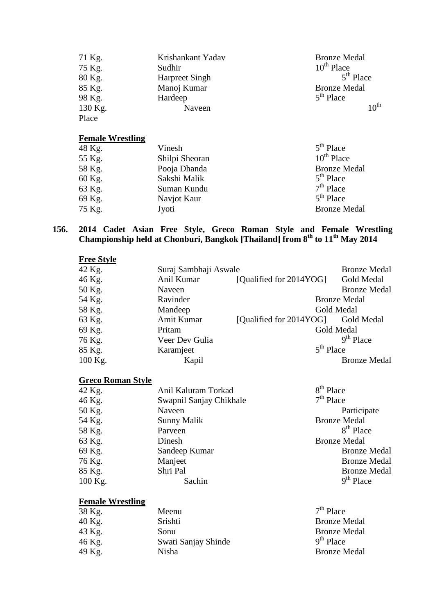| 71 Kg.  | Krishankant Yadav     | <b>Bronze Medal</b> |
|---------|-----------------------|---------------------|
| 75 Kg.  | Sudhir                | $10^{th}$ Place     |
| 80 Kg.  | <b>Harpreet Singh</b> | $5th$ Place         |
| 85 Kg.  | Manoj Kumar           | <b>Bronze Medal</b> |
| 98 Kg.  | Hardeep               | $5th$ Place         |
| 130 Kg. | Naveen                | $10^{th}$           |
| Place   |                       |                     |

| 48 Kg. | Vinesh         | $5th$ Place         |
|--------|----------------|---------------------|
| 55 Kg. | Shilpi Sheoran | $10^{th}$ Place     |
| 58 Kg. | Pooja Dhanda   | <b>Bronze Medal</b> |
| 60 Kg. | Sakshi Malik   | $5th$ Place         |
| 63 Kg. | Suman Kundu    | $7th$ Place         |
| 69 Kg. | Navjot Kaur    | $5th$ Place         |
| 75 Kg. | Jyoti          | <b>Bronze Medal</b> |

### **156. 2014 Cadet Asian Free Style, Greco Roman Style and Female Wrestling Championship held at Chonburi, Bangkok [Thailand] from 8th to 11th May 2014**

| <b>Free Style</b> |                       |                         |                     |
|-------------------|-----------------------|-------------------------|---------------------|
| 42 Kg.            | Suraj Sambhaji Aswale |                         | <b>Bronze Medal</b> |
| 46 Kg.            | Anil Kumar            | [Qualified for 2014YOG] | Gold Medal          |
| 50 Kg.            | Naveen                |                         | <b>Bronze Medal</b> |
| 54 Kg.            | Ravinder              |                         | <b>Bronze Medal</b> |
| 58 Kg.            | Mandeep               |                         | Gold Medal          |
| 63 Kg.            | Amit Kumar            | [Qualified for 2014YOG] | Gold Medal          |
| 69 Kg.            | Pritam                |                         | Gold Medal          |
| 76 Kg.            | Veer Dev Gulia        |                         | $9th$ Place         |
| 85 Kg.            | Karamjeet             | $5th$ Place             |                     |
| 100 Kg.           | Kapil                 |                         | <b>Bronze Medal</b> |

# **Greco Roman Style**

| 42 Kg.    | Anil Kaluram Torkad     | $8th$ Place           |
|-----------|-------------------------|-----------------------|
| 46 Kg.    | Swapnil Sanjay Chikhale | $7th$ Place           |
| 50 Kg.    | Naveen                  | Participate           |
| 54 Kg.    | <b>Sunny Malik</b>      | <b>Bronze Medal</b>   |
| 58 Kg.    | Parveen                 | 8 <sup>th</sup> Place |
| 63 Kg.    | Dinesh                  | <b>Bronze Medal</b>   |
| 69 Kg.    | Sandeep Kumar           | <b>Bronze Medal</b>   |
| 76 Kg.    | Manjeet                 | <b>Bronze Medal</b>   |
| 85 Kg.    | Shri Pal                | <b>Bronze Medal</b>   |
| $100$ Kg. | Sachin                  | $9th$ Place           |

# **Female Wrestling**

| 38 Kg. | Meenu               | $7th$ Place |
|--------|---------------------|-------------|
| 40 Kg. | Srishti             | Bronze I    |
| 43 Kg. | Sonu                | Bronze I    |
| 46 Kg. | Swati Sanjay Shinde | $9th$ Place |
| 49 Kg. | Nisha               | Bronze I    |

Bronze Medal Bronze Medal<br>9<sup>th</sup> Place Bronze Medal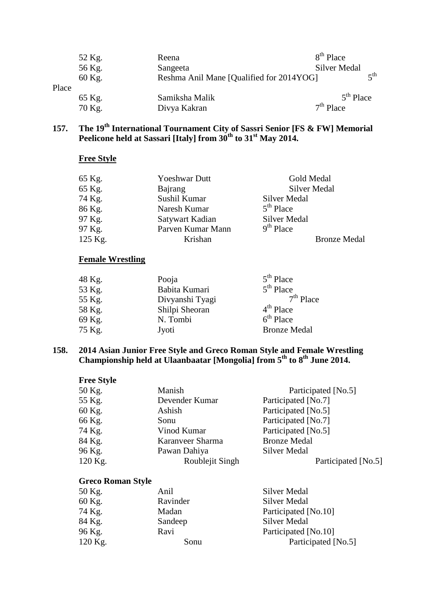|       | 52 Kg. | Reena                                    | 8 <sup>th</sup> Place |     |
|-------|--------|------------------------------------------|-----------------------|-----|
|       | 56 Kg. | Sangeeta                                 | <b>Silver Medal</b>   |     |
|       | 60 Kg. | Reshma Anil Mane [Qualified for 2014YOG] |                       | ςth |
| Place |        |                                          |                       |     |
|       | 65 Kg. | Samiksha Malik                           | $5th$ Place           |     |
|       | 70 Kg. | Divya Kakran                             | $7th$ Place           |     |

# **157. The 19th International Tournament City of Sassri Senior [FS & FW] Memorial Peelicone held at Sassari [Italy] from 30th to 31st May 2014.**

# **Free Style**

| 65 Kg.  | <b>Yoeshwar Dutt</b> | Gold Medal          |
|---------|----------------------|---------------------|
| 65 Kg.  | Bajrang              | Silver Medal        |
| 74 Kg.  | Sushil Kumar         | Silver Medal        |
| 86 Kg.  | Naresh Kumar         | $5th$ Place         |
| 97 Kg.  | Satywart Kadian      | Silver Medal        |
| 97 Kg.  | Parven Kumar Mann    | $9th$ Place         |
| 125 Kg. | Krishan              | <b>Bronze Medal</b> |

### **Female Wrestling**

| Pooja           | $5th$ Place         |
|-----------------|---------------------|
| Babita Kumari   | $5th$ Place         |
| Divyanshi Tyagi | $7th$ Place         |
| Shilpi Sheoran  | $4th$ Place         |
| N. Tombi        | $6th$ Place         |
| Jyoti           | <b>Bronze Medal</b> |
|                 |                     |

### **158. 2014 Asian Junior Free Style and Greco Roman Style and Female Wrestling Championship held at Ulaanbaatar [Mongolia] from 5th to 8th June 2014.**

| <b>Free Style</b> |                  |                     |
|-------------------|------------------|---------------------|
| 50 Kg.            | Manish           | Participated [No.5] |
| 55 Kg.            | Devender Kumar   | Participated [No.7] |
| 60 Kg.            | Ashish           | Participated [No.5] |
| 66 Kg.            | Sonu             | Participated [No.7] |
| 74 Kg.            | Vinod Kumar      | Participated [No.5] |
| 84 Kg.            | Karanveer Sharma | <b>Bronze Medal</b> |
| 96 Kg.            | Pawan Dahiya     | <b>Silver Medal</b> |
| 120 Kg.           | Roublejit Singh  | Participated [No.5] |

| 50 Kg.  | Anil     | Silver Medal         |
|---------|----------|----------------------|
| 60 Kg.  | Ravinder | <b>Silver Medal</b>  |
| 74 Kg.  | Madan    | Participated [No.10] |
| 84 Kg.  | Sandeep  | <b>Silver Medal</b>  |
| 96 Kg.  | Ravi     | Participated [No.10] |
| 120 Kg. | Sonu     | Participated [No.5]  |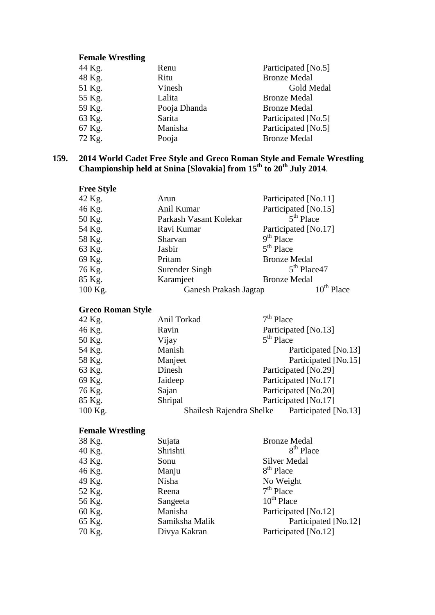| 44 Kg. | Renu         | Participated [No.5] |
|--------|--------------|---------------------|
| 48 Kg. | Ritu         | <b>Bronze Medal</b> |
| 51 Kg. | Vinesh       | Gold Medal          |
| 55 Kg. | Lalita       | <b>Bronze Medal</b> |
| 59 Kg. | Pooja Dhanda | <b>Bronze Medal</b> |
| 63 Kg. | Sarita       | Participated [No.5] |
| 67 Kg. | Manisha      | Participated [No.5] |
| 72 Kg. | Pooja        | <b>Bronze Medal</b> |
|        |              |                     |

### **159. 2014 World Cadet Free Style and Greco Roman Style and Female Wrestling Championship held at Snina [Slovakia] from 15th to 20th July 2014**.

| <b>Free Style</b> |                        |                      |
|-------------------|------------------------|----------------------|
| 42 Kg.            | Arun                   | Participated [No.11] |
| 46 Kg.            | Anil Kumar             | Participated [No.15] |
| 50 Kg.            | Parkash Vasant Kolekar | $5th$ Place          |
| 54 Kg.            | Ravi Kumar             | Participated [No.17] |
| 58 Kg.            | Sharvan                | $9th$ Place          |
| 63 Kg.            | Jasbir                 | $5th$ Place          |
| 69 Kg.            | Pritam                 | <b>Bronze Medal</b>  |
| 76 Kg.            | Surender Singh         | $5th$ Place 47       |
| 85 Kg.            | Karamjeet              | <b>Bronze Medal</b>  |
| 100 Kg.           | Ganesh Prakash Jagtap  | $10th$ Place         |

## **Greco Roman Style**

| 42 Kg.  | Anil Torkad | $7th$ Place                                      |
|---------|-------------|--------------------------------------------------|
| 46 Kg.  | Ravin       | Participated [No.13]                             |
| 50 Kg.  | Vijay       | $5th$ Place                                      |
| 54 Kg.  | Manish      | Participated [No.13]                             |
| 58 Kg.  | Manjeet     | Participated [No.15]                             |
| 63 Kg.  | Dinesh      | Participated [No.29]                             |
| 69 Kg.  | Jaideep     | Participated [No.17]                             |
| 76 Kg.  | Sajan       | Participated [No.20]                             |
| 85 Kg.  | Shripal     | Participated [No.17]                             |
| 100 Kg. |             | Participated [No.13]<br>Shailesh Rajendra Shelke |
|         |             |                                                  |

# **Female Wrestling**

| 38 Kg. | Sujata         | <b>Bronze Medal</b>   |
|--------|----------------|-----------------------|
| 40 Kg. | Shrishti       | 8 <sup>th</sup> Place |
| 43 Kg. | Sonu           | <b>Silver Medal</b>   |
| 46 Kg. | Manju          | 8 <sup>th</sup> Place |
| 49 Kg. | Nisha          | No Weight             |
| 52 Kg. | Reena          | $7th$ Place           |
| 56 Kg. | Sangeeta       | $10^{th}$ Place       |
| 60 Kg. | Manisha        | Participated [No.12]  |
| 65 Kg. | Samiksha Malik | Participated [No.12]  |
| 70 Kg. | Divya Kakran   | Participated [No.12]  |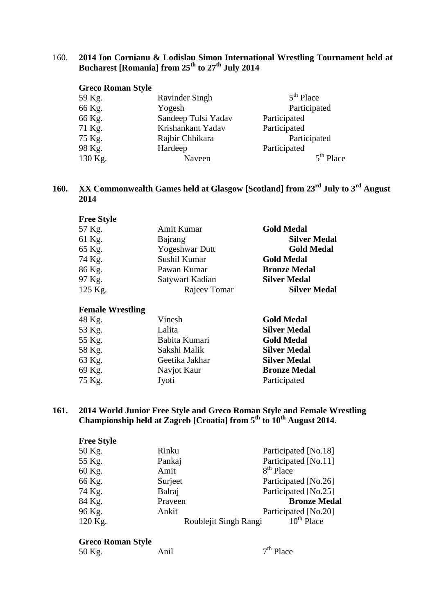# 160. **2014 Ion Cornianu & Lodislau Simon International Wrestling Tournament held at Bucharest [Romania] from 25th to 27th July 2014**

| <b>Greco Roman Style</b> |                     |              |
|--------------------------|---------------------|--------------|
| 59 Kg.                   | Ravinder Singh      | $5th$ Place  |
| 66 Kg.                   | Yogesh              | Participated |
| 66 Kg.                   | Sandeep Tulsi Yadav | Participated |
| 71 Kg.                   | Krishankant Yadav   | Participated |
| 75 Kg.                   | Rajbir Chhikara     | Participated |
| 98 Kg.                   | Hardeep             | Participated |
| 130 Kg.                  | Naveen              | $5th$ Place  |

# **160. XX Commonwealth Games held at Glasgow [Scotland] from 23rd July to 3rd August 2014**

| <b>Free Style</b> |                       |                     |
|-------------------|-----------------------|---------------------|
| 57 Kg.            | Amit Kumar            | <b>Gold Medal</b>   |
| 61 Kg.            | Bajrang               | <b>Silver Medal</b> |
| 65 Kg.            | <b>Yogeshwar Dutt</b> | <b>Gold Medal</b>   |
| 74 Kg.            | Sushil Kumar          | <b>Gold Medal</b>   |
| 86 Kg.            | Pawan Kumar           | <b>Bronze Medal</b> |
| 97 Kg.            | Satywart Kadian       | <b>Silver Medal</b> |
| 125 Kg.           | Rajeev Tomar          | <b>Silver Medal</b> |

## **Female Wrestling**

| 48 Kg. | Vinesh         | <b>Gold Medal</b>   |
|--------|----------------|---------------------|
| 53 Kg. | Lalita         | <b>Silver Medal</b> |
| 55 Kg. | Babita Kumari  | <b>Gold Medal</b>   |
| 58 Kg. | Sakshi Malik   | <b>Silver Medal</b> |
| 63 Kg. | Geetika Jakhar | <b>Silver Medal</b> |
| 69 Kg. | Navjot Kaur    | <b>Bronze Medal</b> |
| 75 Kg. | Jyoti          | Participated        |
|        |                |                     |

# **161. 2014 World Junior Free Style and Greco Roman Style and Female Wrestling Championship held at Zagreb [Croatia] from 5th to 10th August 2014**.

| <b>Free Style</b> |         |                                          |
|-------------------|---------|------------------------------------------|
| 50 Kg.            | Rinku   | Participated [No.18]                     |
| 55 Kg.            | Pankaj  | Participated [No.11]                     |
| 60 Kg.            | Amit    | 8 <sup>th</sup> Place                    |
| 66 Kg.            | Surject | Participated [No.26]                     |
| 74 Kg.            | Balraj  | Participated [No.25]                     |
| 84 Kg.            | Praveen | <b>Bronze Medal</b>                      |
| 96 Kg.            | Ankit   | Participated [No.20]                     |
| 120 Kg.           |         | $10^{th}$ Place<br>Roublejit Singh Rangi |

| 50 Kg. | Anil | $7th$ Place |
|--------|------|-------------|
|        |      |             |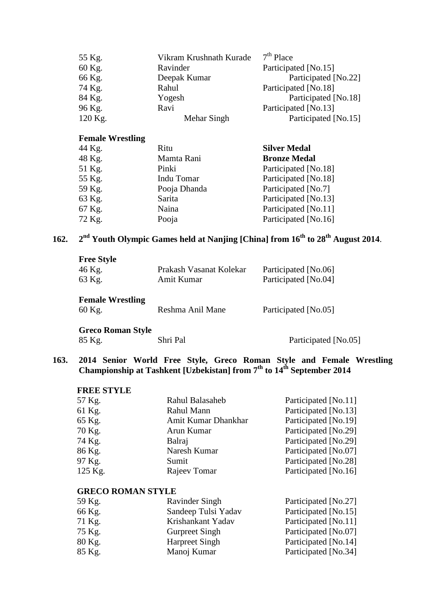| 55 Kg.  | Vikram Krushnath Kurade | $7th$ Place          |
|---------|-------------------------|----------------------|
| 60 Kg.  | Ravinder                | Participated [No.15] |
| 66 Kg.  | Deepak Kumar            | Participated [No.22] |
| 74 Kg.  | Rahul                   | Participated [No.18] |
| 84 Kg.  | Yogesh                  | Participated [No.18] |
| 96 Kg.  | Ravi                    | Participated [No.13] |
| 120 Kg. | Mehar Singh             | Participated [No.15] |

| 44 Kg. | Ritu         | <b>Silver Medal</b>  |
|--------|--------------|----------------------|
| 48 Kg. | Mamta Rani   | <b>Bronze Medal</b>  |
| 51 Kg. | Pinki        | Participated [No.18] |
| 55 Kg. | Indu Tomar   | Participated [No.18] |
| 59 Kg. | Pooja Dhanda | Participated [No.7]  |
| 63 Kg. | Sarita       | Participated [No.13] |
| 67 Kg. | Naina        | Participated [No.11] |
| 72 Kg. | Pooja        | Participated [No.16] |

# **162. 2nd Youth Olympic Games held at Nanjing [China] from 16th to 28th August 2014**.

| <b>Free Style</b><br>46 Kg.<br>63 Kg. | Prakash Vasanat Kolekar<br>Amit Kumar | Participated [No.06]<br>Participated [No.04] |
|---------------------------------------|---------------------------------------|----------------------------------------------|
| <b>Female Wrestling</b><br>60 Kg.     | Reshma Anil Mane                      | Participated [No.05]                         |

Greco Roman Style<br>85 Kg.

Shri Pal Participated [No.05]

### **163. 2014 Senior World Free Style, Greco Roman Style and Female Wrestling Championship at Tashkent [Uzbekistan] from 7th to 14th September 2014**

# **FREE STYLE**

| 57 Kg.  | Rahul Balasaheb     | Participated [No.11] |
|---------|---------------------|----------------------|
| 61 Kg.  | Rahul Mann          | Participated [No.13] |
| 65 Kg.  | Amit Kumar Dhankhar | Participated [No.19] |
| 70 Kg.  | Arun Kumar          | Participated [No.29] |
| 74 Kg.  | Balraj              | Participated [No.29] |
| 86 Kg.  | Naresh Kumar        | Participated [No.07] |
| 97 Kg.  | Sumit               | Participated [No.28] |
| 125 Kg. | Rajeev Tomar        | Participated [No.16] |
|         |                     |                      |

## **GRECO ROMAN STYLE**

| 59 Kg. | Ravinder Singh        | Participated [No.27] |
|--------|-----------------------|----------------------|
| 66 Kg. | Sandeep Tulsi Yadav   | Participated [No.15] |
| 71 Kg. | Krishankant Yadav     | Participated [No.11] |
| 75 Kg. | <b>Gurpreet Singh</b> | Participated [No.07] |
| 80 Kg. | <b>Harpreet Singh</b> | Participated [No.14] |
| 85 Kg. | Manoj Kumar           | Participated [No.34] |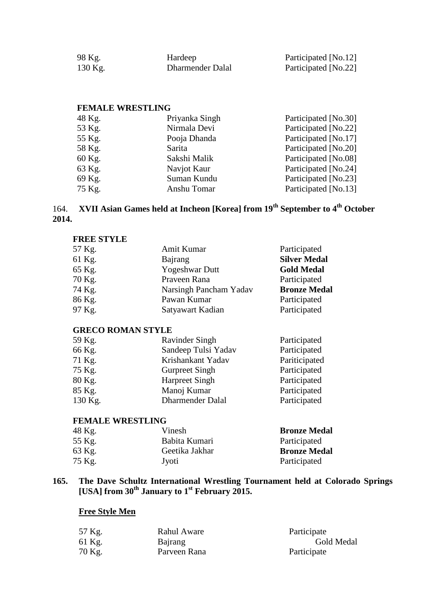| 98 Kg.    | Hardeep          | Participated [No.12] |
|-----------|------------------|----------------------|
| $130$ Kg. | Dharmender Dalal | Participated [No.22] |

### **FEMALE WRESTLING**

| 48 Kg. | Priyanka Singh | Participated [No.30] |
|--------|----------------|----------------------|
| 53 Kg. | Nirmala Devi   | Participated [No.22] |
| 55 Kg. | Pooja Dhanda   | Participated [No.17] |
| 58 Kg. | Sarita         | Participated [No.20] |
| 60 Kg. | Sakshi Malik   | Participated [No.08] |
| 63 Kg. | Navjot Kaur    | Participated [No.24] |
| 69 Kg. | Suman Kundu    | Participated [No.23] |
| 75 Kg. | Anshu Tomar    | Participated [No.13] |
|        |                |                      |

# 164. **XVII Asian Games held at Incheon [Korea] from 19th September to 4th October 2014.**

#### **FREE STYLE**

| 57 Kg. | Amit Kumar             | Participated        |
|--------|------------------------|---------------------|
| 61 Kg. | Bajrang                | <b>Silver Medal</b> |
| 65 Kg. | <b>Yogeshwar Dutt</b>  | <b>Gold Medal</b>   |
| 70 Kg. | Praveen Rana           | Participated        |
| 74 Kg. | Narsingh Pancham Yadav | <b>Bronze Medal</b> |
| 86 Kg. | Pawan Kumar            | Participated        |
| 97 Kg. | Satyawart Kadian       | Participated        |

### **GRECO ROMAN STYLE**

| <b>Ravinder Singh</b>   | Participated  |
|-------------------------|---------------|
| Sandeep Tulsi Yadav     | Participated  |
| Krishankant Yadav       | Pariticipated |
| <b>Gurpreet Singh</b>   | Participated  |
| <b>Harpreet Singh</b>   | Participated  |
| Manoj Kumar             | Participated  |
| <b>Dharmender Dalal</b> | Participated  |
|                         |               |

# **FEMALE WRESTLING**

| 48 Kg. | Vinesh         | <b>Bronze Medal</b> |
|--------|----------------|---------------------|
| 55 Kg. | Babita Kumari  | Participated        |
| 63 Kg. | Geetika Jakhar | <b>Bronze Medal</b> |
| 75 Kg. | Jyoti          | Participated        |

### **165. The Dave Schultz International Wrestling Tournament held at Colorado Springs [USA] from 30th January to 1st February 2015.**

# **Free Style Men**

| 57 Kg. | Rahul Aware  | Participate |
|--------|--------------|-------------|
| 61 Kg. | Bajrang      | Gold Medal  |
| 70 Kg. | Parveen Rana | Participate |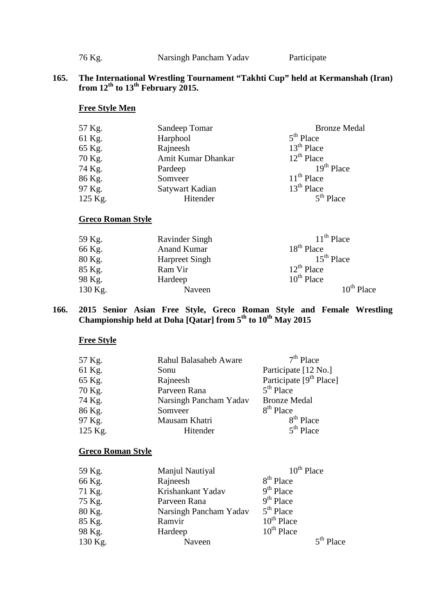76 Kg. Narsingh Pancham Yadav Participate

## **165. The International Wrestling Tournament "Takhti Cup" held at Kermanshah (Iran) from 12th to 13th February 2015.**

# **Free Style Men**

| 57 Kg.  | Sandeep Tomar      | <b>Bronze Medal</b> |
|---------|--------------------|---------------------|
| 61 Kg.  | Harphool           | $5th$ Place         |
| 65 Kg.  | Rajneesh           | $13th$ Place        |
| 70 Kg.  | Amit Kumar Dhankar | $12^{th}$ Place     |
| 74 Kg.  | Pardeep            | $19th$ Place        |
| 86 Kg.  | Somveer            | $11th$ Place        |
| 97 Kg.  | Satywart Kadian    | $13th$ Place        |
| 125 Kg. | Hitender           | $5th$ Place         |

# **Greco Roman Style**

| 59 Kg.  | <b>Ravinder Singh</b> | $11th$ Place    |
|---------|-----------------------|-----------------|
| 66 Kg.  | <b>Anand Kumar</b>    | $18th$ Place    |
| 80 Kg.  | <b>Harpreet Singh</b> | $15th$ Place    |
| 85 Kg.  | Ram Vir               | $12^{th}$ Place |
| 98 Kg.  | Hardeep               | $10^{th}$ Place |
| 130 Kg. | Naveen                | $10^{th}$ Place |

### **166. 2015 Senior Asian Free Style, Greco Roman Style and Female Wrestling**  Championship held at Doha [Qatar] from 5<sup>th</sup> to 10<sup>th</sup> May 2015

## **Free Style**

| $7th$ Place<br><b>Rahul Balasaheb Aware</b><br>57 Kg.     |  |
|-----------------------------------------------------------|--|
| 61 Kg.<br>Participate [12 No.]<br>Sonu                    |  |
| Participate [9 <sup>th</sup> Place]<br>65 Kg.<br>Rajneesh |  |
| $5th$ Place<br>Parveen Rana<br>70 Kg.                     |  |
| 74 Kg.<br>Narsingh Pancham Yadav<br><b>Bronze Medal</b>   |  |
| $8th$ Place<br>86 Kg.<br>Somveer                          |  |
| 8 <sup>th</sup> Place<br>97 Kg.<br>Mausam Khatri          |  |
| $5th$ Place<br>125 Kg.<br>Hitender                        |  |

| 59 Kg.  | Manjul Nautiyal        | $10^{th}$ Place |
|---------|------------------------|-----------------|
| 66 Kg.  | Rajneesh               | $8th$ Place     |
| 71 Kg.  | Krishankant Yadav      | $9th$ Place     |
| 75 Kg.  | Parveen Rana           | $9th$ Place     |
| 80 Kg.  | Narsingh Pancham Yadav | $5th$ Place     |
| 85 Kg.  | Ramvir                 | $10^{th}$ Place |
| 98 Kg.  | Hardeep                | $10^{th}$ Place |
| 130 Kg. | Naveen                 | $5th$ Place     |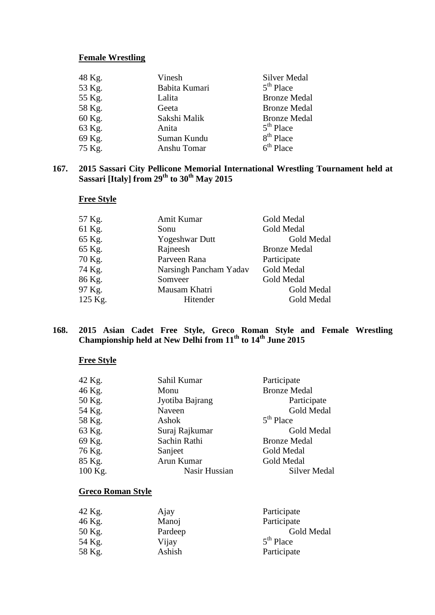| 48 Kg. | Vinesh        | Silver Medal          |
|--------|---------------|-----------------------|
| 53 Kg. | Babita Kumari | $5th$ Place           |
| 55 Kg. | Lalita        | <b>Bronze Medal</b>   |
| 58 Kg. | Geeta         | <b>Bronze Medal</b>   |
| 60 Kg. | Sakshi Malik  | <b>Bronze Medal</b>   |
| 63 Kg. | Anita         | $5th$ Place           |
| 69 Kg. | Suman Kundu   | 8 <sup>th</sup> Place |
| 75 Kg. | Anshu Tomar   | $6th$ Place           |

### **167. 2015 Sassari City Pellicone Memorial International Wrestling Tournament held at Sassari [Italy] from 29th to 30th May 2015**

# **Free Style**

| 57 Kg.<br>Amit Kumar             | Gold Medal          |
|----------------------------------|---------------------|
| 61 Kg.<br>Sonu                   | Gold Medal          |
| 65 Kg.<br><b>Yogeshwar Dutt</b>  | Gold Medal          |
| Rajneesh<br>65 Kg.               | <b>Bronze Medal</b> |
| Parveen Rana<br>70 Kg.           | Participate         |
| 74 Kg.<br>Narsingh Pancham Yadav | Gold Medal          |
| 86 Kg.<br>Somveer                | Gold Medal          |
| 97 Kg.<br>Mausam Khatri          | Gold Medal          |
| 125 Kg.<br>Hitender              | Gold Medal          |

### **168. 2015 Asian Cadet Free Style, Greco Roman Style and Female Wrestling Championship held at New Delhi from 11th to 14th June 2015**

# **Free Style**

| 42 Kg.  | Sahil Kumar     | Participate         |
|---------|-----------------|---------------------|
| 46 Kg.  | Monu            | <b>Bronze Medal</b> |
| 50 Kg.  | Jyotiba Bajrang | Participate         |
| 54 Kg.  | Naveen          | Gold Medal          |
| 58 Kg.  | Ashok           | $5th$ Place         |
| 63 Kg.  | Suraj Rajkumar  | Gold Medal          |
| 69 Kg.  | Sachin Rathi    | <b>Bronze Medal</b> |
| 76 Kg.  | Sanjeet         | Gold Medal          |
| 85 Kg.  | Arun Kumar      | Gold Medal          |
| 100 Kg. | Nasir Hussian   | <b>Silver Medal</b> |

| 42 Kg. | Ajay    | Participate |
|--------|---------|-------------|
| 46 Kg. | Manoj   | Participate |
| 50 Kg. | Pardeep | Gold Medal  |
| 54 Kg. | Vijay   | $5th$ Place |
| 58 Kg. | Ashish  | Participate |
|        |         |             |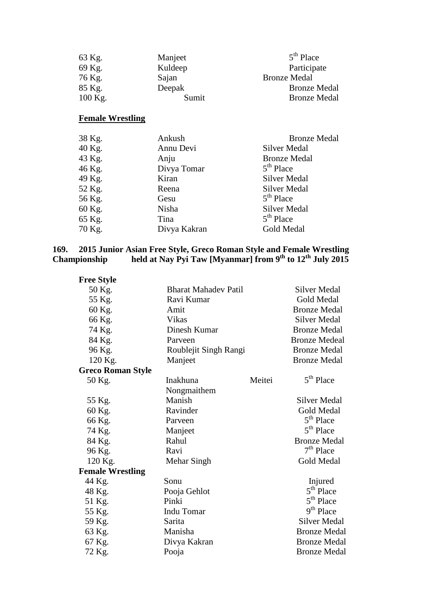| 63 Kg.    | Manjeet | $5th$ Place         |
|-----------|---------|---------------------|
| 69 Kg.    | Kuldeep | Participate         |
| 76 Kg.    | Sajan   | <b>Bronze Medal</b> |
| 85 Kg.    | Deepak  | <b>Bronze Medal</b> |
| $100$ Kg. | Sumit   | <b>Bronze Medal</b> |

| 38 Kg. | Ankush       | <b>Bronze Medal</b> |
|--------|--------------|---------------------|
| 40 Kg. | Annu Devi    | <b>Silver Medal</b> |
| 43 Kg. | Anju         | <b>Bronze Medal</b> |
| 46 Kg. | Divya Tomar  | $5th$ Place         |
| 49 Kg. | Kiran        | <b>Silver Medal</b> |
| 52 Kg. | Reena        | <b>Silver Medal</b> |
| 56 Kg. | Gesu         | $5th$ Place         |
| 60 Kg. | Nisha        | <b>Silver Medal</b> |
| 65 Kg. | Tina         | $5th$ Place         |
| 70 Kg. | Divya Kakran | Gold Medal          |

### **169. 2015 Junior Asian Free Style, Greco Roman Style and Female Wrestling Championship held at Nay Pyi Taw [Myanmar] from 9th to 12th July 2015**

| <b>Free Style</b>        |                             |        |                       |
|--------------------------|-----------------------------|--------|-----------------------|
| 50 Kg.                   | <b>Bharat Mahadev Patil</b> |        | <b>Silver Medal</b>   |
| 55 Kg.                   | Ravi Kumar                  |        | <b>Gold Medal</b>     |
| 60 Kg.                   | Amit                        |        | <b>Bronze Medal</b>   |
| 66 Kg.                   | Vikas                       |        | Silver Medal          |
| 74 Kg.                   | Dinesh Kumar                |        | <b>Bronze Medal</b>   |
| 84 Kg.                   | Parveen                     |        | <b>Bronze Medeal</b>  |
| 96 Kg.                   | Roublejit Singh Rangi       |        | <b>Bronze Medal</b>   |
| 120 Kg.                  | Manjeet                     |        | <b>Bronze Medal</b>   |
| <b>Greco Roman Style</b> |                             |        |                       |
| 50 Kg.                   | Inakhuna                    | Meitei | 5 <sup>th</sup> Place |
|                          | Nongmaithem                 |        |                       |
| 55 Kg.                   | Manish                      |        | <b>Silver Medal</b>   |
| 60 Kg.                   | Ravinder                    |        | Gold Medal            |
| 66 Kg.                   | Parveen                     |        | $5th$ Place           |
| 74 Kg.                   | Manjeet                     |        | 5 <sup>th</sup> Place |
| 84 Kg.                   | Rahul                       |        | <b>Bronze Medal</b>   |
| 96 Kg.                   | Ravi                        |        | $7th$ Place           |
| 120 Kg.                  | Mehar Singh                 |        | Gold Medal            |
| <b>Female Wrestling</b>  |                             |        |                       |
| 44 Kg.                   | Sonu                        |        | Injured               |
| 48 Kg.                   | Pooja Gehlot                |        | $5th$ Place           |
| 51 Kg.                   | Pinki                       |        | 5 <sup>th</sup> Place |
| 55 Kg.                   | <b>Indu Tomar</b>           |        | 9 <sup>th</sup> Place |
| 59 Kg.                   | Sarita                      |        | Silver Medal          |
| 63 Kg.                   | Manisha                     |        | <b>Bronze Medal</b>   |
| 67 Kg.                   | Divya Kakran                |        | <b>Bronze Medal</b>   |
| 72 Kg.                   | Pooja                       |        | <b>Bronze Medal</b>   |
|                          |                             |        |                       |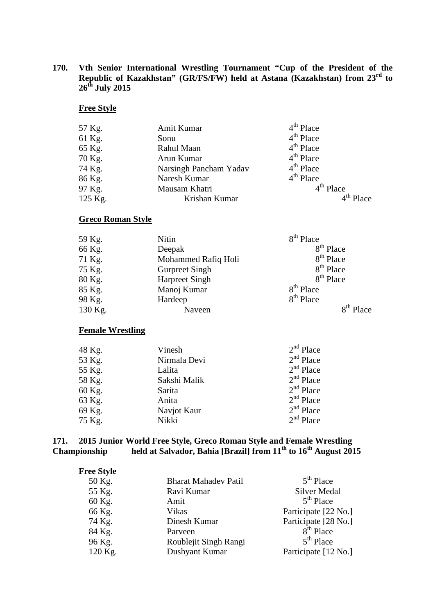**170. Vth Senior International Wrestling Tournament "Cup of the President of the Republic of Kazakhstan" (GR/FS/FW) held at Astana (Kazakhstan) from 23rd to 26th July 2015**

## **Free Style**

| 57 Kg.  | Amit Kumar             | $4th$ Place |
|---------|------------------------|-------------|
| 61 Kg.  | Sonu                   | $4th$ Place |
| 65 Kg.  | Rahul Maan             | $4th$ Place |
| 70 Kg.  | Arun Kumar             | $4th$ Place |
| 74 Kg.  | Narsingh Pancham Yadav | $4th$ Place |
| 86 Kg.  | Naresh Kumar           | $4th$ Place |
| 97 Kg.  | Mausam Khatri          | $4th$ Place |
| 125 Kg. | Krishan Kumar          | $4th$ Place |

# **Greco Roman Style**

| 59 Kg.  | Nitin                 | 8 <sup>th</sup> Place |
|---------|-----------------------|-----------------------|
| 66 Kg.  | Deepak                | $8th$ Place           |
| 71 Kg.  | Mohammed Rafiq Holi   | 8 <sup>th</sup> Place |
| 75 Kg.  | <b>Gurpreet Singh</b> | 8 <sup>th</sup> Place |
| 80 Kg.  | <b>Harpreet Singh</b> | 8 <sup>th</sup> Place |
| 85 Kg.  | Manoj Kumar           | 8 <sup>th</sup> Place |
| 98 Kg.  | Hardeep               | 8 <sup>th</sup> Place |
| 130 Kg. | Naveen                | $8th$ Place           |

### **Female Wrestling**

| 48 Kg. | Vinesh       | $2nd$ Place |
|--------|--------------|-------------|
| 53 Kg. | Nirmala Devi | $2nd$ Place |
| 55 Kg. | Lalita       | $2nd$ Place |
| 58 Kg. | Sakshi Malik | $2nd$ Place |
| 60 Kg. | Sarita       | $2nd$ Place |
| 63 Kg. | Anita        | $2nd$ Place |
| 69 Kg. | Navjot Kaur  | $2nd$ Place |
| 75 Kg. | Nikki        | $2nd$ Place |

### **171. 2015 Junior World Free Style, Greco Roman Style and Female Wrestling Championship held at Salvador, Bahia [Brazil] from 11th to 16th August 2015**

| <b>Free Style</b> |                             |                      |
|-------------------|-----------------------------|----------------------|
| 50 Kg.            | <b>Bharat Mahadev Patil</b> | $5th$ Place          |
| 55 Kg.            | Ravi Kumar                  | <b>Silver Medal</b>  |
| 60 Kg.            | Amit                        | $5th$ Place          |
| 66 Kg.            | <b>Vikas</b>                | Participate [22 No.] |
| 74 Kg.            | Dinesh Kumar                | Participate [28 No.] |
| 84 Kg.            | Parveen                     | $8th$ Place          |
| 96 Kg.            | Roublejit Singh Rangi       | $5th$ Place          |
| 120 Kg.           | Dushyant Kumar              | Participate [12 No.] |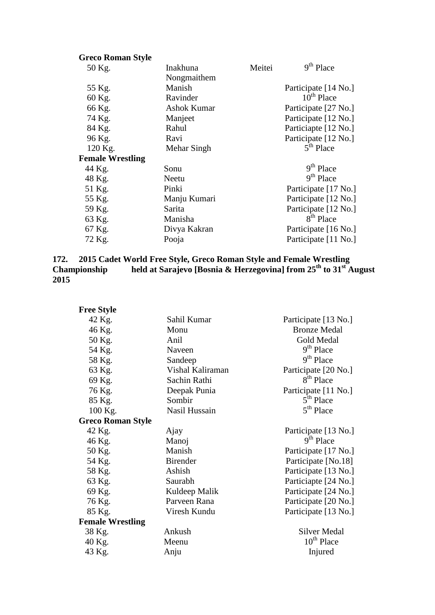| <b>Greco Roman Style</b> |                    |        |                       |
|--------------------------|--------------------|--------|-----------------------|
| 50 Kg.                   | Inakhuna           | Meitei | 9 <sup>th</sup> Place |
|                          | Nongmaithem        |        |                       |
| 55 Kg.                   | Manish             |        | Participate [14 No.]  |
| 60 Kg.                   | Ravinder           |        | $10^{th}$ Place       |
| 66 Kg.                   | <b>Ashok Kumar</b> |        | Participate [27 No.]  |
| 74 Kg.                   | Manjeet            |        | Participate [12 No.]  |
| 84 Kg.                   | Rahul              |        | Particiapte [12 No.]  |
| 96 Kg.                   | Ravi               |        | Participate [12 No.]  |
| 120 Kg.                  | Mehar Singh        |        | $5th$ Place           |
| <b>Female Wrestling</b>  |                    |        |                       |
| 44 Kg.                   | Sonu               |        | 9 <sup>th</sup> Place |
| 48 Kg.                   | Neetu              |        | 9 <sup>th</sup> Place |
| 51 Kg.                   | Pinki              |        | Participate [17 No.]  |
| 55 Kg.                   | Manju Kumari       |        | Participate [12 No.]  |
| 59 Kg.                   | Sarita             |        | Participate [12 No.]  |
| 63 Kg.                   | Manisha            |        | $8th$ Place           |
| 67 Kg.                   | Divya Kakran       |        | Participate [16 No.]  |
| 72 Kg.                   | Pooja              |        | Participate [11 No.]  |
|                          |                    |        |                       |

## **172. 2015 Cadet World Free Style, Greco Roman Style and Female Wrestling Championship held at Sarajevo [Bosnia & Herzegovina] from 25th to 31st August 2015**

| <b>Free Style</b>        |                  |                        |
|--------------------------|------------------|------------------------|
| 42 Kg.                   | Sahil Kumar      | Participate [13 No.]   |
| 46 Kg.                   | Monu             | <b>Bronze Medal</b>    |
| 50 Kg.                   | Anil             | Gold Medal             |
| 54 Kg.                   | Naveen           | 9 <sup>th</sup> Place  |
| 58 Kg.                   | Sandeep          | 9 <sup>th</sup> Place  |
| 63 Kg.                   | Vishal Kaliraman | Participate [20 No.]   |
| 69 Kg.                   | Sachin Rathi     | 8 <sup>th</sup> Place  |
| 76 Kg.                   | Deepak Punia     | Participate [11 No.]   |
| 85 Kg.                   | Sombir           | $5th$ Place            |
| 100 Kg.                  | Nasil Hussain    | 5 <sup>th</sup> Place  |
| <b>Greco Roman Style</b> |                  |                        |
| 42 Kg.                   | Ajay             | Participate [13 No.]   |
| 46 Kg.                   | Manoj            | $9th$ Place            |
| 50 Kg.                   | Manish           | Participate [17 No.]   |
| 54 Kg.                   | <b>Birender</b>  | Participate [No.18]    |
| 58 Kg.                   | Ashish           | Participate [13 No.]   |
| 63 Kg.                   | Saurabh          | Particiapte [24 No.]   |
| 69 Kg.                   | Kuldeep Malik    | Participate [24 No.]   |
| 76 Kg.                   | Parveen Rana     | Participate [20 No.]   |
| 85 Kg.                   | Viresh Kundu     | Participate [13 No.]   |
| <b>Female Wrestling</b>  |                  |                        |
| 38 Kg.                   | Ankush           | <b>Silver Medal</b>    |
| 40 Kg.                   | Meenu            | 10 <sup>th</sup> Place |
| 43 Kg.                   | Anju             | Injured                |
|                          |                  |                        |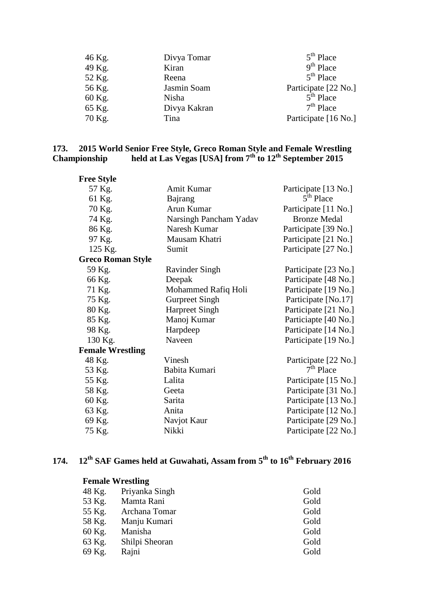| 46 Kg. | Divya Tomar  | $5th$ Place          |
|--------|--------------|----------------------|
| 49 Kg. | Kiran        | $9th$ Place          |
| 52 Kg. | Reena        | $5th$ Place          |
| 56 Kg. | Jasmin Soam  | Participate [22 No.] |
| 60 Kg. | Nisha        | $5th$ Place          |
| 65 Kg. | Divya Kakran | $7th$ Place          |
| 70 Kg. | Tina         | Participate [16 No.] |

### **173. 2015 World Senior Free Style, Greco Roman Style and Female Wrestling Championship held at Las Vegas [USA] from 7th to 12th September 2015**

| <b>Free Style</b>        |                        |                       |
|--------------------------|------------------------|-----------------------|
| 57 Kg.                   | Amit Kumar             | Participate [13 No.]  |
| 61 Kg.                   | Bajrang                | 5 <sup>th</sup> Place |
| 70 Kg.                   | Arun Kumar             | Participate [11 No.]  |
| 74 Kg.                   | Narsingh Pancham Yadav | <b>Bronze Medal</b>   |
| 86 Kg.                   | Naresh Kumar           | Participate [39 No.]  |
| 97 Kg.                   | Mausam Khatri          | Participate [21 No.]  |
| 125 Kg.                  | Sumit                  | Participate [27 No.]  |
| <b>Greco Roman Style</b> |                        |                       |
| 59 Kg.                   | <b>Ravinder Singh</b>  | Participate [23 No.]  |
| 66 Kg.                   | Deepak                 | Participate [48 No.]  |
| 71 Kg.                   | Mohammed Rafiq Holi    | Participate [19 No.]  |
| 75 Kg.                   | <b>Gurpreet Singh</b>  | Participate [No.17]   |
| 80 Kg.                   | <b>Harpreet Singh</b>  | Participate [21 No.]  |
| 85 Kg.                   | Manoj Kumar            | Particiapte [40 No.]  |
| 98 Kg.                   | Harpdeep               | Participate [14 No.]  |
| 130 Kg.                  | Naveen                 | Participate [19 No.]  |
| <b>Female Wrestling</b>  |                        |                       |
| 48 Kg.                   | Vinesh                 | Participate [22 No.]  |
| 53 Kg.                   | Babita Kumari          | $7th$ Place           |
| 55 Kg.                   | Lalita                 | Participate [15 No.]  |
| 58 Kg.                   | Geeta                  | Participate [31 No.]  |
| 60 Kg.                   | Sarita                 | Participate [13 No.]  |
| 63 Kg.                   | Anita                  | Participate [12 No.]  |
| 69 Kg.                   | Navjot Kaur            | Participate [29 No.]  |
| 75 Kg.                   | Nikki                  | Participate [22 No.]  |

# **174. 12th SAF Games held at Guwahati, Assam from 5th to 16th February 2016**

# **Female Wrestling** 48 Kg. Priyanka Singh Gold<br>53 Kg. Mamta Rani Gold Mamta Rani 55 Kg. Archana Tomar Gold 58 Kg. Manju Kumari Gold 60 Kg. Manisha Gold 63 Kg. Shilpi Sheoran Gold 69 Kg. Rajni Gold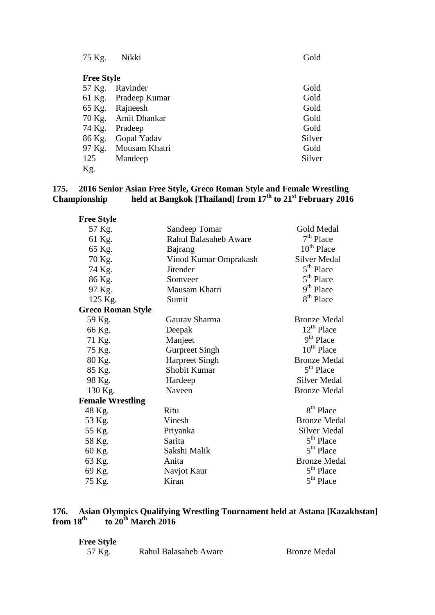| 75 Kg.            | Nikki               | Gold   |
|-------------------|---------------------|--------|
| <b>Free Style</b> |                     |        |
| 57 Kg.            | Ravinder            | Gold   |
| 61 Kg.            | Pradeep Kumar       | Gold   |
|                   | 65 Kg. Rajneesh     | Gold   |
|                   | 70 Kg. Amit Dhankar | Gold   |
| 74 Kg.            | Pradeep             | Gold   |
| 86 Kg.            | Gopal Yadav         | Silver |
| 97 Kg.            | Mousam Khatri       | Gold   |
| 125               | Mandeep             | Silver |
| Kg.               |                     |        |

## **175. 2016 Senior Asian Free Style, Greco Roman Style and Female Wrestling Championship held at Bangkok [Thailand] from 17th to 21st February 2016**

| <b>Free Style</b>        |                       |                        |
|--------------------------|-----------------------|------------------------|
| 57 Kg.                   | Sandeep Tomar         | <b>Gold Medal</b>      |
| 61 Kg.                   | Rahul Balasaheb Aware | $7th$ Place            |
| 65 Kg.                   | Bajrang               | $10^{th}$ Place        |
| 70 Kg.                   | Vinod Kumar Omprakash | <b>Silver Medal</b>    |
| 74 Kg.                   | <b>Jitender</b>       | 5 <sup>th</sup> Place  |
| 86 Kg.                   | Somveer               | 5 <sup>th</sup> Place  |
| 97 Kg.                   | Mausam Khatri         | 9 <sup>th</sup> Place  |
| 125 Kg.                  | Sumit                 | 8 <sup>th</sup> Place  |
| <b>Greco Roman Style</b> |                       |                        |
| 59 Kg.                   | Gaurav Sharma         | <b>Bronze Medal</b>    |
| 66 Kg.                   | Deepak                | $12^{th}$ Place        |
| 71 Kg.                   | Manjeet               | $9th$ Place            |
| 75 Kg.                   | <b>Gurpreet Singh</b> | 10 <sup>th</sup> Place |
| 80 Kg.                   | <b>Harpreet Singh</b> | <b>Bronze Medal</b>    |
| 85 Kg.                   | Shobit Kumar          | $5th$ Place            |
| 98 Kg.                   | Hardeep               | <b>Silver Medal</b>    |
| 130 Kg.                  | Naveen                | <b>Bronze Medal</b>    |
| <b>Female Wrestling</b>  |                       |                        |
| 48 Kg.                   | Ritu                  | 8 <sup>th</sup> Place  |
| 53 Kg.                   | Vinesh                | <b>Bronze Medal</b>    |
| 55 Kg.                   | Priyanka              | <b>Silver Medal</b>    |
| 58 Kg.                   | Sarita                | 5 <sup>th</sup> Place  |
| 60 Kg.                   | Sakshi Malik          | $5th$ Place            |
| 63 Kg.                   | Anita                 | <b>Bronze Medal</b>    |
| 69 Kg.                   | Navjot Kaur           | 5 <sup>th</sup> Place  |
| 75 Kg.                   | Kiran                 | 5 <sup>th</sup> Place  |

## **176. Asian Olympics Qualifying Wrestling Tournament held at Astana [Kazakhstan] from 18th to 20th March 2016**

| <b>Free Style</b> |                       |                     |
|-------------------|-----------------------|---------------------|
| 57 Kg.            | Rahul Balasaheb Aware | <b>Bronze Medal</b> |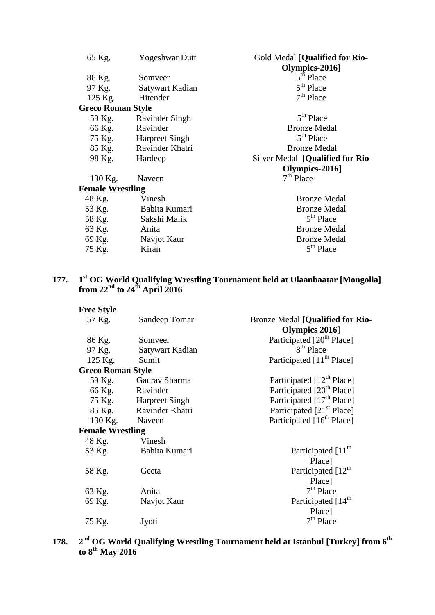| 65 Kg.                   | <b>Yogeshwar Dutt</b> | Gold Medal [Qualified for Rio-<br>Olympics-2016] |
|--------------------------|-----------------------|--------------------------------------------------|
| 86 Kg.                   | Somveer               | $5th$ Place                                      |
| 97 Kg.                   | Satywart Kadian       | $5th$ Place                                      |
| 125 Kg.                  | Hitender              | $7th$ Place                                      |
| <b>Greco Roman Style</b> |                       |                                                  |
| 59 Kg.                   | Ravinder Singh        | $5th$ Place                                      |
| 66 Kg.                   | Ravinder              | <b>Bronze Medal</b>                              |
| 75 Kg.                   | <b>Harpreet Singh</b> | 5 <sup>th</sup> Place                            |
| 85 Kg.                   | Ravinder Khatri       | <b>Bronze Medal</b>                              |
| 98 Kg.                   | Hardeep               | Silver Medal [Qualified for Rio-                 |
|                          |                       | Olympics-2016]                                   |
| 130 Kg.                  | Naveen                | $7th$ Place                                      |
| <b>Female Wrestling</b>  |                       |                                                  |
|                          |                       |                                                  |
| 48 Kg.                   | Vinesh                | <b>Bronze Medal</b>                              |
| 53 Kg.                   | Babita Kumari         | <b>Bronze Medal</b>                              |
| 58 Kg.                   | Sakshi Malik          | $5th$ Place                                      |
| 63 Kg.                   | Anita                 | <b>Bronze Medal</b>                              |
| 69 Kg.                   | Navjot Kaur           | <b>Bronze Medal</b><br>5 <sup>th</sup> Place     |

# **177. 1st OG World Qualifying Wrestling Tournament held at Ulaanbaatar [Mongolia] from 22nd to 24th April 2016**

| <b>Free Style</b>        |                        |                                         |
|--------------------------|------------------------|-----------------------------------------|
| 57 Kg.                   | Sandeep Tomar          | <b>Bronze Medal [Qualified for Rio-</b> |
|                          |                        | Olympics 2016                           |
| 86 Kg.                   | Somveer                | Participated [20 <sup>th</sup> Place]   |
|                          | 97 Kg. Satywart Kadian | 8 <sup>th</sup> Place                   |
| 125 Kg.                  | Sumit                  | Participated [11 <sup>th</sup> Place]   |
| <b>Greco Roman Style</b> |                        |                                         |
|                          | 59 Kg. Gaurav Sharma   | Participated [12 <sup>th</sup> Place]   |
|                          | 66 Kg. Ravinder        | Participated [20 <sup>th</sup> Place]   |
|                          | 75 Kg. Harpreet Singh  | Participated [17 <sup>th</sup> Place]   |
|                          | 85 Kg. Ravinder Khatri | Participated [21 <sup>st</sup> Place]   |
|                          | 130 Kg. Naveen         | Participated [16 <sup>th</sup> Place]   |
| <b>Female Wrestling</b>  |                        |                                         |
| 48 Kg.                   | Vinesh                 |                                         |
| 53 Kg.                   | Babita Kumari          | Participated [11 <sup>th</sup>          |
|                          |                        | Place]                                  |
| 58 Kg.                   | Geeta                  | Participated [12 <sup>th</sup>          |
|                          |                        | Place]                                  |
| 63 Kg.                   | Anita                  | $7th$ Place                             |
| 69 Kg.                   | Navjot Kaur            | Participated [14 <sup>th</sup>          |
|                          |                        | Place]                                  |
| 75 Kg.                   | Jyoti                  | $7th$ Place                             |
|                          |                        |                                         |

**178. 2nd OG World Qualifying Wrestling Tournament held at Istanbul [Turkey] from 6th to 8th May 2016**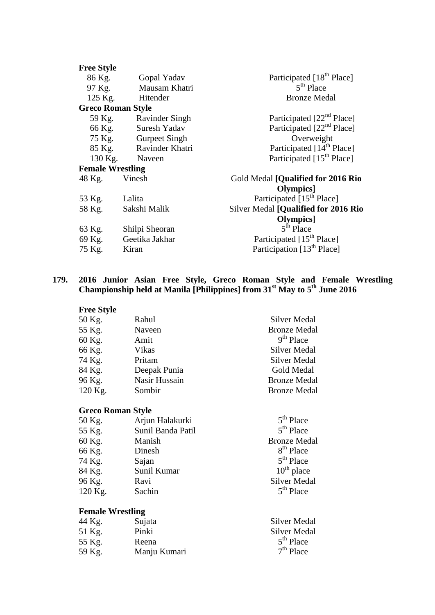| <b>Free Style</b>        |                        |                                        |
|--------------------------|------------------------|----------------------------------------|
| 86 Kg.                   | Gopal Yadav            | Participated [18 <sup>th</sup> Place]  |
| 97 Kg.                   | Mausam Khatri          | $5th$ Place                            |
| 125 Kg.                  | Hitender               | <b>Bronze Medal</b>                    |
| <b>Greco Roman Style</b> |                        |                                        |
|                          | 59 Kg. Ravinder Singh  | Participated [22 <sup>nd</sup> Place]  |
|                          | 66 Kg. Suresh Yadav    | Participated [22 <sup>nd</sup> Place]  |
|                          | 75 Kg. Gurpeet Singh   | Overweight                             |
|                          | 85 Kg. Ravinder Khatri | Participated [14 <sup>th</sup> Place]  |
|                          | 130 Kg. Naveen         | Participated [15 <sup>th</sup> Place]  |
| <b>Female Wrestling</b>  |                        |                                        |
| 48 Kg. Vinesh            |                        | Gold Medal [Qualified for 2016 Rio     |
|                          |                        | Olympics]                              |
| 53 Kg.                   | Lalita                 | Participated [15 <sup>th</sup> Place]  |
| 58 Kg.                   | Sakshi Malik           | Silver Medal [Qualified for 2016 Rio   |
|                          |                        | Olympics]                              |
| 63 Kg.                   | Shilpi Sheoran         | $5th$ Place                            |
| 69 Kg.                   | Geetika Jakhar         | Participated [15 <sup>th</sup> Place]  |
| 75 Kg.                   | Kiran                  | Participation [13 <sup>th</sup> Place] |
|                          |                        |                                        |

### **179. 2016 Junior Asian Free Style, Greco Roman Style and Female Wrestling Championship held at Manila [Philippines] from 31st May to 5th June 2016**

| <b>Free Style</b>        |                   |                       |
|--------------------------|-------------------|-----------------------|
| 50 Kg.                   | Rahul             | Silver Medal          |
| 55 Kg.                   | Naveen            | <b>Bronze Medal</b>   |
| 60 Kg.                   | Amit              | $9th$ Place           |
| 66 Kg.                   | Vikas             | Silver Medal          |
| 74 Kg.                   | Pritam            | Silver Medal          |
| 84 Kg.                   | Deepak Punia      | Gold Medal            |
| 96 Kg.                   | Nasir Hussain     | <b>Bronze Medal</b>   |
| 120 Kg.                  | Sombir            | <b>Bronze Medal</b>   |
| <b>Greco Roman Style</b> |                   |                       |
| 50 Kg.                   | Arjun Halakurki   | $5th$ Place           |
| 55 $K_{\mathcal{P}}$     | Sunil Banda Patil | 5 <sup>th</sup> Place |

| 55 Kg.  | Sunil Banda Patil | $5th$ Place           |
|---------|-------------------|-----------------------|
| 60 Kg.  | Manish            | <b>Bronze Medal</b>   |
| 66 Kg.  | Dinesh            | 8 <sup>th</sup> Place |
| 74 Kg.  | Sajan             | $5th$ Place           |
| 84 Kg.  | Sunil Kumar       | $10^{th}$ place       |
| 96 Kg.  | Ravi              | <b>Silver Medal</b>   |
| 120 Kg. | Sachin            | $5th$ Place           |

# **Female Wrestling**

| 44 Kg. | Sujata       | <b>Silver Medal</b> |
|--------|--------------|---------------------|
| 51 Kg. | Pinki        | <b>Silver Medal</b> |
| 55 Kg. | Reena        | $5th$ Place         |
| 59 Kg. | Manju Kumari | $7th$ Place         |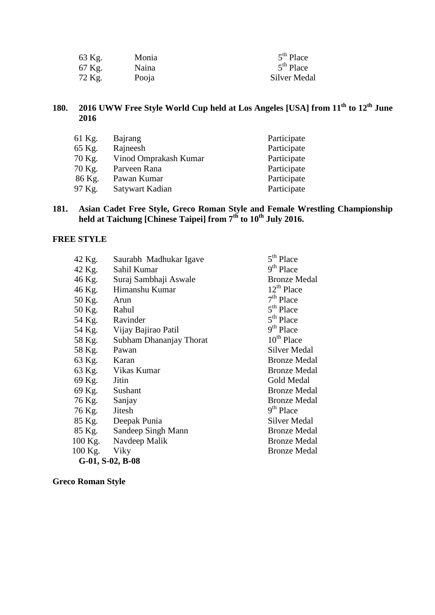| 63 Kg. | Monia | $5th$ Place         |
|--------|-------|---------------------|
| 67 Kg. | Naina | $5th$ Place         |
| 72 Kg. | Pooja | <b>Silver Medal</b> |

# **180. 2016 UWW Free Style World Cup held at Los Angeles [USA] from 11th to 12th June 2016**

| 61 Kg. | Bajrang               | Participate |
|--------|-----------------------|-------------|
| 65 Kg. | Rajneesh              | Participate |
| 70 Kg. | Vinod Omprakash Kumar | Participate |
| 70 Kg. | Parveen Rana          | Participate |
| 86 Kg. | Pawan Kumar           | Participate |
| 97 Kg. | Satywart Kadian       | Participate |

### **181. Asian Cadet Free Style, Greco Roman Style and Female Wrestling Championship held at Taichung [Chinese Taipei] from 7th to 10th July 2016.**

## **FREE STYLE**

| 42 Kg.              | Saurabh Madhukar Igave     | 5 <sup>th</sup> Place |
|---------------------|----------------------------|-----------------------|
| 42 Kg.              | Sahil Kumar                | 9 <sup>th</sup> Place |
| 46 Kg.              | Suraj Sambhaji Aswale      | <b>Bronze Medal</b>   |
|                     | 46 Kg. Himanshu Kumar      | $12^{th}$ Place       |
| 50 Kg.              | Arun                       | $7th$ Place           |
| 50 Kg. Rahul        |                            | 5 <sup>th</sup> Place |
| 54 Kg. Ravinder     |                            | 5 <sup>th</sup> Place |
|                     | 54 Kg. Vijay Bajirao Patil | 9 <sup>th</sup> Place |
| 58 Kg.              | Subham Dhananjay Thorat    | $10^{th}$ Place       |
| 58 Kg. Pawan        |                            | <b>Silver Medal</b>   |
| 63 Kg. Karan        |                            | <b>Bronze Medal</b>   |
|                     | 63 Kg. Vikas Kumar         | <b>Bronze Medal</b>   |
| 69 Kg. Jitin        |                            | Gold Medal            |
| 69 Kg. Sushant      |                            | <b>Bronze Medal</b>   |
| 76 Kg. Sanjay       |                            | <b>Bronze Medal</b>   |
| 76 Kg. Jitesh       |                            | 9 <sup>th</sup> Place |
|                     | 85 Kg. Deepak Punia        | Silver Medal          |
|                     | 85 Kg. Sandeep Singh Mann  | <b>Bronze Medal</b>   |
|                     | 100 Kg. Navdeep Malik      | <b>Bronze Medal</b>   |
| 100 Kg. Viky        |                            | <b>Bronze Medal</b>   |
| $G-01$ , S-02, B-08 |                            |                       |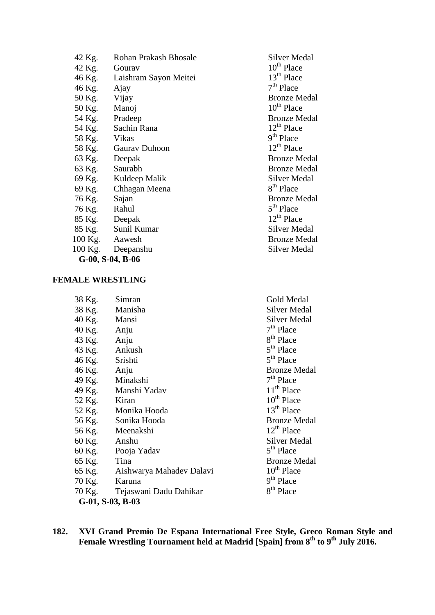| 42 Kg.       | Rohan Prakash Bhosale        | Silver Me              |
|--------------|------------------------------|------------------------|
| 42 Kg.       | Gourav                       | $10^{th}$ Place        |
|              | 46 Kg. Laishram Sayon Meitei | 13 <sup>th</sup> Place |
| 46 Kg. Ajay  |                              | $7th$ Place            |
| 50 Kg. Vijay |                              | <b>Bronze</b> M        |
| 50 Kg. Manoj |                              | 10 <sup>th</sup> Place |
|              | 54 Kg. Pradeep               | <b>Bronze M</b>        |
|              | 54 Kg. Sachin Rana           | 12 <sup>th</sup> Place |
| 58 Kg. Vikas |                              | $9th$ Place            |
|              | 58 Kg. Gaurav Duhoon         | $12^{th}$ Place        |
|              | 63 Kg. Deepak                | <b>Bronze</b> M        |
|              | 63 Kg. Saurabh               | <b>Bronze</b> M        |
|              | 69 Kg. Kuldeep Malik         | Silver Me              |
|              | 69 Kg. Chhagan Meena         | 8 <sup>th</sup> Place  |
| 76 Kg. Sajan |                              | <b>Bronze</b> M        |
| 76 Kg. Rahul |                              | $5th$ Place            |
|              | 85 Kg. Deepak                | $12^{th}$ Place        |
|              | 85 Kg. Sunil Kumar           | Silver Me              |
|              | 100 Kg. Aawesh               | <b>Bronze</b> M        |
|              | 100 Kg. Deepanshu            | Silver Me              |
|              | G-00, S-04, B-06             |                        |

### **FEMALE WRESTLING**

| 38 Kg.              | Simran                          | Gold Medal             |  |
|---------------------|---------------------------------|------------------------|--|
| 38 Kg. Manisha      |                                 | Silver Medal           |  |
| 40 Kg. Mansi        |                                 | <b>Silver Medal</b>    |  |
| 40 Kg. Anju         |                                 | $7th$ Place            |  |
| 43 Kg. Anju         |                                 | 8 <sup>th</sup> Place  |  |
| 43 Kg. Ankush       |                                 | 5 <sup>th</sup> Place  |  |
| 46 Kg. Srishti      |                                 | 5 <sup>th</sup> Place  |  |
| 46 Kg. Anju         |                                 | <b>Bronze Medal</b>    |  |
|                     | 49 Kg. Minakshi                 | $7th$ Place            |  |
|                     | 49 Kg. Manshi Yadav             | $11th$ Place           |  |
| 52 Kg. Kiran        |                                 | 10 <sup>th</sup> Place |  |
|                     | 52 Kg. Monika Hooda             | $13th$ Place           |  |
|                     | 56 Kg. Sonika Hooda             | <b>Bronze Medal</b>    |  |
|                     | 56 Kg. Meenakshi                | $12^{th}$ Place        |  |
| 60 Kg. Anshu        |                                 | Silver Medal           |  |
|                     | 60 Kg. Pooja Yadav              | 5 <sup>th</sup> Place  |  |
| 65 Kg. Tina         |                                 | <b>Bronze Medal</b>    |  |
|                     | 65 Kg. Aishwarya Mahadev Dalavi | 10 <sup>th</sup> Place |  |
| 70 Kg.              | Karuna                          | 9 <sup>th</sup> Place  |  |
|                     | 70 Kg. Tejaswani Dadu Dahikar   | 8 <sup>th</sup> Place  |  |
| $G-01$ , S-03, B-03 |                                 |                        |  |
|                     |                                 |                        |  |

### **182. XVI Grand Premio De Espana International Free Style, Greco Roman Style and Female Wrestling Tournament held at Madrid [Spain] from 8th to 9th July 2016.**

Silver Medal

Bronze Medal  $10^{th}$  Place Bronze Medal  $12<sup>th</sup>$  Place  $9<sup>th</sup>$  Place  $12<sup>th</sup>$  Place Bronze Medal Bronze Medal Silver Medal  $8<sup>th</sup>$  Place Bronze Medal 5<sup>th</sup> Place  $12<sup>th</sup>$  Place Silver Medal Bronze Medal Silver Medal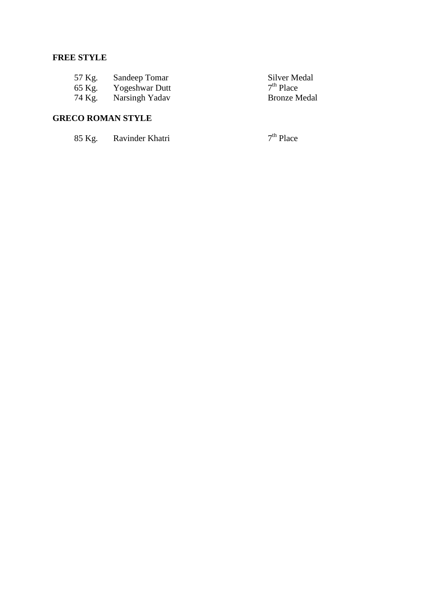# **FREE STYLE**

| 57 Kg. | Sandeep Tomar  | Silver Medal        |
|--------|----------------|---------------------|
| 65 Kg. | Yogeshwar Dutt | $7th$ Place         |
| 74 Kg. | Narsingh Yadav | <b>Bronze Medal</b> |

# **GRECO ROMAN STYLE**

| 85 Kg. | Ravinder Khatri | $7th$ Place |
|--------|-----------------|-------------|
|--------|-----------------|-------------|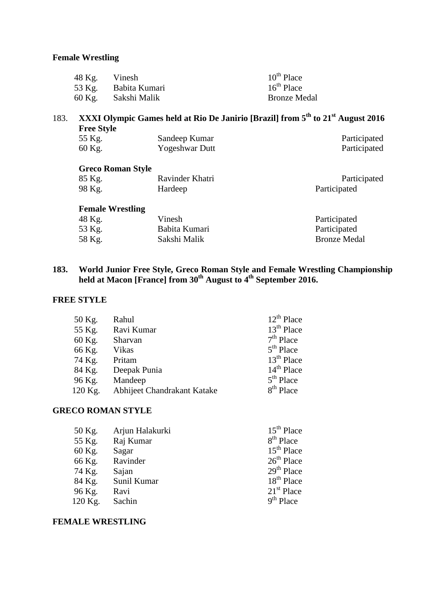| 48 Kg. Vinesh |                      | $10^{th}$ Place     |
|---------------|----------------------|---------------------|
|               | 53 Kg. Babita Kumari | $16^{th}$ Place     |
|               | 60 Kg. Sakshi Malik  | <b>Bronze Medal</b> |

# 183. **XXXI Olympic Games held at Rio De Janirio [Brazil] from 5th to 21st August 2016 Free Style** 55 Kg. Sandeep Kumar Participated<br>60 Kg. Yogeshwar Dutt Participated 60 Kg. Yogeshwar Dutt **Greco Roman Style** 85 Kg. Ravinder Khatri Participated<br>98 Kg. Hardeep Participated Hardeep Participated

## **Female Wrestling** 48 Kg. Vinesh Participated<br>53 Kg. Babita Kumari Participated Babita Kumari Participated<br>Sakshi Malik Bronze Medal 58 Kg. Sakshi Malik

# **183. World Junior Free Style, Greco Roman Style and Female Wrestling Championship held at Macon [France] from 30th August to 4th September 2016.**

### **FREE STYLE**

| 50 Kg.  | Rahul                       | $12^{th}$ Place       |
|---------|-----------------------------|-----------------------|
| 55 Kg.  | Ravi Kumar                  | $13th$ Place          |
| 60 Kg.  | Sharvan                     | $7th$ Place           |
| 66 Kg.  | Vikas                       | $5th$ Place           |
| 74 Kg.  | Pritam                      | $13th$ Place          |
| 84 Kg.  | Deepak Punia                | $14th$ Place          |
| 96 Kg.  | Mandeep                     | $5th$ Place           |
| 120 Kg. | Abhijeet Chandrakant Katake | 8 <sup>th</sup> Place |

### **GRECO ROMAN STYLE**

| 50 Kg.  | Arjun Halakurki | $15th$ Place           |
|---------|-----------------|------------------------|
| 55 Kg.  | Raj Kumar       | $8th$ Place            |
| 60 Kg.  | Sagar           | $15th$ Place           |
| 66 Kg.  | Ravinder        | $26th$ Place           |
| 74 Kg.  | Sajan           | $29th$ Place           |
| 84 Kg.  | Sunil Kumar     | 18 <sup>th</sup> Place |
| 96 Kg.  | Ravi            | $21st$ Place           |
| 120 Kg. | Sachin          | $9th$ Place            |

### **FEMALE WRESTLING**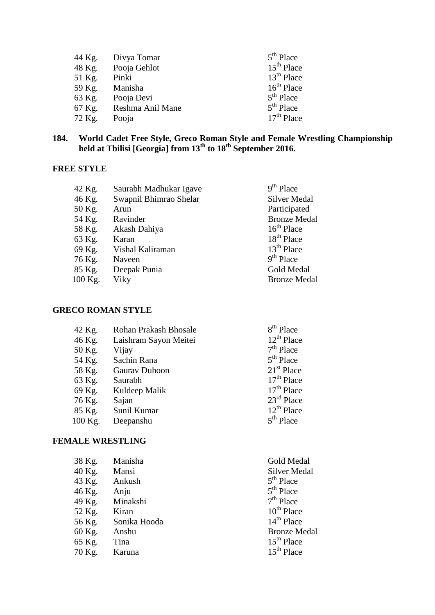| 44 Kg. | Divya Tomar      | $5th$ Place  |
|--------|------------------|--------------|
| 48 Kg. | Pooja Gehlot     | $15th$ Place |
| 51 Kg. | Pinki            | $13th$ Place |
| 59 Kg. | Manisha          | $16th$ Place |
| 63 Kg. | Pooja Devi       | $5th$ Place  |
| 67 Kg. | Reshma Anil Mane | $5th$ Place  |
| 72 Kg. | Pooja            | $17th$ Place |

### **184. World Cadet Free Style, Greco Roman Style and Female Wrestling Championship held at Tbilisi [Georgia] from 13th to 18th September 2016.**

# **FREE STYLE**

| 42 Kg.  | Saurabh Madhukar Igave | $9th$ Place         |
|---------|------------------------|---------------------|
| 46 Kg.  | Swapnil Bhimrao Shelar | Silver Medal        |
| 50 Kg.  | Arun                   | Participated        |
| 54 Kg.  | Ravinder               | <b>Bronze Medal</b> |
| 58 Kg.  | Akash Dahiya           | $16th$ Place        |
| 63 Kg.  | Karan                  | $18th$ Place        |
| 69 Kg.  | Vishal Kaliraman       | $13th$ Place        |
| 76 Kg.  | Naveen                 | $9th$ Place         |
| 85 Kg.  | Deepak Punia           | Gold Medal          |
| 100 Kg. | Viky                   | <b>Bronze Medal</b> |

# **GRECO ROMAN STYLE**

| <b>Rohan Prakash Bhosale</b> | $8th$ Place            |
|------------------------------|------------------------|
| Laishram Sayon Meitei        | $12^{th}$ Place        |
| Vijay                        | $7th$ Place            |
| Sachin Rana                  | $5th$ Place            |
| Gaurav Duhoon                | $21st$ Place           |
| Saurabh                      | $17th$ Place           |
| Kuldeep Malik                | $17th$ Place           |
| Sajan                        | $23^{\text{rd}}$ Place |
| Sunil Kumar                  | $12^{th}$ Place        |
| Deepanshu                    | $5th$ Place            |
|                              |                        |

## **FEMALE WRESTLING**

| 38 Kg. | Manisha      | Gold Medal          |
|--------|--------------|---------------------|
| 40 Kg. | Mansi        | <b>Silver Medal</b> |
| 43 Kg. | Ankush       | $5th$ Place         |
| 46 Kg. | Anju         | $5th$ Place         |
| 49 Kg. | Minakshi     | $7th$ Place         |
| 52 Kg. | Kiran        | $10^{th}$ Place     |
| 56 Kg. | Sonika Hooda | $14th$ Place        |
| 60 Kg. | Anshu        | <b>Bronze Medal</b> |
| 65 Kg. | Tina         | $15th$ Place        |
| 70 Kg. | Karuna       | $15th$ Place        |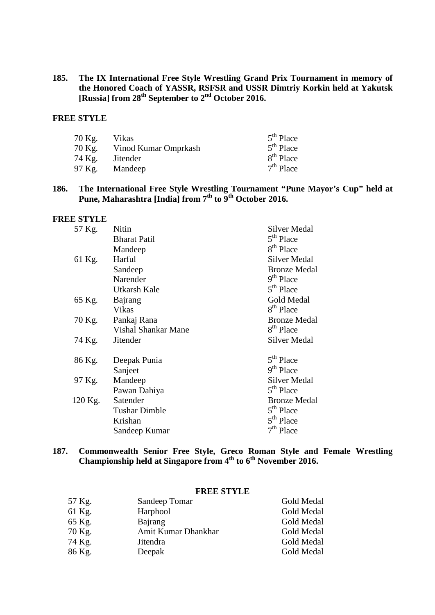**185. The IX International Free Style Wrestling Grand Prix Tournament in memory of the Honored Coach of YASSR, RSFSR and USSR Dimtriy Korkin held at Yakutsk [Russia] from 28th September to 2nd October 2016.**

## **FREE STYLE**

| 70 Kg. | Vikas                | $5th$ Place           |
|--------|----------------------|-----------------------|
| 70 Kg. | Vinod Kumar Omprkash | $5th$ Place           |
| 74 Kg. | <i>J</i> itender     | 8 <sup>th</sup> Place |
| 97 Kg. | Mandeep              | $7th$ Place           |

### **186. The International Free Style Wrestling Tournament "Pune Mayor's Cup" held at Pune, Maharashtra [India] from 7th to 9th October 2016.**

#### **FREE STYLE**

| 57 Kg.  | Nitin                      | <b>Silver Medal</b>   |
|---------|----------------------------|-----------------------|
|         | <b>Bharat Patil</b>        | 5 <sup>th</sup> Place |
|         | Mandeep                    | 8 <sup>th</sup> Place |
| 61 Kg.  | Harful                     | <b>Silver Medal</b>   |
|         | Sandeep                    | <b>Bronze Medal</b>   |
|         | Narender                   | 9 <sup>th</sup> Place |
|         | Utkarsh Kale               | 5 <sup>th</sup> Place |
| 65 Kg.  | Bajrang                    | Gold Medal            |
|         | Vikas                      | 8 <sup>th</sup> Place |
| 70 Kg.  | Pankaj Rana                | <b>Bronze Medal</b>   |
|         | <b>Vishal Shankar Mane</b> | 8 <sup>th</sup> Place |
| 74 Kg.  | <b>Jitender</b>            | <b>Silver Medal</b>   |
| 86 Kg.  | Deepak Punia               | 5 <sup>th</sup> Place |
|         | Sanjeet                    | 9 <sup>th</sup> Place |
| 97 Kg.  | Mandeep                    | <b>Silver Medal</b>   |
|         | Pawan Dahiya               | 5 <sup>th</sup> Place |
| 120 Kg. | Satender                   | <b>Bronze Medal</b>   |
|         | <b>Tushar Dimble</b>       | 5 <sup>th</sup> Place |
|         | Krishan                    | 5 <sup>th</sup> Place |
|         | Sandeep Kumar              | $7th$ Place           |

### **187. Commonwealth Senior Free Style, Greco Roman Style and Female Wrestling Championship held at Singapore from 4th to 6th November 2016.**

### **FREE STYLE**

| 57 Kg. | Sandeep Tomar       | Gold Medal |
|--------|---------------------|------------|
| 61 Kg. | Harphool            | Gold Medal |
| 65 Kg. | Bajrang             | Gold Medal |
| 70 Kg. | Amit Kumar Dhankhar | Gold Medal |
| 74 Kg. | Jitendra            | Gold Medal |
| 86 Kg. | Deepak              | Gold Medal |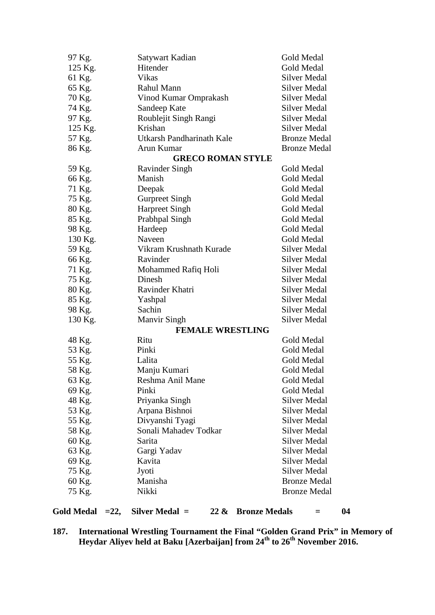| 97 Kg.  | Satywart Kadian           | <b>Gold Medal</b>   |
|---------|---------------------------|---------------------|
| 125 Kg. | Hitender                  | <b>Gold Medal</b>   |
| 61 Kg.  | <b>Vikas</b>              | Silver Medal        |
| 65 Kg.  | Rahul Mann                | <b>Silver Medal</b> |
| 70 Kg.  | Vinod Kumar Omprakash     | <b>Silver Medal</b> |
| 74 Kg.  | Sandeep Kate              | Silver Medal        |
| 97 Kg.  | Roublejit Singh Rangi     | <b>Silver Medal</b> |
| 125 Kg. | Krishan                   | <b>Silver Medal</b> |
| 57 Kg.  | Utkarsh Pandharinath Kale | <b>Bronze Medal</b> |
| 86 Kg.  | Arun Kumar                | <b>Bronze Medal</b> |
|         | <b>GRECO ROMAN STYLE</b>  |                     |
| 59 Kg.  | <b>Ravinder Singh</b>     | Gold Medal          |
| 66 Kg.  | Manish                    | Gold Medal          |
| 71 Kg.  | Deepak                    | Gold Medal          |
| 75 Kg.  | <b>Gurpreet Singh</b>     | Gold Medal          |
| 80 Kg.  | <b>Harpreet Singh</b>     | Gold Medal          |
| 85 Kg.  | Prabhpal Singh            | Gold Medal          |
| 98 Kg.  | Hardeep                   | Gold Medal          |
| 130 Kg. | Naveen                    | Gold Medal          |
| 59 Kg.  | Vikram Krushnath Kurade   | <b>Silver Medal</b> |
| 66 Kg.  | Ravinder                  | <b>Silver Medal</b> |
| 71 Kg.  | Mohammed Rafiq Holi       | <b>Silver Medal</b> |
| 75 Kg.  | Dinesh                    | <b>Silver Medal</b> |
| 80 Kg.  | Ravinder Khatri           | <b>Silver Medal</b> |
| 85 Kg.  | Yashpal                   | <b>Silver Medal</b> |
| 98 Kg.  | Sachin                    | <b>Silver Medal</b> |
| 130 Kg. | <b>Manvir Singh</b>       | <b>Silver Medal</b> |
|         | <b>FEMALE WRESTLING</b>   |                     |
| 48 Kg.  | Ritu                      | Gold Medal          |
| 53 Kg.  | Pinki                     | Gold Medal          |
| 55 Kg.  | Lalita                    | Gold Medal          |
| 58 Kg.  | Manju Kumari              | Gold Medal          |
| 63 Kg.  | Reshma Anil Mane          | Gold Medal          |
| 69 Kg.  | Pinki                     | Gold Medal          |
| 48 Kg.  | Priyanka Singh            | <b>Silver Medal</b> |
| 53 Kg.  | Arpana Bishnoi            | <b>Silver Medal</b> |
| 55 Kg.  | Divyanshi Tyagi           | <b>Silver Medal</b> |
| 58 Kg.  | Sonali Mahadev Todkar     | <b>Silver Medal</b> |
| 60 Kg.  | Sarita                    | <b>Silver Medal</b> |
| 63 Kg.  | Gargi Yadav               | <b>Silver Medal</b> |
| 69 Kg.  | Kavita                    | <b>Silver Medal</b> |
| 75 Kg.  | Jyoti                     | <b>Silver Medal</b> |
| 60 Kg.  | Manisha                   | <b>Bronze Medal</b> |
| 75 Kg.  | Nikki                     | <b>Bronze Medal</b> |
|         |                           |                     |

# **187. International Wrestling Tournament the Final "Golden Grand Prix" in Memory of Heydar Aliyev held at Baku [Azerbaijan] from 24th to 26th November 2016.**

**Gold Medal =22, Silver Medal = 22 & Bronze Medals = 04**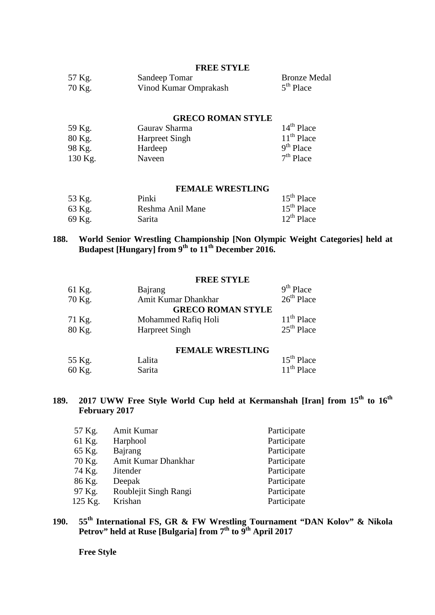#### **FREE STYLE**

| 57 Kg. | Sandeep Tomar         | <b>Bronze Medal</b> |
|--------|-----------------------|---------------------|
| 70 Kg. | Vinod Kumar Omprakash | $5th$ Place         |

#### **GRECO ROMAN STYLE**

| 59 Kg.  | Gauray Sharma         | $14th$ Place |
|---------|-----------------------|--------------|
| 80 Kg.  | <b>Harpreet Singh</b> | $11th$ Place |
| 98 Kg.  | Hardeep               | $9th$ Place  |
| 130 Kg. | Naveen                | $7th$ Place  |

#### **FEMALE WRESTLING**

| 53 Kg. | Pinki            | $15th$ Place    |
|--------|------------------|-----------------|
| 63 Kg. | Reshma Anil Mane | $15th$ Place    |
| 69 Kg. | Sarita           | $12^{th}$ Place |

### **188. World Senior Wrestling Championship [Non Olympic Weight Categories] held at Budapest [Hungary] from 9th to 11th December 2016.**

### **FREE STYLE**

| 61 Kg. | Bajrang                  | $9th$ Place  |
|--------|--------------------------|--------------|
| 70 Kg. | Amit Kumar Dhankhar      | $26th$ Place |
|        | <b>GRECO ROMAN STYLE</b> |              |
| 71 Kg. | Mohammed Rafiq Holi      | $11th$ Place |
| 80 Kg. | <b>Harpreet Singh</b>    | $25th$ Place |

### **FEMALE WRESTLING**

| 55 Kg. | Lalita | $15th$ Place |
|--------|--------|--------------|
| 60 Kg. | Sarita | $11th$ Place |

# **189. 2017 UWW Free Style World Cup held at Kermanshah [Iran] from 15th to 16th February 2017**

| Amit Kumar            | Participate |
|-----------------------|-------------|
| Harphool              | Participate |
| Bajrang               | Participate |
| Amit Kumar Dhankhar   | Participate |
| <b>Jitender</b>       | Participate |
| Deepak                | Participate |
| Roublejit Singh Rangi | Participate |
| Krishan               | Participate |
|                       |             |

# **190. 55th International FS, GR & FW Wrestling Tournament "DAN Kolov" & Nikola Petrov" held at Ruse [Bulgaria] from 7th to 9th April 2017**

**Free Style**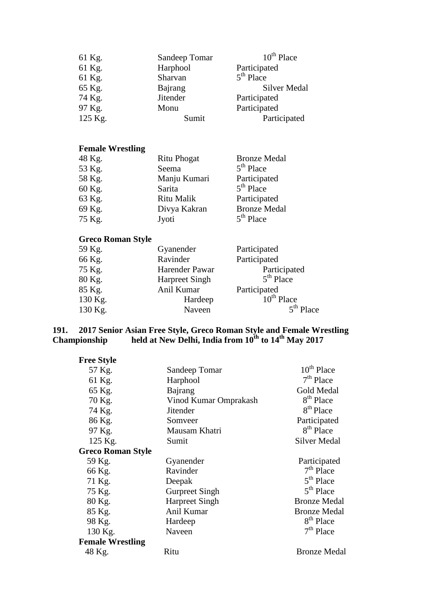| 61 Kg.                  | Sandeep Tomar   | $10^{th}$ Place     |
|-------------------------|-----------------|---------------------|
| 61 Kg.                  | Harphool        | Participated        |
| 61 Kg.                  | Sharvan         | $5th$ Place         |
| 65 Kg.                  | Bajrang         | <b>Silver Medal</b> |
| 74 Kg.                  | <b>Jitender</b> | Participated        |
| 97 Kg.                  | Monu            | Participated        |
| 125 Kg.                 | Sumit           | Participated        |
|                         |                 |                     |
| <b>Female Wrestling</b> |                 |                     |
| 48 Kg.                  | Ritu Phogat     | Bronze Medal        |

| 48 K.G. | Ritu Phogat  | Bronze Medal        |
|---------|--------------|---------------------|
| 53 Kg.  | Seema        | $5th$ Place         |
| 58 Kg.  | Manju Kumari | Participated        |
| 60 Kg.  | Sarita       | $5th$ Place         |
| 63 Kg.  | Ritu Malik   | Participated        |
| 69 Kg.  | Divya Kakran | <b>Bronze Medal</b> |
| 75 Kg.  | Jyoti        | $5th$ Place         |

## **Greco Roman Style**

| 59 Kg.  | Gyanender             | Participated    |
|---------|-----------------------|-----------------|
| 66 Kg.  | Ravinder              | Participated    |
| 75 Kg.  | Harender Pawar        | Participated    |
| 80 Kg.  | <b>Harpreet Singh</b> | $5th$ Place     |
| 85 Kg.  | Anil Kumar            | Participated    |
| 130 Kg. | Hardeep               | $10^{th}$ Place |
| 130 Kg. | Naveen                | $5th$ Place     |

### **191. 2017 Senior Asian Free Style, Greco Roman Style and Female Wrestling Championship** held at New Delhi, India from  $10^{th}$  to  $14^{th}$  May 2017

| <b>Free Style</b>        |                       |                        |
|--------------------------|-----------------------|------------------------|
| 57 Kg.                   | Sandeep Tomar         | 10 <sup>th</sup> Place |
| 61 Kg.                   | Harphool              | $7th$ Place            |
| 65 Kg.                   | Bajrang               | Gold Medal             |
| 70 Kg.                   | Vinod Kumar Omprakash | 8 <sup>th</sup> Place  |
| 74 Kg.                   | <b>Jitender</b>       | 8 <sup>th</sup> Place  |
| 86 Kg.                   | Somveer               | Participated           |
| 97 Kg.                   | Mausam Khatri         | 8 <sup>th</sup> Place  |
| 125 Kg.                  | Sumit                 | <b>Silver Medal</b>    |
| <b>Greco Roman Style</b> |                       |                        |
| 59 Kg.                   | Gyanender             | Participated           |
| 66 Kg.                   | Ravinder              | $7th$ Place            |
| 71 Kg.                   | Deepak                | $5th$ Place            |
| 75 Kg.                   | <b>Gurpreet Singh</b> | $5th$ Place            |
| 80 Kg.                   | <b>Harpreet Singh</b> | <b>Bronze Medal</b>    |
| 85 Kg.                   | Anil Kumar            | <b>Bronze Medal</b>    |
| 98 Kg.                   | Hardeep               | 8 <sup>th</sup> Place  |
| 130 Kg.                  | Naveen                | $7th$ Place            |
| <b>Female Wrestling</b>  |                       |                        |
| 48 Kg.                   | Ritu                  | <b>Bronze Medal</b>    |
|                          |                       |                        |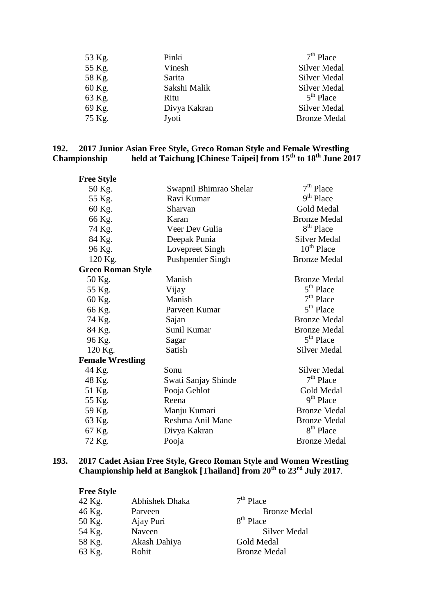| 53 Kg. | Pinki        | $7th$ Place         |
|--------|--------------|---------------------|
| 55 Kg. | Vinesh       | <b>Silver Medal</b> |
| 58 Kg. | Sarita       | <b>Silver Medal</b> |
| 60 Kg. | Sakshi Malik | <b>Silver Medal</b> |
| 63 Kg. | Ritu         | $5th$ Place         |
| 69 Kg. | Divya Kakran | Silver Medal        |
| 75 Kg. | Jyoti        | <b>Bronze Medal</b> |

### **192. 2017 Junior Asian Free Style, Greco Roman Style and Female Wrestling Championship held at Taichung [Chinese Taipei] from 15th to 18th June 2017**

| <b>Free Style</b>        |                        |                       |
|--------------------------|------------------------|-----------------------|
| 50 Kg.                   | Swapnil Bhimrao Shelar | $7th$ Place           |
| 55 Kg.                   | Ravi Kumar             | 9 <sup>th</sup> Place |
| 60 Kg.                   | Sharvan                | Gold Medal            |
| 66 Kg.                   | Karan                  | <b>Bronze Medal</b>   |
| 74 Kg.                   | Veer Dev Gulia         | 8 <sup>th</sup> Place |
| 84 Kg.                   | Deepak Punia           | <b>Silver Medal</b>   |
| 96 Kg.                   | Lovepreet Singh        | $10^{th}$ Place       |
| 120 Kg.                  | Pushpender Singh       | <b>Bronze Medal</b>   |
| <b>Greco Roman Style</b> |                        |                       |
| 50 Kg.                   | Manish                 | <b>Bronze Medal</b>   |
| 55 Kg.                   | Vijay                  | 5 <sup>th</sup> Place |
| 60 Kg.                   | Manish                 | $7th$ Place           |
| 66 Kg.                   | Parveen Kumar          | $5th$ Place           |
| 74 Kg.                   | Sajan                  | <b>Bronze Medal</b>   |
| 84 Kg.                   | Sunil Kumar            | <b>Bronze Medal</b>   |
| 96 Kg.                   | Sagar                  | 5 <sup>th</sup> Place |
| 120 Kg.                  | Satish                 | <b>Silver Medal</b>   |
| <b>Female Wrestling</b>  |                        |                       |
| 44 Kg.                   | Sonu                   | <b>Silver Medal</b>   |
| 48 Kg.                   | Swati Sanjay Shinde    | $7th$ Place           |
| 51 Kg.                   | Pooja Gehlot           | <b>Gold Medal</b>     |
| 55 Kg.                   | Reena                  | 9 <sup>th</sup> Place |
| 59 Kg.                   | Manju Kumari           | <b>Bronze Medal</b>   |
| 63 Kg.                   | Reshma Anil Mane       | <b>Bronze Medal</b>   |
| 67 Kg.                   | Divya Kakran           | 8 <sup>th</sup> Place |
| 72 Kg.                   | Pooja                  | <b>Bronze Medal</b>   |

### **193. 2017 Cadet Asian Free Style, Greco Roman Style and Women Wrestling Championship held at Bangkok [Thailand] from 20th to 23rd July 2017**.

| <b>Free Style</b> |                |                       |
|-------------------|----------------|-----------------------|
| 42 Kg.            | Abhishek Dhaka | $7th$ Place           |
| 46 Kg.            | Parveen        | <b>Bronze Medal</b>   |
| 50 Kg.            | Ajay Puri      | 8 <sup>th</sup> Place |
| 54 Kg.            | Naveen         | <b>Silver Medal</b>   |
| 58 Kg.            | Akash Dahiya   | Gold Medal            |
| 63 Kg.            | Rohit          | <b>Bronze Medal</b>   |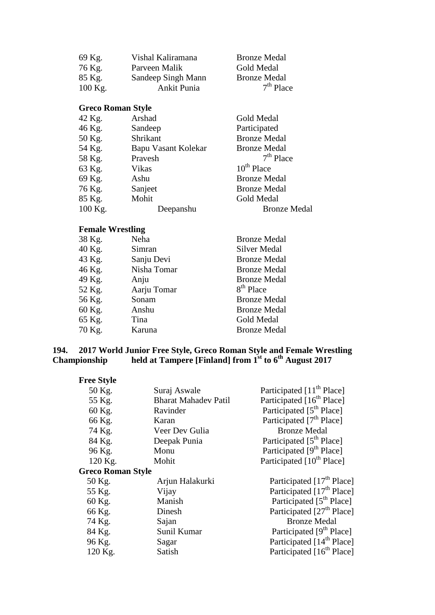| 69 Kg.    | Vishal Kaliramana  | <b>Bronze Medal</b> |
|-----------|--------------------|---------------------|
| 76 Kg.    | Parveen Malik      | Gold Medal          |
| 85 Kg.    | Sandeep Singh Mann | <b>Bronze Medal</b> |
| $100$ Kg. | Ankit Punia        | $7th$ Place         |

## **Greco Roman Style**

| 42 Kg.  | Arshad              | Gold Medal          |
|---------|---------------------|---------------------|
| 46 Kg.  | Sandeep             | Participated        |
| 50 Kg.  | Shrikant            | <b>Bronze Medal</b> |
| 54 Kg.  | Bapu Vasant Kolekar | <b>Bronze Medal</b> |
| 58 Kg.  | Pravesh             | $7th$ Place         |
| 63 Kg.  | Vikas               | $10^{th}$ Place     |
| 69 Kg.  | Ashu                | <b>Bronze Medal</b> |
| 76 Kg.  | Sanjeet             | <b>Bronze Medal</b> |
| 85 Kg.  | Mohit               | Gold Medal          |
| 100 Kg. | Deepanshu           | <b>Bronze Medal</b> |

# **Female Wrestling**

| 38 Kg. | Neha        | <b>Bronze Medal</b>   |
|--------|-------------|-----------------------|
| 40 Kg. | Simran      | Silver Medal          |
| 43 Kg. | Sanju Devi  | <b>Bronze Medal</b>   |
| 46 Kg. | Nisha Tomar | <b>Bronze Medal</b>   |
| 49 Kg. | Anju        | <b>Bronze Medal</b>   |
| 52 Kg. | Aarju Tomar | 8 <sup>th</sup> Place |
| 56 Kg. | Sonam       | <b>Bronze Medal</b>   |
| 60 Kg. | Anshu       | <b>Bronze Medal</b>   |
| 65 Kg. | Tina        | Gold Medal            |
| 70 Kg. | Karuna      | <b>Bronze Medal</b>   |

### **194. 2017 World Junior Free Style, Greco Roman Style and Female Wrestling Championship held at Tampere [Finland] from 1st to 6th August 2017**

|  | <b>Free Style</b> |
|--|-------------------|
|--|-------------------|

| 50 Kg.                   | Suraj Aswale                | Participated [11 <sup>th</sup> Place] |
|--------------------------|-----------------------------|---------------------------------------|
| 55 Kg.                   | <b>Bharat Mahadev Patil</b> | Participated [16 <sup>th</sup> Place] |
| 60 Kg.                   | Ravinder                    | Participated [5 <sup>th</sup> Place]  |
| 66 Kg.                   | Karan                       | Participated [7 <sup>th</sup> Place]  |
| 74 Kg.                   | Veer Dev Gulia              | <b>Bronze Medal</b>                   |
| 84 Kg.                   | Deepak Punia                | Participated [5 <sup>th</sup> Place]  |
| 96 Kg.                   | Monu                        | Participated [9 <sup>th</sup> Place]  |
| 120 Kg.                  | Mohit                       | Participated [10 <sup>th</sup> Place] |
| <b>Greco Roman Style</b> |                             |                                       |
| 50 Kg.                   | Arjun Halakurki             | Participated [17 <sup>th</sup> Place] |
| 55 Kg.                   | Vijay                       | Participated [17 <sup>th</sup> Place] |
| 60 Kg.                   | Manish                      | Participated [5 <sup>th</sup> Place]  |
| 66 Kg.                   | Dinesh                      | Participated [27 <sup>th</sup> Place] |
| 74 Kg.                   | Sajan                       | <b>Bronze Medal</b>                   |
| 84 Kg.                   | Sunil Kumar                 | Participated [9 <sup>th</sup> Place]  |
| 96 Kg.                   | Sagar                       | Participated [14 <sup>th</sup> Place] |
| 120 Kg.                  | Satish                      | Participated [16 <sup>th</sup> Place] |
|                          |                             |                                       |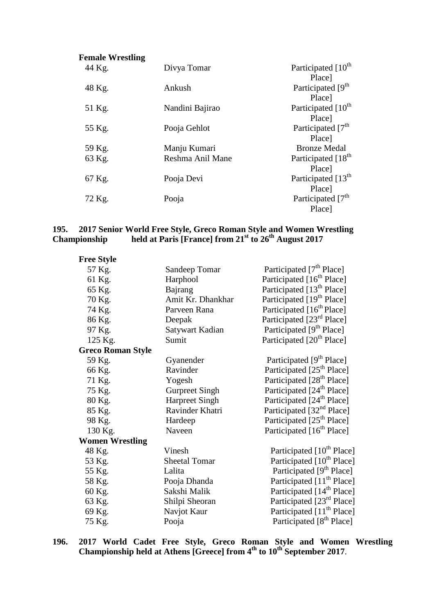| <b>Female Wrestling</b> |                  |                                  |
|-------------------------|------------------|----------------------------------|
| 44 Kg.                  | Divya Tomar      | Participated [10 <sup>th</sup> ] |
|                         |                  | Place]                           |
| 48 Kg.                  | Ankush           | Participated [9 <sup>th</sup>    |
|                         |                  | Place]                           |
| 51 Kg.                  | Nandini Bajirao  | Participated [10 <sup>th</sup> ] |
|                         |                  | Place]                           |
| 55 Kg.                  | Pooja Gehlot     | Participated [7 <sup>th</sup>    |
|                         |                  | <b>Place</b> ]                   |
| 59 Kg.                  | Manju Kumari     | <b>Bronze Medal</b>              |
| 63 Kg.                  | Reshma Anil Mane | Participated [18 <sup>th</sup> ] |
|                         |                  | Place]                           |
| 67 Kg.                  | Pooja Devi       | Participated [13 <sup>th</sup> ] |
|                         |                  | Place]                           |
| 72 Kg.                  | Pooja            | Participated [7 <sup>th</sup> ]  |
|                         |                  | Place]                           |

### **195. 2017 Senior World Free Style, Greco Roman Style and Women Wrestling Championship held at Paris [France] from 21st to 26th August 2017**

| Sandeep Tomar            | Participated [7 <sup>th</sup> Place]  |
|--------------------------|---------------------------------------|
| Harphool                 | Participated [16 <sup>th</sup> Place] |
| Bajrang                  | Participated [13 <sup>th</sup> Place] |
| Amit Kr. Dhankhar        | Participated [19 <sup>th</sup> Place] |
| Parveen Rana             | Participated [16 <sup>th</sup> Place] |
| Deepak                   | Participated [23 <sup>rd</sup> Place] |
| Satywart Kadian          | Participated [9 <sup>th</sup> Place]  |
| Sumit                    | Participated [20 <sup>th</sup> Place] |
| <b>Greco Roman Style</b> |                                       |
| Gyanender                | Participated [9 <sup>th</sup> Place]  |
| Ravinder                 | Participated [25 <sup>th</sup> Place] |
| Yogesh                   | Participated [28 <sup>th</sup> Place] |
| <b>Gurpreet Singh</b>    | Participated [24 <sup>th</sup> Place] |
| <b>Harpreet Singh</b>    | Participated [24 <sup>th</sup> Place] |
| Ravinder Khatri          | Participated [32 <sup>nd</sup> Place] |
| Hardeep                  | Participated [25 <sup>th</sup> Place] |
| Naveen                   | Participated [16 <sup>th</sup> Place] |
| <b>Women Wrestling</b>   |                                       |
| Vinesh                   | Participated [10 <sup>th</sup> Place] |
| <b>Sheetal Tomar</b>     | Participated [10 <sup>th</sup> Place] |
| Lalita                   | Participated [9 <sup>th</sup> Place]  |
| Pooja Dhanda             | Participated [11 <sup>th</sup> Place] |
| Sakshi Malik             | Participated [14 <sup>th</sup> Place] |
| Shilpi Sheoran           | Participated [23rd Place]             |
| Navjot Kaur              | Participated [11 <sup>th</sup> Place] |
| Pooja                    | Participated [8 <sup>th</sup> Place]  |
|                          |                                       |

**196. 2017 World Cadet Free Style, Greco Roman Style and Women Wrestling Championship held at Athens [Greece] from 4th to 10th September 2017**.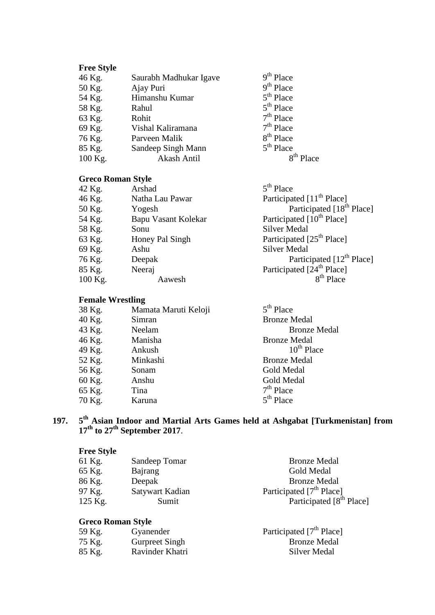# **Free Style**

| 46 Kg.  | Saurabh Madhukar Igave | $9th$ Place           |
|---------|------------------------|-----------------------|
| 50 Kg.  | Ajay Puri              | $9th$ Place           |
| 54 Kg.  | Himanshu Kumar         | $5th$ Place           |
| 58 Kg.  | Rahul                  | $5th$ Place           |
| 63 Kg.  | Rohit                  | $7th$ Place           |
| 69 Kg.  | Vishal Kaliramana      | $7th$ Place           |
| 76 Kg.  | Parveen Malik          | 8 <sup>th</sup> Place |
| 85 Kg.  | Sandeep Singh Mann     | $5th$ Place           |
| 100 Kg. | Akash Antil            |                       |
|         |                        |                       |

# **Greco Roman Style**

| 42 Kg.  | Arshad              | $5th$ Place                           |
|---------|---------------------|---------------------------------------|
| 46 Kg.  | Natha Lau Pawar     | Participated [11 <sup>th</sup> Place] |
| 50 Kg.  | Yogesh              | Participated [18 <sup>th</sup> Place] |
| 54 Kg.  | Bapu Vasant Kolekar | Participated [10 <sup>th</sup> Place] |
| 58 Kg.  | Sonu                | <b>Silver Medal</b>                   |
| 63 Kg.  | Honey Pal Singh     | Participated [25 <sup>th</sup> Place] |
| 69 Kg.  | Ashu                | Silver Medal                          |
| 76 Kg.  | Deepak              | Participated [12 <sup>th</sup> Place] |
| 85 Kg.  | Neeraj              | Participated [24 <sup>th</sup> Place] |
| 100 Kg. | Aawesh              | $8th$ Place                           |

# **Female Wrestling**

| 38 Kg. | Mamata Maruti Keloji | $5th$ Place         |
|--------|----------------------|---------------------|
| 40 Kg. | Simran               | <b>Bronze Medal</b> |
| 43 Kg. | Neelam               | <b>Bronze Medal</b> |
| 46 Kg. | Manisha              | <b>Bronze Medal</b> |
| 49 Kg. | Ankush               | $10^{th}$ Place     |
| 52 Kg. | Minkashi             | <b>Bronze Medal</b> |
| 56 Kg. | Sonam                | Gold Medal          |
| 60 Kg. | Anshu                | Gold Medal          |
| 65 Kg. | Tina                 | $7th$ Place         |
| 70 Kg. | Karuna               | $5th$ Place         |
|        |                      |                     |

# **197. 5th Asian Indoor and Martial Arts Games held at Ashgabat [Turkmenistan] from 17th to 27th September 2017**.

# **Free Style**

| Sandeep Tomar<br>61 Kg.   | <b>Bronze Medal</b>                  |
|---------------------------|--------------------------------------|
| 65 Kg.<br>Bajrang         | Gold Medal                           |
| 86 Kg.<br>Deepak          | <b>Bronze Medal</b>                  |
| 97 Kg.<br>Satywart Kadian | Participated [7 <sup>th</sup> Place] |
| 125 Kg.<br>Sumit          | Participated [8 <sup>th</sup> Place] |

| 59 Kg. | Gyanender             | Participated [7 <sup>th</sup> Place] |
|--------|-----------------------|--------------------------------------|
| 75 Kg. | <b>Gurpreet Singh</b> | <b>Bronze Medal</b>                  |
| 85 Kg. | Ravinder Khatri       | Silver Medal                         |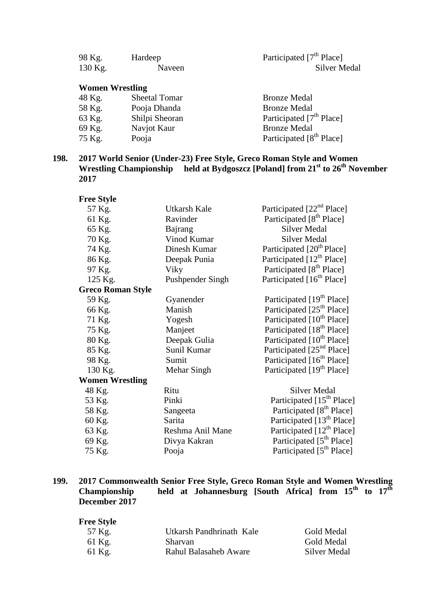| 98 Kg.  | Hardeep | Participated [7 <sup>th</sup> Place] |
|---------|---------|--------------------------------------|
| 130 Kg. | Naveen  | Silver Medal                         |

# **Women Wrestling**

| 48 Kg. | Sheetal Tomar  | <b>Bronze Medal</b>                  |
|--------|----------------|--------------------------------------|
| 58 Kg. | Pooja Dhanda   | <b>Bronze Medal</b>                  |
| 63 Kg. | Shilpi Sheoran | Participated [7 <sup>th</sup> Place] |
| 69 Kg. | Navjot Kaur    | <b>Bronze Medal</b>                  |
| 75 Kg. | Pooja          | Participated [8 <sup>th</sup> Place] |

### **198. 2017 World Senior (Under-23) Free Style, Greco Roman Style and Women Wrestling Championship held at Bydgoszcz [Poland] from 21st to 26th November 2017**

| <b>Free Style</b>        |                  |                                       |
|--------------------------|------------------|---------------------------------------|
| 57 Kg.                   | Utkarsh Kale     | Participated [22 <sup>nd</sup> Place] |
| 61 Kg.                   | Ravinder         | Participated [8 <sup>th</sup> Place]  |
| 65 Kg.                   | Bajrang          | <b>Silver Medal</b>                   |
| 70 Kg.                   | Vinod Kumar      | <b>Silver Medal</b>                   |
| 74 Kg.                   | Dinesh Kumar     | Participated [20 <sup>th</sup> Place] |
| 86 Kg.                   | Deepak Punia     | Participated [12 <sup>th</sup> Place] |
| 97 Kg.                   | Viky             | Participated [8 <sup>th</sup> Place]  |
| 125 Kg.                  | Pushpender Singh | Participated [16 <sup>th</sup> Place] |
| <b>Greco Roman Style</b> |                  |                                       |
| 59 Kg.                   | Gyanender        | Participated [19 <sup>th</sup> Place] |
| 66 Kg.                   | Manish           | Participated [25 <sup>th</sup> Place] |
| 71 Kg.                   | Yogesh           | Participated [10 <sup>th</sup> Place] |
| 75 Kg.                   | Manjeet          | Participated [18 <sup>th</sup> Place] |
| 80 Kg.                   | Deepak Gulia     | Participated [10 <sup>th</sup> Place] |
| 85 Kg.                   | Sunil Kumar      | Participated [25 <sup>nd</sup> Place] |
| 98 Kg.                   | Sumit            | Participated [16 <sup>th</sup> Place] |
| 130 Kg.                  | Mehar Singh      | Participated [19 <sup>th</sup> Place] |
| <b>Women Wrestling</b>   |                  |                                       |
| 48 Kg.                   | Ritu             | <b>Silver Medal</b>                   |
| 53 Kg.                   | Pinki            | Participated [15 <sup>th</sup> Place] |
| 58 Kg.                   | Sangeeta         | Participated [8 <sup>th</sup> Place]  |
| 60 Kg.                   | Sarita           | Participated [13 <sup>th</sup> Place] |
| 63 Kg.                   | Reshma Anil Mane | Participated [12 <sup>th</sup> Place] |
| 69 Kg.                   | Divya Kakran     | Participated [5 <sup>th</sup> Place]  |
| 75 Kg.                   | Pooja            | Participated [5 <sup>th</sup> Place]  |
|                          |                  |                                       |

## **199. 2017 Commonwealth Senior Free Style, Greco Roman Style and Women Wrestling Championship held at Johannesburg [South Africa] from 15th to 17th December 2017**

# **Free Style**

| 57 Kg. | Utkarsh Pandhrinath Kale | Gold Medal   |
|--------|--------------------------|--------------|
| 61 Kg. | <b>Sharvan</b>           | Gold Medal   |
| 61 Kg. | Rahul Balasaheb Aware    | Silver Medal |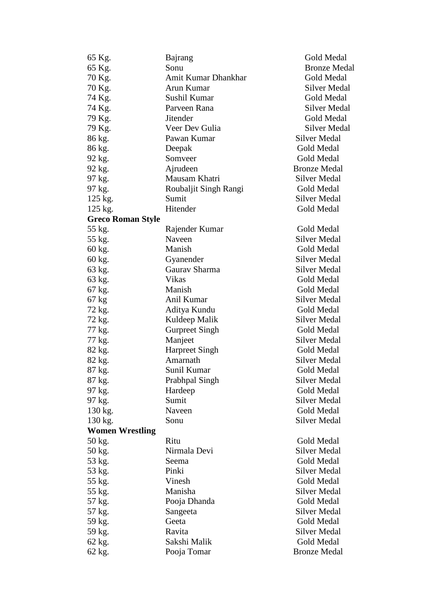| 65 Kg.                   | Bajrang               | <b>Gold Medal</b>   |
|--------------------------|-----------------------|---------------------|
| 65 Kg.                   | Sonu                  | <b>Bronze Medal</b> |
| 70 Kg.                   | Amit Kumar Dhankhar   | Gold Medal          |
| 70 Kg.                   | Arun Kumar            | <b>Silver Medal</b> |
| 74 Kg.                   | Sushil Kumar          | Gold Medal          |
| 74 Kg.                   | Parveen Rana          | <b>Silver Medal</b> |
| 79 Kg.                   | <b>Jitender</b>       | Gold Medal          |
| 79 Kg.                   | Veer Dev Gulia        | <b>Silver Medal</b> |
| 86 kg.                   | Pawan Kumar           | <b>Silver Medal</b> |
| 86 kg.                   | Deepak                | Gold Medal          |
| 92 kg.                   | Somveer               | Gold Medal          |
| 92 kg.                   | Ajrudeen              | <b>Bronze Medal</b> |
| 97 kg.                   | Mausam Khatri         | Silver Medal        |
| 97 kg.                   | Roubaljit Singh Rangi | Gold Medal          |
| 125 kg.                  | Sumit                 | <b>Silver Medal</b> |
| 125 kg.                  | Hitender              | Gold Medal          |
| <b>Greco Roman Style</b> |                       |                     |
| 55 kg.                   | Rajender Kumar        | Gold Medal          |
| 55 kg.                   | Naveen                | <b>Silver Medal</b> |
| 60 kg.                   | Manish                | Gold Medal          |
| 60 kg.                   | Gyanender             | <b>Silver Medal</b> |
| 63 kg.                   | Gaurav Sharma         | Silver Medal        |
| 63 kg.                   | Vikas                 | Gold Medal          |
| 67 kg.                   | Manish                | Gold Medal          |
| 67 kg                    | Anil Kumar            | Silver Medal        |
|                          | Aditya Kundu          | Gold Medal          |
| 72 kg.                   |                       | <b>Silver Medal</b> |
| 72 kg.                   | Kuldeep Malik         | Gold Medal          |
| 77 kg.                   | <b>Gurpreet Singh</b> |                     |
| 77 kg.                   | Manjeet               | Silver Medal        |
| 82 kg.                   | <b>Harpreet Singh</b> | Gold Medal          |
| 82 kg.                   | Amarnath              | Silver Medal        |
| 87 kg.                   | Sunil Kumar           | Gold Medal          |
| 87 kg.                   | Prabhpal Singh        | <b>Silver Medal</b> |
| 97 kg.                   | Hardeep               | Gold Medal          |
| 97 kg.                   | Sumit                 | Silver Medal        |
| 130 kg.                  | Naveen                | Gold Medal          |
| 130 kg.                  | Sonu                  | <b>Silver Medal</b> |
| <b>Women Wrestling</b>   |                       |                     |
| 50 kg.                   | Ritu                  | Gold Medal          |
| 50 kg.                   | Nirmala Devi          | <b>Silver Medal</b> |
| 53 kg.                   | Seema                 | Gold Medal          |
| 53 kg.                   | Pinki                 | <b>Silver Medal</b> |
| 55 kg.                   | Vinesh                | Gold Medal          |
| 55 kg.                   | Manisha               | <b>Silver Medal</b> |
| 57 kg.                   | Pooja Dhanda          | Gold Medal          |
| 57 kg.                   | Sangeeta              | <b>Silver Medal</b> |
| 59 kg.                   | Geeta                 | Gold Medal          |
| 59 kg.                   | Ravita                | <b>Silver Medal</b> |
| 62 kg.                   | Sakshi Malik          | Gold Medal          |
| 62 kg.                   | Pooja Tomar           | <b>Bronze Medal</b> |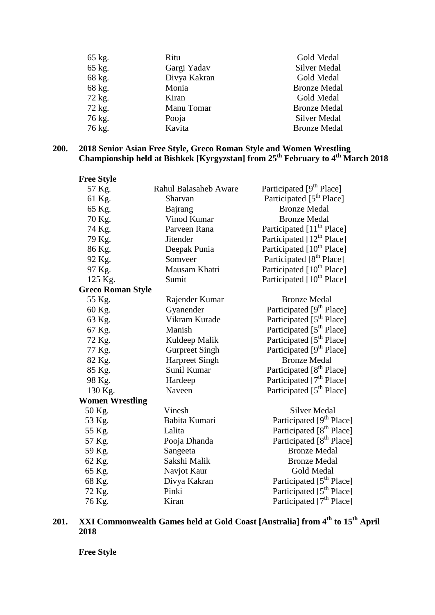| 65 kg. | Ritu         | Gold Medal          |
|--------|--------------|---------------------|
| 65 kg. | Gargi Yadav  | Silver Medal        |
| 68 kg. | Divya Kakran | Gold Medal          |
| 68 kg. | Monia        | <b>Bronze Medal</b> |
| 72 kg. | Kiran        | Gold Medal          |
| 72 kg. | Manu Tomar   | <b>Bronze Medal</b> |
| 76 kg. | Pooja        | <b>Silver Medal</b> |
| 76 kg. | Kavita       | <b>Bronze Medal</b> |

### **200. 2018 Senior Asian Free Style, Greco Roman Style and Women Wrestling Championship held at Bishkek [Kyrgyzstan] from 25th February to 4th March 2018**

| <b>Free Style</b>        |                              |                                       |
|--------------------------|------------------------------|---------------------------------------|
| 57 Kg.                   | <b>Rahul Balasaheb Aware</b> | Participated [9 <sup>th</sup> Place]  |
| 61 Kg.                   | Sharvan                      | Participated [5 <sup>th</sup> Place]  |
| 65 Kg.                   | Bajrang                      | <b>Bronze Medal</b>                   |
| 70 Kg.                   | Vinod Kumar                  | <b>Bronze Medal</b>                   |
| 74 Kg.                   | Parveen Rana                 | Participated [11 <sup>th</sup> Place] |
| 79 Kg.                   | <b>Jitender</b>              | Participated [12 <sup>th</sup> Place] |
| 86 Kg.                   | Deepak Punia                 | Participated [10 <sup>th</sup> Place] |
| 92 Kg.                   | Somveer                      | Participated [8 <sup>th</sup> Place]  |
| 97 Kg.                   | Mausam Khatri                | Participated [10 <sup>th</sup> Place] |
| 125 Kg.                  | Sumit                        | Participated [10 <sup>th</sup> Place] |
| <b>Greco Roman Style</b> |                              |                                       |
| 55 Kg.                   | Rajender Kumar               | <b>Bronze Medal</b>                   |
| 60 Kg.                   | Gyanender                    | Participated [9 <sup>th</sup> Place]  |
| 63 Kg.                   | Vikram Kurade                | Participated [5 <sup>th</sup> Place]  |
| 67 Kg.                   | Manish                       | Participated [5 <sup>th</sup> Place]  |
| 72 Kg.                   | Kuldeep Malik                | Participated [5 <sup>th</sup> Place]  |
| 77 Kg.                   | <b>Gurpreet Singh</b>        | Participated [9 <sup>th</sup> Place]  |
| 82 Kg.                   | <b>Harpreet Singh</b>        | <b>Bronze Medal</b>                   |
| 85 Kg.                   | Sunil Kumar                  | Participated [8 <sup>th</sup> Place]  |
| 98 Kg.                   | Hardeep                      | Participated [7 <sup>th</sup> Place]  |
| 130 Kg.                  | Naveen                       | Participated [5 <sup>th</sup> Place]  |
| <b>Women Wrestling</b>   |                              |                                       |
| 50 Kg.                   | Vinesh                       | <b>Silver Medal</b>                   |
| 53 Kg.                   | Babita Kumari                | Participated [9 <sup>th</sup> Place]  |
| 55 Kg.                   | Lalita                       | Participated [8 <sup>th</sup> Place]  |
| 57 Kg.                   | Pooja Dhanda                 | Participated [8 <sup>th</sup> Place]  |
| 59 Kg.                   | Sangeeta                     | <b>Bronze Medal</b>                   |
| 62 Kg.                   | Sakshi Malik                 | <b>Bronze Medal</b>                   |
| 65 Kg.                   | Navjot Kaur                  | <b>Gold Medal</b>                     |
| 68 Kg.                   | Divya Kakran                 | Participated [5 <sup>th</sup> Place]  |
| 72 Kg.                   | Pinki                        | Participated [5 <sup>th</sup> Place]  |
| 76 Kg.                   | Kiran                        | Participated [7 <sup>th</sup> Place]  |

# **201. XXI Commonwealth Games held at Gold Coast [Australia] from 4th to 15th April 2018**

**Free Style**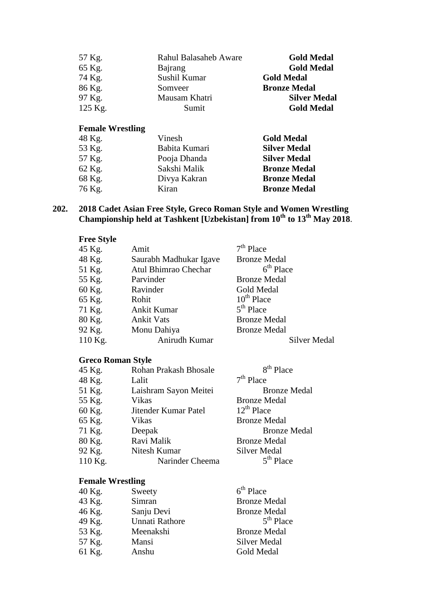| 57 Kg.  | <b>Rahul Balasaheb Aware</b> | <b>Gold Medal</b>   |
|---------|------------------------------|---------------------|
| 65 Kg.  | Bajrang                      | <b>Gold Medal</b>   |
| 74 Kg.  | Sushil Kumar                 | <b>Gold Medal</b>   |
| 86 Kg.  | Somveer                      | <b>Bronze Medal</b> |
| 97 Kg.  | Mausam Khatri                | <b>Silver Medal</b> |
| 125 Kg. | Sumit                        | <b>Gold Medal</b>   |

| 48 Kg. | Vinesh        | <b>Gold Medal</b>   |
|--------|---------------|---------------------|
| 53 Kg. | Babita Kumari | <b>Silver Medal</b> |
| 57 Kg. | Pooja Dhanda  | <b>Silver Medal</b> |
| 62 Kg. | Sakshi Malik  | <b>Bronze Medal</b> |
| 68 Kg. | Divya Kakran  | <b>Bronze Medal</b> |
| 76 Kg. | Kiran         | <b>Bronze Medal</b> |

### **202. 2018 Cadet Asian Free Style, Greco Roman Style and Women Wrestling Championship held at Tashkent [Uzbekistan] from 10th to 13th May 2018**.

**Free Style** 

| 45 Kg.  | Amit                   | $7th$ Place         |
|---------|------------------------|---------------------|
| 48 Kg.  | Saurabh Madhukar Igave | <b>Bronze Medal</b> |
| 51 Kg.  | Atul Bhimrao Chechar   | $6th$ Place         |
| 55 Kg.  | Parvinder              | <b>Bronze Medal</b> |
| 60 Kg.  | Ravinder               | Gold Medal          |
| 65 Kg.  | Rohit                  | $10^{th}$ Place     |
| 71 Kg.  | Ankit Kumar            | $5th$ Place         |
| 80 Kg.  | <b>Ankit Vats</b>      | <b>Bronze Medal</b> |
| 92 Kg.  | Monu Dahiya            | <b>Bronze Medal</b> |
| 110 Kg. | Anirudh Kumar          | Silver Medal        |
|         |                        |                     |

# **Greco Roman Style**

| 45 Kg.  | <b>Rohan Prakash Bhosale</b> | 8 <sup>th</sup> Place |
|---------|------------------------------|-----------------------|
| 48 Kg.  | Lalit                        | $7th$ Place           |
| 51 Kg.  | Laishram Sayon Meitei        | <b>Bronze Medal</b>   |
| 55 Kg.  | Vikas                        | <b>Bronze Medal</b>   |
| 60 Kg.  | Jitender Kumar Patel         | $12^{th}$ Place       |
| 65 Kg.  | Vikas                        | <b>Bronze Medal</b>   |
| 71 Kg.  | Deepak                       | <b>Bronze Medal</b>   |
| 80 Kg.  | Ravi Malik                   | <b>Bronze Medal</b>   |
| 92 Kg.  | Nitesh Kumar                 | <b>Silver Medal</b>   |
| 110 Kg. | Narinder Cheema              | $5th$ Place           |

# **Female Wrestling**

| Sweety         | $6th$ Place         |
|----------------|---------------------|
| Simran         | <b>Bronze Medal</b> |
| Sanju Devi     | <b>Bronze Medal</b> |
| Unnati Rathore | $5th$ Place         |
| Meenakshi      | <b>Bronze Medal</b> |
| Mansi          | Silver Medal        |
| Anshu          | Gold Medal          |
|                |                     |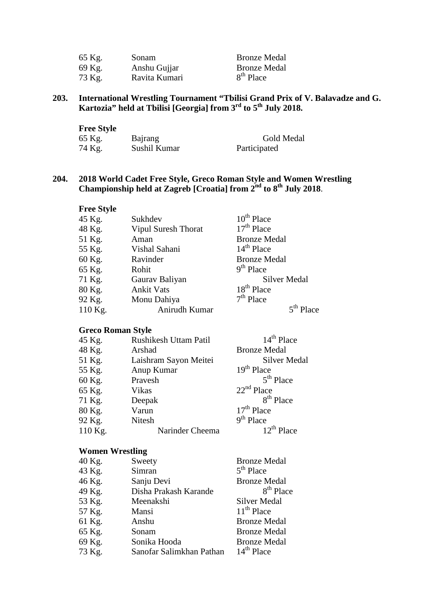| 65 Kg. | Sonam         | <b>Bronze Medal</b>   |
|--------|---------------|-----------------------|
| 69 Kg. | Anshu Gujjar  | <b>Bronze Medal</b>   |
| 73 Kg. | Ravita Kumari | 8 <sup>th</sup> Place |

#### **203. International Wrestling Tournament "Tbilisi Grand Prix of V. Balavadze and G. Kartozia" held at Tbilisi [Georgia] from 3rd to 5th July 2018.**

| <b>Free Style</b> |              |              |
|-------------------|--------------|--------------|
| 65 Kg.            | Bajrang      | Gold Medal   |
| 74 Kg.            | Sushil Kumar | Participated |

#### **204. 2018 World Cadet Free Style, Greco Roman Style and Women Wrestling Championship held at Zagreb [Croatia] from 2nd to 8th July 2018**.

| <b>Free Style</b> |                            |                     |
|-------------------|----------------------------|---------------------|
| 45 Kg.            | Sukhdev                    | $10^{th}$ Place     |
| 48 Kg.            | <b>Vipul Suresh Thorat</b> | $17th$ Place        |
| 51 Kg.            | Aman                       | <b>Bronze Medal</b> |
| 55 Kg.            | Vishal Sahani              | $14th$ Place        |
| 60 Kg.            | Ravinder                   | <b>Bronze Medal</b> |
| 65 Kg.            | Rohit                      | $9th$ Place         |
| 71 Kg.            | Gaurav Baliyan             | <b>Silver Medal</b> |
| 80 Kg.            | <b>Ankit Vats</b>          | $18th$ Place        |
| 92 Kg.            | Monu Dahiya                | $7th$ Place         |
| 110 Kg.           | Anirudh Kumar              | $5^{th}$ Place      |

# **Greco Roman Style**

| 45 Kg.    | <b>Rushikesh Uttam Patil</b> | $14th$ Place          |
|-----------|------------------------------|-----------------------|
| 48 Kg.    | Arshad                       | <b>Bronze Medal</b>   |
| 51 Kg.    | Laishram Sayon Meitei        | <b>Silver Medal</b>   |
| 55 Kg.    | Anup Kumar                   | $19th$ Place          |
| 60 Kg.    | Pravesh                      | $5th$ Place           |
| 65 Kg.    | Vikas                        | $22nd$ Place          |
| 71 Kg.    | Deepak                       | 8 <sup>th</sup> Place |
| 80 Kg.    | Varun                        | $17th$ Place          |
| 92 Kg.    | <b>Nitesh</b>                | $9th$ Place           |
| $110$ Kg. | Narinder Cheema              | $12^{th}$ Place       |

#### **Women Wrestling**

| Sweety                   | <b>Bronze Medal</b>   |
|--------------------------|-----------------------|
| Simran                   | $5th$ Place           |
| Sanju Devi               | <b>Bronze Medal</b>   |
| Disha Prakash Karande    | 8 <sup>th</sup> Place |
| Meenakshi                | <b>Silver Medal</b>   |
| Mansi                    | $11th$ Place          |
| Anshu                    | <b>Bronze Medal</b>   |
| Sonam                    | <b>Bronze Medal</b>   |
| Sonika Hooda             | <b>Bronze Medal</b>   |
| Sanofar Salimkhan Pathan | $14th$ Place          |
|                          |                       |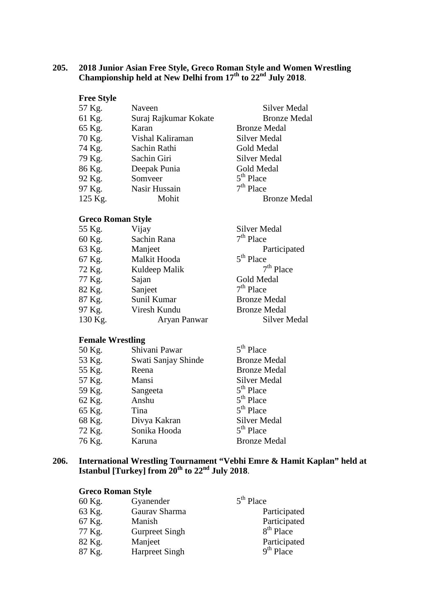#### **205. 2018 Junior Asian Free Style, Greco Roman Style and Women Wrestling Championship held at New Delhi from 17th to 22nd July 2018**.

| <b>Free Style</b> |                       |                     |
|-------------------|-----------------------|---------------------|
| 57 Kg.            | Naveen                | Silver Medal        |
| 61 Kg.            | Suraj Rajkumar Kokate | <b>Bronze Medal</b> |
| 65 Kg.            | Karan                 | <b>Bronze Medal</b> |
| 70 Kg.            | Vishal Kaliraman      | Silver Medal        |
| 74 Kg.            | Sachin Rathi          | Gold Medal          |
| 79 Kg.            | Sachin Giri           | Silver Medal        |
| 86 Kg.            | Deepak Punia          | Gold Medal          |
| 92 Kg.            | Somveer               | $5th$ Place         |
| 97 Kg.            | Nasir Hussain         | $7th$ Place         |
| 125 Kg.           | Mohit                 | <b>Bronze Medal</b> |

#### **Greco Roman Style**

| 55 Kg.  | Vijay         | <b>Silver Medal</b> |
|---------|---------------|---------------------|
| 60 Kg.  | Sachin Rana   | $7th$ Place         |
| 63 Kg.  | Manjeet       | Participated        |
| 67 Kg.  | Malkit Hooda  | $5th$ Place         |
| 72 Kg.  | Kuldeep Malik | $7th$ Place         |
| 77 Kg.  | Sajan         | Gold Medal          |
| 82 Kg.  | Sanjeet       | $7th$ Place         |
| 87 Kg.  | Sunil Kumar   | <b>Bronze Medal</b> |
| 97 Kg.  | Viresh Kundu  | <b>Bronze Medal</b> |
| 130 Kg. | Aryan Panwar  | Silver Medal        |
|         |               |                     |

#### **Female Wrestling**

| 50 Kg. | Shivani Pawar       | $5th$ Place         |
|--------|---------------------|---------------------|
| 53 Kg. | Swati Sanjay Shinde | <b>Bronze Medal</b> |
| 55 Kg. | Reena               | <b>Bronze Medal</b> |
| 57 Kg. | Mansi               | <b>Silver Medal</b> |
| 59 Kg. | Sangeeta            | $5th$ Place         |
| 62 Kg. | Anshu               | $5th$ Place         |
| 65 Kg. | Tina                | $5th$ Place         |
| 68 Kg. | Divya Kakran        | <b>Silver Medal</b> |
| 72 Kg. | Sonika Hooda        | $5th$ Place         |
| 76 Kg. | Karuna              | <b>Bronze Medal</b> |

#### **206. International Wrestling Tournament "Vebhi Emre & Hamit Kaplan" held at Istanbul [Turkey] from 20th to 22nd July 2018**.

#### **Greco Roman Style**

| 60 Kg. | Gyanender             | $5th$ Place  |
|--------|-----------------------|--------------|
| 63 Kg. | Gaurav Sharma         | Participated |
| 67 Kg. | Manish                | Participated |
| 77 Kg. | <b>Gurpreet Singh</b> | $8th$ Place  |
| 82 Kg. | Manjeet               | Participated |
| 87 Kg. | <b>Harpreet Singh</b> | $9th$ Place  |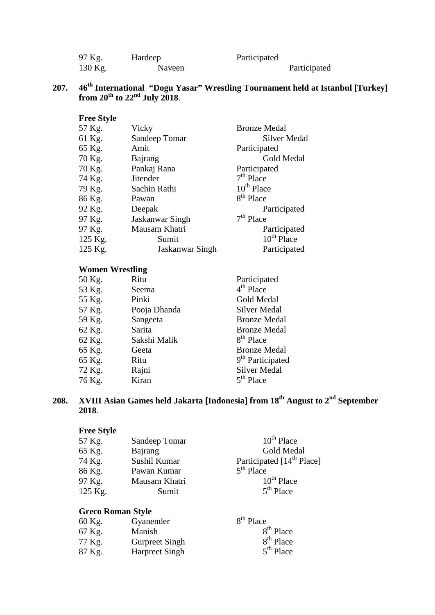| 97 Kg.  | Hardeep | Participated |              |  |
|---------|---------|--------------|--------------|--|
| 130 Kg. | Naveen  |              | Participated |  |

# **207. 46th International "Dogu Yasar" Wrestling Tournament held at Istanbul [Turkey] from 20th to 22nd July 2018**.

| <b>Free Style</b> |                 |                        |
|-------------------|-----------------|------------------------|
| 57 Kg.            | Vicky           | <b>Bronze Medal</b>    |
| 61 Kg.            | Sandeep Tomar   | <b>Silver Medal</b>    |
| 65 Kg.            | Amit            | Participated           |
| 70 Kg.            | Bajrang         | Gold Medal             |
| 70 Kg.            | Pankaj Rana     | Participated           |
| 74 Kg.            | <b>Jitender</b> | $7th$ Place            |
| 79 Kg.            | Sachin Rathi    | $10^{th}$ Place        |
| 86 Kg.            | Pawan           | 8 <sup>th</sup> Place  |
| 92 Kg.            | Deepak          | Participated           |
| 97 Kg.            | Jaskanwar Singh | $7th$ Place            |
| 97 Kg.            | Mausam Khatri   | Participated           |
| 125 Kg.           | Sumit           | 10 <sup>th</sup> Place |
| 125 Kg.           | Jaskanwar Singh | Participated           |

# **Women Wrestling**

| 50 Kg. | Ritu         | Participated                 |
|--------|--------------|------------------------------|
| 53 Kg. | Seema        | $4th$ Place                  |
| 55 Kg. | Pinki        | Gold Medal                   |
| 57 Kg. | Pooja Dhanda | <b>Silver Medal</b>          |
| 59 Kg. | Sangeeta     | <b>Bronze Medal</b>          |
| 62 Kg. | Sarita       | <b>Bronze Medal</b>          |
| 62 Kg. | Sakshi Malik | 8 <sup>th</sup> Place        |
| 65 Kg. | Geeta        | <b>Bronze Medal</b>          |
| 65 Kg. | Ritu         | 9 <sup>th</sup> Participated |
| 72 Kg. | Rajni        | <b>Silver Medal</b>          |
| 76 Kg. | Kiran        | $5th$ Place                  |
|        |              |                              |

**208. XVIII Asian Games held Jakarta [Indonesia] from 18th August to 2nd September 2018**.

# **Free Style**

| Sandeep Tomar | $10^{th}$ Place                       |
|---------------|---------------------------------------|
| Bajrang       | Gold Medal                            |
| Sushil Kumar  | Participated [14 <sup>th</sup> Place] |
| Pawan Kumar   | $5th$ Place                           |
| Mausam Khatri | $10^{th}$ Place                       |
| Sumit         | $5th$ Place                           |
|               |                                       |

# **Greco Roman Style**

| 60 Kg. | Gyanender             | $8th$ Place           |
|--------|-----------------------|-----------------------|
| 67 Kg. | Manish                | $8th$ Place           |
| 77 Kg. | <b>Gurpreet Singh</b> | 8 <sup>th</sup> Place |
| 87 Kg. | <b>Harpreet Singh</b> | $5th$ Place           |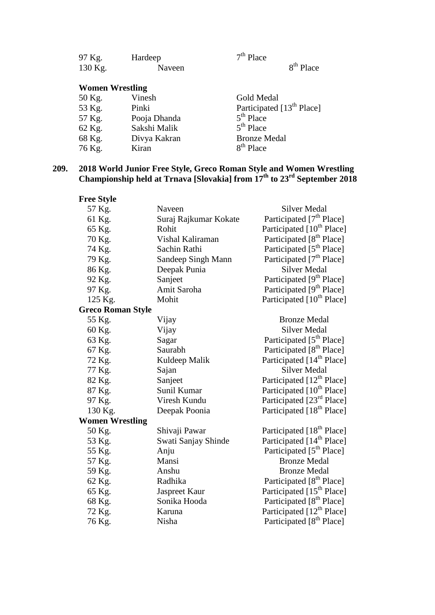| 97 Kg.                 | Hardeep      | $7th$ Place                           |
|------------------------|--------------|---------------------------------------|
| 130 Kg.                | Naveen       | $8th$ Place                           |
| <b>Women Wrestling</b> |              |                                       |
| 50 Kg.                 | Vinesh       | Gold Medal                            |
| 53 Kg.                 | Pinki        | Participated [13 <sup>th</sup> Place] |
| 57 Kg.                 | Pooja Dhanda | $5th$ Place                           |
| 62 Kg.                 | Sakshi Malik | $5th$ Place                           |
| 68 Kg.                 | Divya Kakran | <b>Bronze Medal</b>                   |
| 76 Kg.                 | Kiran        | $8th$ Place                           |

#### **209. 2018 World Junior Free Style, Greco Roman Style and Women Wrestling Championship held at Trnava [Slovakia] from 17th to 23rd September 2018**

| <b>Free Style</b>        |                       |                                       |
|--------------------------|-----------------------|---------------------------------------|
| 57 Kg.                   | Naveen                | <b>Silver Medal</b>                   |
| 61 Kg.                   | Suraj Rajkumar Kokate | Participated [7 <sup>th</sup> Place]  |
| 65 Kg.                   | Rohit                 | Participated [10 <sup>th</sup> Place] |
| 70 Kg.                   | Vishal Kaliraman      | Participated [8 <sup>th</sup> Place]  |
| 74 Kg.                   | Sachin Rathi          | Participated [5 <sup>th</sup> Place]  |
| 79 Kg.                   | Sandeep Singh Mann    | Participated [7 <sup>th</sup> Place]  |
| 86 Kg.                   | Deepak Punia          | <b>Silver Medal</b>                   |
| 92 Kg.                   | Sanjeet               | Participated [9 <sup>th</sup> Place]  |
| 97 Kg.                   | Amit Saroha           | Participated [9 <sup>th</sup> Place]  |
| 125 Kg.                  | Mohit                 | Participated [10 <sup>th</sup> Place] |
| <b>Greco Roman Style</b> |                       |                                       |
| 55 Kg.                   | Vijay                 | <b>Bronze Medal</b>                   |
| 60 Kg.                   | Vijay                 | <b>Silver Medal</b>                   |
| 63 Kg.                   | Sagar                 | Participated [5 <sup>th</sup> Place]  |
| 67 Kg.                   | Saurabh               | Participated [8 <sup>th</sup> Place]  |
| 72 Kg.                   | Kuldeep Malik         | Participated [14 <sup>th</sup> Place] |
| 77 Kg.                   | Sajan                 | <b>Silver Medal</b>                   |
| 82 Kg.                   | Sanjeet               | Participated [12 <sup>th</sup> Place] |
| 87 Kg.                   | Sunil Kumar           | Participated [10 <sup>th</sup> Place] |
| 97 Kg.                   | Viresh Kundu          | Participated [23 <sup>rd</sup> Place] |
| 130 Kg.                  | Deepak Poonia         | Participated [18 <sup>th</sup> Place] |
| <b>Women Wrestling</b>   |                       |                                       |
| 50 Kg.                   | Shivaji Pawar         | Participated [18 <sup>th</sup> Place] |
| 53 Kg.                   | Swati Sanjay Shinde   | Participated [14 <sup>th</sup> Place] |
| 55 Kg.                   | Anju                  | Participated [5 <sup>th</sup> Place]  |
| 57 Kg.                   | Mansi                 | <b>Bronze Medal</b>                   |
| 59 Kg.                   | Anshu                 | <b>Bronze Medal</b>                   |
| 62 Kg.                   | Radhika               | Participated [8 <sup>th</sup> Place]  |
| 65 Kg.                   | Jaspreet Kaur         | Participated [15 <sup>th</sup> Place] |
| 68 Kg.                   | Sonika Hooda          | Participated [8 <sup>th</sup> Place]  |
| 72 Kg.                   | Karuna                | Participated [12 <sup>th</sup> Place] |
| 76 Kg.                   | Nisha                 | Participated [8 <sup>th</sup> Place]  |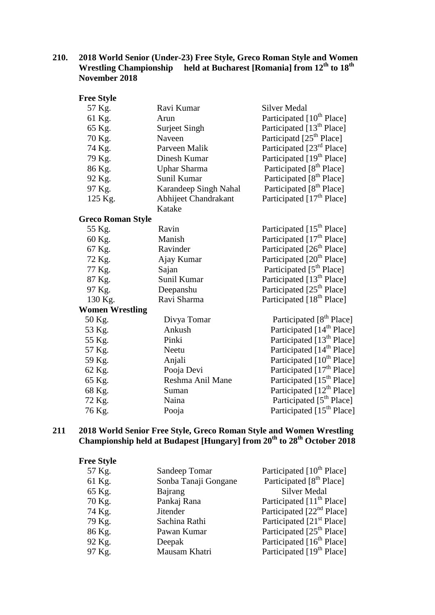#### **210. 2018 World Senior (Under-23) Free Style, Greco Roman Style and Women Wrestling Championship held at Bucharest [Romania] from 12th to 18th November 2018**

| <b>Free Style</b>      |                       |                                       |
|------------------------|-----------------------|---------------------------------------|
| 57 Kg.                 | Ravi Kumar            | <b>Silver Medal</b>                   |
| 61 Kg.                 | Arun                  | Participated [10 <sup>th</sup> Place] |
| 65 Kg.                 | Surjeet Singh         | Participated [13 <sup>th</sup> Place] |
| 70 Kg.                 | Naveen                | Participatd [25 <sup>th</sup> Place]  |
| 74 Kg.                 | Parveen Malik         | Participated [23 <sup>rd</sup> Place] |
| 79 Kg.                 | Dinesh Kumar          | Participated [19 <sup>th</sup> Place] |
| 86 Kg.                 | <b>Uphar Sharma</b>   | Participated [8 <sup>th</sup> Place]  |
| 92 Kg.                 | Sunil Kumar           | Participated [8 <sup>th</sup> Place]  |
| 97 Kg.                 | Karandeep Singh Nahal | Participated [8 <sup>th</sup> Place]  |
| 125 Kg.                | Abhijeet Chandrakant  | Participated [17 <sup>th</sup> Place] |
|                        | Katake                |                                       |
| Greco Roman Style      |                       |                                       |
| 55 Kg.                 | Ravin                 | Participated [15 <sup>th</sup> Place] |
| 60 Kg.                 | Manish                | Participated [17 <sup>th</sup> Place] |
| 67 Kg.                 | Ravinder              | Participated [26 <sup>th</sup> Place] |
| 72 Kg.                 | Ajay Kumar            | Participated [20 <sup>th</sup> Place] |
| 77 Kg.                 | Sajan                 | Participated [5 <sup>th</sup> Place]  |
| 87 Kg.                 | Sunil Kumar           | Participated [13 <sup>th</sup> Place] |
| 97 Kg.                 | Deepanshu             | Participated [25 <sup>th</sup> Place] |
| 130 Kg.                | Ravi Sharma           | Participated [18 <sup>th</sup> Place] |
| <b>Women Wrestling</b> |                       |                                       |
| 50 Kg.                 | Divya Tomar           | Participated [8 <sup>th</sup> Place]  |
| 53 Kg.                 | Ankush                | Participated [14 <sup>th</sup> Place] |
| 55 Kg.                 | Pinki                 | Participated [13 <sup>th</sup> Place] |
| 57 Kg.                 | Neetu                 | Participated [14 <sup>th</sup> Place] |
| 59 Kg.                 | Anjali                | Participated [10 <sup>th</sup> Place] |
| 62 Kg.                 | Pooja Devi            | Participated [17 <sup>th</sup> Place] |
| 65 Kg.                 | Reshma Anil Mane      | Participated [15 <sup>th</sup> Place] |
| 68 Kg.                 | Suman                 | Participated [12 <sup>th</sup> Place] |
| 72 Kg.                 | Naina                 | Participated [5 <sup>th</sup> Place]  |
| 76 Kg.                 | Pooja                 | Participated [15 <sup>th</sup> Place] |

#### **211 2018 World Senior Free Style, Greco Roman Style and Women Wrestling Championship held at Budapest [Hungary] from 20th to 28th October 2018**

| Participated [10 <sup>th</sup> Place]<br>57 Kg.<br>Sandeep Tomar<br>Participated [8 <sup>th</sup> Place]<br>Sonba Tanaji Gongane<br>61 Kg.<br><b>Silver Medal</b><br>65 Kg.<br>Bajrang<br>Participated [11 <sup>th</sup> Place]<br>70 Kg.<br>Pankaj Rana |  |
|----------------------------------------------------------------------------------------------------------------------------------------------------------------------------------------------------------------------------------------------------------|--|
|                                                                                                                                                                                                                                                          |  |
|                                                                                                                                                                                                                                                          |  |
|                                                                                                                                                                                                                                                          |  |
|                                                                                                                                                                                                                                                          |  |
| Participated [22 <sup>nd</sup> Place]<br>74 Kg.<br><b>Jitender</b>                                                                                                                                                                                       |  |
| Participated [21 <sup>st</sup> Place]<br>79 Kg.<br>Sachina Rathi                                                                                                                                                                                         |  |
| Participated [25 <sup>th</sup> Place]<br>Pawan Kumar<br>86 Kg.                                                                                                                                                                                           |  |
| Participated [16 <sup>th</sup> Place]<br>92 Kg.<br>Deepak                                                                                                                                                                                                |  |
| Participated [19 <sup>th</sup> Place]<br>97 Kg.<br>Mausam Khatri                                                                                                                                                                                         |  |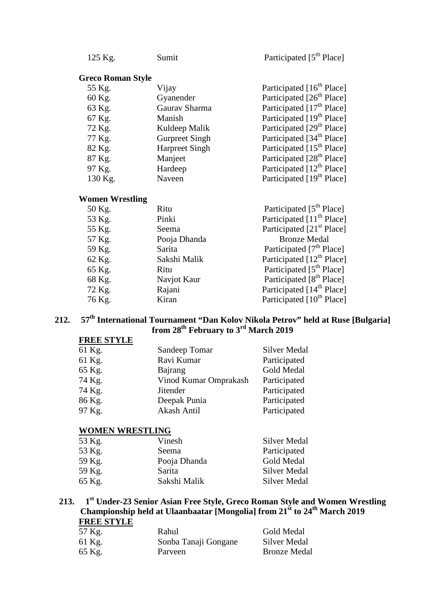125 Kg. Sumit Participated [5<sup>th</sup> Place]

#### **Greco Roman Style**

| 55 Kg.  | Vijay                 | Participated [16 <sup>th</sup> Place] |
|---------|-----------------------|---------------------------------------|
| 60 Kg.  | Gyanender             | Participated [26 <sup>th</sup> Place] |
| 63 Kg.  | Gaurav Sharma         | Participated [17 <sup>th</sup> Place] |
| 67 Kg.  | Manish                | Participated [19 <sup>th</sup> Place] |
| 72 Kg.  | Kuldeep Malik         | Participated [29 <sup>th</sup> Place] |
| 77 Kg.  | <b>Gurpreet Singh</b> | Participated [34 <sup>th</sup> Place] |
| 82 Kg.  | <b>Harpreet Singh</b> | Participated [15 <sup>th</sup> Place] |
| 87 Kg.  | Manjeet               | Participated [28 <sup>th</sup> Place] |
| 97 Kg.  | Hardeep               | Participated [12 <sup>th</sup> Place] |
| 130 Kg. | Naveen                | Participated [19 <sup>th</sup> Place] |

#### **Women Wrestling**

| 50 Kg. | Ritu         | Participated [5 <sup>th</sup> Place]  |
|--------|--------------|---------------------------------------|
| 53 Kg. | Pinki        | Participated [11 <sup>th</sup> Place] |
| 55 Kg. | Seema        | Participated [21 <sup>st</sup> Place] |
| 57 Kg. | Pooja Dhanda | <b>Bronze Medal</b>                   |
| 59 Kg. | Sarita       | Participated [7 <sup>th</sup> Place]  |
| 62 Kg. | Sakshi Malik | Participated [12 <sup>th</sup> Place] |
| 65 Kg. | Ritu         | Participated [5 <sup>th</sup> Place]  |
| 68 Kg. | Navjot Kaur  | Participated [8 <sup>th</sup> Place]  |
| 72 Kg. | Rajani       | Participated [14 <sup>th</sup> Place] |
| 76 Kg. | Kiran        | Participated [10 <sup>th</sup> Place] |
|        |              |                                       |

# **212. 57th International Tournament "Dan Kolov Nikola Petrov" held at Ruse [Bulgaria] from 28th February to 3rd March 2019**

#### **FREE STYLE**

| 61 Kg. | Sandeep Tomar         | Silver Medal |
|--------|-----------------------|--------------|
| 61 Kg. | Ravi Kumar            | Participated |
| 65 Kg. | Bajrang               | Gold Medal   |
| 74 Kg. | Vinod Kumar Omprakash | Participated |
| 74 Kg. | <b>Jitender</b>       | Participated |
| 86 Kg. | Deepak Punia          | Participated |
| 97 Kg. | Akash Antil           | Participated |

#### **WOMEN WRESTLING**

| 53 Kg. | Vinesh       | Silver Medal |
|--------|--------------|--------------|
| 53 Kg. | Seema        | Participated |
| 59 Kg. | Pooja Dhanda | Gold Medal   |
| 59 Kg. | Sarita       | Silver Medal |
| 65 Kg. | Sakshi Malik | Silver Medal |
|        |              |              |

#### **213. 1st Under-23 Senior Asian Free Style, Greco Roman Style and Women Wrestling Championship held at Ulaanbaatar [Mongolia] from 21st to 24th March 2019 FREE STYLE**

| 57 Kg. | Rahul                | Gold Medal          |
|--------|----------------------|---------------------|
| 61 Kg. | Sonba Tanaji Gongane | Silver Medal        |
| 65 Kg. | Parveen              | <b>Bronze Medal</b> |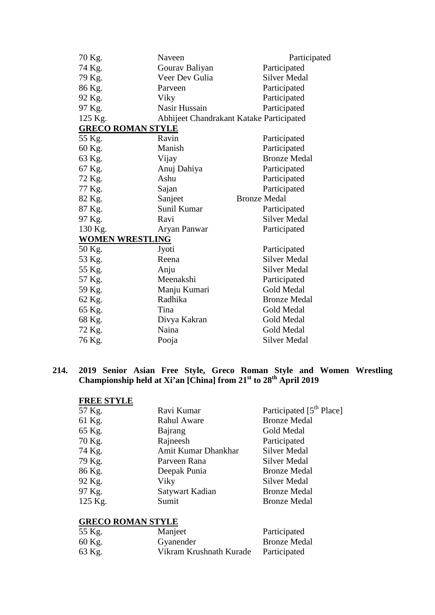| 70 Kg.                   | Naveen                                   | Participated        |
|--------------------------|------------------------------------------|---------------------|
| 74 Kg.                   | Gourav Baliyan                           | Participated        |
| 79 Kg.                   | Veer Dev Gulia                           | <b>Silver Medal</b> |
| 86 Kg.                   | Parveen                                  | Participated        |
| 92 Kg.                   | Viky                                     | Participated        |
| 97 Kg.                   | Nasir Hussain                            | Participated        |
| 125 Kg.                  | Abhijeet Chandrakant Katake Participated |                     |
| <b>GRECO ROMAN STYLE</b> |                                          |                     |
| 55 Kg.                   | Ravin                                    | Participated        |
| 60 Kg.                   | Manish                                   | Participated        |
| 63 Kg.                   | Vijay                                    | <b>Bronze Medal</b> |
| 67 Kg.                   | Anuj Dahiya                              | Participated        |
| 72 Kg.                   | Ashu                                     | Participated        |
| 77 Kg.                   | Sajan                                    | Participated        |
| 82 Kg.                   | Sanjeet                                  | <b>Bronze Medal</b> |
| 87 Kg.                   | Sunil Kumar                              | Participated        |
| 97 Kg.                   | Ravi                                     | <b>Silver Medal</b> |
| 130 Kg.                  | Aryan Panwar                             | Participated        |
| <b>WOMEN WRESTLING</b>   |                                          |                     |
| 50 Kg.                   | Jyoti                                    | Participated        |
| 53 Kg.                   | Reena                                    | <b>Silver Medal</b> |
| 55 Kg.                   | Anju                                     | <b>Silver Medal</b> |
| 57 Kg.                   | Meenakshi                                | Participated        |
| 59 Kg.                   | Manju Kumari                             | Gold Medal          |
| 62 Kg.                   | Radhika                                  | <b>Bronze Medal</b> |
| 65 Kg.                   | Tina                                     | Gold Medal          |
| 68 Kg.                   | Divya Kakran                             | Gold Medal          |
| 72 Kg.                   | Naina                                    | Gold Medal          |
| 76 Kg.                   | Pooja                                    | <b>Silver Medal</b> |
|                          |                                          |                     |

#### **214. 2019 Senior Asian Free Style, Greco Roman Style and Women Wrestling Championship held at Xi'an [China] from 21st to 28th April 2019**

| <b>FREE STYLE</b> |                     |                                      |
|-------------------|---------------------|--------------------------------------|
| 57 Kg.            | Ravi Kumar          | Participated [5 <sup>th</sup> Place] |
| 61 Kg.            | <b>Rahul Aware</b>  | <b>Bronze Medal</b>                  |
| 65 Kg.            | Bajrang             | Gold Medal                           |
| 70 Kg.            | Rajneesh            | Participated                         |
| 74 Kg.            | Amit Kumar Dhankhar | <b>Silver Medal</b>                  |
| 79 Kg.            | Parveen Rana        | Silver Medal                         |
| 86 Kg.            | Deepak Punia        | <b>Bronze Medal</b>                  |
| 92 Kg.            | Viky                | Silver Medal                         |
| 97 Kg.            | Satywart Kadian     | <b>Bronze Medal</b>                  |
| 125 Kg.           | Sumit               | <b>Bronze Medal</b>                  |

#### **GRECO ROMAN STYLE**

| 55 Kg. | Manjeet                 | Participated        |
|--------|-------------------------|---------------------|
| 60 Kg. | Gyanender               | <b>Bronze Medal</b> |
| 63 Kg. | Vikram Krushnath Kurade | Participated        |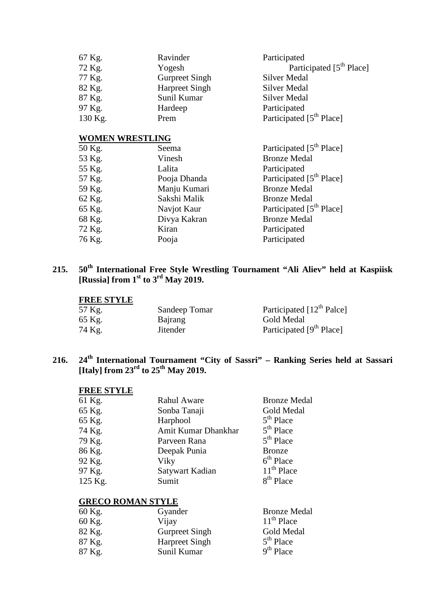| 67 Kg.  | Ravinder              | Participated                         |
|---------|-----------------------|--------------------------------------|
| 72 Kg.  | Yogesh                | Participated [5 <sup>th</sup> Place] |
| 77 Kg.  | <b>Gurpreet Singh</b> | Silver Medal                         |
| 82 Kg.  | <b>Harpreet Singh</b> | Silver Medal                         |
| 87 Kg.  | Sunil Kumar           | Silver Medal                         |
| 97 Kg.  | Hardeep               | Participated                         |
| 130 Kg. | Prem                  | Participated [5 <sup>th</sup> Place] |

#### **WOMEN WRESTLING**

| 50 Kg. | Seema        | Participated [5 <sup>th</sup> Place] |
|--------|--------------|--------------------------------------|
| 53 Kg. | Vinesh       | <b>Bronze Medal</b>                  |
| 55 Kg. | Lalita       | Participated                         |
| 57 Kg. | Pooja Dhanda | Participated [5 <sup>th</sup> Place] |
| 59 Kg. | Manju Kumari | <b>Bronze Medal</b>                  |
| 62 Kg. | Sakshi Malik | <b>Bronze Medal</b>                  |
| 65 Kg. | Navjot Kaur  | Participated [5 <sup>th</sup> Place] |
| 68 Kg. | Divya Kakran | <b>Bronze Medal</b>                  |
| 72 Kg. | Kiran        | Participated                         |
| 76 Kg. | Pooja        | Participated                         |
|        |              |                                      |

# **215. 50th International Free Style Wrestling Tournament "Ali Aliev" held at Kaspiisk [Russia] from 1st to 3rd May 2019.**

#### **FREE STYLE**

| 57 Kg. | Sandeep Tomar   | Participated $[12^{th}$ Palce]       |
|--------|-----------------|--------------------------------------|
| 65 Kg. | Bajrang         | Gold Medal                           |
| 74 Kg. | <b>Jitender</b> | Participated [9 <sup>th</sup> Place] |

# **216. 24th International Tournament "City of Sassri" – Ranking Series held at Sassari [Italy] from 23rd to 25th May 2019.**

# **FREE STYLE**

| 65 Kg.<br>Gold Medal<br>Sonba Tanaji<br>$5th$ Place<br>65 Kg.<br>Harphool<br>$5th$ Place<br>74 Kg.<br>Amit Kumar Dhankhar<br>$5th$ Place<br>79 Kg.<br>Parveen Rana<br>86 Kg.<br>Deepak Punia<br><b>Bronze</b><br>$6th$ Place<br>92 Kg.<br>Viky<br>$11th$ Place<br>97 Kg.<br>Satywart Kadian<br>8 <sup>th</sup> Place<br>125 Kg.<br>Sumit | 61 Kg. | Rahul Aware | <b>Bronze Medal</b> |
|------------------------------------------------------------------------------------------------------------------------------------------------------------------------------------------------------------------------------------------------------------------------------------------------------------------------------------------|--------|-------------|---------------------|
|                                                                                                                                                                                                                                                                                                                                          |        |             |                     |
|                                                                                                                                                                                                                                                                                                                                          |        |             |                     |
|                                                                                                                                                                                                                                                                                                                                          |        |             |                     |
|                                                                                                                                                                                                                                                                                                                                          |        |             |                     |
|                                                                                                                                                                                                                                                                                                                                          |        |             |                     |
|                                                                                                                                                                                                                                                                                                                                          |        |             |                     |
|                                                                                                                                                                                                                                                                                                                                          |        |             |                     |
|                                                                                                                                                                                                                                                                                                                                          |        |             |                     |

# **GRECO ROMAN STYLE**

| 60 Kg. | Gyander               | <b>Bronze Medal</b> |
|--------|-----------------------|---------------------|
| 60 Kg. | Vijay                 | $11th$ Place        |
| 82 Kg. | <b>Gurpreet Singh</b> | Gold Medal          |
| 87 Kg. | <b>Harpreet Singh</b> | $5th$ Place         |
| 87 Kg. | Sunil Kumar           | $9th$ Place         |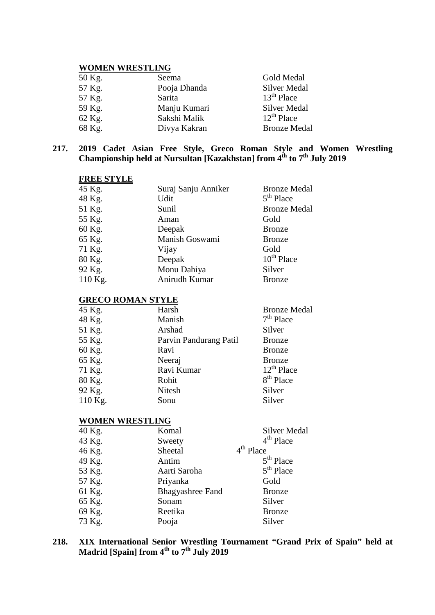#### **WOMEN WRESTLING**

| 50 Kg. | Seema        | Gold Medal          |
|--------|--------------|---------------------|
| 57 Kg. | Pooja Dhanda | <b>Silver Medal</b> |
| 57 Kg. | Sarita       | $13th$ Place        |
| 59 Kg. | Manju Kumari | Silver Medal        |
| 62 Kg. | Sakshi Malik | $12^{th}$ Place     |
| 68 Kg. | Divya Kakran | <b>Bronze Medal</b> |

#### **217. 2019 Cadet Asian Free Style, Greco Roman Style and Women Wrestling Championship held at Nursultan [Kazakhstan] from 4th to 7th July 2019**

| <b>FREE STYLE</b> |                     |                     |
|-------------------|---------------------|---------------------|
| 45 Kg.            | Suraj Sanju Anniker | <b>Bronze Medal</b> |
| 48 Kg.            | Udit                | $5th$ Place         |
| 51 Kg.            | Sunil               | <b>Bronze Medal</b> |
| 55 Kg.            | Aman                | Gold                |
| 60 Kg.            | Deepak              | <b>Bronze</b>       |
| 65 Kg.            | Manish Goswami      | <b>Bronze</b>       |
| 71 Kg.            | Vijay               | Gold                |
| 80 Kg.            | Deepak              | $10^{th}$ Place     |
| 92 Kg.            | Monu Dahiya         | Silver              |
| $110$ Kg.         | Anirudh Kumar       | <b>Bronze</b>       |

#### **GRECO ROMAN STYLE**

| 45 Kg.  | Harsh                  | <b>Bronze Medal</b>   |
|---------|------------------------|-----------------------|
| 48 Kg.  | Manish                 | $7th$ Place           |
| 51 Kg.  | Arshad                 | Silver                |
| 55 Kg.  | Parvin Pandurang Patil | <b>Bronze</b>         |
| 60 Kg.  | Ravi                   | <b>Bronze</b>         |
| 65 Kg.  | Neeraj                 | <b>Bronze</b>         |
| 71 Kg.  | Ravi Kumar             | $12^{th}$ Place       |
| 80 Kg.  | Rohit                  | 8 <sup>th</sup> Place |
| 92 Kg.  | Nitesh                 | Silver                |
| 110 Kg. | Sonu                   | Silver                |

# **WOMEN WRESTLING**

| 40 Kg. | Komal                   | Silver Medal  |
|--------|-------------------------|---------------|
| 43 Kg. | Sweety                  | $4th$ Place   |
| 46 Kg. | Sheetal                 | $4th$ Place   |
| 49 Kg. | Antim                   | $5th$ Place   |
| 53 Kg. | Aarti Saroha            | $5th$ Place   |
| 57 Kg. | Priyanka                | Gold          |
| 61 Kg. | <b>Bhagyashree Fand</b> | <b>Bronze</b> |
| 65 Kg. | Sonam                   | Silver        |
| 69 Kg. | Reetika                 | <b>Bronze</b> |
| 73 Kg. | Pooja                   | Silver        |

#### **218. XIX International Senior Wrestling Tournament "Grand Prix of Spain" held at Madrid [Spain] from 4th to 7th July 2019**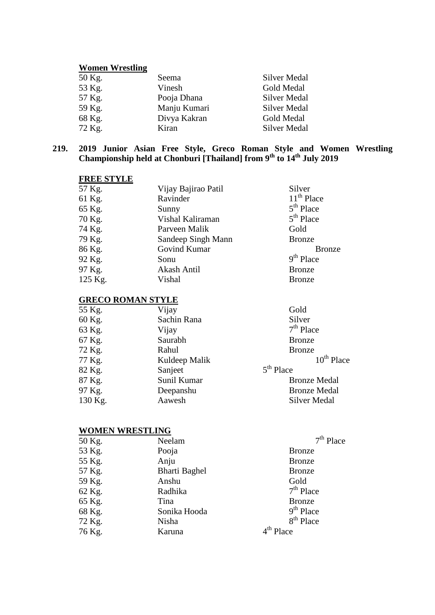#### **Women Wrestling**

| 50 Kg. | Seema        | <b>Silver Medal</b> |
|--------|--------------|---------------------|
| 53 Kg. | Vinesh       | Gold Medal          |
| 57 Kg. | Pooja Dhana  | <b>Silver Medal</b> |
| 59 Kg. | Manju Kumari | <b>Silver Medal</b> |
| 68 Kg. | Divya Kakran | Gold Medal          |
| 72 Kg. | Kiran        | <b>Silver Medal</b> |
|        |              |                     |

#### **219. 2019 Junior Asian Free Style, Greco Roman Style and Women Wrestling Championship held at Chonburi [Thailand] from 9th to 14th July 2019**

| <b>FREE STYLE</b> |                     |               |
|-------------------|---------------------|---------------|
| 57 Kg.            | Vijay Bajirao Patil | Silver        |
| 61 Kg.            | Ravinder            | $11th$ Place  |
| 65 Kg.            | Sunny               | $5th$ Place   |
| 70 Kg.            | Vishal Kaliraman    | $5th$ Place   |
| 74 Kg.            | Parveen Malik       | Gold          |
| 79 Kg.            | Sandeep Singh Mann  | <b>Bronze</b> |
| 86 Kg.            | Govind Kumar        | <b>Bronze</b> |
| 92 Kg.            | Sonu                | $9th$ Place   |
| 97 Kg.            | Akash Antil         | <b>Bronze</b> |
| 125 Kg.           | Vishal              | <b>Bronze</b> |

#### **GRECO ROMAN STYLE**

| 55 Kg.  | Vijay         | Gold                |
|---------|---------------|---------------------|
| 60 Kg.  | Sachin Rana   | Silver              |
| 63 Kg.  | Vijay         | $7th$ Place         |
| 67 Kg.  | Saurabh       | <b>Bronze</b>       |
| 72 Kg.  | Rahul         | <b>Bronze</b>       |
| 77 Kg.  | Kuldeep Malik | $10^{th}$ Place     |
| 82 Kg.  | Sanjeet       | $5th$ Place         |
| 87 Kg.  | Sunil Kumar   | <b>Bronze Medal</b> |
| 97 Kg.  | Deepanshu     | <b>Bronze Medal</b> |
| 130 Kg. | Aawesh        | <b>Silver Medal</b> |
|         |               |                     |

#### **WOMEN WRESTLING**

| Neelam               | $7th$ Place           |
|----------------------|-----------------------|
| Pooja                | <b>Bronze</b>         |
| Anju                 | <b>Bronze</b>         |
| <b>Bharti Baghel</b> | <b>Bronze</b>         |
| Anshu                | Gold                  |
| Radhika              | $7th$ Place           |
| Tina                 | <b>Bronze</b>         |
| Sonika Hooda         | $9th$ Place           |
| Nisha                | 8 <sup>th</sup> Place |
| Karuna               | $4th$ Place           |
|                      |                       |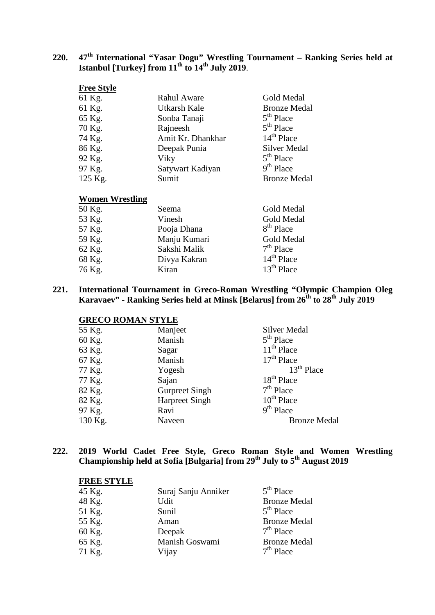# **220. 47th International "Yasar Dogu" Wrestling Tournament – Ranking Series held at Istanbul [Turkey] from 11th to 14th July 2019**.

| <b>Rahul Aware</b> | Gold Medal          |
|--------------------|---------------------|
| Utkarsh Kale       | <b>Bronze Medal</b> |
| Sonba Tanaji       | $5th$ Place         |
| Rajneesh           | $5th$ Place         |
| Amit Kr. Dhankhar  | $14th$ Place        |
| Deepak Punia       | <b>Silver Medal</b> |
| Viky               | $5th$ Place         |
| Satywart Kadiyan   | $9th$ Place         |
| Sumit              | <b>Bronze Medal</b> |
|                    |                     |

#### **Women Wrestling**

| 50 Kg. | Seema        | Gold Medal   |
|--------|--------------|--------------|
| 53 Kg. | Vinesh       | Gold Medal   |
| 57 Kg. | Pooja Dhana  | $8th$ Place  |
| 59 Kg. | Manju Kumari | Gold Medal   |
| 62 Kg. | Sakshi Malik | $7th$ Place  |
| 68 Kg. | Divya Kakran | $14th$ Place |
| 76 Kg. | Kiran        | $13th$ Place |

**221. International Tournament in Greco-Roman Wrestling "Olympic Champion Oleg Karavaev" - Ranking Series held at Minsk [Belarus] from 26th to 28th July 2019**

#### **GRECO ROMAN STYLE**

| 55 Kg.  | Manjeet               | Silver Medal           |
|---------|-----------------------|------------------------|
| 60 Kg.  | Manish                | $5th$ Place            |
| 63 Kg.  | Sagar                 | $11th$ Place           |
| 67 Kg.  | Manish                | $17th$ Place           |
| 77 Kg.  | Yogesh                | $13th$ Place           |
| 77 Kg.  | Sajan                 | 18 <sup>th</sup> Place |
| 82 Kg.  | <b>Gurpreet Singh</b> | $7th$ Place            |
| 82 Kg.  | <b>Harpreet Singh</b> | $10th$ Place           |
| 97 Kg.  | Ravi                  | $9th$ Place            |
| 130 Kg. | Naveen                | <b>Bronze Medal</b>    |

**222. 2019 World Cadet Free Style, Greco Roman Style and Women Wrestling Championship held at Sofia [Bulgaria] from 29th July to 5th August 2019**

#### **FREE STYLE**

| Suraj Sanju Anniker | $5th$ Place         |
|---------------------|---------------------|
| Udit                | <b>Bronze Medal</b> |
| Sunil               | $5th$ Place         |
| Aman                | <b>Bronze Medal</b> |
| Deepak              | $7th$ Place         |
| Manish Goswami      | <b>Bronze Medal</b> |
| Vijay               | $7th$ Place         |
|                     |                     |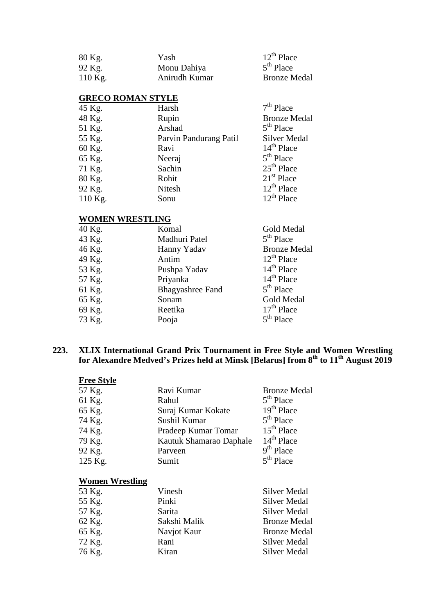| 80 Kg.    | Yash          | $12^{th}$ Place     |
|-----------|---------------|---------------------|
| 92 Kg.    | Monu Dahiya   | $5th$ Place         |
| $110$ Kg. | Anirudh Kumar | <b>Bronze Medal</b> |

#### **GRECO ROMAN STYLE**

| 45 Kg.  | Harsh                  | $7th$ Place         |
|---------|------------------------|---------------------|
| 48 Kg.  | Rupin                  | <b>Bronze Medal</b> |
| 51 Kg.  | Arshad                 | $5th$ Place         |
| 55 Kg.  | Parvin Pandurang Patil | <b>Silver Medal</b> |
| 60 Kg.  | Ravi                   | $14th$ Place        |
| 65 Kg.  | Neeraj                 | $5th$ Place         |
| 71 Kg.  | Sachin                 | $25th$ Place        |
| 80 Kg.  | Rohit                  | $21st$ Place        |
| 92 Kg.  | Nitesh                 | $12^{th}$ Place     |
| 110 Kg. | Sonu                   | $12^{th}$ Place     |

# **WOMEN WRESTLING**

| 40 Kg. | Komal                   | Gold Medal          |
|--------|-------------------------|---------------------|
| 43 Kg. | Madhuri Patel           | $5th$ Place         |
| 46 Kg. | Hanny Yadav             | <b>Bronze Medal</b> |
| 49 Kg. | Antim                   | $12^{th}$ Place     |
| 53 Kg. | Pushpa Yadav            | $14th$ Place        |
| 57 Kg. | Priyanka                | $14th$ Place        |
| 61 Kg. | <b>Bhagyashree Fand</b> | $5th$ Place         |
| 65 Kg. | Sonam                   | Gold Medal          |
| 69 Kg. | Reetika                 | $17th$ Place        |
| 73 Kg. | Pooja                   | $5th$ Place         |
|        |                         |                     |

#### **223. XLIX International Grand Prix Tournament in Free Style and Women Wrestling for Alexandre Medved's Prizes held at Minsk [Belarus] from 8th to 11th August 2019**

| <b>Free Style</b> |                         |                     |
|-------------------|-------------------------|---------------------|
| 57 Kg.            | Ravi Kumar              | <b>Bronze Medal</b> |
| 61 Kg.            | Rahul                   | $5th$ Place         |
| 65 Kg.            | Suraj Kumar Kokate      | $19th$ Place        |
| 74 Kg.            | Sushil Kumar            | $5th$ Place         |
| 74 Kg.            | Pradeep Kumar Tomar     | $15th$ Place        |
| 79 Kg.            | Kautuk Shamarao Daphale | $14th$ Place        |
| 92 Kg.            | Parveen                 | $9th$ Place         |
| 125 Kg.           | Sumit                   | $5th$ Place         |
|                   |                         |                     |

# **Women Wrestling**

| 53 Kg. | Vinesh       | <b>Silver Medal</b> |
|--------|--------------|---------------------|
| 55 Kg. | Pinki        | <b>Silver Medal</b> |
| 57 Kg. | Sarita       | <b>Silver Medal</b> |
| 62 Kg. | Sakshi Malik | <b>Bronze Medal</b> |
| 65 Kg. | Navjot Kaur  | <b>Bronze Medal</b> |
| 72 Kg. | Rani         | Silver Medal        |
| 76 Kg. | Kiran        | <b>Silver Medal</b> |
|        |              |                     |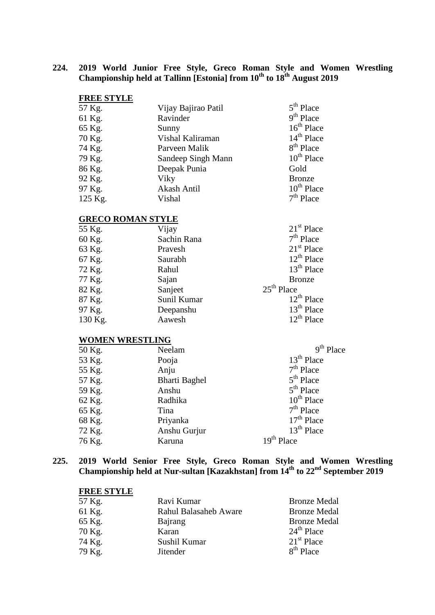**224. 2019 World Junior Free Style, Greco Roman Style and Women Wrestling Championship held at Tallinn [Estonia] from 10<sup>th</sup> to 18<sup>th</sup> August 2019** 

| Vijay Bajirao Patil | $5th$ Place     |
|---------------------|-----------------|
| Ravinder            | $9th$ Place     |
| Sunny               | $16th$ Place    |
| Vishal Kaliraman    | $14th$ Place    |
| Parveen Malik       | $8th$ Place     |
| Sandeep Singh Mann  | $10^{th}$ Place |
| Deepak Punia        | Gold            |
| Viky                | <b>Bronze</b>   |
| Akash Antil         | $10th$ Place    |
| Vishal              | $7th$ Place     |
|                     |                 |

#### **GRECO ROMAN STYLE**

| 55 Kg.  | Vijay       | $21st$ Place    |
|---------|-------------|-----------------|
| 60 Kg.  | Sachin Rana | $7th$ Place     |
| 63 Kg.  | Pravesh     | $21st$ Place    |
| 67 Kg.  | Saurabh     | $12^{th}$ Place |
| 72 Kg.  | Rahul       | $13th$ Place    |
| 77 Kg.  | Sajan       | <b>Bronze</b>   |
| 82 Kg.  | Sanjeet     | $25th$ Place    |
| 87 Kg.  | Sunil Kumar | $12^{th}$ Place |
| 97 Kg.  | Deepanshu   | $13th$ Place    |
| 130 Kg. | Aawesh      | $12^{th}$ Place |

#### **WOMEN WRESTLING**

| 50 Kg. | Neelam               | 9 <sup>th</sup> Place |
|--------|----------------------|-----------------------|
| 53 Kg. | Pooja                | $13th$ Place          |
| 55 Kg. | Anju                 | $7th$ Place           |
| 57 Kg. | <b>Bharti Baghel</b> | $5th$ Place           |
| 59 Kg. | Anshu                | $5th$ Place           |
| 62 Kg. | Radhika              | $10^{th}$ Place       |
| 65 Kg. | Tina                 | $7th$ Place           |
| 68 Kg. | Priyanka             | $17th$ Place          |
| 72 Kg. | Anshu Gurjur         | $13th$ Place          |
| 76 Kg. | Karuna               | $19th$ Place          |

**225. 2019 World Senior Free Style, Greco Roman Style and Women Wrestling Championship held at Nur-sultan [Kazakhstan] from 14th to 22nd September 2019**

#### **FREE STYLE**

| 57 Kg. | Ravi Kumar                   | <b>Bronze Medal</b> |
|--------|------------------------------|---------------------|
| 61 Kg. | <b>Rahul Balasaheb Aware</b> | <b>Bronze Medal</b> |
| 65 Kg. | Bajrang                      | <b>Bronze Medal</b> |
| 70 Kg. | Karan                        | $24th$ Place        |
| 74 Kg. | Sushil Kumar                 | $21st$ Place        |
| 79 Kg. | Jitender                     | $8th$ Place         |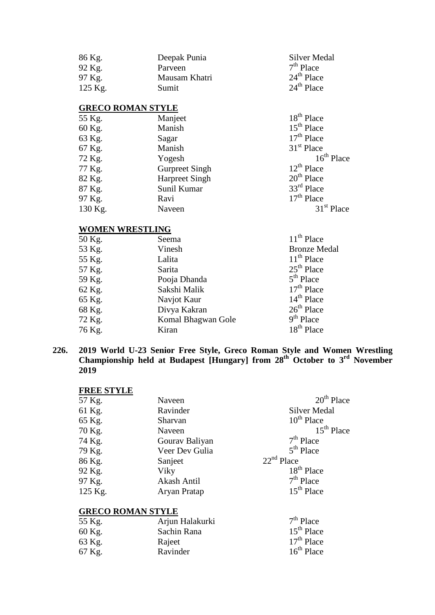| 86 Kg.<br>92 Kg.<br>97 Kg.<br>125 Kg. | Deepak Punia<br>Parveen<br>Mausam Khatri<br>Sumit | Silver Medal<br>$7th$ Place<br>$24th$ Place<br>24 <sup>th</sup> Place |
|---------------------------------------|---------------------------------------------------|-----------------------------------------------------------------------|
| <b>GRECO ROMAN STYLE</b>              |                                                   |                                                                       |
| 55 Kg.                                | Manjeet                                           | 18 <sup>th</sup> Place                                                |
| 60 Kg.                                | Manish                                            | $15th$ Place                                                          |
| 63 Kg.                                | Sagar                                             | $17th$ Place                                                          |
| 67 Kg.                                | Manish                                            | 31 <sup>st</sup> Place                                                |
| 72 Kg.                                | Yogesh                                            | $16th$ Place                                                          |
| 77 Kg.                                | <b>Gurpreet Singh</b>                             | $12^{th}$ Place                                                       |
| 82 Kg.                                | <b>Harpreet Singh</b>                             | $20th$ Place                                                          |
| 87 Kg.                                | Sunil Kumar                                       | $33rd$ Place                                                          |
| 97 Kg.                                | Ravi                                              | $17th$ Place                                                          |
| 130 Kg.                               | Naveen                                            | $31st$ Place                                                          |
|                                       |                                                   |                                                                       |

# **WOMEN WRESTLING**

| 50 Kg. | Seema              | $11th$ Place           |
|--------|--------------------|------------------------|
| 53 Kg. | Vinesh             | <b>Bronze Medal</b>    |
| 55 Kg. | Lalita             | $11th$ Place           |
| 57 Kg. | Sarita             | $25th$ Place           |
| 59 Kg. | Pooja Dhanda       | $5th$ Place            |
| 62 Kg. | Sakshi Malik       | $17th$ Place           |
| 65 Kg. | Navjot Kaur        | $14th$ Place           |
| 68 Kg. | Divya Kakran       | $26th$ Place           |
| 72 Kg. | Komal Bhagwan Gole | $9th$ Place            |
| 76 Kg. | Kiran              | 18 <sup>th</sup> Place |
|        |                    |                        |

**226. 2019 World U-23 Senior Free Style, Greco Roman Style and Women Wrestling Championship held at Budapest [Hungary] from 28th October to 3rd November 2019**

# **FREE STYLE**

| 57 Kg.  | Naveen         | $20th$ Place           |
|---------|----------------|------------------------|
| 61 Kg.  | Ravinder       | <b>Silver Medal</b>    |
| 65 Kg.  | Sharvan        | $10^{th}$ Place        |
| 70 Kg.  | Naveen         | $15th$ Place           |
| 74 Kg.  | Gourav Baliyan | $7th$ Place            |
| 79 Kg.  | Veer Dev Gulia | $5th$ Place            |
| 86 Kg.  | Sanjeet        | $22nd$ Place           |
| 92 Kg.  | Viky           | 18 <sup>th</sup> Place |
| 97 Kg.  | Akash Antil    | $7th$ Place            |
| 125 Kg. | Aryan Pratap   | $15th$ Place           |

#### **GRECO ROMAN STYLE**

| Arjun Halakurki | $7th$ Place  |
|-----------------|--------------|
| Sachin Rana     | $15th$ Place |
| Rajeet          | $17th$ Place |
| Ravinder        | $16th$ Place |
|                 |              |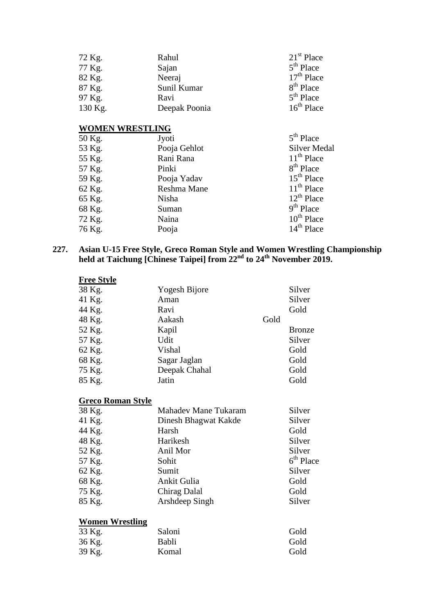| 72 Kg.  | Rahul         | $21st$ Place          |
|---------|---------------|-----------------------|
| 77 Kg.  | Sajan         | $5th$ Place           |
| 82 Kg.  | Neeraj        | $17th$ Place          |
| 87 Kg.  | Sunil Kumar   | 8 <sup>th</sup> Place |
| 97 Kg.  | Ravi          | $5th$ Place           |
| 130 Kg. | Deepak Poonia | $16th$ Place          |
|         |               |                       |

# **WOMEN WRESTLING**

| 50 Kg. | Jyoti        | $5th$ Place           |
|--------|--------------|-----------------------|
| 53 Kg. | Pooja Gehlot | <b>Silver Medal</b>   |
| 55 Kg. | Rani Rana    | $11th$ Place          |
| 57 Kg. | Pinki        | 8 <sup>th</sup> Place |
| 59 Kg. | Pooja Yadav  | $15th$ Place          |
| 62 Kg. | Reshma Mane  | $11th$ Place          |
| 65 Kg. | Nisha        | $12^{th}$ Place       |
| 68 Kg. | Suman        | $9th$ Place           |
| 72 Kg. | Naina        | $10^{th}$ Place       |
| 76 Kg. | Pooja        | $14th$ Place          |

#### **227. Asian U-15 Free Style, Greco Roman Style and Women Wrestling Championship held at Taichung [Chinese Taipei] from 22nd to 24th November 2019.**

| <b>Free Style</b>        |                      |      |               |
|--------------------------|----------------------|------|---------------|
| 38 Kg.                   | Yogesh Bijore        |      | Silver        |
| 41 Kg.                   | Aman                 |      | Silver        |
| 44 Kg.                   | Ravi                 |      | Gold          |
| 48 Kg.                   | Aakash               | Gold |               |
| 52 Kg.                   | Kapil                |      | <b>Bronze</b> |
| 57 Kg.                   | Udit                 |      | Silver        |
| 62 Kg.                   | Vishal               |      | Gold          |
| 68 Kg.                   | Sagar Jaglan         |      | Gold          |
| 75 Kg.                   | Deepak Chahal        |      | Gold          |
| 85 Kg.                   | Jatin                |      | Gold          |
| <b>Greco Roman Style</b> |                      |      |               |
| 38 Kg.                   | Mahadev Mane Tukaram |      | Silver        |
| 41 Kg.                   | Dinesh Bhagwat Kakde |      | Silver        |
| 44 Kg.                   | Harsh                |      | Gold          |
| 48 Kg.                   | Harikesh             |      | Silver        |
| 52 Kg.                   | Anil Mor             |      | Silver        |
| 57 Kg.                   | Sohit                |      | $6th$ Place   |
| 62 Kg.                   | Sumit                |      | Silver        |
| 68 Kg.                   | Ankit Gulia          |      | Gold          |
| 75 Kg.                   | Chirag Dalal         |      | Gold          |
| 85 Kg.                   | Arshdeep Singh       |      | Silver        |
| <b>Women Wrestling</b>   |                      |      |               |
| 33 Kg.                   | Saloni               |      | Gold          |
| 36 Kg.                   | Babli                |      | Gold          |

39 Kg. Komal Gold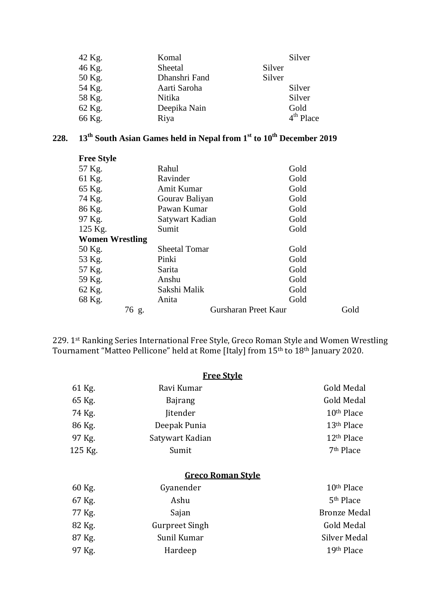| 42 Kg. | Komal         | Silver      |
|--------|---------------|-------------|
| 46 Kg. | Sheetal       | Silver      |
| 50 Kg. | Dhanshri Fand | Silver      |
| 54 Kg. | Aarti Saroha  | Silver      |
| 58 Kg. | Nitika        | Silver      |
| 62 Kg. | Deepika Nain  | Gold        |
| 66 Kg. | Riya          | $4th$ Place |

# **228. 13th South Asian Games held in Nepal from 1st to 10th December 2019**

| <b>Free Style</b>      |                      |                      |      |
|------------------------|----------------------|----------------------|------|
| 57 Kg.                 | Rahul                | Gold                 |      |
| 61 Kg.                 | Ravinder             | Gold                 |      |
| 65 Kg.                 | Amit Kumar           | Gold                 |      |
| 74 Kg.                 | Gourav Baliyan       | Gold                 |      |
| 86 Kg.                 | Pawan Kumar          | Gold                 |      |
| 97 Kg.                 | Satywart Kadian      | Gold                 |      |
| 125 Kg.                | Sumit                | Gold                 |      |
| <b>Women Wrestling</b> |                      |                      |      |
| 50 Kg.                 | <b>Sheetal Tomar</b> | Gold                 |      |
| 53 Kg.                 | Pinki                | Gold                 |      |
| 57 Kg.                 | Sarita               | Gold                 |      |
| 59 Kg.                 | Anshu                | Gold                 |      |
| 62 Kg.                 | Sakshi Malik         | Gold                 |      |
| 68 Kg.                 | Anita                | Gold                 |      |
|                        | 76 g.                | Gursharan Preet Kaur | Gold |

229. 1st Ranking Series International Free Style, Greco Roman Style and Women Wrestling Tournament "Matteo Pellicone" held at Rome [Italy] from 15th to 18th January 2020.

|         | <b>Free Style</b>        |                        |
|---------|--------------------------|------------------------|
| 61 Kg.  | Ravi Kumar               | Gold Medal             |
| 65 Kg.  | <b>Bajrang</b>           | Gold Medal             |
| 74 Kg.  | <b>Jitender</b>          | 10 <sup>th</sup> Place |
| 86 Kg.  | Deepak Punia             | 13 <sup>th</sup> Place |
| 97 Kg.  | Satywart Kadian          | 12 <sup>th</sup> Place |
| 125 Kg. | Sumit                    | 7 <sup>th</sup> Place  |
|         | <b>Greco Roman Style</b> |                        |
| 60 Kg.  | Gyanender                | 10 <sup>th</sup> Place |
| 67 Kg.  | Ashu                     | 5 <sup>th</sup> Place  |
| 77 Kg.  | Sajan                    | <b>Bronze Medal</b>    |
| 82 Kg.  | <b>Gurpreet Singh</b>    | Gold Medal             |
| 87 Kg.  | Sunil Kumar              | Silver Medal           |
| 97 Kg.  | Hardeep                  | 19th Place             |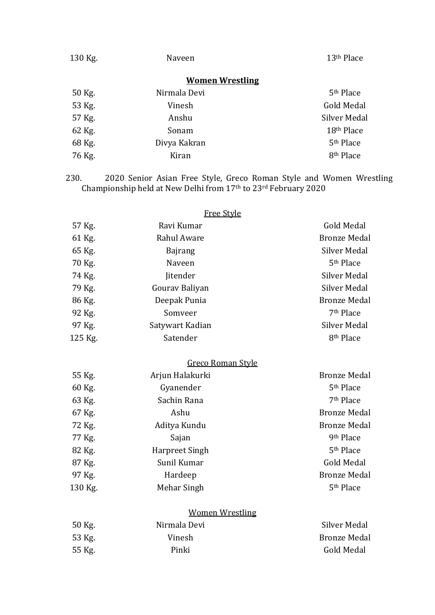| 130 Kg. | Naveen                 | 13 <sup>th</sup> Place |
|---------|------------------------|------------------------|
|         | <b>Women Wrestling</b> |                        |
| 50 Kg.  | Nirmala Devi           | 5 <sup>th</sup> Place  |
| 53 Kg.  | Vinesh                 | Gold Medal             |
| 57 Kg.  | Anshu                  | Silver Medal           |
| 62 Kg.  | Sonam                  | 18th Place             |
| 68 Kg.  | Divya Kakran           | 5 <sup>th</sup> Place  |
| 76 Kg.  | Kiran                  | 8 <sup>th</sup> Place  |

230. 2020 Senior Asian Free Style, Greco Roman Style and Women Wrestling Championship held at New Delhi from 17th to 23rd February 2020

| Free Style             |                       |
|------------------------|-----------------------|
| Ravi Kumar             | Gold Medal            |
| Rahul Aware            | <b>Bronze Medal</b>   |
| <b>Bajrang</b>         | <b>Silver Medal</b>   |
| Naveen                 | 5 <sup>th</sup> Place |
| Jitender               | <b>Silver Medal</b>   |
| Gourav Baliyan         | <b>Silver Medal</b>   |
| Deepak Punia           | <b>Bronze Medal</b>   |
| Somveer                | 7 <sup>th</sup> Place |
| Satywart Kadian        | <b>Silver Medal</b>   |
| Satender               | 8 <sup>th</sup> Place |
| Greco Roman Style      |                       |
| Arjun Halakurki        | <b>Bronze Medal</b>   |
| Gyanender              | 5 <sup>th</sup> Place |
| Sachin Rana            | 7 <sup>th</sup> Place |
| Ashu                   | <b>Bronze Medal</b>   |
| Aditya Kundu           | <b>Bronze Medal</b>   |
| Sajan                  | 9th Place             |
| Harpreet Singh         | 5 <sup>th</sup> Place |
| Sunil Kumar            | <b>Gold Medal</b>     |
| Hardeep                | <b>Bronze Medal</b>   |
| Mehar Singh            | 5 <sup>th</sup> Place |
| <b>Women Wrestling</b> |                       |
| Nirmala Devi           | <b>Silver Medal</b>   |
| Vinesh                 | <b>Bronze Medal</b>   |
| Pinki                  | <b>Gold Medal</b>     |
|                        |                       |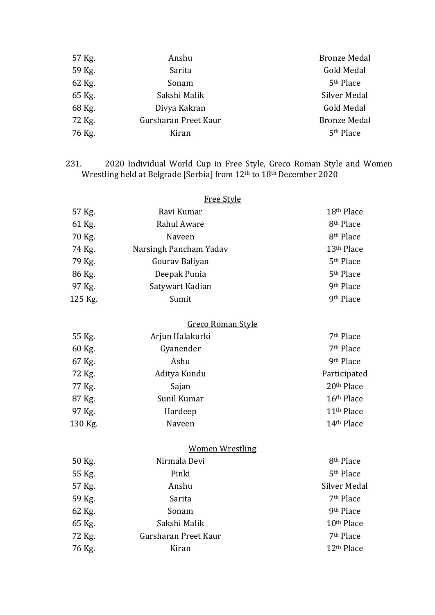| 57 Kg. | Anshu                | <b>Bronze Medal</b>   |
|--------|----------------------|-----------------------|
| 59 Kg. | Sarita               | Gold Medal            |
| 62 Kg. | Sonam                | 5 <sup>th</sup> Place |
| 65 Kg. | Sakshi Malik         | Silver Medal          |
| 68 Kg. | Divya Kakran         | Gold Medal            |
| 72 Kg. | Gursharan Preet Kaur | <b>Bronze Medal</b>   |
| 76 Kg. | Kiran                | 5 <sup>th</sup> Place |

231. 2020 Individual World Cup in Free Style, Greco Roman Style and Women Wrestling held at Belgrade [Serbia] from 12th to 18th December 2020

|         | <b>Free Style</b>      |                        |
|---------|------------------------|------------------------|
| 57 Kg.  | Ravi Kumar             | 18th Place             |
| 61 Kg.  | Rahul Aware            | 8 <sup>th</sup> Place  |
| 70 Kg.  | Naveen                 | 8 <sup>th</sup> Place  |
| 74 Kg.  | Narsingh Pancham Yadav | 13 <sup>th</sup> Place |
| 79 Kg.  | Gourav Baliyan         | 5 <sup>th</sup> Place  |
| 86 Kg.  | Deepak Punia           | 5 <sup>th</sup> Place  |
| 97 Kg.  | Satywart Kadian        | 9th Place              |
| 125 Kg. | Sumit                  | 9th Place              |
|         | Greco Roman Style      |                        |
| 55 Kg.  | Arjun Halakurki        | 7 <sup>th</sup> Place  |
| 60 Kg.  | Gyanender              | 7 <sup>th</sup> Place  |
| 67 Kg.  | Ashu                   | 9th Place              |
| 72 Kg.  | Aditya Kundu           | Participated           |
| 77 Kg.  | Sajan                  | 20th Place             |
| 87 Kg.  | Sunil Kumar            | 16th Place             |
| 97 Kg.  | Hardeep                | 11 <sup>th</sup> Place |
| 130 Kg. | Naveen                 | 14th Place             |
|         | <b>Women Wrestling</b> |                        |
| 50 Kg.  | Nirmala Devi           | 8 <sup>th</sup> Place  |
| 55 Kg.  | Pinki                  | 5 <sup>th</sup> Place  |
| 57 Kg.  | Anshu                  | <b>Silver Medal</b>    |
| 59 Kg.  | Sarita                 | 7 <sup>th</sup> Place  |
| 62 Kg.  | Sonam                  | 9th Place              |
| 65 Kg.  | Sakshi Malik           | 10 <sup>th</sup> Place |
| 72 Kg.  | Gursharan Preet Kaur   | 7 <sup>th</sup> Place  |
| 76 Kg.  | Kiran                  | 12 <sup>th</sup> Place |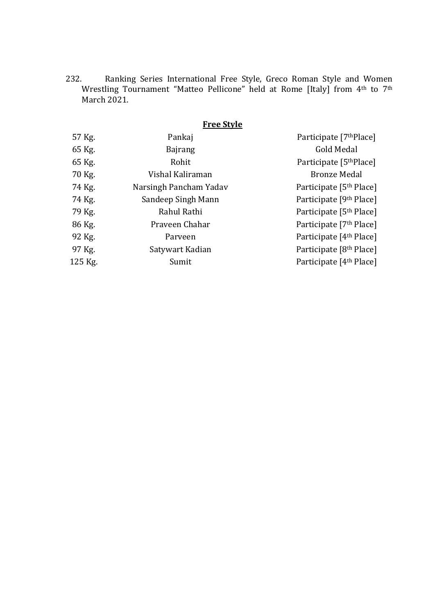232. Ranking Series International Free Style, Greco Roman Style and Women Wrestling Tournament "Matteo Pellicone" held at Rome [Italy] from 4th to 7th March 2021.

# **Free Style**

| 57 Kg.  | Pankaj                 | Participate [7 <sup>th</sup> Place] |
|---------|------------------------|-------------------------------------|
| 65 Kg.  | <b>Bajrang</b>         | Gold Medal                          |
| 65 Kg.  | Rohit                  | Participate [5 <sup>th</sup> Place] |
| 70 Kg.  | Vishal Kaliraman       | <b>Bronze Medal</b>                 |
| 74 Kg.  | Narsingh Pancham Yadav | Participate [5 <sup>th</sup> Place] |
| 74 Kg.  | Sandeep Singh Mann     | Participate [9 <sup>th</sup> Place] |
| 79 Kg.  | Rahul Rathi            | Participate [5 <sup>th</sup> Place] |
| 86 Kg.  | Praveen Chahar         | Participate [7 <sup>th</sup> Place] |
| 92 Kg.  | Parveen                | Participate [4 <sup>th</sup> Place] |
| 97 Kg.  | Satywart Kadian        | Participate [8 <sup>th</sup> Place] |
| 125 Kg. | Sumit                  | Participate [4 <sup>th</sup> Place] |
|         |                        |                                     |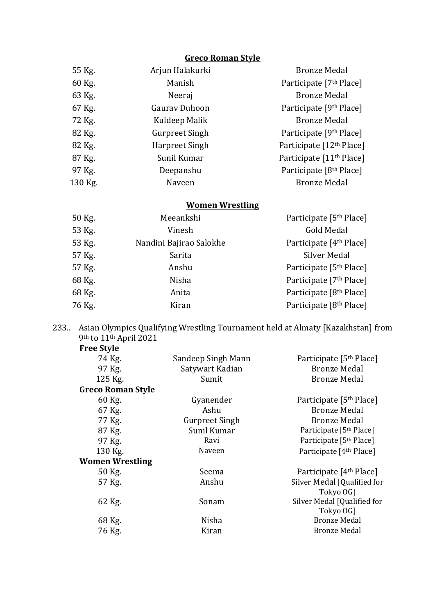# **Greco Roman Style**

| 55 Kg.  | Arjun Halakurki       | <b>Bronze Medal</b>                  |
|---------|-----------------------|--------------------------------------|
| 60 Kg.  | Manish                | Participate [7 <sup>th</sup> Place]  |
| 63 Kg.  | Neeraj                | <b>Bronze Medal</b>                  |
| 67 Kg.  | <b>Gaurav Duhoon</b>  | Participate [9 <sup>th</sup> Place]  |
| 72 Kg.  | Kuldeep Malik         | <b>Bronze Medal</b>                  |
| 82 Kg.  | <b>Gurpreet Singh</b> | Participate [9 <sup>th</sup> Place]  |
| 82 Kg.  | Harpreet Singh        | Participate [12 <sup>th</sup> Place] |
| 87 Kg.  | Sunil Kumar           | Participate [11 <sup>th</sup> Place] |
| 97 Kg.  | Deepanshu             | Participate [8 <sup>th</sup> Place]  |
| 130 Kg. | Naveen                | <b>Bronze Medal</b>                  |
|         |                       |                                      |

# **Women Wrestling**

| 50 Kg. | Meeankshi               | Participate [5 <sup>th</sup> Place] |
|--------|-------------------------|-------------------------------------|
| 53 Kg. | Vinesh                  | Gold Medal                          |
| 53 Kg. | Nandini Bajirao Salokhe | Participate [4 <sup>th</sup> Place] |
| 57 Kg. | Sarita                  | Silver Medal                        |
| 57 Kg. | Anshu                   | Participate [5 <sup>th</sup> Place] |
| 68 Kg. | Nisha                   | Participate [7 <sup>th</sup> Place] |
| 68 Kg. | Anita                   | Participate [8 <sup>th</sup> Place] |
| 76 Kg. | Kiran                   | Participate [8 <sup>th</sup> Place] |

233.. Asian Olympics Qualifying Wrestling Tournament held at Almaty [Kazakhstan] from 9th to 11th April 2021 **Free Style**

| 74 Kg.                   | Sandeep Singh Mann    | Participate [5 <sup>th</sup> Place]      |
|--------------------------|-----------------------|------------------------------------------|
| 97 Kg.                   | Satywart Kadian       | <b>Bronze Medal</b>                      |
| 125 Kg.                  | Sumit                 | <b>Bronze Medal</b>                      |
| <b>Greco Roman Style</b> |                       |                                          |
| 60 Kg.                   | Gyanender             | Participate [5 <sup>th</sup> Place]      |
| 67 Kg.                   | Ashu                  | <b>Bronze Medal</b>                      |
| 77 Kg.                   | <b>Gurpreet Singh</b> | <b>Bronze Medal</b>                      |
| 87 Kg.                   | Sunil Kumar           | Participate [5 <sup>th</sup> Place]      |
| 97 Kg.                   | Ravi                  | Participate [5 <sup>th</sup> Place]      |
| 130 Kg.                  | Naveen                | Participate [4 <sup>th</sup> Place]      |
| <b>Women Wrestling</b>   |                       |                                          |
| 50 Kg.                   | Seema                 | Participate [4 <sup>th</sup> Place]      |
| 57 Kg.                   | Anshu                 | Silver Medal [Qualified for<br>Tokyo OG] |
| 62 Kg.                   | Sonam                 | Silver Medal [Qualified for<br>Tokyo OG] |
| 68 Kg.                   | Nisha                 | <b>Bronze Medal</b>                      |
| 76 Kg.                   | Kiran                 | <b>Bronze Medal</b>                      |
|                          |                       |                                          |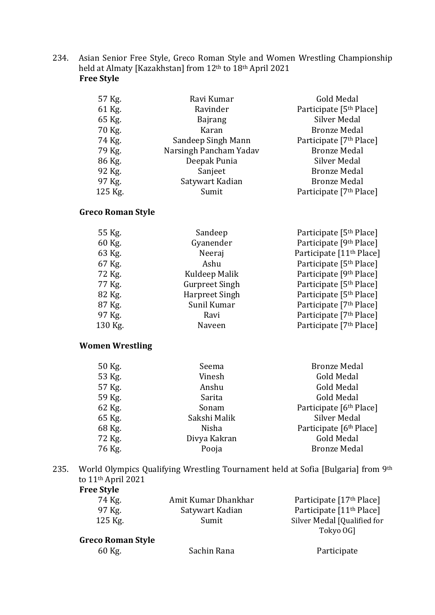234. Asian Senior Free Style, Greco Roman Style and Women Wrestling Championship held at Almaty [Kazakhstan] from 12<sup>th</sup> to 18<sup>th</sup> April 2021 **Free Style**

| 57 Kg.  | Ravi Kumar             | Gold Medal                          |
|---------|------------------------|-------------------------------------|
| 61 Kg.  | Ravinder               | Participate [5 <sup>th</sup> Place] |
| 65 Kg.  | <b>Bajrang</b>         | <b>Silver Medal</b>                 |
| 70 Kg.  | Karan                  | <b>Bronze Medal</b>                 |
| 74 Kg.  | Sandeep Singh Mann     | Participate [7 <sup>th</sup> Place] |
| 79 Kg.  | Narsingh Pancham Yadav | <b>Bronze Medal</b>                 |
| 86 Kg.  | Deepak Punia           | Silver Medal                        |
| 92 Kg.  | Sanjeet                | <b>Bronze Medal</b>                 |
| 97 Kg.  | Satywart Kadian        | <b>Bronze Medal</b>                 |
| 125 Kg. | Sumit                  | Participate [7 <sup>th</sup> Place] |

# **Greco Roman Style**

| 55 Kg.  | Sandeep               | Participate [5 <sup>th</sup> Place]  |
|---------|-----------------------|--------------------------------------|
| 60 Kg.  | Gyanender             | Participate [9th Place]              |
| 63 Kg.  | Neeraj                | Participate [11 <sup>th</sup> Place] |
| 67 Kg.  | Ashu                  | Participate [5 <sup>th</sup> Place]  |
| 72 Kg.  | Kuldeep Malik         | Participate [9 <sup>th</sup> Place]  |
| 77 Kg.  | <b>Gurpreet Singh</b> | Participate [5 <sup>th</sup> Place]  |
| 82 Kg.  | <b>Harpreet Singh</b> | Participate [5 <sup>th</sup> Place]  |
| 87 Kg.  | Sunil Kumar           | Participate [7 <sup>th</sup> Place]  |
| 97 Kg.  | Ravi                  | Participate [7 <sup>th</sup> Place]  |
| 130 Kg. | Naveen                | Participate [7 <sup>th</sup> Place]  |
|         |                       |                                      |

#### **Women Wrestling**

| 50 Kg. | Seema        | <b>Bronze Medal</b>                 |
|--------|--------------|-------------------------------------|
| 53 Kg. | Vinesh       | Gold Medal                          |
| 57 Kg. | Anshu        | Gold Medal                          |
| 59 Kg. | Sarita       | Gold Medal                          |
| 62 Kg. | Sonam        | Participate [6 <sup>th</sup> Place] |
| 65 Kg. | Sakshi Malik | <b>Silver Medal</b>                 |
| 68 Kg. | Nisha        | Participate [6 <sup>th</sup> Place] |
| 72 Kg. | Divya Kakran | <b>Gold Medal</b>                   |
| 76 Kg. | Pooja        | <b>Bronze Medal</b>                 |

235. World Olympics Qualifying Wrestling Tournament held at Sofia [Bulgaria] from 9th to 11th April 2021

| <b>Free Style</b> |                     |                                      |
|-------------------|---------------------|--------------------------------------|
| 74 Kg.            | Amit Kumar Dhankhar | Participate [17 <sup>th</sup> Place] |
| 97 Kg.            | Satywart Kadian     | Participate [11 <sup>th</sup> Place] |
| $125$ Kg.         | Sumit               | Silver Medal [Qualified for          |
|                   |                     | Tokyo OG]                            |

# **Greco Roman Style**<br>60 Kg.

| ίg. | Sachin |
|-----|--------|
|     |        |

# Rana **Participate**